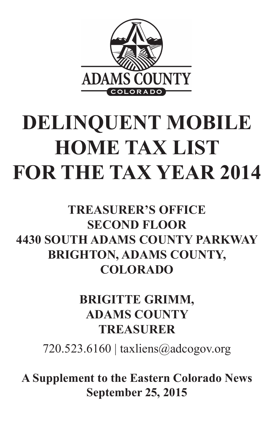

# **DELINQUENT MOBILE HOME TAX LIST FOR THE TAX YEAR 2014**

# **TREASURER'S OFFICE SECOND FLOOR 4430 SOUTH ADAMS COUNTY PARKWAY BRIGHTON, ADAMS COUNTY, COLORADO**

**BRIGITTE GRIMM,**

# **ADAMS COUNTY TREASURER**

# $720.523.6160$  | taxliens@adcogov.org

# **A Supplement to the Eastern Colorado News September 25, 2015**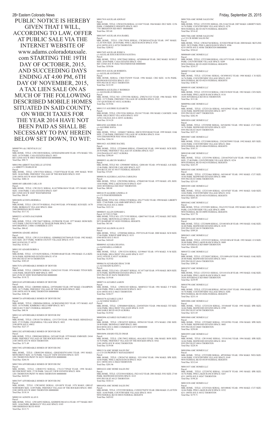M0009799 A & J RENTALS LLC

Parcel:<br>MBL HOME, TITLE: 12W210030 SERIAL: GFDGDADM14496 YEAR: 1976 MAKE: YEL<br>SIZE: 14/70 PARK: CASA ESTATES SPACE: 0033<br>860 132ND AVE W #0033 WESTMINSTER 000000000 Total Due: \$90.73

M0011986 ABBOTT RACHELLE LEVENE c/o ABBOTT CHARLES M Parcel: MBL HOME, TITLE: 12W537824 SERIAL: 17520757HA/B YEAR: 1995 MAKE: WOO<br>SIZE: 26/66 PARK: FRIENDLY VILLAGE OF THE ROCKIES SPACE: 0105<br>2100 100TH AVE W #0105 THORNTON

Parcel:<br>MBL HOME, TITLE: 12W158151 SERIAL: K14370FB610634 YEAR: 1971 MAKE: MAR<br>SIZE: 14/66 PARK: CASA ESTATES SPACE: 0207<br>860 132ND AVE W #0207 WESTMINSTER Total Due: \$86.45

Total Due: \$484.14

M0001485 ABRAMS CARLA JO

Parcel:<br>MBL HOME, TITLE: 12W176627 SERIAL: O3590435K YEAR: 1977 MAKE: HOM SIZE: 14/52 PARK: LINCOLN MOTEL & TRAILER PARK SPACE: 0061 6694 HIGHWAY 2 #0061 COMMERCE CITY Total Due: \$86.62

M0010690 ACOSTA HERMILA Parcel MBL HOME, TITLE: 12W155739 SERIAL: P162190 YEAR: 1978 MAKE: SCH SIZE: 14/70 PARK: BERKELEY VILLAGE SPACE: 0044 5400 SHERIDAN BLVD #0044 Total Due: \$117.52

Parcel:<br>MBL HOME, TITLE: 12R890791 SERIAL: 2265623101 YEAR: 1976 MAKE: TITAN SIZE:<br>14/66 PARK: HIGHVIEW MHP SPACE: 0093 8601 ZUNI ST #0093 WESTMINSTER 000000000 Total Due: \$118.72

M0002521 ACOSTA SALVADOR

Parcel:<br>MBL HOME, TITLE: 12R890801 SERIAL: 22970564883 YEAR: 1997 MAKE: CHAMPION<br>SIZE: 16/71 PARK: FRIENDLY VILLAGE OF THE ROCKIES SPACE: 0082<br>2100 100TH AVE W #0082 THORNTON 000000000 Total Due: \$284.40

M0009286 ADAME ARIDAI Parcel:<br>MBL HOME, TITLE: 12W151310 SERIAL: GDMHKS23827869A/B YEAR: 1982 MAKE:<br>GUE SIZE: 28/37 PARK: NORTH COUNTY VILLAGE SPACE: 0735 9602 GLENCOE CT #0735 Total Due: \$130.21

M0011185 ADAMS ROBIN A Parcel:<br>MBL HOME, TITLE: 12T156292 SERIAL: CW2000140AB YEAR: 1994 MAKE: CLA SIZE:<br>28/56 PARK: REDWOOD ESTATES SPACE: 0718 9595 PECOS ST #0718 THORNTON

M0017494 AFFORDABLE HOMES OF DENVER INC Parcel:<br>MBL HOME, TITLE: 12R803552 SERIAL: 17612175PAB YEAR: 1998 MAKE:<br>SILVERCREST SIZE: 27/50 PARK: VALLEY VIEW ESTATES SPACE: 0036<br>1201 THORNTON PKWY W #0036 THORNTON 000000000<br>Total Due: \$410.93

Total Due: \$383.65 M0017676 AFFORDABLE HOMES OF DENVER

M0018169 AFFORDABLE HOMES OF DENVER

Parcel:<br>MBL HOME, TITLE: 12T253591 SERIAL: 05L31166 YEAR: 2007 MAKE: LIBERTY SIZE: 16/76 PARK: COUNTRYSIDE VILLAGE SPACE: 0278 9850 FEDERAL BLVD #0278 FEDERAL HEIGHTS Total Due: \$514.42

M0000724 AFFORDABLE HOMES OF DENVER INC

Parcel: MBL HOME, TITLE: 12R894964 SERIAL: GCBGFADM12023 YEAR: 1973 MAKE: ALP SIZE: 14/76 PARK: KIMBERLY HILLS MHP SPACE: 0671 9400 ELM CT #0671 FEDERAL HEIGHTS Total Due: \$40.54

Parcel:<br>MBL HOME, TITLE: 12T253080 SERIAL: GN11875 YEAR: 1980 MAKE: G N SIZE: 26/56 PARK: COUNTRYSIDE VILLAGE SPACE: 0209 9850 FEDERAL BLVD #0209 FEDERAL HEIGHTS Total Due: \$210.37

M0011143 AFFORDABLE HOMES OF DENVER INC Parcel MBL HOME, TITLE: 12W181730 SERIAL: 12513729 YEAR: 1986 MAKE: RIDGEDALE SIZE: 27/52 PARK: CHAPARRAL VILLAGE SPACE: 0032 3180 88TH AVE E #0032 Total Due: \$227.37

Parcel:<br>MBL HOME, TITLE: 12T253318 SERIAL: CHCC019638 YEAR: 1983 MAKE: CEN SIZE:<br>16/60 PARK: PINE LAKES RANCH SPACE: 0116 10201 RIVERDALE RD #0116 THORNTON Total Due: \$111.06

M0010034 AMC HOMES LLC Parcel: MBL HOME, TITLE: 12T258500 SERIAL: 04510658E YEAR: 1992 MAKE: CUT SIZE:<br>16/76 PARK: REDWOOD ESTATES SPACE: 0255<br>9595 PECOS ST #0255 THORNTON

M0011202 AFFORDABLE HOMES OF DENVER INC Parcel:<br>MBL HOME, TITLE: 12R802460 SERIAL: 2453AB YEAR: 1979 MAKE: EMB SIZE: 24/64<br>PARK: FRIENDLY VILLAGE OF THE ROCKIES SPACE: 0418 2100 100TH AVE W #0418 THORNTON Total Due: \$171.49

M0017492 AFFORDABLE HOMES OF DENVER INC

Parcel:<br>MBL HOME, TITLE: 12R803290 SERIAL: GDGENE079314505 YEAR: 1993 MAKE:<br>MONUMENT SIZE: 16/76 PARK: VALLEY VIEW ESTATES SPACE: 0253<br>1201 THORNTON PKWY W #0253 THORNTON 000000000<br>Total Due: \$264.54

M0010385 AMC HOMES LLC Parcel:<br>MBL HOME, TITLE: 12T253109 SERIAL: 42510742F YEAR: 1993 MAKE: SAB SIZE:<br>14/66 PARK: COUNTRYSIDE VILLAGE SPACE: 0334<br>9850 FEDERAL BLVD #0334 FEDERAL HEIGHTS

Total Due: \$205.81 M0010462 AMC HOMES LLC Parcel:<br>MBL HOME, TITLE: 12T253091 SERIAL: 39A21552 YEAR: 1993 MAKE: BEL SIZE: 16/77<br>PARK: COUNTRYSIDE VILLAGE SPACE: 0098

Total Due: \$237.70 M0010596 AMC HOMES LLC Parcel: MBL HOME, TITLE: 12T2S8498 SERIAL: 32510834FA/B YEAR: 1993 MAKE: OAK SIZE:<br>26/40 PARK: REDWOOD ESTATES SPACE: 0139<br>9595 PECOS ST #0139 THORNTON

M0017697 AFFORDABLE HOMES OF DENVER INC Parcel: MBL HOME, TITLE: 12W248502 SERIAL: GN10078 YEAR: 1978 MAKE: GREAT<br>NORTHERN SIZE: 14/49 PARK: FRIENDLY VILLAGE OF THE ROCKIES SPACE: 0003<br>2100 100TH AVE W #0003 THORNTON 000000000 Total Due: \$118.14

M0001341 AGNEW ALAN S Parcel: MBL HOME, TITLE: 12W144952 SERIAL: KSDH05E3861431A YEAR: 1977 MAKE: REV<br>SIZE: 14/66 PARK: BERKELEY VILLAGE SPACE: 0105<br>5400 SHERIDAN BLVD #0105 Total Due: \$113.71

M0017026 AMC HOME SALES INC

Parcel:<br>MBL HOME, TITLE: 12T253238 SERIAL: 35510644F YEAR: 1993 MAKE: SPR SIZE:<br>16/66 PARK: REDWOOD ESTATES SPACE: 0709 9595 PECOS ST #0709 THORNTON Total Due: \$231.05

Parcel:<br>MBL HOME, TITLE: 12T258485 SERIAL: 35510359G YEAR: 1994 MAKE: SPR SIZE:<br>16/76 PARK: REDWOOD ESTATES SPACE: 0603 9595 PECOS ST #0603 THORNTON Total Due: \$250.88

M0017066 AMC HOME SALES INC c/o C/O CR HOME SALES INC

Parcel: MBL HOME, TITLE: 12W262744 SERIAL: X3520235WAB YEAR: 2008 MAKE: SKYLINE SIZE: 28/52 PARK: PINE LAKES RANCH SPACE: 0586 4210 100TH AVE E #0586 THORNTON 000000000 Total Due: \$526.62

M0006609 AMC HOMES LLC

M0008719 AMC HOMES LLC Parcel:<br>MBL HOME, TITLE: 12T253461 SERIAL: OC05881832 YEAR: 1988 MAKE: C R SIZE:<br>16/76 PARK: COUNTRYSIDE VILLAGE SPACE: 0210 9850 FEDERAL BLVD #0210 FEDERAL HEIGHTS Total Due: \$180.76

M0009195 AMC HOMES LLC

Parcel:<br>MBL HOME, TITLE: 12W265256 SERIAL: 6111047 YEAR: 1964 MAKE: DUC SIZE: 12/56 PARK: COMMERCE HEIGHTS SPACE: 0053 7701 BRIGHTON RD #0053 000000000 Total Due: \$93.40

Parcel:<br>MBL HOME, TITLE: 12W179938 SERIAL: CW2003416TXA/B YEAR: 1997 MAKE: CLAYTON SIZE: 28/44 PARK: PINE LAKES RANCH SPACE: 0728 4210 100TH AVE E #0728 THORNTON Total Due: \$280.82

M0009964 AMC HOMES LLC

Parcel: MBL HOME, TITLE: 12T253126 SERIAL: 04510296E YEAR: 1992 MAKE: CUT SIZE:<br>16/66 PARK: REDWOOD ESTATES SPACE: 0077<br>9595 PECOS ST #0077 THORNTON Total Due: \$202.50

Parcel:<br>MBL HOME, TITLE: 12W152261 SERIAL: FS12417 YEAR: 1981 MAKE: CAM SIZE: 14/66 PARK: HILLCREST VILLAGES SPACE: 0555

Total Due: \$227.32

M0010067 AMC HOMES LLC

Parcel MBL HOME, TITLE: 12t946817 SERIAL: H0C015F03548AB YEAR: 1999 MAKE: OAK SIZE: 27/48 PARK: FRIENDLY VILLAGE OF AURORA SPACE: 0164 1656 EISENHOWER WAY #0164 AURORA Total Due: \$366.34

Parcel: MBL HOME, TITLE: 12T253088 SERIAL: 2292382T0993 YEAR: 1992 MAKE: RIV SIZE: 14/66 PARK: COUNTRYSIDE VILLAGE SPACE: 0044 9850 FEDERAL BLVD #0044 FEDERAL HEIGHTS Total Due: \$185.31

M0010340 AMC HOMES LLC

Parcel: MBL HOME, TITLE: 12T253596 SERIAL: 228166T9247A/B YEAR: 1988 MAKE: TTN SIZE: 27/40 PARK: COUNTRYSIDE VILLAGE SPACE: 0234 9850 FEDERAL BLVD #0234 FEDERAL HEIGHTS Total Due: \$243.39

Parcel:<br>MBL HOME, TITLE: 12W292906 SERIAL: 4790403548 YEAR: 1979 MAKE: ATL SIZE:<br>14/66 PARK: PINE LAKES RANCH SPACE: 0247 10201 RIVERDALE RD #0247 THORNTON Total Due: \$88.80

M0014139 ALGIERE LINDELL D c/o C/O PAM HENDERSON<br>Parcel:

M0010343 AMC HOMES LLC

Parcel: MBL HOME, TITLE: 12T253464 SERIAL: 04510414F YEAR: 1993 MAKE: CUT SIZE: 16/66 PARK: REDWOOD ESTATES SPACE: 0086 9595 PECOS ST #0086 THORNTON Total Due: \$231.05

Parcel:<br>MBL HOME, TITLE NO: 12W061339 SERIAL: 05L27716XU YEAR: 1998 MAKE: LIBERTY<br>SIZE: 27/60 PARK: GALAMB MHP SPACE: 0030 35500 COLFAX AVE E #0030 Total Due: \$323.34 M0000653 ALLEN EDWARD L

Parcel: 0171921317040<br>MBL HOME, TITLE NO: 12T171595 SERIAL: GB057443 YEAR: 1972 MAKE: DET SIZE:<br>14/61 PARK: MONTICELLO SPACE: 0203 9073 RAMPART ST #0203 FEDERAL HEIGHTS Total Due: \$63.46

MBL HOME, TITLE: 12T085046 SERIAL: P297225A/B YEAR: 2000 MAKE: SCH SIZE:<br>27/66 PARK: WIKIUP MHP SPACE: 0153<br>6500 88TH AVE E #0153 Total Due: \$424.69 M0000943 ALVARA DEANNA c/o GANDARILLA EMILIO

9850 FEDERAL BLVD #0098 FEDERAL HEIGHTS

Parcel:<br>MBL HOME, TITLE: 12W032103 SERIAL: M60F0323 YEAR: 1981 MAKE: F P SIZE:<br>16/68 PARK: PINE LAKES RANCH SPACE: 0633<br>4210 100TH AVE E #0633 THORNTON Total Due: \$104.57

Total Due: \$309.20

M0010631 AMC HOMES LLC Parcel: MBL HOME, TITLE: 12T253325 SERIAL: 32510318FA/B YEAR: 1993 MAKE: O S SIZE: 28/48 PARK: PINE LAKES RANCH SPACE: 0009 10201 RIVERDALE RD #0009 THORNTON Total Due: \$266.89

MBL HOME, TITLE: 12W170832 SERIAL: 68A14818 YEAR: 1986 MAKE: BON SIZE:<br>16/76 PARK: FRIENDLY VILLAGE OF THE ROCKIES SPACE: 0362<br>2100 100TH AVE W #0362 THORNTON Total Due: \$159.08

M0010723 AMC HOMES LLC Parcel: MBL HOME, TITLE: 12T258507 SERIAL: 32511009A/B YEAR: 1993 MAKE: OAK SIZE: 28/40 PARK: REDWOOD ESTATES SPACE: 0414 9595 PECOS ST #0414 THORNTON Total Due: \$309.20

M0010767 AMC HOMES LLC Parcel MBL HOME, TITLE: 12T253321 SERIAL: 32511011FA/B YEAR: 1993 MAKE: OAK SIZE: 26/40 PARK: PINE LAKES RANCH SPACE: 0045

10201 RIVERDALE RD #0045 THORNTON Total Due: \$239.99 M0010798 AMC HOMES LLC Parcel: MBL HOME, TITLE: 12T253108 SERIAL: MY9411526V YEAR: 1994 MAKE: ASP SIZE:

16/76 PARK: COUNTRYSIDE VILLAGE SPACE: 0286 9850 FEDERAL BLVD #0286 FEDERAL HEIGHTS Total Due: \$233.14 M0010806 AMC HOMES LLC

M0010868 AMC HOMES LLC

M0010955 AMC HOMES LLC Parcel: MBL HOME, TITLE: 12W191802 SERIAL: 35510154G YEAR: 1994 MAKE: SPR SIZE:<br>16/66 PARK: REDWOOD ESTATES SPACE: 0014<br>9595 PECOS ST #0014 THORNTON Total Due: \$228.56

M0010966 AMC HOMES LLC Parcel: MBL HOME, TITLE: 12T253098 SERIAL: 4P520386G YEAR: 1994 MAKE: WES SIZE: 16/66 PARK: COUNTRYSIDE VILLAGE SPACE: 0149 9850 FEDERAL BLVD #0149 FEDERAL HEIGHTS Total Due: \$212.64

M0011037 AMC HOMES LLC

Parcel: MBL HOME, TITLE: 12T258792 SERIAL: 35510837F YEAR: 1993 MAKE: SPR SIZE: 16/76 PARK: PINE LAKES RANCH SPACE: 0267 4211 100TH AVE E #0267 THORNTON Total Due: \$198.26

M0011038 AMC HOMES LLC Parcel:<br>MBL HOME, TITLE: 12T253426 SERIAL: 04510884G YEAR: 1994 MAKE: CUT SIZE:<br>16/66 PARK: PINE LAKES RANCH SPACE: 0332 4211 100TH AVE E #0332 THORNTON Total Due: \$179.71

PUBLIC NOTICE IS HEREBY GIVEN THAT I WILL, ACCORDING TO LAW, OFFER AT PUBLIC SALE VIA THE INTERNET WEBSITE OF www.adams.coloradotaxsale. com STARTING THE 19TH DAY OF OCTOBER, 2015, AND SUCCEEDING DAYS ENDING AT 4:00 PM, 6TH DAY OF NOVEMBER, 2015, A TAX LIEN SALE ON AS MUCH OF THE FOLLOWING DESCRIBED MOBILE HOMES SITUATED IN SAID COUNTY, ON WHICH TAXES FOR THE YEAR 2014 HAVE NOT BEEN PAID AS SHALL BE NECESSARY TO PAY HEREIN BELOW SET DOWN, TO WIT:

M0017810 AGUILAR ADONAY

M0013697 AGUILAR ANA ISABEL

M0017695 AGUILAR JESSICA c/o AGUILAR JESUS BUSTOS FAUSTINA Parcel: MBL HOME, TITLE: 10W378043 SERIAL: AP309008AB YEAR: 2002 MAKE: SCHULT SIZE: 28/64 PARK: CASA ESTATES SPACE: 0262 860 132ND AVE W #0262 WESTMINSTER 000000000 Total Due: \$558.06

M0013018 AGUILAR ROBERTA

c/o AGUILAR ANTHONY Parcel:

MBL HOME, SERIAL: CRH1TX5859 YEAR: 1996 MAKE: CRE SIZE: 16/56 PARK: REDWOOD ESTATES SPACE: 0213 9595 PECOS ST #0213 THORNTON Total Due: \$133.95

# M0008034 AGUILERA V RODRIGO c/o AGUILERA R IMELDA

Parcel: MBL HOME, TITLE NO: 12T933506 SERIAL: ZWK7613323 YEAR: 1986 MAKE: WIN SIZE: 15/72 PARK: FRIENDLY VILLAGE OF AURORA SPACE: 0332 1707 QUINTERO ST #0332 AURORA Total Due: \$139.86

M0011315 AGUIRRE ELIZABETH

14701 COLFAX AVE E #0555 AURORA Total Due: \$114.20

M0014582 AGUIRRE JUAN c/o AGUIRRE SOFIA

M0014421 AGUIRRE RACHEL

Parcel: MBL HOME, TITLE: 12T268660 SERIAL: P284692AB YEAR: 1999 MAKE: SCH SIZE: 28/58 PARK: FRIENDLY VILLAGE OF AURORA SPACE: 0227 1910 PAGOSA ST #0227 AURORA Total Due: \$398.69

M0000933 ALARCON MARIA I

Parcel: MBL HOME, TITLE NO: 12W080887 SERIAL: GJ081401 YEAR: 1970 MAKE: A H SIZE: 12/46 PARK: DENVER CASCADE SPACE: 0157 2810 BLUE JAY ST #0157 FEDERAL HEIGHTS Total Due: \$74.85

M0008156 ALEGRIA LAGUNA CAROLINA

M0015345 ALLISON ALAN D Parcel:

Parcel: MBL HOME, TITLE: 12W152334 SERIAL: GJ190665 YEAR: 1970 MAKE: N M SIZE:<br>24/48 PARK: HILLCREST VILLAGES SPACE: 0337<br>14352 18TH PL E #0337 AURORA Total Due: \$129.82 M0006154 ALVARADO ISSAC D SR

c/o ALVARADO KATHY L Parcel:<br>MBL HOME, TITLE NO: 12P140557 SERIAL: FC1077AB YEAR: 1978 MAKE: BEN SIZE:<br>26/56 PARK: REDWOOD ESTATES SPACE: 0476 9595 PECOS ST #0476 THORNTON Total Due: \$159.08

M0007114 ALVAREZ AARON

M0010370 ALVAREZ LUIS F c/o ALVAREZ MARIA T

Parcel: MBL HOME, TITLE: 12W040869 SERIAL: 226930T8201 YEAR: 1986 MAKE: TIT SIZE: 14/66 PARK: HILLCREST VILLAGES SPACE: 0129 1600 SABLE BLVD #0129 AURORA Total Due: \$129.82

M0002896 ALVAREZ OLIVAREZ LUZ

Parcel:

MBL HOME, TITLE: 12W245525 SERIAL: 0959631H YEAR: 1974 MAKE: CRE SIZE: 24/48 PARK: IRONDALE MHP SPACE: 0001 8810 88TH AVE E #0001 COMMERCE CITY 000000000 Total Due: \$119.36

M0010696 AMARO FELIX OMAR

Parcel:

M0013134 AMC HOME SALES INC c/o C/O CR PROPERTY MANAGEMENT Parcel: MBL HOME, TITLE: 12W262745 SERIAL: 35511856I YEAR: 1996 MAKE: SPR SIZE:<br>16/66 PARK: PINE LAKES RANCH SPACE: 0424<br>4211 100TH AVE E #0424 THORNTON Total Due: \$201.96

M0016222 AMC HOME SALES INC Parcel: MBL HOME, TITLE: 12T253018 SERIAL: FS211632 YEAR: 2001 MAKE: FOU SIZE: 27/60 PARK: REDWOOD ESTATES SPACE: 0123 9595 PECOS ST #0123 THORNTON Total Due: \$520.14

M0016926 AMC HOME SALES INC Parcel: MBL HOME, TITLE: 12T253589 SERIAL: CLW022704TX YEAR: 2006 MAKE: CLAYTON SIZE: 16/60 PARK: COUNTRYSIDE VILLAGE SPACE: 0018 9850 FEDERAL BLVD #0018 FEDERAL HEIGHTS Total Due: \$429.02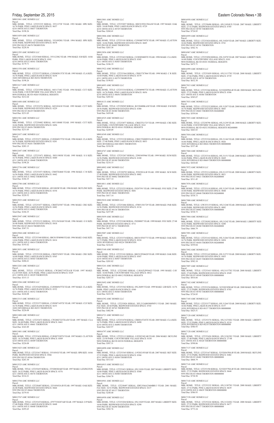# Friday, September 25, 2015 **Eastern Colorado News • 3B** Eastern Colorado News • 3B

M0011041 AMC HOMES LLC Parcel: MBL HOME, TITLE: 12T253335 SERIAL: 35511372F YEAR: 1993 MAKE: SPR SIZE: 16/76 PARK: PINE LAKES RANCH SPACE: 0657 4210 100TH AVE E #0657 THORNTON Total Due: \$198.26 M0011059 AMC HOMES LLC Parcel: MBL HOME, TITLE: 12T258488 SERIAL: 35510928G YEAR: 1994 MAKE: SPR SIZE:

Parcel:<br>MBL HOME, TITLE: 12T253660 SERIAL: 35511238G YEAR: 1994 MAKE: S B SIZE: 16/66 PARK: PINE LAKES RANCH SPACE: 0541 4210 100TH AVE E #0541 THORNTON Total Due: \$179.71

M0011558 AMC HOMES LLC Parcel

16/66 PARK: REDWOOD ESTATES SPACE: 0678 9595 PECOS ST #0678 THORNTON Total Due: \$228.56

MBL HOME, TITLE: 12T253372 SERIAL: CLW002813TX YEAR: 1995 MAKE: CLA SIZE:<br>16/76 PARK: PINE LAKES RANCH SPACE: 0254<br>10201 RIVERDALE RD #0254 THORNTON Total Due: \$198.26

M0011295 AMC HOMES LLC

Parcel MBL HOME, TITLE: 12T253598 SERIAL: 04511710G YEAR: 1994 MAKE: CUT SIZE:<br>16/66 PARK: COUNTRYSIDE VILLAGE SPACE: 0265<br>9850 FEDERAL BLVD #0265 FEDERAL HEIGHTS Total Due: \$212.64

Parcel:<br>MBL HOME, TITLE: 12T253271 SERIAL: CLW004937TX YEAR: 1996 MAKE: CLA SIZE: 16/76 PARK: REDWOOD ESTATES SPACE: 0201 9595 PECOS ST #0201 THORNTON Total Due: \$283.15

M0011617 AMC HOMES LLC

Parcel:<br>MBL HOME, TITLE: 12T253471 SERIAL: 5H511985H YEAR: 1995 MAKE: S S SIZE:<br>16/76 PARK: PINE LAKES RANCH SPACE: 0440 4211 100TH AVE E #0440 THORNTON Total Due: \$198.26

Parcel:<br>MBL HOME, TITLE: 12T253428 SERIAL: 4S510828I YEAR: 1996 MAKE: SKYLINE SIZE:<br>16/76 PARK: PINE LAKES RANCH SPACE: 0354<br>4211 100TH AVE E #0354 THORNTON Total Due: \$220.52

M0011688 AMC HOMES LLC Parcel: MBL HOME, TITLE: 12T253276 SERIAL: 04510341H YEAR: 1995 MAKE: CUT SIZE: 16/66 PARK: REDWOOD ESTATES SPACE: 0229 9595 PECOS ST #0229 THORNTON Total Due: \$231.05

M0011941 AMC HOMES LLC

Parcel: MBL HOME, TITLE: 12T258482 SERIAL: 04511084H YEAR: 1995 MAKE: CUT SIZE: 16/66 PARK: REDWOOD ESTATES SPACE: 0456 9595 PECOS ST #0456 THORNTON Total Due: \$231.05

M0012437 AMC HOMES LLC

Parcel:<br>MBL HOME, TITLE: 12T253425 SERIAL: CW2002719TXA/B YEAR: 1997 MAKE:<br>CLAYTON SIZE: 26/56 PARK: PINE LAKES RANCH SPACE: 0329<br>4211 100TH AVE E #0329 THORNTON Total Due: \$315.13

M0012447 AMC HOMES LLC

Parcel MBL HOME, TITLE: 12T253373 SERIAL: CLW007145TX YEAR: 1997 MAKE: CLY SIZE:<br>16/76 PARK: PINE LAKES RANCH SPACE: 0253<br>10201 RIVERDALE RD #0253 THORNTON Total Due: \$226.08

M0012756 AMC HOMES LLC Parcel:<br>MBL HOME, TITLE: 12T253473 SERIAL: CRHTX4660 YEAR: 1996 MAKE: C R SIZE: 16/56 PARK: PINE LAKES RANCH SPACE: 0442 4211 100TH AVE E #0442 THORNTON Total Due: \$184.35

M0012780 AMC HOMES LLC

M0012925 AMC HOMES LLC Parcel: MBL HOME, TITLE: 12T253477 SERIAL: CRHTX5587 YEAR: 1996 MAKE: CRE SIZE: 16/56 PARK: PINE LAKES RANCH SPACE: 0482 4210 100TH AVE E #0482 THORNTON Total Due: \$184.35

# M0012947 AMC HOMES LLC

Parcel:<br>MBL HOME, TITLE: 12T253057 SERIAL: H0C015F01394A/B YEAR: 1997 MAKE: OAK SIZE: 24/40 PARK: PINE LAKES RANCH SPACE: 0729 4210 100TH AVE E #0729 THORNTON Total Due: \$260.41

Parcel: MBL HOME, TITLE: 12T253153 SERIAL: 32511563IAB YEAR: 1996 MAKE: O S SIZE: 26/48 PARK: REDWOOD ESTATES SPACE: 0418 9595 PECOS ST #0418 THORNTON Total Due: \$367.51

Parcel:<br>MBL HOME, TITLE: 12T253181 SERIAL: CLW008759TX YEAR: 1997 MAKE: CLAYTON SIZE: 16/66 PARK: REDWOOD ESTATES SPACE: 0605 9595 PECOS ST #0605 THORNTON Total Due: \$263.30

M0012968 AMC HOMES LLC Parcel:<br>MBL HOME, TITLE: 12T253368 SERIAL: H0C015F00900 YEAR: 1996 MAKE: OAK SIZE: 14/66 PARK: PINE LAKES RANCH SPACE: 0414 4211 100TH AVE E #0414 THORNTON Total Due: \$193.62

Parcel:<br>MBL HOME, TITLE: 12T253422 SERIAL: CLW009400TX YEAR: 1998 MAKE: CLA SIZE:<br>16/66 PARK: PINE LAKES RANCH SPACE: 0305 4211 100TH AVE E #0305 THORNTON Total Due: \$186.19 M0013922 AMC HOMES LLC

Parcel:<br>MBL HOME, TITLE: 12T253364 SERIAL: CRH1TX7864 YEAR: 1998 MAKE: C R SIZE:<br>16/68 PARK: PINE LAKES RANCH SPACE: 0379<br>4211 100TH AVE E #0379 THORNTON Total Due: \$190.83

M0013051 AMC HOMES LLC Parcel:

MBL HOME, TITLE: 12T253334 SERIAL: CLW009007TX YEAR: 1998 MAKE: CLAYTON<br>SIZE: 16/76 PARK: PINE LAKES RANCH SPACE: 0656<br>4210 100TH AVE E #0656 THORNTON Total Due: \$203.82

MBL HOME, TITLE: 12T253328 SERIAL: CRHTX5855 YEAR: 1996 MAKE: CRE SIZE: 16/68 PARK: PINE LAKES RANCH SPACE: 0565 4210 100TH AVE E #0565 THORNTON Total Due: \$206.61

M0013283 AMC HOMES LLC

# M0013284 AMC HOMES LLC

Parcel:<br>MBL HOME, TITLE: 12T253267 SERIAL: 22983495966 YEAR: 1999 MAKE: SUM SIZE: 16/56 PARK: REDWOOD ESTATES SPACE: 0180 9595 PECOS ST #0180 THORNTON Total Due: \$216.15

Parcel: MBL HOME, TITLE: 12T253429 SERIAL: CLW006947TX YEAR: 1997 MAKE: CLA SIZE:<br>16/76 PARK: PINE LAKES RANCH SPACE: 0352<br>4211 100TH AVE E #0352 THORNTON Total Due: \$226.08

M0013315 AMC HOMES LLC

MBL HOME, TITLE: 12T253225 SERIAL: FS207591 YEAR: 1999 MAKE: FOU SIZE: 27/48<br>PARK: REDWOOD ESTATES SPACE: 0681<br>9595 PECOS ST #0681 THORNTON Total Due: \$417.14

M0013400 AMC HOMES LLC Parcel: MBL HOME, TITLE: 12T253472 SERIAL: CW2002722TXA/B YEAR: 1997 MAKE: CLA SIZE: 26/48 PARK: PINE LAKES RANCH SPACE: 0441 4211 100TH AVE E #0441 THORNTON Total Due: \$343.89

Parcel:<br>MBL HOME, TITLE: 12T253101 SERIAL: H0C015F04620 YEAR: 1999 MAKE: OAK SIZE: 16/66 PARK: PINE LAKES RANCH SPACE: 0507 4210 100TH AVE E #0507 THORNTON Total Due: \$203.82

M0013401 AMC HOMES LLC Parcel:<br>MBL HOME, TITLE: 12T253656 SERIAL: CLW007538TX YEAR: 1997 MAKE: CLAYTON SIZE: 16/76 PARK: PINE LAKES RANCH SPACE: 0509 4210 100TH AVE E #0509 THORNTON Total Due: \$226.08

Parcel:<br>MBL HOME, TITLE: 12T253083 SERIAL: CAVAZLP954623 YEAR: 1995 MAKE: CAV<br>SIZE: 16/60 PARK: COUNTRYSIDE VILLAGE SPACE: 0012 9850 FEDERAL BLVD #0012 FEDERAL HEIGHTS Total Due: \$203.55

Parcel:<br>MBL HOME, TITLE: 12T253362 SERIAL: 05L28495 YEAR: 1999 MAKE: LIB SIZE: 16/76<br>PARK: PINE LAKES RANCH SPACE: 0360 4211 100TH AVE E #0360 THORNTON Total Due: \$223.30

M0013425 AMC HOMES LLC Parcel:<br>MBL HOME, TITLE: 12T253417 SERIAL: 35510543J YEAR: 1997 MAKE: SPR SIZE: 16/66<br>PARK: REDWOOD ESTATES SPACE: 0566 9595 PECOS ST #0566 THORNTON Total Due: \$263.30

Parcel:<br>MBL HOME, TITLE: 12T253026 SERIAL: XFL212AB85888WP13 YEAR: 2003 MAKE:<br>FLE SIZE: 28/44 PARK: REDWOOD ESTATES SPACE: 0743<br>9595 PECOS ST #0743 THORNTON Total Due: \$482.90

M0013525 AMC HOMES LLC Parcel MBL HOME, TITLE: 12T253655 SERIAL: 2T520830JAB YEAR: 1997 MAKE: LEXINGTON<br>SIZE: 26/52 PARK: PINE LAKES RANCH SPACE: 0376<br>4211 100TH AVE E #0376 THORNTON Total Due: \$314.21

M0013704 AMC HOMES LLC Parcel:<br>MBL HOME, TITLE: 12T258487 SERIAL: 32510545JA/B YEAR: 1997 MAKE: OAK SIZE:<br>26/48 PARK: REDWOOD ESTATES SPACE: 0664 9595 PECOS ST #0664 THORNTON Total Due: \$379.93

## M0013767 AMC HOMES LLC Parcel MBL HOME, TITLE: 12T253474 SERIAL: 47977538207AB YEAR: 1997 MAKE: O P SIZE: 27/48 PARK: PINE LAKES RANCH SPACE: 0448 4211 100TH AVE E #0448 THORNTON Total Due: \$295.65

M0013801 AMC HOMES LLC

Parcel:<br>MBL HOME, TITLE: 12T253024 SERIAL: 05L31020 YEAR: 2007 MAKE: LIBERTY SIZE: 16/66 PARK: REDWOOD ESTATES SPACE: 0741 9595 PECOS ST #0741 THORNTON Total Due: \$502.76

M0013806 AMC HOMES LLC

Parcel:<br>MBL HOME, TITLE: 12T253094 SERIAL: 05L31078 YEAR: 2007 MAKE: LIBERTY SIZE: 16/68 PARK: COUNTRYSIDE VILLAGE SPACE: 0101 9850 FEDERAL BLVD #0101 FEDERAL HEIGHTS Total Due: \$475.71

M0013856 AMC HOMES LLC

M0014093 AMC HOMES LLC Parcel:

> Parcel:<br>MBL HOME, TITLE: 12T253316 SERIAL: 05L31151 YEAR: 2008 MAKE: LIBERTY SIZE: 16/66 PARK: PINE LAKES RANCH SPACE: 0669 10201 RIVERDALE RD #0669 THORNTON 000000000 Total Due: \$410.68

M0014133 AMC HOMES LLC Parcel:<br>MBL HOME, TITLE: 12T258505 SERIAL: B1520400KA/B YEAR: 1998 MAKE: S M SIZE: 28/56 PARK: REDWOOD ESTATES SPACE: 0380 9595 PECOS ST #0380 THORNTON Total Due: \$439.48

M0014525 AMC HOMES LLC

Parcel: MBL HOME, TITLE: 12T253077 SERIAL: CRH2TX1725 YEAR: 1999 MAKE: CRE SIZE: 16/68 PARK: COUNTRYSIDE VILLAGE SPACE: 0161 9850 FEDERAL BLVD #0161 FEDERAL HEIGHTS Total Due: \$249.09

M0014549 AMC HOMES LLC Parcel:<br>MBL HOME, TITLE: 12T253320 SERIAL: CRH1TX008935A/B YEAR: 1999 MAKE: W M SIZE: 27/48 PARK: PINE LAKES RANCH SPACE: 0053

> Parcel:<br>MBL HOME, TITLE: 12T253165 SERIAL: 05L31273 YEAR: 2008 MAKE: LIBERTY SIZE: 16/76 PARK: REDWOOD ESTATES SPACE: 0455 9595 PECOS ST #0455 THORNTON 000000000 Total Due: \$582.18

10201 RIVERDALE RD #0053 THORNTON Total Due: \$310.50

M0014767 AMC HOMES LLC

Parcel:<br>MBL HOME, TITLE: 12T253415 SERIAL: 05L31157XU YEAR: 2008 MAKE: LIBERTY SIZE: 27/60 PARK: REDWOOD ESTATES SPACE: 0549 9595 PECOS ST #0549 THORNTON 000000000 Total Due: \$816.66

Parcel:<br>MBL HOME, TITLE: 12T253234 SERIAL: X3520238WAB YEAR: 2008 MAKE: SKYLINE<br>SIZE: 27/52 PARK: REDWOOD ESTATES SPACE: 0703 9595 PECOS ST #0703 THORNTON 000000000 Total Due: \$724.85

Parcel:<br>MBL HOME, TITLE: 12T253377 SERIAL: 05L31264 YEAR: 2008 MAKE: LIBERTY SIZE:<br>16/66 PARK: PINE LAKES RANCH SPACE: 0157 10201 RIVERDALE RD #0157 THORNTON 000000000 Total Due: \$425.51

M0014802 AMC HOMES LLC Parcel:<br>MBL HOME, TITLE: 12T258795 SERIAL: P292503A/B YEAR: 1999 MAKE: SCH SIZE:<br>27/48 PARK: REDWOOD ESTATES SPACE: 0002 9595 PECOS ST #0002 THORNTON Total Due: \$417.14

> MBL HOME, TITLE: 12T253374 SERIAL: 05L31274XU YEAR: 2008 MAKE: LIBERTY<br>SIZE: 27/52 PARK: PINE LAKES RANCH SPACE: 0210<br>10201 RIVERDALE RD #0210 THORNTON 000000000 Total Due: \$586.93

M0014811 AMC HOMES LLC Parcel:

M0015010 AMC HOMES LLC Parcel: MBL HOME, TITLE: 12T253466 SERIAL: 470051301729 YEAR: 2000 MAKE: PAR SIZE:<br>16/56 PARK: REDWOOD ESTATES SPACE: 0134<br>9595 PECOS ST #0134 THORNTON Total Due: \$257.09

M0015059 AMC HOMES LLC Parcel:

MBL HOME, TITLE: 12T253240 SERIAL: FS208807 YEAR: 1999 MAKE: FOU SIZE: 27/48 PARK: REDWOOD ESTATES SPACE: 0711 9595 PECOS ST #0711 THORNTON Total Due: \$417.14

M0015087 AMC HOMES LLC

Parcel: MBL HOME, TITLE: 12T253374 SERIAL: H0C015F03773 YEAR: 1999 MAKE: OAK SIZE: 16/72 PARK: PINE LAKES RANCH SPACE: 0224 10201 RIVERDALE RD #0224 THORNTON Total Due: \$216.81

M0015160 AMC HOMES LLC

M0015241 AMC HOMES LLC

M0015692 AMC HOMES LLC

M0016392 AMC HOMES LLC

M0016721 AMC HOMES LLC Parcel: MBL HOME, TITLE: 12T253478 SERIAL: CBH014724TX YEAR: 2005 MAKE: CLA SIZE: 16/76 PARK: PINE LAKES RANCH SPACE: 0490 4210 100TH AVE E #0490 THORNTON Total Due: \$265.97

M0016797 AMC HOMES LLC Parcel: MBL HOME, TITLE: 12T253113 SERIAL: L9520234UAB YEAR: 2006 MAKE: SKYLINE SIZE: 23/50 PARK: COUNTRYSIDE VILLAGE SPACE: 0338 9850 FEDERAL BLVD #0338 FEDERAL HEIGHTS Total Due: \$587.31

M0016890 AMC HOMES LLC Parcel:<br>MBL HOME, TITLE: 12T253365 SERIAL: L9520218VAB YEAR: 2007 MAKE: SKY SIZE: 27/52 PARK: PINE LAKES RANCH SPACE: 0384 4211 100TH AVE E #0384 THORNTON Total Due: \$513.63

M0016915 AMC HOMES LLC Parcel:<br>MBL HOME, TITLE: 12T253421 SERIAL: 05L31026 YEAR: 2007 MAKE: LIBERTY SIZE: 16/66 PARK: PINE LAKES RANCH SPACE: 0300 4211 100TH AVE E #0300 THORNTON Total Due: \$384.70

M0016941 AMC HOMES LLC Parcel:<br>MBL HOME, TITLE: 12T258497 SERIAL: IDFLY04A23604BR13 YEAR: 2001 MAKE:<br>FLE SIZE: 16/52 PARK: REDWOOD ESTATES SPACE: 0137<br>9595 PECOS ST #0137 THORNTON Total Due: \$248.40

M0016950 AMC HOMES LLC

Parcel: MBL HOME, TITLE: 12T253204 SERIAL: 05L31029 YEAR: 2007 MAKE: LIBERTY SIZE: 16/66 PARK: REDWOOD ESTATES SPACE: 0290 9595 PECOS ST #0290 THORNTON Total Due: \$502.76

M0016958 AMC HOMES LLC Parcel:

MBL HOME, TITLE: 12T258490 SERIAL: 05L31054UX YEAR: 2007 MAKE: LIBERTY SIZE: 27/52 PARK: REDWOOD ESTATES SPACE: 0705 9595 PECOS ST #0705 THORNTON Total Due: \$724.85

M0016959 AMC HOMES LLC

M0016967 AMC HOMES LLC

M0016999 AMC HOMES LLC Parcel:<br>MBL HOME, TITLE: 12T253059 SERIAL: 05L31137XU YEAR: 2008 MAKE: LIBERTY<br>SIZE: 27/66 PARK: PINE LAKES RANCH SPACE: 0739<br>4210 100TH AVE E #0739 THORNTON Total Due: \$632.38

M0017015 AMC HOMES LLC

Parcel: MBL HOME, TITLE: 12T253366 SERIAL: X3520209WA/B YEAR: 2008 MAKE: SKYLINE SIZE: 27/52 PARK: PINE LAKES RANCH SPACE: 0386 4211 100TH AVE E #0386 THORNTON Total Due: \$585.07

M0017033 AMC HOMES LLC Parcel: MBL HOME, TITLE: 12T253232 SERIAL: 05L31207 YEAR: 2008 MAKE: LIBERTY SIZE:<br>16/76 PARK: REDWOOD ESTATES SPACE: 0683<br>9595 PECOS ST #0683 THORNTON 802600000 Total Due: \$559.84

M0017053 AMC HOMES LLC

Parcel: MBL HOME, TITLE: 12T258790 SERIAL: 05L31259 YEAR: 2008 MAKE: LIBERTY SIZE: 16/64 PARK: COUNTRYSIDE VILLAGE SPACE: 0252 9850 FEDERAL BLVD #0252 FEDERAL HEIGHTS 802600000 Total Due: \$443.83

M0017054 AMC HOMES LLC Parcel: MBL HOME, TITLE: 12T253324 SERIAL: 05L31146 YEAR: 2008 MAKE: LIBERTY SIZE: 16/66 PARK: PINE LAKES RANCH SPACE: 0026 10201 RIVERDALE RD #0026 THORNTON 000000000 Total Due: \$337.40

M0017068 AMC HOMES LLC

M0017072 AMC HOMES LLC Parcel:<br>MBL HOME, TITLE: 12T253114 SERIAL: 05L31125 YEAR: 2008 MAKE: LIBERTY SIZE: 16/66 PARK: REDWOOD ESTATES SPACE: 0021 9595 PECOS ST #0021 THORNTON 802600000 Total Due: \$511.45

M0017076 AMC HOMES LLC Parcel:<br>MBL HOME, TITLE: 12T253118 SERIAL: 05L31245 YEAR: 2008 MAKE: LIBERTY SIZE: 16/60 PARK: REDWOOD ESTATES SPACE: 0048 9595 PECOS ST #0048 THORNTON 802600000 Total Due: \$538.73

M0017080 AMC HOMES LLC Parcel MBL HOME, TITLE: 12W253135 SERIAL: 05L31246 YEAR: 2008 MAKE: LIBERTY SIZE:<br>16/60 PARK: REDWOOD ESTATES SPACE: 0082<br>9595 PECOS ST #0082 THORNTON 000000000 Total Due: \$538.73

M0017084 AMC HOMES LLC Parcel: MBL HOME, TITLE: 12T258502 SERIAL: 05L31242 YEAR: 2008 MAKE: LIBERTY SIZE 16/62 PARK: REDWOOD ESTATES SPACE: 0280 9595 PECOS ST #0280 THORNTON 802600000 Total Due: \$466.79

M0017091 AMC HOMES LLC Parcel: MBL HOME, TITLE: 12T253163 SERIAL: 05L31266 YEAR: 2008 MAKE: LIBERTY SIZE: 16/76 PARK: REDWOOD ESTATES SPACE: 0454 9595 PECOS ST #0454 THORNTON 802600000 Total Due: \$559.84

M0017092 AMC HOMES LLC

M0017097 AMC HOMES LLC

M0017102 AMC HOMES LLC

M0017105 AMC HOMES LLC

M0017120 AMC HOMES LLC Parcel:

M0017128 AMC HOMES LLC Parcel:<br>MBL HOME, TITLE: 12T253424 SERIAL: 05L31263XU YEAR: 2008 MAKE: LIBERTY<br>SIZE: 27/48 PARK: PINE LAKES RANCH SPACE: 27/48<br>4211 100TH AVE E #0320 THORNTON 000000000 Total Due: \$598.06

M0017137 AMC HOMES LLC Parcel:<br>MBL HOME, TITLE: 12T253167 SERIAL: X3520363WA/B YEAR: 2008 MAKE: SKYLINE SIZE: 27/52 PARK: REDWOOD ESTATES SPACE: 0482 9595 PECOS ST #0482 THORNTON 000000000 Total Due: \$868.79

M0017141 AMC HOMES LLC Parcel: MBL HOME, TITLE: 12T253196 SERIAL: X3520357WA/B YEAR: 2008 MAKE: SKYLINE SIZE: 27/52 PARK: REDWOOD ESTATES SPACE: 0644 9595 PECOS ST #0644 THORNTON 000000000 Total Due: \$738.50

M0017143 AMC HOMES LLC Parcel: MBL HOME, TITLE: 12T253332 SERIAL: 05L31307XU YEAR: 2008 MAKE: LIBERTY<br>SIZE: 27/52 PARK: PINE LAKES RANCH SPACE: 0639<br>4210 100TH AVE E #0639 THORNTON 000000000 Total Due: \$586.93

M0017158 AMC HOMES LLC Parcel: MBL HOME, TITLE: 12T253224 SERIAL: 05L31324XU YEAR: 2008 MAKE: LIBERTY<br>SIZE: 27/52 PARK: REDWOOD ESTATES SPACE: 0677<br>9595 PECOS ST #0677 THORNTON 000000000 Total Due: \$773.24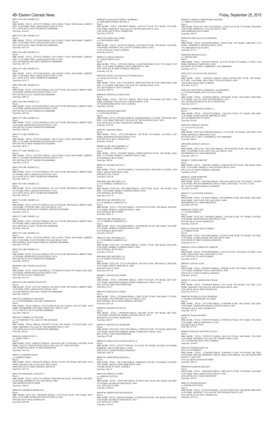4B• Eastern Colorado News Friday, September 25, 2015 M0017164 AMC HOMES LLC Parcel:<br>MBL HOME, TITLE: 12T253371 SERIAL: 05L31360XU YEAR: 2008 MAKE: LIBERTY SIZE: 23/48 PARK: PINE LAKES RANCH SPACE: 0270 4211 100TH AVE E #0270 THORNTON 000000000 Total Due: \$536.83 M0017165 AMC HOMES LLC Parcel:<br>MBL HOME, TITLE: 12T253045 SERIAL: 05L31364XU YEAR: 2009 MAKE: LIBERTY SIZE: 23/44 PARK: PINE LAKES RANCH SPACE: 0680 4210 100TH AVE E #0680 THORNTON 000000000 Total Due: \$523.84 M0017204 AMC HOMES LLC Parcel:<br>MBL HOME, TITLE: 12T253322 SERIAL: 05L31384XU YEAR: 2009 MAKE: LIBERTY<br>SIZE: 27/52 PARK: PINE LAKES RANCH SPACE: 0052<br>10201 RIVERDALE RD #0052 THORNTON 000000000 Total Due: \$617.53 M0017247 AMC HOMES LLC Parcel MBL HOME, TITLE: 12T253420 SERIAL: 05L31404XU YEAR: 2009 MAKE: LIBERTY<br>SIZE: 27/48 PARK: PINE LAKES RANCH SPACE: 0291<br>4211 100TH AVE E #0291 THORNTON 000000000 Total Due: \$576.72 M0017260 AMC HOMES LLC Parcel MBL HOME, TITLE: 12T253467 SERIAL: 05L31437 YEAR: 2010 MAKE: LIBERTY SIZE:<br>16/60 PARK: REDWOOD ESTATES SPACE: 0141<br>9595 PECOS ST #0141 THORNTON 000000000 Total Due: \$469.25 M0017266 AMC HOMES LLC Parcel MBL HOME, TITLE: 12T253206 SERIAL: 05L31407 YEAR:2009 MAKE: LIBERTY SIZE: 16/76 PARK: REDWOOD ESTATES SPACE: 0299 9595 PECOS ST #0299 THORNTON 000000000 Total Due: \$559.84 M0017267 AMC HOMES LLC Parcel:<br>MBL HOME, TITLE: 12T253149 SERIAL: 05L31453 YEAR: 2009 MAKE: LIBERTY SIZE: 16/60 PARK: REDWOOD ESTATES SPACE: 0399 9595 PECOS ST #0399 THORNTON 000000000 Total Due: \$469.25 M0017273 AMC HOMES LLC Parcel:<br>MBL HOME, TITLE: 12T253184 SERIAL: 05L31415XU YEAR: 2009 MAKE: LIBERTY SIZE: 27/52 PARK: REDWOOD ESTATES SPACE: 0607 9595 PECOS ST #0607 THORNTON 802600000 Total Due: \$814.17

M0004081 AMC HOMES SALES INC Parcel:<br>MBL HOME, TITLE: 12W217568 SERIAL: 377470S29367 YEAR: 1977 MAKE: MEL SIZE:<br>14/66 PARK: REDWOOD ESTATES SPACE: 0387

M0017277 AMC HOMES LLC Parcel:<br>MBL HOME, TITLE: 12T253027 SERIAL: 05L31439XU YEAR: 2009 MAKE: LIBERTY<br>SIZE: 27/44 PARK: REDWOOD ESTATES SPACE: 0757<br>9595 PECOS ST #0757 THORNTON 000000000 Total Due: \$739.74

Parcel:<br>MBL HOME, TITLE: SERIAL: LH12TX7089 YEAR: 2012 MAKE: LEGACY SIZE: 16/80<br>PARK: WOODSHIRE EAST MH COMMUNITY SPACE: 0109 17515 18TH PL E #0109 AURORA 000000000

M0017298 AMC HOMES LLC Parcel:<br>MBL HOME, TITLE: 12T253479 SERIAL: 05L31491 YEAR: 2009 MAKE: LIBERTY SIZE:<br>16/76 PARK: PINE LAKES RANCH SPACE: 0493 4210 100TH AVE E #0493 THORNTON 000000000 Total Due: \$453.35

M0017307 AMC HOMES LLC Parcel:<br>MBL HOME, TITLE: 12T253658 SERIAL: 05L31511 YEAR: 2009 MAKE: LIBERTY SIZE:<br>16/76 PARK: PINE LAKES RANCH SPACE: 0522<br>4210 100TH AVE E #0522 THORNTON 000000000 Total Due: \$418.10

M0017310 AMC HOMES LLC Parcel: MBL HOME, TITLE: 12T253111 SERIAL: 05L31510 YEAR: 2009 MAKE: LIBERTY SIZE: 16/66 PARK: COUNTRY SIDE VILLAGE SPACE: 0337 9850 FEDERAL BLVD #0337 FEDERAL HEIGHTS 802600000 Total Due: \$455.21

M0017317 AMC HOMES LLC Parcel: MBL HOME, TITLE: 12T253657 SERIAL: 05L31513 YEAR: 2009 MAKE: LIBERTY SIZE: 16/76 PARK: PINE LAKES RANCH SPACE: 0521 4210 100TH AVE E #0521 THORNTON 000000000 Total Due: \$461.69

M0017323 AMC HOMES LLC Parcel:<br>MBL HOME, TITLE: 12T253104 SERIAL: 05L31516XU YEAR: 2009 MAKE: LIBERTY<br>SIZE: 23/60 PARK: COUNTRYSIDE VILLAGE SPACE: 0269 9850 FEDERAL BLVD #0269 FEDERAL HEIGHTS 802600000 Total Due: \$741.03

M0017169 AMC HOMES LLC Parcel: MBL HOME, TITLE: 12T253412 SERIAL: 05L31320 YEAR: 2008 MAKE: LIBERTY SIZE: 16/76 PARK: REDWOOD ESTATES SPACE: 0538 9595 PECOS ST #0538 THORNTON 000000000 Total Due: \$559.84

9595 PECOS ST #0387 THORNTON Total Due: \$111.93 M0016914 AMC HOMES SALES INC

Parcel: MBL HOME, TITLE: 12T253017 SERIAL: 05L30963 YEAR: 2007 MAKE: LIBERTY SIZE:<br>16/76 PARK: PINE LAKES RANCH SPACE: 0015<br>10210 RIVERDALE RD #0015 THORNTON 000000000 Total Due: \$364.30

M0017934 AMERICAN HOUSING c/o C/O WOODSHIRE EAST MH COMMUNITY

Total Due: \$484.59

M0018247 AMERICAN HOUSING c/o C/O FRIENDLY VILLAGE OF THE ROCKIES Parcel:<br>MBL HOME, TITLE: SERIAL: 04510973J YEAR: 1996 MAKE: CUTLASS SIZE: 16/56<br>PARK: FRIENDLY VILLAGE OF THE ROCKIES SPACE: 0126<br>2100 100TH AVE W #0126 THORNTON 000000000 Total Due: \$92.07

M0003454 AMOS STACY L c/o AMOS CORY C Parcel: MBL HOME, TITLE: 12R881587 SERIAL: 2056A/B YEAR: 1978 MAKE: LON SIZE: 24/48 PARK: VALLEY VIEW ESTATES SPACE: 0034 VALLEY VIEW ESTATES 1201 THORNTON PKWY W #0034 THORNTON Total Due: \$142.94

Parcel:<br>MBL HOME, TITLE: 12T238049 SERIAL: CRH1TX7853 YEAR: 1998 MAKE: C R SIZE:<br>16/56 PARK: COUNTRYSIDE VILLAGE SPACE: 0228 9850 FEDERAL BLVD #0228 FEDERAL HEIGHTS Total Due: \$201.26

Parcel:<br>MBL HOME, TITLE: 12W048549 SERIAL: SK2344C YEAR: 1969 MAKE: SKY SIZE:<br>12/46 PARK: THORNTON MOBILE ESTATES SPACE: 0074<br>3600 88TH AVE E #0074 THORNTON Total Due: \$68.47

M0013115 AMRINE DAVID c/o AMRINE CHERI Parcel: MBL HOME, TITLE: 12W602391 SERIAL: HL6651 YEAR: 1997 MAKE: HIG SIZE: 16/56 PARK: HOLIDAY HILLS VILLAGE SPACE: 0602 2000 92ND AVE W #0602 FEDERAL HEIGHTS Total Due: \$221.76

M0011306 ANDAZOLA EVELYN L Parcel:<br>MBL HOME, TITLE: 12W217343 SERIAL: PH074550AB YEAR: 1994 MAKE: R B SIZE: 28/48 PARK: BERKELEY VILLAGE SPACE: 0004 5400 SHERIDAN BLVD #0004 Total Due: \$362.51

M0007439 ANDRESS DERRICK B Parcel:<br>MBL HOME, TITLE NO: 12W090969 SERIAL: FG4314A/B YEAR: 1983 MAKE: MVS<br>SIZE: 24/52 PARK: REDWOOD ESTATES SPACE: 0246 9595 PECOS ST #0246 THORNTON Total Due: \$229.80

Parcel:

Parcel:

Parcel:

Parcel:

Parcel:

Parcel:

Parcel:

Parcel:<br>MBL HOME, TITLE: 12T274796 SERIAL: 01590304P YEAR: 1981 MAKE: SKY SIZE:<br>14/60 PARK: THORNTON MOBILE ESTATES SPACE: 0052 3600 88TH AVE E #0052 THORNTON

Parcel:

Parcel:

Parcel:

Parcel:

6250 FEDERAL BLVD #0016 Total Due: \$293.62 M0016608 ARC HOUSING LLC c/o C/O WIKIUP ESTATES LLC<br>Parcel:<br>MBL HOME, TITLE NO: 12T175159 SERIAL: P352792 YEAR: 2004 MAKE: CMH SIZE: 16/76 PARK: WIKIUP MHP SPACE: 0300

6500 88TH AVE E #0300 Total Due: \$273.42

M0000913 ARCHULETA EDDIE Parcel:

# M0000025 ANGUIANO YESSICA HERRERA c/o GERARDO QUIROZ MICAELA MBL HOME, TITLE: 12W590497 SERIAL: A1071X/Y YEAR: 1971 MAKE: CEN SIZE:<br>24/56 PARK: FRIENDLY VILLAGE OF THE ROCKIES SPACE: 0522<br>2100 100TH AVE W #0522 THORNTON<br>Total Due: \$150.39 M0010328 ANIMA ANA URIEL c/o CASTANEDA URIEL MBL HOME, TITLE: 12W221935 SERIAL: 0591204298 YEAR: 1989 MAKE: CHA SIZE:<br>14/68 PARK: FRIENDLY VILLAGE OF AURORA SPACE: 0422<br>17102 16TH AVE E #0422 AURORA Total Due: \$165.52 M0000176 ANSON NORMA E c/o ANSON DOUGLAS A MBL HOME, TITLE: 12P329342 SERIAL: GLMCXM0T8840 YEAR: 1971 MAKE: NAT SIZE: 12/56 PARK: KIMBERLY HILLS MHP SPACE: 0007 2305 92ND AVE W #0007 FEDERAL HEIGHTS Total Due: \$55.50 M0015955 ANTILLON GONZALEZ ESPERANZA L c/o ANTILLON JULIO C JR Parcel:<br>MBL HOME, TITLE: 12W172554 SERIAL: H0C015F05228A/B YEAR: 2000 MAKE: OAK<br>SIZE: 27/52 PARK: FRIENDLY VILLAGE OF AURORA SPACE: 0347<br>1921 QUINTERO ST #0347 AURORA Total Due: \$509.14 M0006442 APODACA JUDITH ANN MBL HOME, TITLE: 12P574371 SERIAL: 9026 YEAR: 1978 MAKE: KIT SIZE: 14/66<br>PARK: FRIENDLY VILLAGE OF AURORA SPACE: 0193<br>1874 EISENHOWER WAY #0193 AURORA Total Due: \$120.90 M0008264 ARAGON BRIANDA c/o COTA FRANCISCO MBL HOME, TITLE: 12W243663 SERIAL: KSDH05D18801511A YEAR: 1978 MAKE: DET<br>SIZE: 14/56 PARK: FRIENDLY VILLAGE OF THE ROCKIES SPACE: 0012<br>2100 100TH AVE W #0012 THORNTON 000000000 Total Due: \$103.24 M0007822 ARAGON GREG MBL HOME, TITLE: 12T112330 SERIAL: 789 YEAR: 1976 MAKE: CAS SIZE: 14/67<br>PARK: REDWOOD ESTATES SPACE: 0513<br>9595 PECOS ST #0513 THORNTON Total Due: \$104.49 M0000336 ARC DEALERSHIP LLC c/o C/O MOBILE GARDENS LLC MBL HOME, TITLE: 12T254925 SERIAL: FFBFCCMN3692 YEAR: 1966 MAKE: MAG<br>SIZE: 12/59 PARK: MOBILE GARDENS SPACE: 0002<br>6250 FEDERAL BLVD #0002 Total Due: \$89.04 M0007252 ARCHIE STEVEN A MBL HOME, TITLE: 12T072019 SERIAL: 14103190 YEAR: 1982 MAKE: N M SIZE: 14/66<br>PARK: WIKIUP MHP SPACE: 0020<br>6500 88TH AVE E #0020 Total Due: \$101.06 M0014094 ARC HOUSING LLC c/o C/O MOBILE GARDENS LLC MBL HOME, TITLE NO: 12W120068 SERIAL: 05975272041 YEAR: 1997 MAKE: CHA<br>SIZE: 14/56 PARK: MOBILE GARDENS SPACE: 0014<br>6250 FEDERAL BLVD #0014 Total Due: \$133.78 M0014910 ARC HOUSING LLC c/o C/O MOBILE GARDENS LLC MBL HOME, TITLE: 12T247843 SERIAL: 4799A1101145 YEAR: 1999 MAKE: DIS SIZE:<br>16/76 PARK: MOBILE GARDENS SPACE: 0098<br>6250 FEDERAL BLVD #0098 Total Due: \$262.74 M0016246 ARC HOUSING LLC c/o C/O MOBILE GARDENS LLC MBL HOME, TITLE: 12T247846 SERIAL: 470190402962 YEAR: 2001 MAKE: ATL SIZE: 16/76 PARK: MOBILE GARDENS SPACE: 0097 6250 FEDERAL BLVD #0097 Total Due: \$327.07 M0016370 ARC HOUSING LLC c/o C/O MOBILE GARDENS LLC<br>Parcel:<br>MBL HOME, TITLE NO: 12T178403 SERIAL: P309411 YEAR: 2002 MAKE: SCH SIZE: 16/56 PARK: MOBILE GARDENS SPACE: 0016 Parcel: Parcel: Parcel: Parcel: Parcel: Parcel Parcel: Parcel:

MBL HOME, TITLE: 12W290905 SERIAL: GJ051774 YEAR: 1970 MAKE: DET SIZE: 12/52 PARK: HIGHVIEW MOBILE HOME COMMUNITY SPACE: 0052 8601 ZUNI ST #0052 WESTMINSTER Total Due: \$79.13

M0013934 ARCHULETA EMILY

M0002054 ARCHULETA FELIX

M0016753 ARCHULETA RUDOLPH Parcel: MBL HOME, TITLE NO: 12W123201 SERIAL: CMT8792 YEAR: 1976 MAKE: MON SIZE:<br>14/50 PARK: HIGHVIEW MOBILE HOME COMMUNITY SPACE: 0053<br>8601 ZUNI ST #0053 WESTMINSTER Total Due: \$73.48

M0004736 ARELLANO GUZMAN ROCIO A

Parcel: MBL HOME, TITLE: 12T276777 SERIAL: 781 YEAR: 1973 MAKE: STA SIZE: 24/32 PARK: KIMBERLY HILLS MHP SPACE: 658B 9400 ELM CT #658B FEDERAL HEIGHTS Total Due: \$104.79

M0002765 ARMSTRONG BENITA L Parcel:<br>MBL HOME, TITLE: 12W715499 SERIAL: 0549962051-D YEAR: 1974 MAKE: CHA SIZE: 14/61 PARK: GREEN ACRES MHP SPACE: 045C 1540 BILLINGS ST #045C AURORA Total Due: \$86.32

M0016109 ARRIAGA JAIME c/o ARRIAGA LITICIA Parcel: MBL HOME, TITLE: 12W037090 SERIAL: SCH01015481 YEAR: 2001 MAKE: SIL SIZE: 16/70 PARK: FRANKLIN MHP SPACE: 0093 1616 78TH AVE E #0093 Total Due: \$248.64

M0010766 ARRINGTON RAYMOND D Parcel:<br>MBL HOME, TITLE: 12R444762 SERIAL: 4793491N3450 YEAR: 1993 MAKE: HUN SIZE: 16/66 PARK: FRANKLIN MHP SPACE: 0021 1616 78TH AVE E #0021 Total Due: \$199.65

M0003527 ARROYA ARREDONDO ARTURO c/o ARROYO DIOCELINA MBL HOME, TITLE NO: 12W119102 SERIAL: 2230072116 YEAR: 1973 MAKE: SEQ SIZE:<br>14/66 PARK: BERKELEY VILLAGE SPACE: 0049<br>5400 SHERIDAN BLVD #0049 Total Due: \$99.74 M0003996 ARTEAGA JUAN PATRICIO MBL HOME, TITLE: 12W283289 SERIAL: 34830 YEAR: 1967 MAKE: AME SIZE: 12/55 PARK: COMMERCE HEIGHTS SPACE: 0052 7701 BRIGHTON BLVD #0052 Total Due: \$73.31 M0006998 ARVIZO ELIVA I c/o ARVIZO JOEL MBL HOME, TITLE: 12P384791 SERIAL: ACX7165 YEAR: 1973 MAKE: C S SIZE: 14/48<br>PARK: IRONDALE MHP SPACE: 0031<br>8810 88TH AVE E #0031 COMMERCE CITY 000000000 Total Due: \$73.71 M0012162 A SALINAS JOSE MANUEL MBL HOME, TITLE: 12W029551 SERIAL: MSFL1AF242515493 YEAR: 1985 MAKE: FLT SIZE: 14/66 PARK: HILLCREST VILLAGES SPACE: 0055 1600 SABLE BLVD #0055 AURORA Total Due: \$143.22 M0010495 ASCHTGEN LAWRENCE / KATHAREEN c/o TYGART MARIE ANN C/O LOCEY RICK MBL HOME, TITLE: 12T068384 SERIAL: 4P520493F YEAR: 1993 MAKE: WRS SIZE:<br>16/76 PARK: VALLEY VIEW ESTATES SPACE: 0155<br>1201 THORNTON PKWY W #0155 THORNTON Total Due: \$253.37 M0003152 ASHBROOK DARRELL L MBL HOME, TITLE: 12M705720 SERIAL: 126013432 YEAR: 1971 MAKE: FRO SIZE: 12/56 PARK: RANCH HOUSE MHP SPACE: 003D 5565 WASHINGTON ST #003D Total Due: \$76.69 M0016591 ASPHALT PAVING c/o C/O LEYVA CELINA MBL HOME, TITLE NO: 03M638030 SERIAL: 1136 YEAR: 1974 MAKE: LON SIZE: 14/60 PARK: IRONDALE MHP SPACE: 0017 8810 88TH AVE E #0017 COMMERCE CITY 000000000 Total Due: \$80.67 M0016008 ATENCIO ANNA M MBL HOME, TITLE NO: 12W123408 SERIAL: 9P510207PAB YEAR: 2001 MAKE: SKY SIZE: 23/44 PARK: EAST GATE VILLAGE SPACE: 0160 3060 BRIDGE ST E #0160 BRIGHTON Total Due: \$365.14 M0000317 ATOR DOROTHY Parcel: MBL HOME, TITLE: 12M910017 SERIAL: FFBFXCMN3219 YEAR: 1966 MAKE: MAG SIZE: 12/56 PARK: MOBILE LAND ESTATES SPACE: 0018 8951 CLAY ST #0018 FEDERAL HEIGHTS Total Due: \$70.42 M0006237 ATOR DOROTHY Parcel: 0171920413016 MBL HOME, TITLE: 12P032968 SERIAL: GB191436A&B YEAR: 1972 MAKE: L H SIZE: 24/36 PARK: PRIVATE PROPERTY SPACE: 0000 LAND PARC 1719-20-4-13-016<br>9017 ELM CT #0000 FEDERAL HEIGHTS<br>Total Due: \$136.03 M0015917 AUGUSTINE WENDY L Parcel:<br>MBL HOME, TITLE: 12T104453 SERIAL: 9P510560NBA YEAR: 2001 MAKE: SKY SIZE:<br>28/66 PARK: EAST GATE VILLAGE SPACE: 0096<br>3060 BRIDGE ST E #0096 BRIGHTON Total Due: \$477.66 M0005596 AUSTIN TIM c/o AUSTIN SHIRLEY Parcel:<br>MBL HOME, TITLE NO: 12W089825 SERIAL: 14101204 YEAR: 1977 MAKE: P M SIZE:<br>24/48 PARK: REDWOOD ESTATES SPACE: 0320 9595 PECOS ST #0320 THORNTON Total Due: \$142.94 M0011155 AVALOS ADAN TORRES c/o TORRES FLOR Parcel: MBL HOME, TITLE: 12W223863 SERIAL: 2222691718AB YEAR: 1972 MAKE: ATL SIZE: 23/56 PARK: LAMPLIGHTER DENVER SPACE: 0083 9100 TEJON ST #0083 FEDERAL HEIGHTS Total Due: \$139.77 M0005691 AVILA SIMENTAL LISBETH Parcel:<br>MBL HOME, TITLE: 12W295090 SERIAL: 14101516 YEAR: 1978 MAKE: E P SIZE: 24/46<br>PARK: HILLCREST VILLAGES SPACE: 0359<br>1913 CRYSTAL ST #0359 AURORA Total Due: \$128.71 M0010315 AVITIA ALBA Parcel:<br>MBL HOME, TITLE: 12W208478 SERIAL: P248660 YEAR: 1993 MAKE: SCHULT SIZE:<br>16/76 PARK: KIMBERLY HILLS MHP SPACE: 659F 9400 ELM CT #659F FEDERAL HEIGHTS Total Due: \$218.31 M0003276 AYALA GRIMALDO CESAR Parcel: MBL HOME, TITLE: 12W200859 SERIAL: 1433 YEAR: 1975 MAKE: LON SIZE: 24/52<br>PARK: FRIENDLY VILLAGE OF THE ROCKIES SPACE: 0078<br>2100 100TH AVE W #0078 THORNTON Total Due: \$151.63 M0007047 BADILLO JUAN TRINIDAD c/o BADILLO ROSEMARY ALVAREZ

Total Due: \$70.76

M0002307 BAEZA RAMON

Parcel:<br>MBL HOME, TITLE: 12W293550 SERIAL: 0570832410 YEAR: 1967 MAKE: CHA SIZE:<br>12/56 PARK: WIKIUP MHP SPACE: 0180<br>6500 88TH AVE E #0180<br>Total Due: \$74.25

M0009720 BAILON SANCHEZ JULIO C Parcel: MBL HOME, TITLE: 12W283573 SERIAL: 68A15120 YEAR: 1986 MAKE: CHI SIZE: 14/76 PARK: FRIENDLY VILLAGE OF AURORA SPACE: 0381 1633 VAN BUREN WAY #0381 AURORA Total Due: \$140.97

M0013477 BAIRD KAREN M Parcel: 0181100000052 MBL HOME, TITLE: 12T045988 SERIAL: 02940593L YEAR: 1978 MAKE: HIL SIZE: 14/70 PARK: PRIVATE PROPERTY SPACE: 0000 LAND PARCEL 1811-00-0-00-052 PRO RATED 11 MOS 1997 4730 CALHOUN-BYERS RD #0000 Total Due: \$82.42

M0009384 BAKER KATHLEEN Parcel:<br>MBL HOME, TITLE: 12W028682 SERIAL: N0PL162373 YEAR: 1978 MAKE: SCH SIZE: 14/66 PARK: PINE LAKES RANCH SPACE: 0648 4210 100TH AVE E #0648 THORNTON Total Due: \$92.50

M0012333 BAKER ROSIE F c/o BAKER JOYLENE S Parcel:<br>MBL HOME, TITLE: 12T105120 SERIAL: 2G520172IAB YEAR: 1996 MAKE: BRO SIZE: 26/56 PARK: FRIENDLY VILLAGE OF THE ROCKIES SPACE: 0072 2100 100TH AVE W #0072 THORNTON Total Due: \$397.30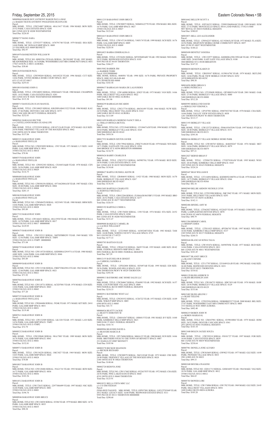M0009715 BARANWAY JOHN B Parcel: MBL HOME, TITLE: 12W156220 SERIAL: 1MC3027 YEAR: 1969 MAKE: MON SIZE: 14/65 PARK: GALAMB MHP SPACE: 0024 35500 COLFAX AVE E #0024 Total Due: \$78.08

M0009060 BAKER ROY ANTHONY BAKER PAULA MAE c/o BAKER TRAVIS ANTHONY POGGENESS DEANNA RE Parcel: MBL HOME, TITLE: 12W234007 SERIAL: 48A13417 YEAR: 1984 MAKE: BON SIZE: 25/52 PARK: CASA ESTATES SPACE: 0208 860 132ND AVE W #0208 WESTMINSTER Total Due: \$226.85 M0006737 BANG SARA Parcel: MBL HOME, TITLE: 12T552577 SERIAL: 1476791748 YEAR: 1979 MAKE: SHA SIZE: 14/68 PARK: MC DONALD MHP SPACE: 0009 215 PALMER AVE #0009 BENNETT Total Due: \$92.97 M0016976 BANKENSTEIN WILLIAM W Parcel:<br>MBL HOME, TITLE NO: 00903294 (TEXAS) SERIAL: 2K530188F YEAR: 1992 MAKE:<br>MEADOWRIDGE SIZE: 16/76 PARK: WOODSHIRE EAST MH COMMUNITY SPACE: 0031 17565 16TH PL E #0031 AURORA Total Due: \$38.60 M0012630 BANKER PAUL Parcel:<br>MBL HOME, TITLE: 12W599269 SERIAL: 04510523I YEAR: 1996 MAKE: CUT SIZE:<br>14/66 PARK: STITES MOBILE HOME COURT SPACE: 0017 6521 CLAY ST #0017 Total Due: \$255.01 M0018010 BANKS JOHN G Parcel:<br>MBL HOME, TITLE: 12W248052 SERIAL: 0500266651 YEAR: 1980 MAKE: CHAMPION<br>SIZE: 14/52 PARK: CASA ESTATES SPACE: 0281<br>860 132ND AVE W #0281 WESTMINSTER 000000000<br>Total Due: \$115.38 M0008715 BANUELOS JUAN MANUEL Parcel:<br>MBL HOME, TITLE: 12W188025 SERIAL: KB1DSNAB413322 YEAR: 1984 MAKE: KAU<br>SIZE: 27/46 PARK: DENVER CASCADE SPACE: 0375<br>2960 CASCADE DR #0375 FEDERAL HEIGHTS Total Due: \$232.01 M0005841 BARAJAS HECTOR c/o CASTELLANOS MARIA GUADALUPE Parcel: MBL HOME, TITLE: 12T222939 SERIAL: GW10712A/B YEAR: 1979 MAKE: GLE SIZE:<br>24/56 PARK: FRIENDLY VILLAGE OF THE ROCKIES SPACE: 0042<br>2100 100TH AVE W #0042 THORNTON Total Due: \$157.84 M0003321 BARANWAY JOHN c/o BARANWAY PHYLLIS Parcel: MBL HOME, TITLE NO: 12W053099 SERIAL: 1593 YEAR: 1971 MAKE: L V SIZE: 14/69 PARK: GALAMB MHP SPACE: 0014 35500 COLFAX AVE E #0014 Total Due: \$78.96 M0007570 BARANWAY JOHN c/o BARANWAY PHYLLIS Parcel: MBL HOME, TITLE NO: 12W052303 SERIAL: CS10453A&B YEAR: 1978 MAKE: CEN SIZE: 24/56 PARK: GALAMB MHP SPACE: 0029 35500 COLFAX AVE E #0029 Total Due: \$116.75 M0008488 BARANWAY JOHN c/o BARANWAY PHYLLIS<br>Parcel:<br>MBL HOME, TITLE NO: 12W056356 SERIAL: 0571662804A/B YEAR: 1987 MAKE: CHA SIZE: 28/48 PARK: GALAMB MHP SPACE: 0004 35500 COLFAX AVE E #0004 Total Due: \$201.15 M0010630 BARANWAY JOHN c/o BARANWAY PHYLLIS Parcel: MBL HOME, TITLE NO: 12W048478 SERIAL: 10235491 YEAR: 1980 MAKE: BRM SIZE: 14/66 PARK: GALAMB MHP SPACE: 0028 35500 COLFAX AVE E #0028 Total Due: \$93.89 M0017332 BARANWAY JOHN Parcel:<br>MBL HOME, TITLE: 12W146431 SERIAL: 48A13930 YEAR: 1984 MAKE: BONNAVILLA SIZE: 14/70 PARK: GALAMB MHP SPACE: 0017 35500 COLFAX AVE E #0017 000000000 Total Due: \$129.95 M0003675 BARANWAY JOHN B Parcel:<br>MBL HOME, TITLE: 12W132215 SERIAL: 260TEFBR8293 YEAR: 1969 MAKE: VIN<br>SIZE: 12/56 PARK: GALAMB MHP SPACE: TMP5<br>35500 COLFAX AVE E #TMP5 000000000 Total Due: \$71.04 M0006755 BARANWAY JOHN B Parcel: MBL HOME, TITLE NO: 12W118728 SERIAL: KSDH08A32919711A YEAR: 1980 MAKE:<br>AME SIZE: 14/66 PARK: GALAMB MHP SPACE: 0046<br>35500 COLFAX AVE E #0046 Total Due: \$93.89 M0006909 BARANWAY JOHN B Parcel MBL HOME, TITLE NO: 12W131546 SERIAL: FBEFYML05814 YEAR: 1962 MAKE: PRE<br>SIZE: 12/44 PARK: GALAMB MHP SPACE: 0021<br>35500 COLFAX AVE E #0021 Total Due: \$71.92 M0007064 BARANWAY JOHN B Parcel:<br>MBL HOME, TITLE NO: 12W118731 SERIAL: ACED7081 YEAR: 1974 MAKE: CEN SIZE: 14/66 PARK: GALAMB MHP SPACE: 0043 35500 COLFAX AVE E #0043 Total Due: \$77.20 M0007355 BARANWAY JOHN B c/o BARANWAY PHYLLIS K Parcel: MBL HOME, TITLE NO: 12W044406 SERIAL: 5924K YEAR: 1971 MAKE: KIT SIZE: 24/61 M0011235 BARANWAY JOHN BRUCE Parcel:<br>MBL HOME, TITLE: 12W280875 SERIAL: NEB49A22770 YEAR: 1994 MAKE: BEL SIZE: 16/76 PARK: GALAMB MHP SPACE: 0027 35500 COLFAX AVE E #0027 Total Due: \$123.64 M0016415 BARANWAY JOHN BRUCE Parcel:<br>MBL HOME, TITLE: 12W147136 SERIAL: V405174 YEAR: 1999 MAKE: SCH SIZE: 16/76 PARK: GALAMB MHP SPACE: 0009 35500 COLFAX AVE E #0009 Total Due: \$220.50 M0016823 BARBA ESMERALDA G Parcel: MBL HOME, TITLE: 12T236281 SERIAL: MY929689ABV YEAR: 1992 MAKE: WES SIZE: 28/52 PARK: REDWOOD ESTATES SPACE: 0105 9595 PECOS ST #0105 THORNTON Total Due: \$366.27 M0015082 BARBER JIM c/o BARBER TERRI<br>Parcel: 0181500000460<br>MBL HOME, SERIAL: 0600501 YEAR: 1998 SIZE: 16/76 PARK: PRIVATE PROPERTY SPACE: 0000 1815-00-0-00-460 4751 PENRITH RD #0000 Total Due: \$183.58 M0009637 BARRAGAN MARIA DE LALOURDES Parcel:<br>MBL HOME, TITLE: 12W144980 SERIAL: S5825 YEAR: 1975 MAKE: VAN SIZE: 14/66<br>PARK: HILLCREST VILLAGES SPACE: 0022 1600 SABLE BLVD #0022 AURORA Total Due: \$91.90 M0004259 BARRAGAN RICARDO Parcel:<br>MBL HOME, TITLE: 12W217734 SERIAL: 486341495 YEAR: 1964 MAKE: NUW SIZE:<br>24/54 PARK: HILLCREST VILLAGES SPACE: 0163 1600 SABLE BLVD #0163 AURORA Total Due: \$113.09 M0011699 BARRAZA MORENO NANCY ISELA c/o TRILLO ORTEGA BETUEL Parcel:<br>MBL HOME, TITLE NO: 12T215640 SERIAL: 12318467A/B YEAR: 1994 MAKE: E P SIZE:<br>28/64 PARK: BERKELEY VILLAGE SPACE: 0165 5400 SHERIDAN BLVD #0165 Total Due: \$418.36 M0017552 BARRON SIXTOS JAVIER Parcel: MBL HOME, TITLE: 12W179942 SERIAL: ZWK75145630 YEAR: 1979 MAKE: WIN SIZE:<br>14/71 PARK: EASTGATE VILLAGE SPACE: 0394<br>3060 BRIDGE ST E #0394 BRIGHTON 000000000 Total Due: \$134.79 M0005626 BARRY CHARLES R Parcel: MBL HOME, TITLE: 12W537215 SERIAL: 04590576L YEAR: 1978 MAKE: BUD SIZE: 24/56 PARK: CASA ESTATES SPACE: 0195 860 132ND AVE W #0195 WESTMINSTER Total Due: \$134.68 M0008627 BARTLE RUSSELL KEITH JR Parcel: MBL HOME, TITLE: 12R484693 SERIAL: 11923 YEAR: 1980 MAKE: MON SIZE: 16/70 PARK: BERKELEY VILLAGE SPACE: 0267 5400 SHERIDAN BLVD #0267 Total Due: \$136.54 M0012495 BARTOLO CHARLOTE c/o BARTOLO MICHAEL J Parcel: MBL HOME, TITLE: 12R812284 SERIAL: FLS04A/B18635BF13 YEAR: 1995 MAKE: BRO<br>SIZE: 26/52 PARK: CASA ESTATES SPACE: 0277<br>860 132ND AVE W #0277 WESTMINSTER Total Due: \$326.55 M0003192 BARTOLO CHERI A Parcel: MBL HOME, TITLE: 12W176020 SERIAL: 1350 YEAR: 1974 MAKE: STA SIZE: 24/52 PARK: CASA ESTATES SPACE: 0280 860 132ND AVE W #0280 WESTMINSTER Total Due: \$131.47 M0009088 BASQUEZ CARMEL JR c/o LACRUE WILLIAM P Parcel: MBL HOME, TITLE: 12T219685 SERIAL: 1638524071IDA YEAR: 1983 MAKE: TAM SIZE: 24/48 PARK: NORTH COUNTY VILLAGE SPACE: 0725 9611 GLENCOE CT #0725 Total Due: \$177.33 M0003703 BASTIAN ELLIS Parcel: MBL HOME, TITLE: 12W641518 SERIAL: 26695 YEAR: 1955 MAKE: AME SIZE: 08/42 PARK: FEDERAL HEIGHTS MHP SPACE: 0001 8892 FEDERAL BLVD #0001 FEDERAL HEIGHTS Total Due: \$67.29 M0012155 BATCHELOR R ERNEST c/o CARROLL SANDRA A Parcel: MBL HOME, TITLE: 12P262404 SERIAL: HJ5497AB YEAR: 1995 MAKE: EDI SIZE:<br>28/56 PARK: WOODLAND HILLS SPACE: 0329<br>1500 THORNTON PKWY W #0329 THORNTON Total Due: \$393.58 M0009813 BAYSHORE AMC HOME SALES LLC Parcel:<br>MBL HOME, TITLE: 12W284067 SERIAL: P246983 YEAR: 1992 MAKE: SCH SIZE: 16/57 PARK: COUNTRYSIDE VILLAGE SPACE: 0009 9850 FEDERAL BLVD #0009 FEDERAL HEIGHTS Total Due: \$218.33 M0002912 BAYSHORE WEST LLC Parcel: MBL HOME, TITLE: 12W293552 SERIAL: 1CE6722 YEAR: 1973 MAKE: CEN SIZE: 14/49 PARK: WIKIUP MHP SPACE: 0085 6500 88TH AVE E #0085

M0010837 BARANWAY JOHN B Parcel:<br>MBL HOME, TITLE NO: 12W120406 SERIAL: 39A21741 YEAR: 1993 MAKE: BON SIZE:<br>16/72 PARK: GALAMB MHP SPACE: 0036 35500 COLFAX AVE E #0036 Total Due: \$183.56

M0014512 BARANWAY JOHN B Parcel:<br>MBL HOME, TITLE: 12W172652 SERIAL: 22977084499 YEAR: 1997 MAKE: NSC SIZE:<br>16/68 PARK: GALAMB MHP SPACE: 0001 35500 COLFAX AVE E #0001 Total Due: \$196.76

M0008946 BARANWAY JOHN BRUCE Parcel: MBL HOME, TITLE NO: 12W134038 SERIAL: 03386 YEAR: 1979 MAKE: BRE SIZE: 14/76<br>PARK: GALAMB MHP SPACE: 0035<br>35500 COLFAX AVE E #0035 Total Due: \$90.38

Parcel:<br>MBL HOME, TITLE: 12M416367 SERIAL: 18H6815 YEAR: 1981 MAKE: B V SIZE: 14/60 PARK: KIMBERLY HILLS MHP SPACE: 0621 9400 ELM CT #0621 FEDERAL HEIGHTS M0009984 BEAVERS DAVID A c/o BEAVERS MARCIA R MBL HOME, TITLE: 12P176084 SERIAL: M60A123 YEAR: 1980 MAKE: SUN SIZE: 14/66 PARK: BROTHERS FOUR TO THE TOWN OF BENNETT SPACE: 0807 231 DAHLIA ST #0807 BENNETT Total Due: \$105.96 M0002278 BECKER SHANNON c/o BECKER RICHARD Parcel: MBL HOME, TITLE: 12W208979 SERIAL: XK511FAB YEAR: 1972 MAKE: CRE SIZE: 24/48 PARK: FRIENDLY VILLAGE OF THE ROCKIES SPACE: 0024 2100 100TH AVE W #0024 THORNTON Total Due: \$140.46 M0002720 BEDOYA JOSE Parcel: MBL HOME, TITLE NO: 12W117602 SERIAL: 0522637875 YEAR: 1972 MAKE: CHA SIZE: 24/56 PARK: PINE LAKES RANCH SPACE: 0660 4210 100TH AVE E #0660 THORNTON Total Due: \$125.91 M0018321 BELLA VISTA MHC LLC c/o C/O JIM FEEHAN Parcel: FEMA RED TAGGED MBL HOME, TITLE: 03P937881 SERIAL: LH212TX3049 YEAR: 2012 MAKE: LEGACY SIZE: 16/60 PARK: REDWOOD ESTATES SPACE: 0111 9595 PECOS ST #0111 THORNTON 000000000

M0010871 BELL LEO ALEXANDER Parcel:<br>MBL HOME, TITLE: 12W042257 SERIAL: GC192063L/R YEAR: 1973 MAKE: FLA SIZE:<br>24/56 PARK: HIGHVIEW MOBILE HOME COMMUNITY SPACE: 0057<br>8601 ZUNI ST #0057 WESTMINSTER<br>Total Due: \$140.22

M0005690 BENITEZ VANESSA Parcel:<br>MBL HOME, TITLE: 12W132977 SERIAL: KSDH08A39813992AB YEAR: 1979 MAKE:<br>AME SIZE: 24/60 PARK: EAST GATE VILLAGE SPACE: 0108<br>3060 BRIDGE ST E #0108 BRIGHTON<br>Total Due: \$147.52

M0005993 BERGLUND DAVID c/o BERGLUND VERONICA Parcel: MBL HOME, TITLE: 12P187901 SERIAL: 0580785274S YEAR: 1978 MAKE: CHA SIZE:<br>14/66 PARK: VALLEY VIEW ESTATES SPACE: 0038<br>1201 THORNTON PKWY W #0038 THORNTON<br>Total Due: \$113.17

Parcel:<br>MBL HOME, TITLE: 12W125725 SERIAL: FH4610365X96 YEAR: 1997 MAKE: FUQUA<br>SIZE: 28/48 PARK: BERKELEY VILLAGE SPACE: 0151<br>5400 SHERIDAN BLVD #0151 Total Due: \$395.50

Parcel:<br>MBL HOME, TITLE NO: 12W108765 SERIAL: 4646030247 YEAR: 1974 MAKE: MET<br>SIZE: 14/66 PARK: BERKELEY VILLAGE SPACE: 0079<br>5400 SHERIDAN BLVD #0079 Total Due: \$97.21

MBL HOME, TITLE: 12T096729 SERIAL: 17520791HA/B YEAR: 1995 MAKE: WOO<br>SIZE: 28/44 PARK: KIMBERLY HILLS MHP SPACE: 0165<br>2305 92ND AVE W #0165 FEDERAL HEIGHTS Total Due: \$324.24

Parcel:<br>MBL HOME, TITLE NO: 12T933990 SERIAL: IMC3942 YEAR: 1971 MAKE: MON SIZE: 24/61 PARK: HILLCREST VILLAGES SPACE: 0293 1900 BOUNTY ST #0293 AURORA Total Due: \$142.11

PARK: GALAMB MHP SPACE: 0031 35500 COLFAX AVE E #0031 Total Due: \$119.40 M0007611 BARANWAY JOHN B Parcel: MBL HOME, TITLE NO: 12W132509 SERIAL: LK1328 YEAR: 1971 MAKE: LAN SIZE: 14/56 PARK: GALAMB MHP SPACE: TMP2 35500 COLFAX AVE E #TMP2 Total Due: \$72.79 M0009232 BARANWAY JOHN B Parcel: MBL HOME, TITLE: 12W199848 SERIAL: 98A17883 YEAR: 1989 MAKE: BON SIZE: 16/76 PARK: GALAMB MHP SPACE: 0041 35500 COLFAX AVE E #0041 Total Due: \$152.81 Total Due: \$41.73 M0006836 BEATTY JACKIE c/o BEATTY DOROTHY M Total Due: \$103.74 Parcel:

# Friday, September 25, 2015 **Eastern Colorado News • 5B** Eastern Colorado News • 5B

Parcel: MBL HOME, TITLE NO: 12M187981 SERIAL: 03590108M YEAR: 1979 MAKE: HOM<br>SIZE: 24/52 PARK: DENVER CASCADE SPACE: 0361<br>2931 DOVE ST #0361 FEDERAL HEIGHTS<br>Total Due: \$143.18

Total Due: \$290.60

M0016662 BELLEW SCOTT A

Parcel: MBL HOME, TITLE: 03P336232 SERIAL: 229993206894AB YEAR: 1999 MAKE: SUM SIZE: 27/52 PARK: MONTICELLO SPACE: 0410 LAND PARCEL 171921315040 9057 ROYAL ST #0410 FEDERAL HEIGHTS Total Due: \$380.05

M0006030 BENSON KAREN D Parcel:<br>MBL HOME, TITLE: 12R839547 SERIAL: 01590167M YEAR: 1979 MAKE: SKYLINE<br>SIZE: 14/66 PARK: PEAK VIEW MOBILE COURT SPACE: 025C 10550 BRIGHTON RD #025C Total Due: \$90.30

M0016056 BERG BRIAN S c/o BERG PATRICIA A Parcel:<br>MBL HOME, TITLE NO: 12T199698 SERIAL: OP1H0035A/B YEAR: 2001 MAKE: OAK<br>SIZE: 27/56 PARK: BERKELEY VILLAGE SPACE: 0080 5400 SHERIDAN BLVD #0080 Total Due: \$512.28

M0013193 BERKLEY VILLAGE

M0004166 BERKLEY VILLAGE MOBILE HOME PARK

M0012027 BERND BRIAN F Parcel:

M0005447 BIAS WILLIAM R Parcel:<br>MBL HOME, TITLE: 12T114494 SERIAL: KSDH05E1080701A YEAR: 1978 MAKE: REV SIZE: 14/72 PARK: BERKELEY VILLAGE SPACE: 0366 5400 SHERIDAN BLVD #0366 Total Due: \$82.16

M0002969 BILLBE ARDOIN NICHOLE LYNN

M0002486 BINDEL AMY M Parcel:<br>MBL HOME, TITLE: 12T662027 SERIAL: 032262F YEAR: 1973 MAKE: COM SIZE: 14/66 PARK: LAMPLIGHTER DENVER SPACE: 0070 9100 TEJON ST #0070 FEDERAL HEIGHTS Total Due: \$90.79

M0013384 BISHOP CAROL c/o BISHOP JAMES Parcel:

MBL HOME, TITLE: 12T011023 SERIAL: 4P520674J YEAR: 1997 MAKE: WES SIZE:<br>16/66 PARK: KIMBERLY HILLS MHP SPACE: 0137<br>2305 92ND AVE W #0137 FEDERAL HEIGHTS<br>Total Due: \$244.53

M0002644 BLANCAS SONIA TALIA Parcel: MBL HOME, TITLE: 12W193476 SERIAL: 04590705K YEAR: 1977 MAKE: BUD SIZE: 14/66 PARK: CASA ESTATES SPACE: 0011 860 132ND AVE W #0011 WESTMINSTER Total Due: \$101.45

M0010077 BLANEY BRUCE c/o BLANEY DENISE Parcel: MBL HOME, TITLE: 12T117707 SERIAL: 32510491EA/B YEAR: 1992 MAKE: OAK SIZE: 26/48 PARK: REDWOOD ESTATES SPACE: 0221 9595 PECOS ST #0221 THORNTON Total Due: \$334.02 M0001129 BLISS ANDREW D c/o BLISS BRANDOLIN ANN

Parcel: MBL HOME, TITLE NO: 12W106735 SERIAL: HDC3031AB YEAR: 1974 MAKE: HAW SIZE: 24/56 PARK: BERKELEY VILLAGE SPACE: 0129 5400 SHERIDAN BLVD #0129 Total Due: \$153.06

M0015402 BLISS ARLENE J c/o BLISS TEILENE Parcel: MBL HOME, TITLE: 12T832936 SERIAL: NEB00B02537 YEAR: 2000 MAKE: BEL SIZE: 27/67 PARK: WOODSHIRE EAST MH COMMUNITY SPACE: 0005 1533 SEDALIA WAY #0005 AURORA Total Due: \$492.40

M0006219 BOBEN JOHN W c/o BOBEN MARIAN K

M0013440 BOLEN JACKIE SOUZA Parcel: MBL HOME, TITLE: 12W539318 SERIAL: FH101727 YEAR: 1997 MAKE: FOR SIZE: 16/64 PARK: CASA ESTATES SPACE: 0039 860 132ND AVE W #0039 WESTMINSTER Total Due: \$238.64

M0007961 BONILLA JOSE ALVARO Parcel: MBL HOME, TITLE: 12W563605 SERIAL: GW9823 YEAR: 1977 MAKE: GLE SIZE: 14/49 PARK: PIONEER VILLAGE SPACE: 0033 2901 63RD AVE W #0033 Total Due: \$99.33

M0001040 BOUSKA INAGENE Parcel: MBL HOME, TITLE NO: 12E811713 SERIAL: GSM16055 YEAR: 1964 MAKE: VAG SIZE:<br>10/54 PARK: GALAMB MHP SPACE: 0012<br>35500 COLFAX AVE E #0012 Total Due: \$66.65

M0005765 BOWER LORI Parcel: MBL HOME, TITLE: 12W174906 SERIAL: GW1702 YEAR: 1969 MAKE: GLE SIZE: 24/45<br>PARK: HILLCREST VILLAGES SPACE: 0054<br>1600 SABLE BLVD #0054 AURORA Total Due: \$105.28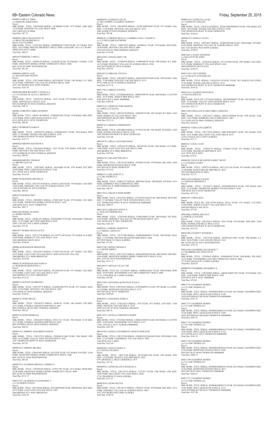M0002532 CALDERON BERNAL CARMEN O Parcel:<br>MBL HOME, TITLE: 12W290106 SERIAL: 03591119G YEAR: 1973 MAKE: HOM SIZE:<br>24/48 PARK: HIGHVIEW MOBILE HOME COMMUNITY SPACE: 0004<br>8601 ZUNI ST #0004 WESTMINSTER<br>Total Due: \$131.17

Parcel:

M0000734 BRACY MIKE c/o ESPINOSA MERCEDES Parcel: MBL HOME, TITLE: 12W594260 SERIAL: GC080668 YEAR: 1973 MAKE: AME SIZE: 12/56 PARK: PIONEER VILLAGE SPACE: 0066 2901 63RD AVE W #0066 Total Due: \$87.75 M0000833 BRAUTIGAM PETE JR c/o BRAUTIGAM BRENDA S Parcel: 0181514100004<br>MBL HOME, TITLE: 12T027663 SERIAL: GDMHKS26775450 YEAR: 1977 MAKE: HAC<br>SIZE: 14/67 PARK: PRIVATE PROPERTY SPACE: 0000 LAND PARC 1815-14-1-00-004<br>50000 56TH AVE E #0000 Total Due: \$89.93 M0010579 BREESE CAROL L Parcel: MBL HOME, TITLE: 12P499143 SERIAL: 14100298 YEAR: 1974 MAKE: C H SIZE: 12/56 PARK: HIGHVIEW MOBILE HOME COMMUNITY SPACE: 0082 8601 ZUNI ST #0082 WESTMINSTER Total Due: \$81.40 M0009836 BRENA LUIS c/o MALDONADO WENDY Parcel: MBL HOME, TITLE: 12W736600 SERIAL: MY929039V YEAR: 1992 MAKE: N C SIZE: 16/76 PARK: FRIENDLY VILLAGE OF AURORA SPACE: 0289 1952 VAN BUREN WAY #0289 AURORA Total Due: \$207.91 M0006460 BROOKS KODY J/ANGELA A c/o C/O ESTATE OF ALYCE L BENNETT Parcel MBL HOME, TITLE: 12W007541 SERIAL: 10131 YEAR: 1972 MAKE: FAL SIZE: 14/66<br>PARK: MONTICELLO SPACE: 0336<br>9032 RAMPART ST #0336 FEDERAL HEIGHTS Total Due: \$90.79 M0006110 BROWN CHRIS ANTHONY Parcel: MBL HOME, TITLE: 12R447146 SERIAL: 478460S32203 YEAR: 1978 MAKE: MEL SIZE: 14/56 PARK: PINE LAKES RANCH SPACE: 0741 4210 100TH AVE E #0741 THORNTON Total Due: \$86.02 M0011790 BROWN JAMES P Parcel: MBL HOME, TITLE: 12W045759 SERIAL: 4794046N4223 YEAR: 1994 MAKE: WES SIZE: 27/44 PARK: WOODLAND HILLS SPACE: 0245 1500 THORNTON PKWY W #0245 THORNTON Total Due: \$337.75 M0004024 BROWN MATTHEW S Parcel: MBL HOME, TITLE: 12W244476 SERIAL: 3623 YEAR: 1970 MAKE: FOR SIZE: 14/64 PARK: DENVER CASCADE SPACE: 0255 2735 WARBLER ST #0255 FEDERAL HEIGHTS Total Due: \$89.66 M0006088 BROWN THOMAS c/o BROWN ALEA M Parcel: MBL HOME, TITLE: 12W078647 SERIAL: 9014A&B YEAR: 1978 MAKE: KIT SIZE: 24/60 PARK: PINE LAKES RANCH SPACE: 0388 4211 100TH AVE E #0388 THORNTON Total Due: \$126.83 M0002760 BUENDIA MICHELLE Parcel:<br>MBL HOME, TITLE: 12W145338 SERIAL: 0549521124D YEAR: 1974 MAKE: CHA SIZE:<br>14/66 PARK: FRIENDLY VILLAGE OF AURORA SPACE: 0370 1708 QUINTERO ST #0370 AURORA Total Due: \$89.66 M0010376 BURGO JIM C Parcel:<br>MBL HOME, TITLE: 12R389021 SERIAL: 4769811682 YEAR: 1976 MAKE: ATL SIZE:<br>14/61 PARK: THORNTON MOBILE ESTATES SPACE: 0107 3600 88TH AVE E #0107 THORNTON Total Due: \$84.73 M0014306 BURKE GLENDA c/o BURKE SHAWN Parcel: MBL HOME, TITLE: 12W061621 SERIAL: 260TEFDR5279 YEAR: 1968 MAKE: VINDALE SIZE: 12/57 PARK: SKYVIEW MHP SPACE: 0039 16051 COLFAX AVE E #0039 AURORA Total Due: \$72.92 M0010577 BURKS DOUGLAS D II Parcel:<br>MBL HOME, TITLE: 12W127199 SERIAL: GC191977A/B YEAR: 1973 MAKE: FLA SIZE:<br>24/60 PARK: BERKELEY VILLAGE SPACE: 0241 5400 SHERIDAN BLVD #0241 Total Due: \$160.66 M0000146 BURNHAM ERNESTINE Parcel: MBL HOME, TITLE: 12W165632 SERIAL: CC9207A/B YEAR: 1977 MAKE: COL SIZE:<br>24/52 PARK: EAST GATE VILLAGE SPACE: 0090 EASTGATE VILLAGE<br>3060 BRIDGE ST E #0090 BRIGHTON Total Due: \$129.48 M0002742 BURNHAM MAYNARD O c/o BURNHAM ERNESTINE A Parcel: MBL HOME, TITLE: 12P274655 SERIAL: 0532690184 YEAR: 1973 MAKE: CHA SIZE: 23/56 PARK: EAST GATE VILLAGE SPACE: 0215 3060 BRIDGE ST E #0215 BRIGHTON Total Due: \$132.67 M0000521 BUSTILLOS BRENDA Parcel: MBL HOME, TITLE: 12W239779 SERIAL: GAIEHGMN7078 YEAR: 1971 MAKE: MAG<br>SIZE: 25/54 PARK: DENVER CASCADE SPACE: 0305<br>2705 HAWK ST #0305 FEDERAL HEIGHTS Total Due: \$140.91 M0004541 BYRD BILLIE Parcel: Parcel: Parcel: Parcel: Parcel: Parcel: Parcel: Parcel:

M0007256 BYRD MESHALE Parcel: MBL HOME, TITLE: 12W642670 SERIAL: FD213121 YEAR: 1964 MAKE: N M SIZE: 12/57 PARK: FEDERAL HEIGHTS MHP SPACE: 0030 8892 FEDERAL BLVD #0030 FEDERAL HEIGHTS Total Due: \$66.24

MBL HOME, TITLE: 12W642352 SERIAL: 65F4011C YEAR: 1965 MAKE: CHI SIZE:<br>10/51 PARK: FEDERAL HEIGHTS MHP SPACE: 0021<br>8892 FEDERAL BLVD #0021 FEDERAL HEIGHTS

M0009143 CABRERA ADALBERTO IGMAR Parcel: MBL HOME, TITLE: 12W187974 SERIAL: ZWK801611640 YEAR: 1984 MAKE: WIN SIZE: 16/76 PARK: VALLEY VIEW ESTATES SPACE: 0252 1201 THORNTON PKWY W #0252 THORNTON Total Due: \$47.82

M0009229 CABRERA MILDRA Parcel:<br>MBL HOME, TITLE: 12W643963 SERIAL: 022532W YEAR: 1972 MAKE: SAF SIZE: 12/60<br>PARK: HIGHVIEW MOBILE HOME COMMUNITY SPACE: 0206 8601 ZUNI ST #0206 WESTMINSTER Total Due: \$83.64

M0015103 CALDERON CUAUHTEMOC C c/o CALDERON FANNY Parcel: MBL HOME, TITLE: 12W194444 SERIAL: 62510405MAB YEAR: 2000 MAKE: SKY SIZE: 28/52 PARK: EAST GATE VILLAGE SPACE: 0447 3060 BRIDGE ST E #0447 BRIGHTON Total Due: \$363.02

6B• Eastern Colorado News Friday, September 25, 2015 M0000999 CALDERON LISA M c/o DELATORRE CALDERON GERMAN MBL HOME, TITLE: 12R349828 SERIAL: GLMCXM0T8949 YEAR: 1971 MAKE: GAL<br>SIZE: 12/46 PARK: DENVER CASCADE SPACE: 0339<br>2940 ALDER ST #0339 FEDERAL HEIGHTS Total Due: \$93.08 M0008281 CAMERON RENA G/ CAMPBELL PAUL V/MARY B c/o C/O WILLIAMS RAYMOND MBL HOME, TITLE: 12M978795 SERIAL: 04590461L YEAR: 1978 MAKE: BUD SIZE:<br>24/48 PARK: DENVER CASCADE SPACE: 0066<br>2910 FALCON ST #0066 FEDERAL HEIGHTS Total Due: \$134.08 M0014299 CANNON JOHN T JR MBL HOME, TITLE: 12T084558 SERIAL: 47989049879 YEAR: 1998 MAKE: W C SIZE: 16/76 PARK: FRIENDLY VILLAGE OF AURORA SPACE: 0326 1645 QUINTERO ST #0326 AURORA Total Due: \$245.85 M0014619 CARBAJAL CECILIA MBL HOME, TITLE: 12W288552 SERIAL: H0C015F03934AB YEAR: 1999 MAKE: OAK SIZE: 27/48 PARK: DENVER CASCADE SPACE: 0174 9755 LARK ST #0174 FEDERAL HEIGHTS Total Due: \$175.76 M0017302 CARBALLO DANIA Parcel:<br>MBL HOME, TITLE: 12T220804 SERIAL: CBH019898TX YEAR: 2009 MAKE: CLAYTON<br>SIZE: 16/76 PARK: WIKIUP MHP SPACE: 0034<br>6500 88TH AVE E #0034 000000000<br>Total Due: \$384.48 M0007614 CARDENAS JOSE MARVIN c/o LOPEZ LUZ ELENA MBL HOME, TITLE: 12R474278 SERIAL: 18H6698 YEAR: 1981 MAKE: B V SIZE: 14/66 PARK: BERKELEY VILLAGE SPACE: 0022 5400 SHERIDAN BLVD #0022 000000000 Total Due: \$125.14 M0009781 CARDONA EDIERNESTO Parcel:<br>MBL HOME, TITLE: 12W200854 SERIAL: P179216 YEAR: 1981 MAKE: SCH SIZE: 14/66 PARK: WOODLAND HILLS SPACE: 0244 1500 THORNTON PKWY W #0244 THORNTON Total Due: \$123.08 M0010979 CARILLO ACEVEDO ROSA Parcel:<br>MBL HOME, TITLE: 12W183278 SERIAL: 04510579G YEAR: 1994 MAKE: CUT SIZE:<br>14/66 PARK: EAST GATE VILLAGE SPACE: 0062 3060 BRIDGE ST E #0062 BRIGHTON Total Due: \$187.86 M0005459 CARLAND THELMA J Parcel:<br>MBL HOME, TITLE: 12W152432 SERIAL: 87H4962 YEAR: 1978 MAKE: BEL SIZE: 14/68<br>PARK: REDWOOD ESTATES SPACE: 0589 9595 PECOS ST #0589 THORNTON Total Due: \$114.42 M0006513 CARL HARVEY A c/o CARL PATRICIA A MBL HOME, TITLE: 12M867237 SERIAL: M605946 YEAR: 1980 MAKE: H P SIZE: 14/76<br>PARK: KIMBERLY HILLS MHP SPACE: 0088<br>2311 92ND AVE W #0088 FEDERAL HEIGHTS Total Due: \$49.79 M0017425 CARLOS JUNIOR PEDRO MBL HOME, TITLE: 12T232361 SERIAL: CY510381XAB YEAR: 2009 MAKE: SKYLINE<br>SIZE: 27/40 PARK: VALLEY VIEW ESTATES SPACE: 0318<br>1201 THORNTON PKWY W #0318 THORNTON 000000000 Total Due: \$299.27 M0013810 CARRASCO JENNY A c/o QUILLEN DEBORAH B MBL HOME, TITLE: 12T025983 SERIAL: 47984199052 YEAR: 1998 MAKE: ATL SIZE:<br>16/68 PARK: FRIENDLY VILLAGE OF THE ROCKIES SPACE: 0257<br>2100 100TH AVE W #0257 THORNTON Total Due: \$243.44 M0000361 CARROLL MARVIN H c/o CARROLL GENEVA F Parcel: MBL HOME, TITLE: 12E772880 SERIAL: FHHEHDMN4677 YEAR: 1968 MAKE: MAG SIZE: 17/54 PARK: DENVER MEADOWS MHP SPACE: 0024 2075 POTOMAC ST #0024 AURORA Total Due: \$72.94 M0015108 CARTER THOMAS F c/o CARTER SHERI J<br>Parcel:<br>MBL HOME, TITLE: 12W574323 SERIAL: 0500A0505030 YEAR: 2000 MAKE: DIS SIZE:<br>16/66 PARK: HIGHVIEW MOBILE HOME COMMUNITY SPACE: 0124 8601 ZUNI ST #0124 WESTMINSTER Total Due: \$273.72 M0016859 CARVALLO JUAN T SR Parcel:<br>MBL HOME, TITLE NO: 12T186597 SERIAL: NEB04A30267 YEAR: 2004 MAKE: BON<br>SIZE: 29/44 PARK: WOODSHIRE EAST MH COMMUNITY SPACE: 0088<br>17531 COOLIDGE PL E #0088 AURORA<br>Total Due: \$25.00 M0013104 CASTANEDA BANUPLOS JULIO A Parcel:<br>MBL HOME, TITLE: 12W295423 SERIAL: CLW006809TX YEAR: 1997 MAKE: CLA SIZE:<br>16/76 PARK: REDWOOD ESTATES SPACE: 0375 9595 PECOS ST #0375 THORNTON Total Due: \$290.60 M0003055 CASTANEDA JESSICA M0009159 CASTRUITA LAURA c/o CASTRUITA UBALDO Parcel: Parcel: Parcel: Parcel: Parcel: Total Due: \$75.17 Parcel: Parcel: Parcel: Parcel: Total Due: \$73.82 Parcel: Parcel: Parcel:

MBL HOME, TITLE: 12W622162 SERIAL: M2F8229B10SN8832 YEAR: 1982 MAKE: KIT<br>SIZE: 14/66 PARK: WOODLAND HILLS SPACE: 0340<br>1500 THORNTON PKWY W #0340 THORNTON Total Due: \$120.62 M0006432 CASWELL TANYA Parcel:<br>MBL HOME, TITLE: 12P618657 SERIAL: 2200485030AB YEAR: 1980 MAKE: TIT SIZE: 24/44 PARK: FRIENDLY VILLAGE OF AURORA SPACE: 0399 1861 VAN BUREN WAY #0399 AURORA Total Due: \$180.03 M0012601 CAUSEY JENNIFER c/o BALLENTYNE JOHN MBL HOME, TITLE: 12T043626 SERIAL: 0571433004 YEAR: 1987 MAKE: CHA SIZE:<br>16/76 PARK: BERKELEY VILLAGE SPACE: 0162<br>5400 SHERIDAN BLVD #0162 Total Due: \$188.59 M0017638 CAVCO HOMES c/o C/O REALTY SYSTEMS INC MBL HOME, TITLE: SERIAL: CAVAZLP1118745XU YEAR: 2011 MAKE:CAVCO SIZE:<br>27/44 PARK: WOODLAND HILLS SPACE: 0176<br>1500 THORNTON PKWY W #0176 THORNTON 000000000 Total Due: \$356.42 M0015316 CAZARES FRANCISCO c/o OLIVAS JESUS M MBL HOME, TITLE NO: 12T793059 SERIAL: H0TX09908907 YEAR: 1999 MAKE: OAK<br>SIZE: 14/56 PARK: VALLEY VIEW ESTATES SPACE: 0110<br>1201 THORNTON PKWY W #0110 THORNTON Total Due: \$221.12 M0013280 CEBALLOS JUAREZ SIBIA CAROLINA MBL HOME, TITLE: 12W253677 SERIAL: H0C015F00848 YEAR: 1996 MAKE: OAK<br>SIZE: 14/62 PARK: KIMBERLY HILLS MHP SPACE: 0061<br>2311 92ND AVE W #0061 FEDERAL HEIGHTS Total Due: \$220.62 M0000283 CEBALLOS LIZBETH Parcel: MBL HOME, TITLE: 12W175818 SERIAL: FBECZMT06033 YEAR: 1963 MAKE: GEN SIZE: 10/51 PARK: HILLCREST VILLAGES SPACE: 0535 14701 COLFAX AVE E #0535 AURORA M0001612 CECIL CLINT MBL HOME, TITLE: 12W016776 SERIAL: LT50856 YEAR: 1971 MAKE: LAN SIZE: 14/56 PARK: FRANKLIN MHP SPACE: 0072 1616 78TH AVE E #0072 Total Due: \$79.81 M0000392 CECIL R MCGINNIS FAMILY TRUST c/o C/O BARZA JAZIES MBL HOME, TITLE: 12P425124 SERIAL: FK212521156 YEAR: 1971 MAKE: EXE SIZE: 12/48 PARK: RANCH HOUSE MHP SPACE: 001C 5565 WASHINGTON ST #001C Total Due: \$72.51 M0011594 CERMAK EUGENE c/o CERMAK DEBORAH F MBL HOME, TITLE: 12T156471 SERIAL: 05955688528A/B YEAR: 1995 MAKE: KIN<br>SIZE: 27/42 PARK: THORNTON MOBILE ESTATES SPACE: 0189<br>3600 88TH AVE E #0189 THORNTON Total Due: \$271.28 M0007057 CERNA RITA MBL HOME, TITLE NO: 12W136740 SERIAL: S0121 YEAR: 1971 MAKE: CUS SIZE: 12/60 PARK: NORTH COUNTY VILLAGE SPACE: 0751 5490 RIVERDALE AVE #0751 M0010866 CERRES ARACELY c/o PORTILLO JOLENE MBL HOME, TITLE: 12W195613 SERIAL: 4524 YEAR: 1978 MAKE: WIN SIZE: 14/66 PARK: WOODLAND HILLS SPACE: 0132 1500 THORNTON PKWY W #0132 THORNTON Total Due: \$111.93 M0012496 CHABOTT JENNIFER J Parcel: MBL HOME, TITLE: 12P273108 SERIAL: MY9614437ABV YEAR: 1996 MAKE: A C SIZE: 28/56 PARK: CASA ESTATES SPACE: 0321 860 132ND AVE W #0321 WESTMINSTER Total Due: \$353.35 M0014348 CHAMBERLAIN GEORGE T c/o CHAMBERLAIN ANNETTE M MBL HOME, TITLE: 12T050432 SERIAL: 47989049924 YEAR: 1998 MAKE: WIL SIZE: 16/76 PARK: WOODSHIRE EAST MH COMMUNITY SPACE: 0068 17579 BUCHANAN PL E #0068 AURORA Total Due: \$245.85 M0000959 CHAMBERLAIN REBECCA MBL HOME, TITLE: 12W284904 SERIAL: GKMCXM0T7203 YEAR: 1970 MAKE: STA SIZE: 14/60 PARK: WIKIUP MHP SPACE: 0102 6500 88TH AVE E #0102 000000000 Total Due: \$79.04 M0017734 CHAMPION HOMES c/o C/O AMC HOMES LLC Parcel: MBL HOME, TITLE: SERIAL: 005000HA000619A YEAR: 2012 MAKE: CHAMPION SIZE: 15/66 PARK: PINE LAKES RANCH SPACE: 0148 10201 RIVERDALE RD #0148 THORNTON 000000000 Total Due: \$361.52

MBL HOME, TITLE: 12W224215 SERIAL: 1078 YEAR: 1973 MAKE: LON SIZE: 14/66<br>PARK: DENVER CASCADE SPACE: 0353<br>2960 FALCON ST #0353 FEDERAL HEIGHTS M0017735 CHAMPION HOMES c/o C/O AMC HOMES LLC Parcel:<br>MRL HOME TITLE  $0HAA000612AVFAR: 2012 MAKF: CHAMPION$ 

Total Due: \$66.2

Parcel:

Total Due: \$90.79

M0017455 CASTILLO CHRISTINA MARIE Parcel:<br>MBL HOME, TITLE: 12T235663 SERIAL: CBH021490TX YEAR: 2010 MAKE: CLAYTON SIZE: 16/80 PARK: WOODSHIRE EAST SPACE: 0127 17461 18TH PL E #0127 AURORA 000000000 Total Due: \$267.09

M0016394 CASTILLO MANRIQUEZ ADOLFO HORACIO Parcel:<br>MBL HOME, TITLE: 12W227298 SERIAL: GW0R23N22104AB YEAR: 1999 MAKE: GOL SIZE: 27/44 PARK: CHAPARRAL VILLAGE SPACE: 0029 3180 88TH AVE E #0029 Total Due: \$322.64

M0000309 CASTILLO ROSA O c/o CASTILLO RAMON Parcel: MBL HOME, TITLE: 12R112109 SERIAL: FEAFXMC1026 YEAR: 1965 MAKE: PON SIZE: 12/56 PARK: SHADY LANE MHP SPACE: 0025 6791 HIGHWAY 2 #0025 COMMERCE CITY Total Due: \$75.70

M0009856 CASTRO BLANCO ROGELIO A Parcel: MBL HOME, TITLE: 12W152374 SERIAL: 12513617 YEAR: 1986 MAKE: CRE SIZE: 14/66 PARK: HILLCREST VILLAGES SPACE: 0424 1736 CIMARRON ST #0424 AURORA Total Due: \$133.27

M0007850 CASTRO REYNA Parcel: MBL HOME, TITLE: 12W194175 SERIAL: 87H4452 YEAR: 1978 MAKE: BEL SIZE: 14/72 PARK: FRIENDLY VILLAGE OF AURORA SPACE: 0403 1923 VAN BUREN WAY #0403 AURORA Total Due: \$106.39

15/66 PARK: PINE LAKES RANCH SPACE: 0260 10201 RIVERDALE RD #0260 THORNTON 000000000 Total Due: \$361.52

M0017736 CHAMPION HOMES c/o C/O AMC HOMES LLC Parcel: MBL HOME, TITLE: SERIAL: 005000HA000616A YEAR: 2012 MAKE: CHAMPION SIZE:<br>16/66 PARK: PINE LAKES RANCH SPACE: 0716<br>4210 100TH AVE E #0716 THORNTON 000000000 Total Due: \$361.52

M0017744 CHAMPION HOMES c/o C/O AMC HOMES LLC Parcel: MBL HOME, TITLE: SERIAL: 005000HA000629A YEAR: 2012 MAKE: CHAMPION SIZE: 15/66 PARK: REDWOOD ESTATES SPACE: 0569 9595 PECOS ST #0569 THORNTON 000000000 Total Due: \$466.79

M0017749 CHAMPION HOMES c/o C/O AMC HOMES LLC Parcel: MBL HOME, TITLE: SERIAL: 005000HA000624A YEAR: 2012 MAKE: CHAMPION SIZE:<br>15/66 PARK: REDWOOD ESTATES SPACE: 0051<br>9595 PECOS ST #0051 THORNTON 000000000 Total Due: \$449.41

M0017751 CHAMPION HOMES c/o C/O AMC HOMES LLC Parcel: MBL HOME, TITLE: SERIAL: 005000HA000627A YEAR: 2012 MAKE CHAMPION SIZE:<br>15/66 PARK: PINE LAKES RANCH SPACE: 0112<br>10201 RIVERDALE RD #0112 THORNTON 000000000 Total Due: \$357.80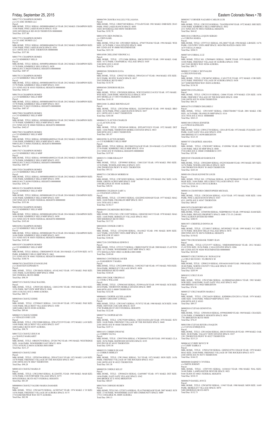# Friday, September 25, 2015 Eastern Colorado News • 7B

M0017752 CHAMPION HOMES c/o C/O AMC HOMES LLC Parcel: MBL HOME, TITLE: SERIAL: 005000HA000621A YEAR: 2012 MAKE: CHAMPION SIZE: 15/66 PARK: PINE LAKES RANCH SPACE: 0120 10201 RIVERDALE RD #0120 THORNTON 000000000 Total Due: \$357.80 M0017753 CHAMPION HOMES c/o C/O AMC HOMES LLC Parcel MBL HOME, TITLE: SERIAL: 005000HA000625A YEAR: 2012 MAKE: CHAMPION SIZE:<br>15/66 PARK: PINE LAKES RANCH SPACE: 0301<br>4211 100TH AVE E #0301 THORNTON 000000000 Total Due: \$357.80 M0017791 CHAMPION HOMES c/o C/O KIMBERLY HILLS Parcel: MBL HOME, TITLE: SERIAL: 00500PHA000660A YEAR: 2012 MAKE: CHAMPION SIZE:<br>15/70 PARK: KIMBERLY HILLS SPACE: 0628<br>9400 ELM CT #0628 FEDERAL HEIGHTS 000000000<br>Total Due: \$407.87 M0017813 CHAMPION HOMES c/o C/O KIMBERLY HILLS MHP Parcel: MBL HOME, TITLE: SERIAL: 005000HA000783A YEAR: 2012 MAKE: CHAMPION SIZE:<br>15/70 PARK: KIMBERLY HILLS MHP SPACE: 0103<br>2311 92ND AVE W #0103 FEDERAL HEIGHTS 000000000 Total Due: \$442.67 M0017814 CHAMPION HOMES c/o C/O KIMBERLY HILLS MHP Parcel: MBL HOME, TITLE: SERIAL: 005000HA000793A YEAR: 2012 MAKE: CHAMPION SIZE:<br>15/70 PARK: KIMBERLY HILLS MHP SPACE: 0633<br>9400 ELM CT #0633 FEDERAL HEIGHTS 000000000 Total Due: \$407.87 M0017900 CHAMPION HOMES c/o C/O KIMBERLY HILLS MHP Parcel:<br>MBL HOME, TITLE: SERIAL: 005000HA000838A YEAR: 2012 MAKE: CHAMPION SIZE:<br>15/70 PARK: KIMBERLY HILLS MHP SPACE: 0040 2311 92ND AVE W #0040 FEDERAL HEIGHTS 000000000 Total Due: \$442.67 M0017902 CHAMPION HOMES c/o C/O KIMBERLY HILLS MHP<br>Parcel:<br>MBL HOME, TITLE: SERIAL: 005000HA000936A YEAR: 2012 MAKE: CHAMPION SIZE: 15/66 PARK: KIMBERLY HILLS MHP SPACE: 608A 9400 ELM CT #608A FEDERAL HEIGHTS 000000000 Total Due: \$392.25 M0017927 CHAMPION HOMES c/o C/O KIMBERLY HILLS MHP Parcel:<br>MBL HOME, TITLE: SERIAL: 005000HA000922A YEAR: 2012 MAKE: CHAMPION SIZE:<br>15/70 PARK: KIMBERLY HILLS MHP SPACE: 0522<br>9400 ELM CT #0522 FEDERAL HEIGHTS 000000000<br>Total Due: \$407.87 M0017928 CHAMPION HOMES c/o C/O KIMBERLY HILLS MHP Parcel: MBL HOME, TITLE: SERIAL: 005000HA000933A YEAR: 2012 MAKE: CHAMPION SIZE: 15/66 PARK: KIMBERLY HILLS MHP SPACE: 0590 9400 ELM CT #0590 FEDERAL HEIGHTS 000000000 Total Due: \$392.25 M0018155 CHAMPION HOMES c/o C/O KIMBERLY HILLS MHP Parcel: MBL HOME, TITLE: SERIAL: 005000HA001551A YEAR: 2014 MAKE: CHAMPION SIZE: 16/66 PARK: KIMBERLY HILLS MHP SPACE: 0285 2305 92ND AVE W #0285 FEDERAL HEIGHTS 000000000 Total Due: \$353.86 M0018294 CHAMPION HOMES c/o C/O KIMBERLY HILLS MHP Parcel MBL HOME, TITLE: SERIAL: 005000HA001699A YEAR: 2014 MAKE: CHAMPION SIZE:<br>16/66 PARK: KIMBERLY HILLS MHP SPACE: 0430<br>2311 92ND AVE W #0430 FEDERAL HEIGHTS 000000000 Total Due: \$105.60 M0018296 CHAMPION HOMES c/o C/O KIMBERLY HILLS MHP Parcel MBL HOME, TITLE: SERIAL: 005000HA001701A YEAR: 2014 MAKE: CHAMPION SIZE:<br>16/66 PARK: KIMBERLY HILLS MHP SPACE: 0455<br>2311 92ND AVE W #0455 FEDERAL HEIGHTS 000000000 Total Due: \$105.60 M0018297 CHAMPION HOMES c/o C/O KIMBERLY HILLS MHP Parcel: MBL HOME, TITLE: SERIAL: CBH026894TX YEAR: 2014 MAKE: CLAYTON SIZE: 16/72<br>PARK: KIMBERLY HILLS MHP SPACE: 0461<br>2311 92ND AVE W #0461 FEDERAL HEIGHTS 000000000 Total Due: \$180.76 M0006705 CHASTEEN EVANGELINE c/o CHASTEEN EDWARD N<br>Parcel: Parcel:<br>MBL HOME, TITLE: 12W180426 SERIAL: 6514L3442 YEAR: 1973 MAKE: PAR SIZE:<br>14/61 PARK: ELM RIDGE MHP SPACE: 008B 5601 FEDERAL BLVD #008B Total Due: \$98.39 M0007335 CHAVEZ DIAZ RAUDEL Parcel:<br>MBL HOME, TITLE: 12W053202 SERIAL: 1260121981 YEAR: 1968 MAKE: FRO SIZE:<br>12/56 PARK: SKYVIEW MHP SPACE: 0040<br>16051 COLFAX AVE E #0040 AURORA Total Due: \$80.73 M0003844 CHAVEZ EDDIE Parcel MBL HOME, TITLE: 12T998432 SERIAL: 3101120149 YEAR: 1973 MAKE: PAR SIZE:<br>14/66 PARK: HILLCREST VILLAGES SPACE: 0180<br>1600 SABLE BLVD #0180 AURORA<br>Total Due: \$89.66

M0006215 CHAVEZ EDDIE c/o VIDALES JOSE LUIS Parcel MBL HOME, TITLE: 12W192800 SERIAL: 2FR14722339 YEAR: 1972 MAKE: LAN SIZE: 14/68 PARK: HILLCREST VILLAGES SPACE: 0197 1600 SABLE BLVD #0197 AURORA Total Due: \$90.79

M0017222 CHAVEZ JESUS M c/o CHAVEZ MARGARET Parcel: MBL HOME, TITLE: 10R829270 SERIAL: 2F520179G YEAR: 1993 MAKE: WESTRIDGE<br>SIZE: 16/66 PARK: WOODSHIRE EAST SPACE: 0034<br>17535 16TH PL E #0034 AURORA 800110000 Total Due: \$211.27

M0003425 CHAVEZ JOSE Parcel MBL HOME, TITLE: 12P283544 SERIAL: 2FR14721015 YEAR: 1971 MAKE: LAN SIZE:<br>14/70 PARK: FRIENDLY VILLAGE OF THE ROCKIES SPACE: 0027<br>2100 100TH AVE W #0027 THORNTON Total Due: \$98.28

M0001422 CHAVEZ MARIA D Parcel: MBL HOME, TITLE: 12W225865 SERIAL: K12260TFL YEAR: 1969 MAKE: MAR SIZE: 12/56 PARK: COUNTRYSIDE VILLAGE SPACE: 0275 9850 FEDERAL BLVD #0275 FEDERAL HEIGHTS Total Due: \$81.69

M0000004 CHAVEZ VALERO MARIA DAMARIS Parcel: MBL HOME, TITLE: 12W166370 SERIAL: ACED7647 YEAR: 1974 MAKE: C D SIZE: 14/56 PARK: FRIENDLY VILLAGE OF AURORA SPACE: 0175 1710 EISENHOWER WAY #0175 AURORA Total Due: \$82.98

Total Due: \$12

M0011016 CORONA-LUQUIN SERGIO c/o CORONA MARIA MBL HOME, TITLE: 12T973121 SERIAL: 05L24067 YEAR: 1994 MAKE: LIB SIZE: 16/76 PARK: COUNTRY VISTA MHP SPACE: 0024 PRO RATED 6 MOS 1999<br>1679 VISTA LN #0024<br>Total Due: \$204.51

M0016278 COTHREN DOLORES J Parcel:<br>MBL HOME, TITLE: 12W154587 SERIAL: CRH2TX04067 YEAR: 2001 MAKE: CRE<br>SIZE: 16/76 PARK: FRANKLIN MHP SPACE: 0116<br>1616 78TH AVE E #0116 000000000<br>Total Due: \$263.23

Parcel:<br>MBL HOME, TITLE: 12W022005 SERIAL: 0522933026480 YEAR: 1993 MAKE: RIV SIZE:<br>14/76 PARK: WOODLAND HILLS SPACE: 0429 1500 THORNTON PKWY W #0429 THORNTON

M0015079 CRAWFORD MELODY<br>Parcel: 0173335200001<br>MBL HOME, TITLE: 12T069384 SERIAL: NEB99B01821 YEAR: 1999 MAKE: HAM SIZE: 28/56 PARK: PRIVATE PROPERTY SPACE: 0000 1733-35-2-00-001 7998 CALHOUN-BYERS RD #0000

Parcel:<br>MBL HOME, TITLE: 12P083219 SERIAL: 0581663610AB YEAR: 1988 MAKE: CHA SIZE: 28/40 PARK: NORTH COUNTY VILLAGE SPACE: 0310 5094 97TH PL E #0310

Parcel:<br>MBL HOME, TITLE: 12W216439 SERIAL: KSDH08A32812831A YEAR: 1979 MAKE:<br>AME SIZE: 14/66 PARK: WIKIUP MHP SPACE: 0183 6500 88TH AVE E #0183 Total Due: \$89.57

Parcel:

M0005774 COOPER KEVIN Parcel: MBL HOME, TITLE: 12W279289 SERIAL: CHCC016301A/B YEAR: 1978 MAKE: SUN SIZE: 24/48 PARK: FRIENDLY VILLAGE OF THE ROCKIES SPACE: 0448 2100 100TH AVE W #0448 THORNTON Total Due: \$107.11

MBL HOME, TITLE: 12W519471 SERIAL: P170732 YEAR: 1980 MAKE: SCH SIZE: 14/66<br>PARK: DENVER CASCADE SPACE: 0219<br>2740 WARBLER ST #0219 FEDERAL HEIGHTS

M0011651 CORBIN DWAYNE c/o CORBIN TAUNA Parcel: MBL HOME, TITLE: 12W075956 SERIAL: CW2000563TXA/B YEAR: 1995 MAKE: CLA<br>SIZE: 28/56 PARK: REDWOOD ESTATES SPACE: 0193<br>9595 PECOS ST #0193 THORNTON Total Due: \$393.58

# M0006799 CHAVIRA NALLELI VILLASANA Parcel: MBL HOME, TITLE: 12R827249 SERIAL: 2732A/B YEAR: 1981 MAKE: EMB SIZE: 28/63 PARK: PINE LAKES RANCH SPACE: 0050 10201 RIVERDALE RD #0050 THORNTON Total Due: \$192.70 M0011070 CHEN PATRICIA c/o CHEN KARL Parcel: MBL HOME, TITLE NO: 12W108825 SERIAL: 4794573N4346 YEAR: 1994 MAKE: WES SIZE: 16/76 PARK: CASA ESTATES SPACE: 0008 860 132ND AVE W #0008 WESTMINSTER Total Due: \$221.50 M0014508 CHILLEMI VERONICA L Parcel:<br>MBL HOME, TITLE: 12T112406 SERIAL: H0C015F03339 YEAR: 1999 MAKE: OAK<br>SIZE: 16/72 PARK: CHAPARRAL VILLAGE SPACE: 0105 3180 88TH AVE E #0105 Total Due: \$239.26 M0000260 CISNEROS ELVIA Parcel:<br>MBL HOME, TITLE: 12W027183 SERIAL: DW65241147 YEAR: 1964 MAKE: STE SIZE:<br>20/52 PARK: RUSTIC RANCH SPACE: 0017 5565 FEDERAL BLVD #0017 Total Due: \$118.78 M0004360 CISNEROS HILDA Parcel:<br>MBL HOME, TITLE: 12W205030 SERIAL: WW252243D212141XX YEAR: 1973 MAKE:<br>WES SIZE: 24/48 PARK: MONTICELLO SPACE: 0519 2053 MOSELLE CT #0519 FEDERAL HEIGHTS Total Due: \$143.18 M0012446 CLARKE RHONDA KAY Parcel: MBL HOME, TITLE: 12W247066 SERIAL: 2G520974HA/B YEAR: 1995 MAKE: BRO SIZE: 28/56 PARK: PINE LAKES RANCH SPACE: 0437 4211 100TH AVE E #0437 THORNTON Total Due: \$303.08 M0000633 CLAYTON CHARLES c/o CLAYTON JUNE Parcel: MBL HOME, TITLE: 12W269148 SERIAL: IDTL007332CO YEAR: 1972 MAKE: DET<br>SIZE: 14/66 PARK: THORNTON MOBILE ESTATES SPACE: 0033<br>3600 88TH AVE E #0033 THORNTON Total Due: \$81.87 M0018290 CLAYTON HOMES c/o C/O KIMBERLY HILLS MHP Parcel:<br>MBL HOME, TITLE: SERIAL: BUC004522AZA/B YEAR: 2014 MAKE: CLAYTON SIZE:<br>27/56 PARK: KIMBERLY HILLS MHP SPACE: 0316 2311 92ND AVE W FEDERAL HEIGHTS 000000000 Total Due: \$197.85 M0003151 COBB JERALD P Parcel:<br>MBL HOME, TITLE: 12P399905 SERIAL: 126013245 YEAR: 1970 MAKE: FRO SIZE:<br>12/56 PARK: WOODLAND HILLS SPACE: 0251 1500 THORNTON PKWY W #0251 THORNTON Total Due: \$93.32 M0007511 COCHRAN MORRIS M Parcel: MBL HOME, TITLE: 12W745893 SERIAL: 2465M0 YEAR: 1970 MAKE: PAC SIZE: 14/56<br>PARK: GREEN ACRES MHP SPACE: 018F<br>1540 BILLINGS ST #018F AURORA Total Due: \$48.54 M0000884 COLEMAN GARY A c/o COLEMAN LINDA D Parcel: MBL HOME, TITLE: 12T109033 SERIAL: GGGDNE10208AB YEAR: 1977 MAKE: MAG SIZE: 24/60 PARK: FRANKLIN MHP SPACE: 0013 1616 78TH AVE E #0013 Total Due: \$138.17 M0006695 COLMENERO IREYDISA C Parcel: MBL HOME, TITLE NO: 12W131097 SERIAL: GDGENE10433 YEAR: 1978 MAKE: MAG<br>SIZE: 14/68 PARK: BERKELEY VILLAGE SPACE: 0021<br>5400 SHERIDAN BLVD #0021 Total Due: \$117.52 M0010020 CONNER CORY S Parcel: MBL HOME, TITLE: 12T542588 SERIAL: 18A10623 YEAR: 1981 MAKE: BON SIZE: 16/67 PARK: COUNTRY VISTA MHP SPACE: 0019 1640 WILLOW ST #0019 Total Due: \$104.46 M0017218 CONTRERAS EDWIN E Parcel:<br>MBL HOME, TITLE: 12T215173 SERIAL: CBH019184TX YEAR: 2008 MAKE: CLAYTON SIZE: 16/72 PARK: WOODSHIRE EAST MHP SPACE: 0021 1572 SEDALIA WAY #0023 AURORA 800110000 Total Due: \$349.60 M0003863 CONTRERAS JAVIER c/o ZAMARRON T MARIA Parcel: MBL HOME, TITLE: 12W224899 SERIAL: 3109230237AB YEAR: 1973 MAKE: WES SIZE: 28/64 PARK: BERKELEY VILLAGE SPACE: 0058 5400 SHERIDAN BLVD #0058 Total Due: \$168.28 M0011509 COOK VIRGINIA E c/o COOK G WILLIAM Parcel: MBL HOME, TITLE: 12W063445 SERIAL: P259914A/B YEAR: 1995 MAKE: SCH SIZE:<br>28/64 PARK: THORNTON MOBILE ESTATES SPACE: 0009<br>3600 88TH AVE E #0009 THORNTON Total Due: \$332.48 M0006681 COOPER ALEXIS AARON c/o BERRY GREGORY LOWELL Parcel: Parcel: M0007169 CORRAL LUZ M0000137 COSIO C REYNALDO c/o DELEON RAFAEL Parcel: Parcel: Total Due: \$66.34 Total Due: \$123.10 Total Due: \$243.44 Parcel: Total Due: \$104.16 Total Due: \$80.45 Total Due: \$280.91 Parcel: Total Due: \$205.99 M0010312 CRUZ JUAN

M0005335 CORBUS DUANE c/o CORBUS SHIRLEY Parcel:<br>MBL HOME, TITLE: 12W139441 SERIAL: 763 YEAR: 1973 MAKE: HON SIZE: 14/56<br>PARK: FRIENDLY VILLAGE OF THE ROCKIES SPACE: 0323<br>2100 100TH AVE W #0323 THORNTON Total Due: \$41.38

M0000528 CORDLE KELLY Parcel: MBL HOME, TITLE: 12W064234 SERIAL: GA050887 YEAR: 1971 MAKE: DET SIZE:<br>14/66 PARK: EAST GATE VILLAGE SPACE: 0342<br>3060 BRIDGE ST E #0342 BRIGHTON Total Due: \$88.07

M0017010 CORNEJO RUBEN Parcel: MBL HOME, TITLE NO: 12T207114 SERIAL: PLA370434KSA/B YEAR: 2007 MAKE: SCH SIZE: 27/44 PARK: WOODSHIRE EAST MH COMMUNITY SPACE: 0089 17511 COOLIDGE PL #0089 AURORA Total Due: \$90.13

M0003017 CORNIER NAZARIO CARLOS LUIS

MBL HOME, TITLE: 12W255218 SERIAL: 70142FB10398 YEAR: 1972 MAKE: SHE SIZE: 14/66 PARK: KIMBERLY HILLS MHP SPACE: 0032 2311 92ND AVE W #0032 FEDERAL HEIGHTS Total Due: \$64.62

Parcel: MBL HOME, TITLE NO: 12W094691 SERIAL: 5840W YEAR: 1979 MAKE: CHI SIZE:

14/68 PARK: FRIENDLY VILLAGE OF AURORA SPACE: 0384 1663 VAN BUREN WAY #0384 AURORA Total Due: \$99.71

MBL HOME, TITLE: 12W240742 SERIAL: CAS157UX YEAR: 1972 MAKE: COR SIZE: 24/52 PARK: FRIENDLY VILLAGE OF AURORA SPACE: 0438 1637 EISENHOWER WAY #0438 AURORA Total Due: \$134.30

M0007290 COTA DELIA MBL HOME, TITLE: 12W251155 SERIAL: C6866 YEAR: 1979 MAKE: CEN SIZE: 14/56 PARK: FRIENDLY VILLAGE OF THE ROCKIES SPACE: 0380 2100 100TH AVE W #0380 THORNTON

M0003100 COWAN JENNIFER c/o COWAN KATHLEEN<br>Parcel:<br>MBL HOME, TITLE: 12W012738 SERIAL: 1201A/B YEAR: 1972 MAKE: FUQ SIZE: 24/47<br>PARK: EAST GATE VILLAGE SPACE: 0398 3060 BRIDGE ST E #0398 BRIGHTON

M0005747 CRABTREE AMANDA Parcel:<br>MBL HOME, TITLE: 12W283897 SERIAL: F1050986 YEAR: 1969 MAKE: DET SIZE:<br>12/60 PARK: MILE HI MHP SPACE: 0040 5720 63RD AVE E #0040 COMMERCE CITY Total Due: \$55.90

M0010345 CRAIGHEAD HAROLD R

M0001456 CRAIG KENNETH LOUIS MBL HOME, TITLE NO: 12T963644 SERIAL: K14270FDK60330 YEAR: 1977 MAKE: MAR SIZE: 14/66 PARK: HILLCREST VILLAGES SPACE: 0516

14701 COLFAX AVE E #0516 AURORA

M0004116 CRAWFORD CHRISTOPHER MICHAEL

Parcel:<br>MBL HOME, TITLE: 12W292104 SERIAL: 4124 YEAR: 1973 MAKE: NOR SIZE: 14/66<br>PARK: PINE LAKES RANCH SPACE: 0347<br>4211 100TH AVE E #0347 THORNTON

M0015071 CRIHFIELD DONNA M MBL HOME, TITLE: 12T108517 SERIAL: MY9920823 YEAR: 1999 MAKE: N C SIZE: 16/76 PARK: HOLIDAY HILLS VILLAGE SPACE: 0676 2000 92ND AVE W #0676 FEDERAL HEIGHTS Total Due: \$154.02

M0017700 CRUICKSHANK TERRY JEAN

Parcel:<br>MBL HOME, TITLE:12T251977 SERIAL: NME004888NMAB YEAR: 2012 MAKE:<br>CLAYTON SIZE: 28/56 PARK: CASA ESTATES SPACE: 0206<br>860 132ND AVE W #0206 WESTMINSTER 000000000<br>Total Due: \$614.88

M0008875 CRUZ DONNA M / RONALD M c/o CRUZ SILVIANO / FLORENCE M

Parcel: MBL HOME, TITLE: 12W187404 SERIAL: ALNR06836414S0616 YEAR: 1983 MAKE:

NOR SIZE: 14/60 PARK: EAST GATE VILLAGE SPACE: 0425 3060 BRIDGE ST E #0425 BRIGHTON Total Due: \$74.96

M0005327 CRUZ MARTIN MARIA C

M0002810 CUEVAS GENOVEVA Parcel:<br>MBL HOME, TITLE: 12W045618 SERIAL: 0599682800D YEAR: 1969 MAKE: CHA SIZE:<br>12/56 PARK: COMMERCE HEIGHTS SPACE: 0030 7701 BRIGHTON BLVD #0030 Total Due: \$74.25 M0015506 CUEVAS RIVERA JOAQUIN c/o CUEVAS ENRIQUETA Parcel: MBL HOME, TITLE: 12W144264 SERIAL: H0C015F03656A/B YEAR: 1999 MAKE: OAK<br>SIZE: 28/48 PARK: VALLEY VIEW ESTATES SPACE: 0327<br>1201 THORNTON PKWY W #0327 THORNTON Total Due: \$213.23 M0006162 CURRY BOYCE W c/o CURRY SABRA S Parcel: MBL HOME, TITLE: 12W014749 SERIAL: GDENE187911320A/B YEAR: 1979 MAKE:<br>MAG SIZE: 24/60 PARK: FRIENDLY VILLAGE OF THE ROCKIES SPACE: 0373<br>2100 100TH AVE W #0373 THORNTON Total Due: \$166.52 M0008000 DABNEY CYNTHIA c/o SMITH JEREMY Parcel: MBL HOME, TITLE: 12T071951 SERIAL: 14104163 YEAR: 1986 MAKE: WAL SIZE: 24/48 PARK: LAMPLIGHTER DENVER SPACE: 0021 9100 TEJON ST #0021 FEDERAL HEIGHTS Total Due: \$218.33 M0008679 DANIEL JOYCE Parcel: MBL HOME, TITLE: 12W269705 SERIAL: 11945 YEAR: 1980 MAKE: MON SIZE: 16/69<br>PARK: BERKELEY VILLAGE SPACE: 0070<br>5400 SHERIDAN BLVD #0070 Total Due: \$132.73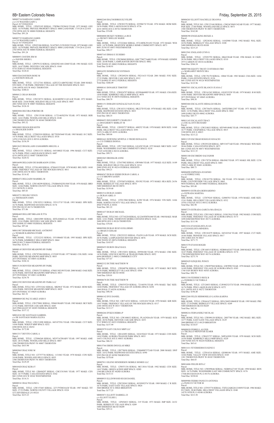8B• Eastern Colorado News Friday, September 25, 2015 M0005734 DARDANO JAMES c/o C/O WAGNER GARY L<br>Parcel: 0171920422010<br>MBL HOME, TITLE: 12P455105 SERIAL: 370FB615X20410 YEAR: 1972 MAKE: GEE SIZE: 14/70 PARK: PRIVATE PROPERTY SPACE: 0000 LAND PARC 1719-20-4-22-010 2703 89TH AVE W #0000 FEDERAL HEIGHTS Total Due: \$91.24 M0005735 DARDANO JAMES c/o C/O WAGNER GARY L Parcel: 0171920422010 MBL HOME, TITLE: 12P455106 SERIAL: N14270CL215X20383 YEAR: 1972 MAKE: GEE<br>SIZE: 14/70 PARK: PRIVATE PROPERTY SPACE: 0000 LAND PARC 1719-20-4-22-010<br>2703 89TH AVE W #0000 FEDERAL HEIGHTS Total Due: \$91.24 M0006951 DAVIDS JIM M c/o DAVIDS SHERI L Parcel MBL HOME, TITLE: 12P079132 SERIAL: GDGENE168112040 YEAR: 1981 MAKE: GUE<br>SIZE: 16/67 PARK: DENVER CASCADE SPACE: 0160<br>9710 TERN ST #0160 FEDERAL HEIGHTS Total Due: \$120.41 M0015264 DAVISON ROSE M c/o DAVISON HOLLIS Parcel: MBL HOME, TITLE: 12T127341 SERIAL: AZFLY21AB07021SK3 YEAR: 2000 MAKE:<br>STO SIZE: 27/48 PARK: FRIENDLY VILLAGE OF THE ROCKIES SPACE: 0421<br>2100 100TH AVE W #0421 THORNTON Total Due: \$388.61 M0004121 DEAN ROGER Parcel: MBL HOME, TITLE: 12W238733 SERIAL: K24248DW311421A/B YEAR: 1972 MAKE:<br>MAR SIZE: 24/44 PARK: HOLIDAY HILLS VILLAGE SPACE: 0807<br>2001 92ND AVE W #0807 FEDERAL HEIGHTS Total Due: \$126.10 M0003084 DECORA PORFIRO JR Parcel: MBL HOME, TITLE: 12W135188 SERIAL: 11721465S2556 YEAR: 1973 MAKE: BER SIZE: 14/61 PARK: WOODLAND HILLS SPACE: 0348 1500 THORNTON PKWY W #0348 THORNTON Total Due: \$93.32 M0010003 DEGOLIER KEITH c/o DEGOLIER DAWN Parcel:

MBL HOME, TITLE: 12T803910 SERIAL: HCTXSN5640 YEAR: 1985 MAKE: H C SIZE:<br>14/76 PARK: HILLCREST VILLAGES SPACE: 0518<br>14701 COLFAX AVE E #0518 AURORA Total Due: \$156.59 M0012622 DEGOLLADO ZAMARRIPA MIGUEL A

Parcel:<br>MBL HOME, TITLE: 12W707484 SERIAL: CC9189 YEAR: 1977 MAKE: COL SIZE: 14/66 PARK: DENVER MEADOWS MHP SPACE: 0055 2075 POTOMAC ST #0055 AURORA Total Due: \$104.16

Parcel:<br>MBL HOME, TITLE: 12W051733 SERIAL: 470051302198 YEAR: 2000 MAKE: OAK SIZE:<br>16/56 PARK: DENVER MEADOWS MHP SPACE: 0013 2075 POTOMAC ST #0013 AURORA Total Due: \$234.70

Parcel: MBL HOME, TITLE: 12W631331 SERIAL: 04510882I YEAR: 1996 MAKE: CUT SIZE: 16/76 PARK: PINE LAKES RANCH SPACE: 0487 4210 100TH AVE E #0487 THORNTON Total Due: \$220.52

Parcel MBL HOME, TITLE: 12W279001 SERIAL: 39960190ABV YEAR: 1985 MAKE: SKY SIZE:<br>27/52 PARK: DENVER CASCADE SPACE: 0285<br>2625 PHEASANT ST #0285 FEDERAL HEIGHTS Total Due: \$157.12

M0016698 DELGADO DE BARRAGON LYDIA Parcel:<br>MBL HOME, TITLE: 12T261409 SERIAL: 87H4419 YEAR: 1978 MAKE: BEL SIZE: 14/68 PARK: FRIENDLY VILLAGE OF THE ROCKIES SPACE: 0011 2100 100TH AVE W #0011 THORNTON Total Due: \$114.42

M0006472 DELGADO MARIBEL M Parcel:<br>MBL HOME, TITLE: 12W140299 SERIAL: 2703B045425S1508 YEAR: 1976 MAKE: BRO SIZE: 14/66 PARK: NORTH COUNTY VILLAGE SPACE: 0526 5213 96TH PL E #0526 Total Due: \$85.83

```
Parcel:<br>MBL HOME, TITLE NO: 12R694297 SERIAL: CHCC015681 YEAR: 1977 MAKE: CEN
SIZE: 16/75 PARK: CASA ESTATES SPACE: 0342
860 132ND AVE W #0342 WESTMINSTER 
Total Due: $114.31
```
M0010721 DELISO VENUS c/o THOMASON JOHN Parcel: MBL HOME, TITLE: 12W192513 SERIAL: 35511371F YEAR: 1993 MAKE: SPR SIZE: 16/76 PARK: REDWOOD ESTATES SPACE: 0174 9595 PECOS ST #0174 THORNTON Total Due: \$71.06

M0006469 DELLERT BRAAM JUTTA Parcel:<br>MBL HOME, TITLE: 12R832989 SERIAL: IDTL028602AA YEAR: 1978 MAKE: AMH<br>SIZE: 12/61 PARK: DENVER CASCADE SPACE: 0085 2945 HAWK ST #0085 FEDERAL HEIGHTS Total Due: \$97.64

M0011907 DEMARB MICHAEL ANTHONY c/o NUKKER KARIZMA STARR<br>Parcel:<br>MBL HOME, TITLE: 12T232252 SERIAL: 35510866H YEAR: 1995 MAKE: SPR SIZE:<br>16/76 PARK: KIMBERLY HILLS MHP SPACE: 0664 9400 ELM CT #0664 FEDERAL HEIGHTS Total Due: \$218.31

M0000145 DENVER MEADOWS RV PARK

M0015138 DENVER MEADOWS RV PARK

M0012392 DENVER MEADOWS RV PARK LLC

Parcel: MBL HOME, TITLE NO: 12T933262 SERIAL: MK981F YEAR: 1972 MAKE: HOM SIZE:<br>14/64 PARK: DENVER MEADOWS MHP SPACE: 0029<br>2075 POTOMAC ST #0029 AURORA Total Due: \$61.52

M0008069 DE PAZ JUAREZ ANDI O

```
M0014341 DE SANTIAGO GABRIEL
c/o DE SANTIAGO MARIA ELENA
Parcel: 
MBL HOME,  TITLE: 12W151898 SERIAL: 04510755G YEAR: 1994 MAKE: CUT SIZE:<br>14/66 PARK: WIKIUP MHP SPACE: 0252<br>6500 88TH AVE E #0252
Total Due: $172.88
```
M0013317 DEVITO CAROL A

```
Parcel: 
 MBL HOME,  TITLE:  12T006268 SERIAL: MY9716788ABV YEAR: 1997 MAKE: AME<br>SIZE: 28/52 PARK: WOODLAND HILLS SPACE: 0007<br>1500 THORNTON PKWY W #0007 THORNTON
Total Due: $415.90
```
Parcel:<br>MBL HOME, TITLE NO: 12R714332 SERIAL: 14101434 YEAR: 1978 MAKE: KIR SIZE: 14/67 PARK: FRIENDLY VILLAGE OF THE ROCKIES SPACE: 0317 2100 100TH AVE W #0317 THORNTON Total Due: \$113.17

# M0003065 DIAZ JOSE M

```
Parcel: 
MBL HOME, TITLE NO: 12T757736 SERIAL: 1131063 YEAR: 1970 MAKE: CON SIZE: 
 24/40 PARK: WOODLAND HILLS SPACE: 0035
1500 THORNTON PKWY W #0035 THORNTON 
Total Due: $129.29
```

```
M0010428 DIAZ KERA Y
```

```
M0008541 DIAZ PAULINO L
```
Parcel: MBL HOME, TITLE: 12W157445 SERIAL: 227179T8834A/B YEAR: 1987 MAKE: TIT SIZE: 27/52 PARK: NORTH COUNTY VILLAGE SPACE: 0324 5272 RIVERDALE LN #0324 Total Due: \$215.23

Parcel:<br>MBL HOME, TITLE: 12W161262 SERIAL: GI10235258 YEAR: 1979 MAKE: B M SIZE:<br>14/66 PARK: DENVER MEADOWS MHP SPACE: 0045 2075 POTOMAC ST #0045 AURORA Total Due: \$98.58

Parcel:<br>MBL HOME, TITLE: 12W756474 SERIAL: 260TEFBR12387 YEAR: 1971 MAKE: VIN<br>SIZE: 12/56 PARK: HILLCREST VILLAGES SPACE: 0042 1600 SABLE BLVD #0042 AURORA Total Due: \$45.77

Parcel:<br>MBL HOME, TITLE: 12W293228 SERIAL: MP151877AB YEAR: 1994 MAKE: WIN SIZE:<br>28/66 PARK: CASA ESTATES SPACE: 0073<br>860 132ND AVE W #0073 WESTMINSTER Total Due: \$111.35

MBL HOME, TITLE: 12W178726 SERIAL: HK456E YEAR: 1971 MAKE: HIL SIZE: 12/56<br>PARK: HILLCREST VILLAGES SPACE: 0401<br>1908 CLARK ST #0401 AURORA Total Due: \$80.73

MBL HOME, TITLE NO: 12W110621 SERIAL: UG0138A YEAR: 1982 MAKE: COM SIZE:<br>14/66 PARK: FRIENDLY VILLAGE OF AURORA SPACE: 0173<br>1698 EISENHOWER WAY #0173 AURORA Total Due: \$111.98

MBL HOME, TITLE: 12W168515 SERIAL: NEB00A02437 YEAR: 2000 MAKE: BEL SIZE:<br>16/67 PARK: FRIENDLY VILLAGE OF AURORA SPACE: 0174<br>1700 EISENHOWER WAY #0174 AURORA Total Due: \$273.74

MBL HOME, TITLE NO: 12W097968 SERIAL: GW9990 YEAR: 1978 MAKE: GLN SIZE:<br>14/49 PARK: FRIENDLY VILLAGE OF AURORA SPACE: 0303<br>1740 VAN BUREN WAY #0303 AURORA Total Due: \$90.79

M0011354 FEDERICO RICK B c/o FEDERICO VICTORIA E Parcel:<br>MBL HOME, TITLE: 12T126033 SERIAL: CLW002321TX YEAR: 1994 MAKE: CLA SIZE:<br>16/76 PARK: PINE LAKES RANCH SPACE: 0272<br>4211 100TH AVE E #0272 THORNTON

Parcel:<br>MBL HOME, TITLE: 12W661672 SERIAL: DFLC069510060I/II YEAR: 1995 MAKE: PRE SIZE: 27/54 PARK: BERKELEY VILLAGE SPACE: 0249 5400 SHERIDAN BLVD #0249 Total Due: \$42.54

# M0009039 FERRELL ALEXIS<br>c/o TRUJILLO MENJIVAR ELMER<br>Parel:<br>MBL HOME, TITLE: 12W653757 SERIAL: N0P162050 YEAR: 1978 MAKE: SCH SIZE: 14/56 PARK: KIMBERLY HILLS MHP SPACE: 0220 2305 92ND AVE W #0220 FEDERAL HEIGHTS Total Due: \$65.61

Parcel:<br>MBL HOME, TITLE NO: 12W099646 SERIAL: NEB89A27185 YEAR: 1998 MAKE: BON<br>SIZE: 16/76 PARK: WOODSHIRE EAST MH COMMUNITY SPACE: 0176<br>17446 BUCHANAN PL E #0176 AURORA Total Due: \$238.04

M0006142 DYE DANIEL

```
M0006266 DYKES DEBRA P
Parcel:<br>MBL HOME, TITLE NO: 12W108032 SERIAL: PL162920A/B YEAR: 1979 MAKE: SCH
SIZE: 28/56 PARK: DENVER CASCADE SPACE: 0253
9715 WREN ST #0253 FEDERAL HEIGHTS
Total Due: $157.99
```

```
M0003979 EAST COLFAX MHP LLC
Parcel: 
MBL HOME, TITLE: 12R163093 SERIAL: 3434192623 YEAR: 1973 MAKE: CON SIZE: 
14/62 PARK: AURORA TRAILER PARK SPACE: 0033
16431 COLFAX AVE E #0033 AURORA 
Total Due: $86.32
```
M0002260 DIAZ RODRIGUEZ FELIPE Parcel: MBL HOME, TITLE: 12W283378 SERIAL: 03590673J YEAR: 1976 MAKE: HOM SIZE: 24/56 PARK: PINE LAKES RANCH SPACE: 0736 4210 100TH AVE E #0736 THORNTON Total Due: \$74.08 M0004800 DICKEY NORMA LA RUE c/o DICKEY SHELLIE MARIE Parcel: MBL HOME, TITLE: 12T222464 SERIAL: 872148FK3N1452 YEAR: 1972 MAKE: WES SIZE: 14/78 PARK: HIGHVIEW MOBILE HOME COMMUNITY SPACE: 0073<br>8601 ZUNI ST #0073 WESTMINSTER<br>Total Due: \$98.37 M0007165 DIMAS E EUSEBIO Parcel:<br>MBL HOME, TITLE: 12W206969 SERIAL: GHC770077A&B YEAR: 1978 MAKE: GEMINI<br>SIZE: 28/48 PARK: LAMPLIGHTER DENVER SPACE: 0002 9100 TEJON ST #0002 FEDERAL HEIGHTS Total Due: \$140.91 M0016292 DOMINGUEZ ESTEBAN Parcel:<br>MBL HOME, TITLE: 12W269254 SERIAL: FS211633 YEAR: 2001 MAKE: FOU SIZE:<br>27/52 PARK: DENVER CASCADE SPACE: 0312 2775 HAWK ST #0312 FEDERAL HEIGHTS Total Due: \$446.09 M0008161 DONAHUE TIMOTHY Parcel:<br>MBL HOME, TITLE: 12W024797 SERIAL: 0529846680D YEAR: 1971 MAKE: CHA SIZE:<br>14/66 PARK: KIMBERLY HILLS MHP SPACE: 0078 2311 92ND AVE W #0078 FEDERAL HEIGHTS Total Due: \$90.79 M0001151 DORADO GONZALEZ SAN JUANA Parcel: MBL HOME, TITLE: 12W183313 SERIAL: HK227D YEAR: 1970 MAKE: HIL SIZE: 12/60 PARK: REDWOOD ESTATES SPACE: 0033 9595 PECOS ST #0033 THORNTON Total Due: \$88.35 M0004453 DOUGHERTY CHARLES F c/o DOUGHERTY SHIRLEY M Parcel: MBL HOME, TITLE: 12E820727 SERIAL: 600252 YEAR: 1970 MAKE: BON SIZE: 14/60<br>PARK: HILLCREST VILLAGES SPACE: 0391<br>1835 CLARK ST #0391 AURORA Total Due: \$60.66 M0001641 DOWNING MYRTLE J/ FROID DONALD K c/o C/O TORRES DONNA<br>Parcel: Parcel:<br>MBL HOME, TITLE: 12P171043 SERIAL: L01458 YEAR: 1972 MAKE: MKV SIZE: 14/67<br>PARK: WOODSHIRE EAST MH COMMUNITY SPACE: 0218 17329 16TH DR E #0218 AURORA Total Due: \$99.71 M0001065 DRESSLER ANNE Parcel:<br>MBL HOME, TITLE: 12T637082 SERIAL: GW9486 YEAR: 1977 MAKE: GLE SIZE: 14/49<br>PARK: HOLIDAY HILLS VILLAGE SPACE: 0214 2000 92ND AVE W #0214 FEDERAL HEIGHTS Total Due: \$94.21 M0004267 DURAN EDDIE/DURAN CAROL A c/o C/O BROWN SANDY Parcel: MBL HOME, TITLE: 12T076074 SERIAL: 5D1582 YEAR: 1973 MAKE: HEA SIZE: 24/56 PARK: BERKELEY VILLAGE SPACE: 0074 5400 SHERIDAN BLVD #0074 Total Due: \$159.40 M0001514 DURAN JAMES c/o DURAN ABEL O<br>Parcel:<br>MBL HOME, TITLE: 12T013960 SERIAL: K298 YEAR: 1974 MAKE: VIN SIZE: 14/66<br>PARK: NORTH COUNTY VILLAGE SPACE: 0301 4944 97TH PL E #0301 Total Due: \$81.22 M0001437 DURAN MICHAEL Parcel:<br>MBL HOME, TITLE NO: 12T734220 SERIAL: K12365FBT81060 YEAR: 1968 MAKE: MAR<br>SIZE: 12/61 PARK: THORNTON MOBILE ESTATES SPACE: 0126 3600 88TH AVE E #0126 THORNTON Total Due: \$78.04 M0005988 DURAN RUIZ GUILLERMO c/o OROZCO EDGAR Parcel: MBL HOME, TITLE: 12W252323 SERIAL: P162911A/B YEAR: 1979 MAKE: SCH SIZE: 28/56 PARK: LAMPLIGHTER DENVER SPACE: 0076 9100 TEJON ST #0076 FEDERAL HEIGHTS Total Due: \$165.97 M0009455 DURON DIAZ RAUL Parcel: MBL HOME, TITLE: 12W152031 SERIAL: 0959810H YEAR: 1974 MAKE: CRE SIZE:<br>14/56 PARK: LINCOLN MOTEL & TRAILER PARK SPACE: 0052<br>6694 HIGHWAY 2 #0052 COMMERCE CITY Total Due: \$77.67 M0002332 DUTHIE MATTHEW W Parcel: MBL HOME, TITLE: 12W048796 SERIAL: 015901741 YEAR: 1975 MAKE: SKY SIZE:<br>24/56 PARK: BERKELEY VILLAGE SPACE: 0304<br>5400 SHERIDAN BLVD #0304 Total Due: \$38.01 M0004678 DUTHIE MATTHEW W Parcel:<br>MBL HOME, TITLE: 12W074729 SERIAL: 72144550 YEAR: 1976 MAKE: T&C SIZE:<br>14/68 PARK: FRIENDLY VILLAGE OF AURORA SPACE: 0258<br>1969 POLK CT #0258 AURORA Total Due: \$98.58 Parcel: M0012941 ENGLAND LYNN G Parcel Parcel: Parcel: Parcel: Parcel: Parcel: Parcel: Parcel:

```
M0015766 EBERS DOUGLAS MIKE
Parcel:<br>MBL HOME,  TITLE: 12R778050 SERIAL: 220040907572AB YEAR: 2000 MAKE: SWP<br>SIZE: 24/52 PARK: REDWOOD ESTATES SPACE: 0590
9595 PECOS ST #0590 THORNTON 
Total Due: $378.68
```

```
M0007011 EILENE HENDERSON MOBILE HOMES LLC
Parcel: 
MBL HOME, TITLE: 12W071336 SERIAL: MC13016 YEAR: 1982 MAKE: CEN SIZE: 
14/67 PARK: GREEN ACRES MHP SPACE: 028D
1540 BILLINGS ST #028D AURORA 
Total Due: $115.31
```

```
M0008935 ELLENWOOD HUGH DANIEL
Parcel:<br>MBL HOME,  TITLE: 12W250365 SERIAL: 0C05892574 YEAR: 1989 MAKE: C R SIZE:<br>16/76 PARK: EAST GATE VILLAGE SPACE: 0024<br>3060 BRIDGE ST E #0024 BRIGHTON
Total Due: $177.25
```

```
M0003871 ELLIOTT DARRELL D
c/o ELLIOTT ELSIE L
Parcel: 
MBL HOME, TITLE: 12P456833 SERIAL: 319 YEAR: 1973 MAKE: IMP SIZE: 24/32 
PARK: BERKELEY VILLAGE SPACE: 0209
5400 SHERIDAN BLVD #0209 
Total Due: $59.12
```
M0004265 ELLIOTT RACHELLE DEANNA

MBL HOME, TITLE NO: 12W123160 SERIAL: CMC6C09691342AB YEAR: 1977 MAKE: PAR SIZE: 27/60 PARK: WOODLAND HILLS SPACE: 0073 1500 THORNTON PKWY W #0073 THORNTON Total Due: \$162.80

M0008390 ENGELKING RICKIE A Parcel: MBL HOME, TITLE: 12P238302 SERIAL: 14102900 YEAR: 1982 MAKE: WAL SIZE: 24/56 PARK: BERKELEY VILLAGE SPACE: 0108

5400 SHERIDAN BLVD #0108 Total Due: \$215.25

MBL HOME, TITLE: 12T053793 SERIAL: HK6338AB YEAR: 1996 MAKE: H I SIZE: 28/56 PARK: HILLCREST VILLAGES SPACE: 0310 1975 CARSON ST #0310 AURORA Total Due: \$366.34

M0007588 EQUITY TRUST CUSTODIAN FBO c/o MARGARET HEINTZ IRA<br>Parcel:<br>MBL HOME, TITLE: 12W178170 SERIAL: 10844 YEAR: 1983 MAKE: CHA SIZE: 14/66<br>PARK: CASA ESTATES SPACE: 0126 860 132ND AVE W #0126 WESTMINSTER Total Due: \$123.96 M0007051 ESCALANTE BLANCO JUANA C

M0003684 ESCALANTE HIDALGO HILDA

M0011145 ESCALANTI TRACI c/o ESCALANTI RICHARD MBL HOME, TITLE: 12W218033 SERIAL: MY9491404K YEAR: 1994 MAKE: ADM SIZE: 16/77 PARK: CHAPARRAL VILLAGE SPACE: 0015 3180 88TH AVE E #0015 Total Due: \$213.22

M0011329 ESCOBAR ROGELIO IGNACIO

M0001180 ESCOBEDO SALVADOR

M0004090 ESPINOZA EUGENIO c/o ALVIDREZ JOEL MBL HOME, TITLE: 12W183758 SERIAL: 386 YEAR: 1974 MAKE: CAS SIZE: 14/66 PARK: COUNTRYSIDE VILLAGE SPACE: 0065 9850 FEDERAL BLVD #0065 FEDERAL HEIGHTS Total Due: \$93.08

M0000918 ESTRADA BERNARDINO c/o ESTRADA MARTHA Parcel: MBL HOME, TITLE: 12T879245 SERIAL: GJ080703 YEAR: 1970 MAKE: AME SIZE: 12/61 PARK: HILLCREST VILLAGES SPACE: 0532 14701 COLFAX AVE E #0532 AURORA Total Due: \$82.98

M0007274 ESTRADA-GARCIA MA-IDALIA

M0013216 EVANGELISTA JUAN c/o EVANGELISTA MINERVA MBL HOME, TITLE: 12W181079 SERIAL: 04510354J YEAR: 1997 MAKE: CUT SIZE: 16/66 PARK: PIONEER VILLAGE SPACE: 0017 2901 63RD AVE W #0017 Total Due: \$271.75

M0015370 EVANS ROGER

M0005629 EZEQUIEL PONCE

Total Due: \$196.40

M0012268 FELIX HERMOSILLO LAURA KARINA

M0008216 FERNANDEZ NICOLAS Parcel:<br>MBL HOME, TITLE NO: 12W090130 SERIAL: 28H7780 YEAR: 1982 MAKE: BEL SIZE: 14/77 PARK: EAST GATE VILLAGE SPACE: 0129 3060 BRIDGE ST E #0129 BRIGHTON Total Due: \$118.87

## M0011411 FEYERHERM EUGENE E

Parcel:<br>MBL HOME, TITLE: 12T014314 SERIAL: GE080106 YEAR: 1975 MAKE: AME SIZE:<br>14/66 PARK: VALLEY VIEW ESTATES SPACE: 0185<br>1201 THORNTON PKWY W #0185 THORNTON<br>Total Due: \$66.03

## M0014686 FIELDS RITA C

```
M0009980 FIERRO PANUCO ANTONIA
c/o PANUCO VICTOR M
Parcel:<br>MBL HOME, TITLE NO: 12T935774 SERIAL: TXFLGABG261210850 YEAR: 1986 MAKE:<br>FLT SIZE: 28/40 PARK: HILLCREST VILLAGES SPACE: 0340
14270 18TH PL E #0340 AURORA 
Total Due: $213.50
```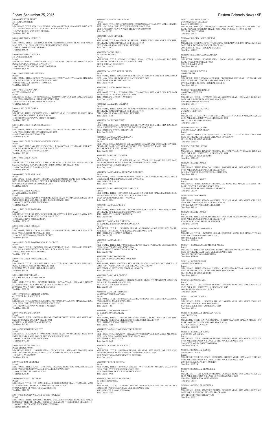# Friday, September 25, 2015 **Eastern Colorado News • 9B** Eastern Colorado News • 9B

M0006647 FILTER TERRY c/o HARDMAN SHERI Parcel:

MBL HOME, TITLE: 12W133481 SERIAL: MHC800258 YEAR: 1980 MAKE: MHC SIZE: 14/72 PARK: FRIENDLY VILLAGE OF AURORA SPACE: 0293 1924 VAN BUREN WAY #0293 AURORA Total Due: \$117.56

M0003698 FINKEY JOSEPH E Parcel: MBL HOME, TITLE: 12W145629 SERIAL: 12265FD313X210667 YEAR: 1971 MAKE: MAR SIZE: 12/61 PARK: GREEN ACRES MHP SPACE: 020D 1540 BILLINGS ST #020D AURORA Total Due: \$88.54

Parcel:<br>MBL HOME, TITLE: 12W205776 SERIAL: 35510354I YEAR: 1996 MAKE: SPR SIZE:<br>14/76 PARK: PINE LAKES RANCH SPACE: 0056 10201 RIVERDALE RD #0056 THORNTON Total Due: \$212.17

M0006504 FINSTAD JOYCE A c/o LARSEN DICK M Parcel: MBL HOME, TITLE: 12R616216 SERIAL: 3717UX YEAR: 1980 MAKE: REG SIZE: 26/56 PARK: WOODLAND HILLS SPACE: 0137 1500 THORNTON PKWY W #0137 THORNTON Total Due: \$129.31

Parcel:<br>MBL HOME, TITLE: 12W589232 SERIAL: 14103025 YEAR: 1982 MAKE: FLA SIZE: 14/66<br>PARK: WOODLAND HILLS SPACE: 0450 1500 THORNTON PKWY W #0450 THORNTON Total Due: \$125.56

M0012594 FISHER MELANIE IVA

Parcel:<br>MBL HOME, TITLE: 12W240072 SERIAL: 35511044F YEAR: 1993 MAKE: SPR SIZE:<br>16/76 PARK: REDWOOD ESTATES SPACE: 0552 9595 PECOS ST #0552 THORNTON Total Due: \$253.37

Parcel:<br>MBL HOME, TITLE NO: 12T957576 SERIAL: P120406 YEAR: 1973 MAKE: SCH SIZE:<br>14/56 PARK: HILLCREST VILLAGES SPACE: 0517 14701 COLFAX AVE E #0517 AURORA Total Due: \$82.98

M0014903 FLING WYLMA F c/o TAYLOR PAULA M Parcel: MBL HOME, TITLE: 12W045713 SERIAL: 470059001648 YEAR: 2000 MAKE: O P SIZE: 16/66 PARK: KIMBERLY HILLS MHP SPACE: 0160 2305 92ND AVE W #0160 FEDERAL HEIGHTS Total Due: \$263.89

MBL HOME, TITLE: 12R350613 SERIAL: GLMCSMOT8166 YEAR: 1971 MAKE: GEN<br>SIZE: 12/56 PARK: LINCOLN MOTEL & TRAILER PARK SPACE: 0062<br>6694 HIGHWAY 2 #0062 COMMERCE CITY Total Due: \$75.70

M0008813 FLORES CARLA

MBL HOME, TITLE: 12W561549 SERIAL: JK1070 YEAR: 1972 MAKE: BON SIZE: 14/60<br>PARK: FRIENDLY VILLAGE OF THE ROCKIES SPACE: 0199<br>2100 100TH AVE W #0199 THORNTON Total Due: \$92.07

Parcel MBL HOME, TITLE NO: 12T949878 SERIAL: HK6272 YEAR: 1996 MAKE: DARBY SIZE:<br>16/76 PARK: HILLCREST VILLAGES SPACE: 0217<br>1600 SABLE BLVD #0217 AURORA Total Due: \$258.12

M0010649 FLORES FRANCISCO JAVIER

M0001883 FLORES GRANADOS MIGUEL ANGEL

MBL HOME, TITLE NO: 12W132818 SERIAL: HM7764 YEAR: 1998 MAKE: DARBY<br>SIZE: 16/66 PARK: HOLIDAY HILLS VILLAGE SPACE: 0514<br>2000 92ND AVE W #0514 FEDERAL HEIGHTS Total Due: \$228.58

M0017008 FLORES HUGO

Parcel: MBL HOME, TITLE NO: 12T207124 SERIAL: PLA370418KSA/B YEAR: 2007 MAKE: SCH SIZE: 27/52 PARK: WOODSHIRE EAST MH COMMUNITY SPACE: 0146 17459 COOLIDGE PL E #0146 AURORA Total Due: \$660.86

M0000969 FLORES MARIANO

M0001267 FLORES NATALIE c/o MORALES ANGELICA

Parcel

Parcel

M0013154 FLORES ROBERTO

Parcel:<br>MBL HOME, TITLE: 12T547882 SERIAL: 229941207044AB YEAR: 1999 MAKE: SENTRY SIZE: 24/43 PARK: VALLEY VIEW ESTATES SPACE: 0218 1201 THORNTON PKWY W #0218 THORNTON 000000000 Total Due: \$72.29

M0005853 FLORES ROGELIO

Parcel: MBL HOME, TITLE: 12W203581 SERIAL: 450AG526 YEAR: 1955 MAKE: SPA SIZE: 08/46 PARK: MILE HI MHP SPACE: 0008 5720 63RD AVE E #0008 COMMERCE CITY Total Due: \$51.72

Parcel:<br>MBL HOME, TITLE NO: 12W095267 SERIAL: UI0833A YEAR: 1984 MAKE: SKY SIZE:<br>14/66 PARK: KIMBERLY HILLS MHP SPACE: 0159 2305 92ND AVE W #0159 FEDERAL HEIGHTS Total Due: \$139.77 M0007796 GAGNA LEON c/o GAGNA DONNA<br>Parcel:<br>MBL HOME, TITLE: 12M968373 SERIAL: 80144135 YEAR: 1974 MAKE: T&C SIZE:<br>14/76 PARK: BERKELEY VILLAGE SPACE: 0353 5400 SHERIDAN BLVD #0353 Total Due: \$103.54

M0014851 FLORES ROMERO MIGUEL JACINTO

Parcel:<br>MBL HOME, TITLE: 12W293080 SERIAL: K14370FB080389 YEAR: 1978 MAKE: MAR<br>SIZE: 14/66 PARK: HILLCREST VILLAGES SPACE: 0490 1747 CIMARRON ST #0490 AURORA Total Due: \$104.16

Parcel: MBL HOME, TITLE: 12W717406 SERIAL: P292541AB YEAR: 1999 MAKE: SCH SIZE: 28/52 PARK: FRIENDLY VILLAGE OF AURORA SPACE: 0111 1806 PAGOSA WAY #0111 AURORA Total Due: \$383.07

Parcel:<br>MBL HOME, TITLE: 12W268519 SERIAL: CS9406 YEAR: 1977 MAKE: CEN SIZE: 14/71<br>PARK: PINE LAKES RANCH SPACE: 0513 4210 100TH AVE E #0513 THORNTON Total Due: \$95.28

M0004513 FLORES ROSAS MILAGRO Parcel: MBL HOME, TITLE: 12W219277 SERIAL: 6284Z YEAR: 1971 MAKE: BLA SIZE: 14/71

Parcel:<br>MBL HOME, TITLE: 12W573061 SERIAL: 0502563590 YEAR: 1970 MAKE: CHA SIZE:<br>24/56 PARK: KIMBERLY HILLS MHP SPACE: 0435 2311 92ND AVE W #0435 FEDERAL HEIGHTS Total Due: \$143.18

PARK: KIMBERLY HILLS MHP SPACE: 0021 2305 92ND AVE W #0021 FEDERAL HEIGHTS Total Due: \$93.08

Parcel:<br>MBL HOME, TITLE NO: 12T198890 SERIAL: 7762 YEAR: 1980 MAKE: SHA SIZE: 16/66<br>PARK: FRIENDLY VILLAGE OF THE ROCKIES SPACE: 0493<br>2100 100TH AVE W #0493 THORNTON Total Due: \$124.32

M0014044 FOOS THELMA L c/o FOOS ALLEN J FOOS KIRK H Parcel:

Parcel:<br>MBL HOME, TITLE: 12R466491 SERIAL: 12652TFLCDCK1798T YEAR: 1970 MAKE: S L SIZE: 12/61 PARK: FRANKLIN MHP SPACE: 0123 1616 78TH AVE E #0123 Total Due: \$79.81

M0011397 FOSTER CHRISTINE DIANE c/o FOSTER PAUL VICTOR JR Parcel:<br>MBL HOME, TITLE: 12W222386 SERIAL: PH170719AB YEAR: 1995 MAKE: PAL SIZE: 28/56 PARK: VALLEY VIEW ESTATES SPACE: 0313 1201 THORNTON PKWY W #0313 THORNTON

Total Due: \$204.01

Parcel:<br>MBL HOME, TITLE: 12W131834 SERIAL: KSDH08A6916201A YEAR: 1979 MAKE:<br>AME SIZE: 14/66 PARK: PINE LAKES RANCH SPACE: 0745 4210 100TH AVE E #0745 THORNTON Total Due: \$87.88

Parcel: MBL HOME, TITLE: 12R474781 SERIAL: K7568 YEAR: 1962 MAKE: DET SIZE: 10/40 PARK: SHADY LANE MHP SPACE: 0044 6791 HIGHWAY 2 #0044 COMMERCE CITY Total Due: \$59.82 M0000599 GARCIA OLIVIA M c/o GARCIA ANGUIANO JOSE ROBERTO<br>Parcel:<br>MBL HOME, TITLE: 12W207954 SERIAL: GB8FHADM11386 YEAR: 1972 MAKE: ALP

M0017597 FUEHRER LISA RENAE

Parcel:<br>MBL HOME, TITLE: 12W147683 SERIAL: P162622 YEAR: 1978 MAKE: SCH SIZE: 14/66 PARK: WIKIUP MHP SPACE: 0060 6500 88TH AVE E #0060 Total Due: \$94.36

M0007615 FULTZ CLYDE R

M0005564 GALAVIZ JOSE ALFREDO

M0000210 GALICIA ROJAS MARIA I

M0011221 GALLARDO DELFINA

M0008566 GALLEGOS FELIX

M0014897 GARCIA ANDRADE ELVA G c/o GARCIA MARTINEZ JUAN

Parcel: MBL HOME, TITLE: 12W180471 SERIAL: 62510143MA/B YEAR: 1999 MAKE: SKY SIZE:<br>24/60 PARK: EAST GATE VILLAGE SPACE: 0375 PRO RATED 4 MOS 1999<br>3060 BRIDGE ST E #0375 BRIGHTON Total Due: \$388.51

M0011320 GARCIA ELIZABETH

Parcel: MBL HOME, TITLE: 12W181728 SERIAL: 9611 YEAR: 1972 MAKE: FAL SIZE: 14/66<br>PARK: HIGHVIEW MOBILE HOME COMMUNITY SPACE: 0158<br>8601 ZUNI ST #0158 WESTMINSTER Total Due: \$90.45

M0004354 GARCIA ESCANDON IVAN RODOLFO

M0011372 GARCIA HENRIQUEZ CARLOS E

Parcel: MBL HOME, TITLE: 12W163767 SERIAL: 2810 YEAR: 1980 MAKE: EMB SIZE: 14/60 PARK: FRIENDLY VILLAGE OF AURORA SPACE: 0041 17024 BUCHANAN PL E #0041 AURORA Total Due: \$108.64

M0007317 GARCIA JANENE D

Parcel: MBL HOME, TITLE: 12W244633 SERIAL: 03590603K YEAR: 1977 MAKE: HOM SIZE: 14/66 PARK: PINE LAKES RANCH SPACE: 0378 4211 100TH AVE E #0378 THORNTON Total Due: \$92.50

M0006195 GARCIA JESUS MORFIN c/o RAMIREZ BIRRUETA MARIA ANGELICA

M0007708 GARCIA LUIS H

SIZE: 14/64 PARK: COUNTRYSIDE VILLAGE SPACE: 0290 9850 FEDERAL BLVD #0290 FEDERAL HEIGHTS Total Due: \$90.79

M0000180 GARCIA R ROBERTO Parcel:

MBL HOME, TITLE: 12W255245 SERIAL: CL01751 YEAR: 1973 MAKE: CAS SIZE: 14/72 PARK: L&I FLANDERS SPACE: 0006 590 COLFAX AVE #0006 BENNETT Total Due: \$86.98

M0013369 GARCIA STEPHANIE c/o LOPEZ VICTOR MANUEL Parcel:<br>MBL HOME, TITLE: 12W273020 SERIAL: 502702 YEAR: 1969 MAKE: REX SIZE: 10/50<br>PARK: RUSTIC RANCH SPACE: 0054 5565 FEDERAL BLVD #0054

Total Due: \$71.81

M0001093 FRANCO MONICA Parcel:<br>MBL HOME, TITLE: 12W293668 SERIAL: G2GE50F2N15225 YEAR: 1963 MAKE: G L SIZE: 10/46 PARK: FULVIEW SPACE: 0022 6270 HOLLY ST #0022 COMMERCE CITY Total Due: \$62.80 M0014079 FREDRICH PAULETT Parcel:<br>MBL HOME, TITLE: 12W154700 SERIAL: 10641F YEAR: 1997 MAKE: DUT SIZE: 27/60 PARK: FRIENDLY VILLAGE OF THE ROCKIES SPACE: 0013 2100 100TH AVE W #0013 THORNTON Total Due: \$443.21 M0002482 FREYTA PEGGY S Parcel: 0181520300003<br>MBL HOME, TITLE: 12P608633 SERIAL: 031562F YEAR: 1973 MAKE: FRO SIZE: 14/66<br>PARK: PRIVATE PROPERTY SPACE: 0000 LAND PARC 1815-20-3-00-003 44251 38TH AVE E #0000 Total Due: \$78.19 M0009366 FRIAS LEONARD Parcel:<br>MBL HOME, TITLE: 12W171730 SERIAL: 98A17242 YEAR: 1989 MAKE: BON SIZE:<br>28/66 PARK: FRIENDLY VILLAGE OF AURORA SPACE: 0357<br>1880 QUINTERO ST #0357 AURORA Total Due: \$290.47 M0000443 FRIEND LESTER W Parcel MBL HOME, TITLE: 12W139258 SERIAL: F1HEHDMN5391 YEAR: 1969 MAKE: MAG<br>SIZE: 16/50 PARK: MOBILE LAND ESTATES SPACE: 0010<br>8920 DECATUR ST #0010 FEDERAL HEIGHTS Total Due: \$102.71 M0017986 FRIENDLY VILLAGE OF THE ROCKIES Parcel: MBL HOME, TITLE: 12W288034 SERIAL: W20CALSM4508A&B YEAR: 1979 MAKE: SOMERSET SIZE: 24/44 PARK: FRIENDLY VILLAGE OF THE ROCKIES SPACE: 0513 2100 100TH AVE W #0513 THORNTON 000000000 Total Due: \$181.40 M0013380 GARRAMONE DANIEL J c/o GARRAMONE MARLA K Parcel:<br>MBL HOME, TITLE: 12T117766 SERIAL: 05L26356XU YEAR: 1996 MAKE: LIB SIZE: 27/48 PARK: FRIENDLY VILLAGE OF THE ROCKIES SPACE: 0407 2100 100TH AVE W #0407 THORNTON Total Due: \$378.68 M0014887 GAYTAN NAVARRO CONNIE MARIE Parcel:<br>MBL HOME, TITLE: 12W661791 SERIAL: 479990401062 YEAR: 1999 MAKE: ATLANTIC SIZE: 16/76 PARK: MOBILE GARDENS SPACE: 0001 6250 FEDERAL BLVD #0001 Total Due: \$306.48 M0003401 GCP VALLEY VIEW LLC Parcel:<br>MBL HOME, TITLE: 12W278440 SERIAL: 196 YEAR: 1973 MAKE: PAR SIZE: 12/66<br>PARK: HIGHVIEW MOBILE HOME COMMUNITY SPACE: 0044 8601 ZUNI ST #0044 WESTMINSTER 000000000 Total Due: \$94.56 M0007719 GEORGE BRENDA Parcel:<br>MBL HOME, TITLE: 12W078024 SERIAL: 11066 YEAR: 1984 MAKE: G S SIZE: 14/66<br>PARK: VALLEY VIEW ESTATES SPACE: 0289<br>1201 THORNTON PKWY W #0289 THORNTON Total Due: \$149.15 M0017123 GIES ANGELINA IRENE c/o GIES THEODORE J<br>Parcel: Parcel:<br>MBL HOME, TITLE: 12T210988 SERIAL: 1R510398WAB YEAR: 2007 MAKE: SKY<br>SIZE: 27/56 PARK: CHAPARRAL VILLAGE SPACE: 0002<br>3180 88TH AVE E #0002 000000000 Total Due: \$552.94 M0008105 GONZALES ESPINOZA JUANA c/o LOPEZ ROSA Parcel: MBL HOME, TITLE: 12W196810 SERIAL: 14102255 YEAR: 1980 MAKE: N M SIZE: 14/76<br>PARK: NORTH COUNTY VILLAGE SPACE: 0319<br>5212 RIVERDALE LN #0319 Total Due: \$108.02 M0008155 GONZALES JESUS c/o MUNOZ MA ELENA Parcel: MBL HOME, TITLE: 12W185509 SERIAL: 01590307J YEAR: 1976 MAKE: SKY SIZE: 14/66 PARK: FRIENDLY VILLAGE OF THE ROCKIES SPACE: 0471 2100 100TH AVE W #0471 THORNTON Total Due: \$103.24 M0003242 GONZALEZ DANIEL c/o MICHAEL IRMA Parcel: MBL HOME, TITLE NO: 12W121393 SERIAL: 14101233 YEAR: 1977 MAKE: N M SIZE:<br>14/56 PARK: FRIENDLY VILLAGE OF THE ROCKIES SPACE: 0128<br>2100 100TH AVE W #0128 THORNTON Total Due: \$103.24 M0008700 GONZALEZ FRANCISCA Parcel: MBL HOME, TITLE: 12W163560 SERIAL: GC080231 YEAR: 1973 MAKE: AME SIZE: 12/56 PARK: FRIENDLY VILLAGE OF AURORA SPACE: 0295 1904 VAN BUREN WAY #0295 AURORA Total Due: \$80.73 M0000883 GONZALEZ MIGUEL A Parcel: MBL HOME, TITLE: 12W655832 SERIAL: GF059075 YEAR: 1976 MAKE: REV SIZE: 14/72 PARK: REDWOOD ESTATES SPACE: 0558 9595 PECOS ST #0558 THORNTON Total Due: \$108.21

M0012723 GILBERT MARK A c/o C/O KRUGER MILDRED Parcel: 0181500000315 MBL HOME, TITLE: 01T132038 SERIAL: DK1567 YEAR: 1961 MAKE: FAL SIZE: 10/51<br>PARK: PRIVATE PROPERTY SPACE: 0000 LAND PARCEL 1815-00-0-00-315<br>5795 HIGHWAY 79 #0000 Total Due: \$58.58

M0004462 GILDEN JAMES EUGENE Parcel: MBL HOME, TITLE NO: 12W517568 SERIAL: 6010KAB YEAR: 1971 MAKE: KIT SIZE: 24/56 PARK: DENVER CASCADE SPACE: 0321 2995 HAWK ST #0321 FEDERAL HEIGHTS Total Due: \$140.91

M0008938 GILMAN AMANDA MARIA

M0000598 GIMER DAVID S c/o GIMER TERI Parcel: MBL HOME, TITLE: 12W184285 SERIAL: GBBFHADM10980 YEAR: 1972 MAKE: ALP SIZE: 12/64 PARK: DENVER CASCADE SPACE: 0376 2970 CASCADE DR #0376 FEDERAL HEIGHTS Total Due: \$87.39

M0005097 GIOSO MICHAEL F c/o GIOSO STEVEN M Parcel: MBL HOME, TITLE: 12P229530 SERIAL: 04590233J YEAR: 1976 MAKE: BUD SIZE:<br>14/71 PARK: BERKELEY VILLAGE SPACE: 0284<br>5400 SHERIDAN BLVD #0284 Total Due: \$37.13

M0002675 GIRON LIDUVINA c/o GIRON CRISTINA Parcel: MBL HOME, TITLE: 12W156718 SERIAL: 050233221 YEAR: 1970 MAKE: CHA SIZE:<br>24/38 PARK: HILLCREST VILLAGES SPACE: 0381<br>1967 CLARK ST #0381 AURORA Total Due: \$116.45

M0008056 GIRON LUCERO c/o SANTILLAN LEONARDO Parcel: MBL HOME, TITLE: 12W220560 SERIAL: 7WK701613178 YEAR: 1985 MAKE: WIN SIZE: 16/65 PARK: HILLCREST VILLAGES SPACE: 0393 1815 CLARK ST #0393 AURORA Total Due: \$147.67

M0011742 GIRON LUCERO Parcel: MBL HOME, TITLE: 12W293279 SERIAL: HI4478AB YEAR: 1994 MAKE: EDI SIZE:<br>28/56 PARK: HILLCREST VILLAGES SPACE: 0394<br>1814 CLARK ST #0394 AURORA Total Due: \$348.49

M0002963 GLORY HOMES Parcel: MBL HOME, TITLE: 12W657401 SERIAL: 1GW6373 YEAR: 1973 MAKE: GLE SIZE: 14/68 PARK: DENVER CASCADE SPACE: 0225 2610 BASSWOOD ST #0225 FEDERAL HEIGHTS Total Due: \$58.85

M0004686 GLORY HOMES Parcel: MBL HOME, TITLE: 12W613842 SERIAL: 733 YEAR: 1973 MAKE: LON SIZE: 14/61 PARK: DENVER CASCADE SPACE: 0220 2730 WARBLER ST #0220 FEDERAL HEIGHTS Total Due: \$87.39

M0004896 GLORY HOMES Parcel:<br>MBL HOME, TITLE: 12W636200 SERIAL: 0959316H YEAR: 1974 MAKE: CRE SIZE:<br>14/61 PARK: DENVER CASCADE SPACE: 0198 9780 LARK ST #0198 FEDERAL HEIGHTS Total Due: \$87.39

M0012954 GLORY HOMES Parcel:<br>MBL HOME, TITLE: 12W652900 SERIAL: 47960157081 YEAR: 1996 MAKE: WES SIZE:<br>16/66 PARK: DENVER CASCADE SPACE: 0163 9740 TERN ST #0163 FEDERAL HEIGHTS Total Due: \$137.94

M0009820 GODINEZ GABRIELA Parcel:<br>MBL HOME, TITLE: 12W292551 SERIAL: 2210665921 YEAR: 1981 MAKE: TIT SIZE:<br>14/52 PARK: WIKIUP MHP SPACE: 0057 6500 88TH AVE E #0057 Total Due: \$101.06

M0013741 GOMEZ ARAUJO MIGUEL ANGEL Parcel: MBL HOME, TITLE NO: 12W134993 SERIAL: SSETX02998 YEAR: 1997 MAKE: SOU<br>SIZE: 16/76 PARK: EAST GATE VILLAGE SPACE: 0203<br>3060 BRIDGE ST E #0203 BRIGHTON Total Due: \$253.69

M0015542 GOMEZ EDGAR c/o BELTRAN BRISSA Parcel: MBL HOME, TITLE: 12W184472 SERIAL: C2520669MA/B YEAR: 2000 MAKE: SKY<br>SIZE: 28/56 PARK: HILLCREST VILLAGES SPACE: 0390<br>1845 CLARK ST #0390 AURORA Total Due: \$386.41

M0003076 GOMEZ JANELI Parcel: MBL HOME, TITLE: 12T996108 SERIAL: 1169601381 YEAR: 1970 MAKE: WAY SIZE:<br>12/56 PARK: HILLCREST VILLAGES SPACE: 0142<br>1600 SABLE BLVD #0142 AURORA Total Due: \$82.98

M0005852 GOMEZ JOSE R Parcel: MBL HOME, TITLE: 12W022564 SERIAL: 10469776 YEAR: 1966 MAKE: FRO SIZE: 10/42 PARK: MILE HI MHP SPACE: 0017 5720 63RD AVE E #0017 COMMERCE CITY Total Due: \$60.81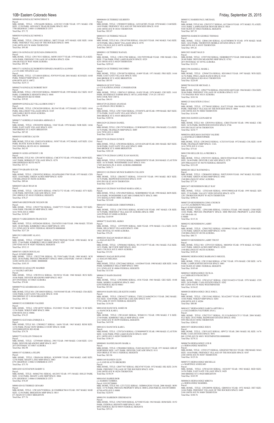M0000040 GONZALEZ MONCERRAT S Parcel:<br>MBL HOME, TITLE: 12W166498 SERIAL: A52C2CC1518R YEAR: 1971 MAKE: CRI SIZE: 12/50 PARK: ADVANCE TRAILER PARK SPACE: 0051 7700 HIGHWAY 2 #0051 COMMERCE CITY Total Due: \$71.72 M0003819 GONZALEZ MONICA Parcel: MBL HOME, TITLE: 12W611853 SERIAL: 30072 YEAR: 1973 MAKE: GEE SIZE: 14/66 PARK: FRIENDLY VILLAGE OF THE ROCKIES SPACE: 0496 2100 100TH AVE W #0496 THORNTON Total Due: \$95.80 M0011156 GONZALEZ QUEZADA EMMANUEL

Parcel:<br>MBL HOME, TITLE: 12W178313 SERIAL: MOW1383577 YEAR: 1979 MAKE: FLA SIZE:<br>14/56 PARK: FRIENDLY VILLAGE OF AURORA SPACE: 0206 1966 BUCKLEY WAY #0206 AURORA Total Due: \$91.90

Parcel:<br>MBL HOME, TITLE: 12W252285 SERIAL: 50048059 YEAR: 1959 MAKE: ELC SIZE: 10/47<br>PARK: COMMERCE HEIGHTS SPACE: 0048 7701 BRIGHTON BLVD #0048 Total Due: \$39.82

Parcel MBL HOME, TITLE: 12W265209 SERIAL: JK1544 YEAR: 1972 MAKE: LCV SIZE: 14/64<br>PARK: HILLCREST VILLAGES SPACE: 0169<br>1600 SABLE BLVD #0169 AURORA Total Due: \$88.54

M0015711 GONZALEZ ROBERTO/ESPARZA MARITZA ALONSO c/o C/O AMC FINANCE LLC<br>Parcel: Parcel:<br>MBL HOME, TITLE: 12T148418 SERIAL: P297839 YEAR: 2001 MAKE: SCH SIZE: 16/68<br>PARK: WIKIUP MHP SPACE: 0072 6500 88TH AVE E #0072 Total Due: \$235.11

M0004274 GONZALEZ ROBERT ROY

Parcel:<br>MBL HOME, TITLE: 12W039762 SERIAL: GEAFHASM13700 YEAR: 1975 MAKE: CEN SIZE: 14/64 PARK: GREEN ACRES MHP SPACE: 025D 1540 BILLINGS ST #025D AURORA Total Due: \$89.66

M0002855 GRAY RYAN M Parcel:<br>MBL HOME, TITLE: 12R214874 SERIAL: 0706721772 YEAR: 1972 MAKE: STY SIZE:<br>12/48 PARK: DENVER CASCADE SPACE: 0103<br>2901 ORIOLE ST #0103 FEDERAL HEIGHTS

M0009499 GONZALEZ VILLALOBOS JOSE V

M0006717 GORDILLO SARABIA ABIMAEL E

Parcel: MBL HOME, TITLE: 12W202950 SERIAL: 3368 YEAR: 1970 MAKE: NOR SIZE: 14/66<br>PARK: EAST GATE VILLAGE SPACE: 0291<br>3060 BRIDGE ST E #0291 BRIGHTON Total Due: \$87.02

M0004288 GUADALUPE MADRID c/o VALDEZ ARTURO Parcel: MBL HOME, TITLE: 12W293116 SERIAL: 50158316 YEAR: 1960 MAKE: RUS SIZE:<br>10/46 PARK: DENVER MEADOWS MHP SPACE: 0025<br>2075 POTOMAC ST #0025 AURORA<br>Total Due: \$74.06

M0003835 GORTER CALVIN Parcel: MBL HOME, TITLE NO: 12M551076 SERIAL: 30587 YEAR: 1972 MAKE: AST SIZE: 12/61 PARK: RUSTIC RANCH SPACE: 0118 5565 FEDERAL BLVD #0118 000000000

M0008879 GUADARRAMA S ANA Parcel:<br>MBL HOME, TITLE NO: 12W108439 SERIAL: 5103501040 YEAR: 1976 MAKE: CRA SIZE:

Total Due: \$62.93

M0000191 GOSS ANTHONY J JR Parcel:<br>MBL HOME, TITLE NO: 12W108703 SERIAL: CMC8753 YEAR: 1976 MAKE: MON SIZE: 14/67 PARK: BERKELEY VILLAGE SPACE: 0270 5400 SHERIDAN BLVD #0270 Total Due: \$37.11

M0015759 GRAHN SUN IM

Total Due: \$78.27 M0007648 GREENWADE NELSON SR Parcel:

MBL HOME, TITLE: 12W257760 SERIAL: 2248877275 YEAR: 1984 MAKE: TIT SIZE: 14/66 PARK: FRANKLIN MHP SPACE: 0003 1616 78TH AVE E #0003 Total Due: \$130.87

Parcel:<br>MBL HOME, TITLE: 12W008255 SERIAL: 165214CDFL YEAR: 1970 MAKE: CAM SIZE: 14/65 PARK: FRIENDLY VILLAGE OF THE ROCKIES SPACE: 0183 2100 100TH AVE W #0183 THORNTON Total Due: \$92.07

M0018173 GREGERSON FRANCIS D Parcel: MBL HOME, TITLE: 03P204260 SERIAL: 226354T8315AB YEAR: 1986 MAKE: TITAN<br>SIZE: 28/48 PARK: KIMBERLY HILLS MHP SPACE: 0391<br>2311 92ND AVE W #0391 FEDERAL HEIGHTS 000000000 Total Due: \$217.20

Parcel:<br>MBL HOME, TITLE: 12W212788 SERIAL: 228170T9398AB YEAR: 1988 MAKE: CHA<br>SIZE: 27/66 PARK: PINE LAKES RANCH SPACE: 0529 4210 100TH AVE E #0529 THORNTON Total Due: \$295.65

M0013913 GREGORY ALAN L Parcel: MBL HOME, TITLE: 12T268657 SERIAL: 47985178829AB YEAR: 1998 MAKE: M M SIZE: 27/66 PARK: KIMBERLY HILLS MHP SPACE: 0287 2305 92ND AVE W #0287 FEDERAL HEIGHTS Total Due: \$512.13 M0007451 GREIN DOUGLAS

Parcel:<br>MBL HOME, TITLE: 12R874115 SERIAL: 81420 YEAR: 1978 MAKE: CHI SIZE: 14/61<br>PARK: RIVERDALE FARMS SPACE: 407A LAND PARC 1719-25-1-05-013 8456 COOK WAY #407A Total Due: \$96.93

Parcel: 0156905100008 MBL HOME, TITLE: 12W227398 SERIAL: PL170367A&B YEAR: 1980 MAKE: SCH SIZE: 28/56 PARK: PRIVATE PROPERTY SPACE: 0000 LAND PARC 1569-05-1-00-008<br>16300 168TH AVE E #0000 000000000 Total Due: \$185.55

Parcel:<br>MBL HOME, TITLE: 12W179730 SERIAL: CLW005689TX YEAR: 1996 MAKE: CLA SIZE:<br>16/76 PARK: FRANKLIN MHP SPACE: 0089 1616 78TH AVE E #0089 Total Due: \$243.44

Parcel:<br>MBL HOME, TITLE: 12W149629 SERIAL: NEB89B00822 YEAR: 1998 MAKE: BON SIZE: 28/56 PARK: WOODSHIRE EAST MH COMMUNITY SPACE: 0001 1553 SEDALIA WAY #0001 AURORA Total Due: \$214.60

14/66 PARK: EAST GATE VILLAGE SPACE: 0104 3060 BRIDGE ST E #0104 BRIGHTON Total Due: \$95.52 M0000352 GUERRIERO VALERIE

Parcel:<br>MBL HOME, TITLE: 12W757853 SERIAL: 0C05871158 YEAR: 1987 MAKE: CR SIZE:<br>16/76 PARK: FRIENDLY VILLAGE OF AURORA SPACE: 0008 1620 PITKIN ST #0008 AURORA Total Due: \$169.99

Parcel: MBL HOME, TITLE: 12W148787 SERIAL: FG218023 YEAR: 1967 MAKE: N M SIZE:

12/56 PARK: WIKIUP MHP SPACE: 0086 6500 88TH AVE E #0086 Total Due: \$74.25

M0008684 GUTIERREZ GILBERTO

M0009552 GUEVARA ENRIQUE A Parcel:<br>MBL HOME, TITLE NO: 12W098217 SERIAL: 16656 YEAR: 1965 MAKE: REM SIZE:<br>12/56 PARK: PEAK VIEW MOBILE COURT SPACE: 024B 10550 BRIGHTON RD #024B Total Due: \$74.78

M0003772 GUILLEN TOMAS M Parcel:<br>MBL HOME, TITLE: 12T958485 SERIAL: 2983 YEAR: 1969 MAKE: CAM SIZE: 12/61<br>PARK: DENVER MEADOWS MHP SPACE: 0037 2075 POTOMAC ST #0037 AURORA Total Due: \$82.98

Parcel:<br>MBL HOME, TITLE: 12W565277 SERIAL: TXFL212A40429CO13 YEAR: 2002 MAKE:<br>FLE SIZE: 16/60 PARK: DENVER CASCADE SPACE: 0193 9730 LARK ST #0193 FEDERAL HEIGHTS Total Due: \$154.58 M0014368 HANCOCK JAMES M

M0001557 GURROLA FELIPE Parcel: MBL HOME, TITLE: 12R436104 SERIAL: K58598W YEAR: 1968 MAKE: AME SIZE:<br>12/56 PARK: SHADY LANE MHP SPACE: 0063<br>6791 HIGHWAY 2 #0063 COMMERCE CITY Total Due: \$75.70

M0014283 GUSTAFSON BARRY G Parcel: MBL HOME, TITLE: 06M627561 SERIAL: 6012053 YEAR: 1971 MAKE: HOLLY PARK SIZE: 12/62 PARK: SHADY LANE MHP SPACE: 0066 6791 HIGHWAY 2 #0066 COMMERCE CITY Total Due: \$76.69

M0001420 GUTIERREZ GENARO Parcel: MBL HOME, TITLE: 12W165679 SERIAL: K12260RKK70616 YEAR: 1967 MAKE: MAR SIZE: 12/56 PARK: BRIGHTON MHP SPACE: 0015 671 MAIN ST S #0015 BRIGHTON Total Due: \$77.76

M0015053 HART MAX D Parcel

M0001033 GUTIERREZ NELLIE Parcel:<br>MBL HOME, TITLE NO: 12W107598 SERIAL: GSA2453 YEAR: 1963 MAKE: VAG SIZE: 10/50 PARK: HILLCREST VILLAGES SPACE: 0578 14701 COLFAX AVE E #0578 AURORA Total Due: \$68.47

> M0013396 HASSELL MARK L Parcel:<br>MBL HOME, TITLE: 12W067254 SERIAL: 8D510863J YEAR: 1997 MAKE: WIN SIZE:<br>16/76 PARK: PINE LAKES RANCH SPACE: 0143<br>10201 RIVERDALE RD #0143 THORNTON

M0009011 GUTIERREZ RAFAEL

MBL HOME, TITLE: 12P627754 SERIAL: 0562102201AB YEAR: 1966 MAKE: CHA SIZE:<br>20/46 PARK: FRIENDLY VILLAGE OF AURORA SPACE: 0135<br>1753 PAGOSA WAY #0135 AURORA Total Due: \$101.94

M0002324 GUTIERREZ SOCORRO Parcel: MBL HOME, TITLE: 12W189754 SERIAL: 01409 YEAR: 1971 MAKE: FRO SIZE: 14/64

> Parcel MBL HOME, TITLE: 12T796545 SERIAL: S1672 YEAR: 1964 MAKE: PRE SIZE: 20/52<br>PARK: FRIENDLY VILLAGE OF THE ROCKIES SPACE: 0004<br>2100 100TH AVE W #0004 THORNTON Total Due: \$116.90

PARK: EAST GATE VILLAGE SPACE: 0282 3060 BRIDGE ST E #0282 BRIGHTON Total Due: \$85.95

M0005618 GUYOT TANA c/o C/O KATRINA JONES CONSERVATOR

M0014729 GUZMAN ANANIAS c/o GUZMAN CRUZ REBECA

Parcel: MBL HOME, TITLE: 12W174265 SERIAL: 2T520587LAB YEAR: 1999 MAKE: SKY SIZE: 27/56 PARK: EAST GATE VILLAGE SPACE: 0105 3060 BRIDGE ST E #0105 BRIGHTON Total Due: \$389.56

M0012629 GUZMAN DANIEL

M0015570 GUZMAN EUNICE

Parcel: MBL HOME, TITLE: 12W289266 SERIAL: 62510142NAB YEAR: 2001 MAKE: SKY SIZE:<br>24/48 PARK: EAST GATE VILLAGE SPACE: 0088<br>3060 BRIDGE ST E #0088 BRIGHTON Total Due: \$383.20

> Parcel:<br>MBL HOME, TITLE: 12W151960 SERIAL: 6750C YEAR: 1976 MAKE: CHI SIZE: 14/76<br>PARK: LAMPLIGHTER DENVER SPACE: 0001 9100 TEJON ST #0001 FEDERAL HEIGHTS Total Due: \$105.60

M0017379 GUZMAN LOPEZ JUAN MANUEL

c/o CARRASCO FRANCISCO<br>Parcel:<br>MBL HOME, TITLE: 12W165147 SERIAL: CHCCO16423/4 YEAR: 1978 MAKE: CEN SIZE: 24/56 PARK: CASA ESTATES SPACE: 0202 860 132ND AVE W #0202 WESTMINSTER Total Due: \$136.82

Parcel: MBL HOME, TITLE: 12T229762 SERIAL: CBH020599TX YEAR: 2010 MAKE: CLAYTON SIZE: 16/76 PARK: WOODSHIRE EAST SPACE: 0181 17495 BATAVIA PL E #0181 AURORA 000000000 Total Due: \$456.71

> Parcel:<br>MBL HOME, TITLE: 12W151063 SERIAL: XGA226837 YEAR: 1972 MAKE: KIR SIZE:<br>14/66 PARK: WIKIUP MHP SPACE: 0284 6500 88TH AVE E #0284 Total Due: \$80.00

M0010212 GUZMAN MUNOZ BARRON COLLEEN

Parcel:<br>MBL HOME, TITLE: 12W272317 SERIAL: FL312A/B42431CY13 YEAR: 2004 MAKE:<br>FLE SIZE: 28/52 PARK: REDWOOD ESTATES SPACE: 0582 9595 PECOS ST #0582 THORNTON Total Due: \$280.82

Parcel:<br>MBL HOME, TITLE: 12W511022 SERIAL: HP9721 YEAR: 2001 MAKE: HL SIZE: 16/76<br>PARK: CASA ESTATES SPACE: 0051<br>860 132ND AVE W #0051 WESTMINSTER 000000000<br>Total Due: \$278.32

Parcel: MBL HOME, TITLE: 12R439277 SERIAL: 35510153F YEAR: 1993 MAKE: SKY SIZE: 16/76 PARK: REDWOOD ESTATES SPACE: 0339 9595 PECOS ST #0339 THORNTON Total Due: \$242.19

M0014163 GUZMAN NAVIDAD MARIA ADELA

M0016567 HABEGGER CHRISTOPHER L

M0004772 HAEUSEL AKIKO Parcel:

MBL HOME, TITLE: 12T978599 SERIAL: 8688 YEAR: 1970 MAKE: CLA SIZE: 24/38 PARK: HILLCREST VILLAGES SPACE: 0380 1966 CRYSTAL ST #0380 AURORA Total Due: \$76.28 M0002201 HAGAN MARIAN BELLE c/o HAGAN KEVIN Parcel: MBL HOME, TITLE: 12W064663 SERIAL: WC1VS1977 YEAR: 1961 MAKE: FLE SIZE:

10/51 PARK: SKYVIEW MHP SPACE: 0019 16051 COLFAX AVE E #0019 AURORA Total Due: \$72.92 M0006451 HAGAN ROXANNE c/o HAGAN MELISSA Parcel:<br>MBL HOME, TITLE: 12W224662 SERIAL: 14102064 YEAR: 1980 MAKE: KIR SIZE: 14/66<br>PARK: KIMBERLY HILLS MHP SPACE: 0084 2311 92ND AVE W #0084 FEDERAL HEIGHTS Total Due: \$115.85

M0004155 HAHN DIANNE

Parcel: MBL HOME, TITLE: 12W280806 SERIAL: 4536 YEAR: 1965 MAKE: GEE SIZE: 10/48 PARK: MOBILE GARDENS SPACE: 0063 6250 FEDERAL BLVD #0063 Total Due: \$53.02

M0016910 HAHN HELLER KEITH JAMES

c/o HANCOCK KARI L Parcel:<br>MBL HOME, TITLE: 12W141603 SERIAL: WD401311 YEAR: 1998 MAKE: F S SIZE:<br>27/60 PARK: KIMBERLY HILLS MHP SPACE: 0399<br>2311 92ND AVE W #0399 FEDERAL HEIGHTS Total Due: \$419.90 M0014212 HANCOCK KARI L Parcel:<br>MBL HOME, TITLE: 12T072674 SERIAL: CLW009989TX YEAR: 1998 MAKE: CLAYTON<br>SIZE: 16/66 PARK: PINE LAKES RANCH SPACE: 0289<br>4211 100TH AVE E #0289 THORNTON Total Due: \$186.19 M0000401 HANSELMANN MARK A Parcel: MBL HOME, TITLE: 12W600063 SERIAL: FLR21461281CC YEAR: 1971 MAKE: GREAT<br>NORTHERN SIZE: 14/57 PARK: DENVER CASCADE SPACE: 0111<br>2920 ORIOLE ST #0111 FEDERAL HEIGHTS Total Due: \$83.96 M0001169 HANSEN GLEN c/o G AND M AUTO BROKERS Parcel: MBL HOME, TITLE: 12R877567 SERIAL: HK3474F YEAR: 1972 MAKE: HIL SIZE: 24/56<br>PARK: FRIENDLY VILLAGE OF THE ROCKIES SPACE: 0256<br>2100 100TH AVE W #0256 THORNTON Total Due: \$150.39 M0016565 HARRIS BOB c/o HARRIS TAMBRA Parcel: 0181507200001 MBL HOME, TITLE NO: 12T172222 SERIAL: NEB00A28265 YEAR: 2000 MAKE: BON SIZE: 15/76 PARK: PRIVATE PROPERTY SPACE: 0000 LAND PARCEL 0181507200001 42700 64TH AVE E #0000

Total Due: \$228.91

M0001591 HARRISON JEREMIAH M Parcel: MBL HOME, TITLE: 12W272850 SERIAL: K7538H YEAR: 1963 MAKE: HOM SIZE: 10/52<br>PARK: FEDERAL HEIGHTS MHP SPACE: 0019<br>8892 FEDERAL BLVD #0019 FEDERAL HEIGHTS Total Due: \$59.10

M0005312 HARRIS PAUL MICHAEL

Parcel: MBL HOME, TITLE NO: 12W525717 SERIAL: GC230418 YEAR: 1973 MAKE: FLA SIZE: 14/61 PARK: LAMPLIGHTER DENVER SPACE: 0024 9100 TEJON ST #0024 FEDERAL HEIGHTS Total Due: \$87.39

M0005926 HARSCH GEORGE THOMAS

Parcel: MBL HOME, TITLE: 12R861240 SERIAL: K14370FB08178 YEAR: 1978 MAKE: MAR SIZE: 14/62 PARK: THORNTON MOBILE ESTATES SPACE: 0195 3600 88TH AVE E #0195 THORNTON Total Due: \$95.26

MBL HOME, TITLE: 12T073582 SERIAL: NEB00B01972 YEAR: 2000 MAKE: BEL SIZE: 28/48 PARK: DENVER MEADOWS MHP SPACE: 075G 2075 POTOMAC ST #075G AURORA Total Due: \$112.91

Total Due: \$226.08

M0002780 HAUER MICHAEL L Parcel:

M0002125 HAUSTEIN LYDA C

M0013026 HAWES LEONARD M

Parcel: MBL HOME, TITLE NO: 12P293916 SERIAL: CRH1TX6108 YEAR: 1996 MAKE: CRE SIZE: 16/56 PARK: REDWOOD ESTATES SPACE: 0746 9595 PECOS ST #0746 THORNTON Total Due: \$234.77

M0002916 HEILMAN HAYNES VALIERE c/o HATFIELD CHRISTOPHER Parcel: MBL HOME, TITLE: 12W294523 SERIAL: 1CX5334 YEAR: 1972 MAKE: COL SIZE: 14/49<br>PARK: FRANKLIN MHP SPACE: 114A<br>1616 78TH AVE E #114A Total Due: \$75.64

M0015588 HELLER ELLA FREDRICA

Parcel: MBL HOME, TITLE: 12W553551 SERIAL: H0C015F04338AB YEAR: 1999 MAKE: OAK SIZE: 24/44 PARK: DENVER CASCADE SPACE: 0278 2695 PHEASANT ST #0278 FEDERAL HEIGHTS Total Due: \$331.09

M0002203 HELT RAYMOND A

Parcel: MBL HOME, TITLE: 12W068593 SERIAL: WH7US5858 YEAR: 1967 MAKE: FLE SIZE: 12/48 PARK: GREEN ACRES MHP SPACE: 056C 1540 BILLINGS ST #056C AURORA

Total Due: \$77.39 M0013673 HENDERSON BILLY RAY

Parcel:<br>MBL HOME, TITLE: 12T021648 SERIAL: 05955398882A/B YEAR: 1995 MAKE: KIN<br>SIZE: 27/56 PARK: VALLEY VIEW ESTATES SPACE: 0270<br>1201 THORNTON PKWY W #0270 THORNTON<br>Total Due: \$398.54

M0007329 HENDERSON CONG CHURCH c/o C/O LAURIDSON WILLIAM<br>Parcel: 0156934303008<br>MBL HOME, TITLE: 12P411080 SERIAL: UG0241A YEAR: 1983 MAKE: COM SIZE:<br>14/66 PARK: PRIVATE PROPERTY SPACE: 0000 PRIVATE PROPERTY LAND PARC 1567-00-0-00-141

0 #0000 Total Due: \$115.36

M0002552 HENDERSON LARRY Parcel: MBL HOME, TITLE: 12W037822 SERIAL: 0359896G YEAR: 1973 MAKE: HOM SIZE:

12/56 PARK: GREEN ACRES MHP SPACE: 015H 1540 BILLINGS ST #015H AURORA Total Due: \$80.73

M0005519 HENDERSON LARRY TRUST

Parcel: MBL HOME, TITLE NO: 12T915325 SERIAL: M604926 YEAR: 1978 MAKE: H P SIZE: 14/67 PARK: GREEN ACRES MHP SPACE: 023D 1540 BILLINGS ST #023D AURORA Total Due: \$105.28

M0004982 HERNANDEZ BARRANCO MIGUEL

M0005615 HERNANDEZ CECILIA

M0008528 HERNANDEZ CRUZ JOSE L

M0016517 HERNANDEZ GARCIA ARTURO A c/o SAUZAMEDA VALVERDE ANA L

# M0015873 HERNANDEZ JESUS

M0006794 HERNANDEZ LUIS R c/o HERNANDEZ MARTHA

MBL HOME, TITLE: 12T051273 SERIAL: GDGENE378011811 YEAR: 1980 MAKE: MAG<br>SIZE: 16/64 PARK: FRIENDLY VILLAGE OF THE ROCKIES SPACE: 0387<br>2100 100TH AVE W #0387 THORNTON

Parcel: Total Due: \$125.56

M0007272 HERNANDEZ MICHELLE c/o MARTINEZ ANSELMO Parcel:<br>MBL HOME, TITLE: 12W162320 SERIAL: 10236587 YEAR: 1982 MAKE: RED SIZE:<br>14/56 PARK: EAST GATE VILLAGE SPACE: 0428<br>3060 BRIDGE ST E #0428 BRIGHTON Total Due: \$103.99

M0000636 HERNANDEZ MIREYA c/o HERNANDEZ MARIBEL Parcel:<br>MBL HOME, TITLE: 12W288950 SERIAL: GB050314 YEAR: 1972 MAKE: DET SIZE:<br>14/66 PARK: FRIENDLY VILLAGE OF THE ROCKIES SPACE: 0489 2100 100TH AVE W #0489 THORNTON Total Due: \$100.76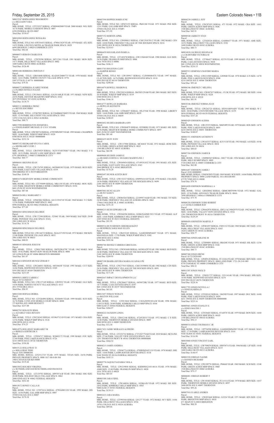MBL HOME, TITLE: 12W137900 SERIAL: MC4041F YEAR: 1972 MAKE: HOM SIZE:<br>14/56 PARK: GREEN ACRES MHP SPACE: 001F<br>1540 BILLINGS ST #001F AURORA Total Due: \$82.98

Parcel:<br>MBL HOME, TITLE: 12W049454 SERIAL: 471491N1832 YEAR: 1991 MAKE: ATL SIZE:<br>16/66 PARK: EAST GATE VILLAGE SPACE: 0363 3060 BRIDGE ST E #0363 BRIGHTON Total Due: \$176.20

Parcel:<br>MBL HOME, TITLE: 12W152327 SERIAL: 0509954141D YEAR: 1970 MAKE: CHA SIZE:<br>14/56 PARK: FRIENDLY VILLAGE OF THE ROCKIES SPACE: 0499<br>2100 100TH AVE W #0499 THORNTON Total Due: \$88.35

MBL HOME, TITLE: 12W046596 SERIAL: GEBGXADM13921 YEAR: 1975 MAKE: ALP<br>SIZE: 14/66 PARK: KIMBERLY HILLS MHP SPACE: 0215<br>2305 92ND AVE W #0215 FEDERAL HEIGHTS Total Due: \$91.95 M0000516 HUTCHINSON JEREMIAH KENT c/o HENDRICK SARA MAE ELLEN

Parcel:<br>MBL HOME, TITLE NO: 12W503698 SERIAL: 04590142P YEAR: 1981 MAKE: BUD SIZE:<br>24/40 PARK: FRIENDLY VILLAGE OF THE ROCKIES SPACE: 0486<br>2100 100TH AVE W #0486 THORNTON Total Due: \$209.95

Parcel:<br>MBL HOME, TITLE: 12W277033 SERIAL: CHCC0190056 YEAR: 1982 MAKE: CEN SIZE: 24/36 PARK: FRIENDLY VILLAGE OF THE ROCKIES SPACE: 0091 2100 100TH AVE W #0091 THORNTON Total Due: \$171.49

Friday, September 25, 2015 Eastern Colorado News • 11B M0015247 HERNANDEZ RIGOBERTO c/o DELGADO YARA Parcel: MBL HOME, TITLE: 12T233537 SERIAL: 470090402008 YEAR: 2000 MAKE: WIL SIZE: 16/76 PARK: MOBILE GARDENS SPACE: 0087 6250 FEDERAL BLVD #0087 Total Due: \$338.67 M0016968 HERNANDEZ ROSALBA Parcel: MBL HOME, TITLE NO: 03P254453 SERIAL: 4790613629 YEAR: 1979 MAKE: ATL SIZE: 14/52 PARK: LINCOLN MOTEL & TRAILER PARK SPACE: 0029 6694 HIGHWAY 2 #0029 COMMERCE CITY Total Due: \$82.64 M0006875 HEROD CHARLES B Parcel: MBL HOME, TITLE: 12T078590 SERIAL: MT12361 YEAR: 1981 MAKE: MON SIZE: 14/71 PARK: HILLCREST VILLAGES SPACE: 0002 1600 SABLE BLVD #0002 AURORA Total Due: \$126.49 M0001446 HERRERA CRISTIAN C Parcel:<br>MBL HOME, TITLE: 12R414688 SERIAL: K14265CD400773 YEAR: 1970 MAKE: MAR<br>SIZE: 14/61 PARK: NORTH COUNTY VILLAGE SPACE: 0776<br>5507 97TH PL E #0776 000000000<br>Total Due: \$79.36 M0000572 HERRERA JUAREZ NOEMI c/o FLORES SOTELO JULIAN Parcel: MBL HOME, TITLE: 12W186411 SERIAL: GA191160LR YEAR: 1971 MAKE: NEW SIZE: 24/56 PARK: DENVER MEADOWS MHP SPACE: 0102 2075 POTOMAC ST #0102 AURORA Total Due: \$138.75 M0003111 HERRERA TRINO c/o REYES SOCORRO<br>Parcel:<br>MBL HOME, TITLE: 12T867892 SERIAL: K12260RKKT80053 YEAR: 1968 MAKE: MAR<br>SIZE: 12/56 PARK: HILLCREST VILLAGES SPACE: 0563 14701 COLFAX AVE E #0563 AURORA Total Due: \$80.73 M0017590 HERRINGTON JENNIFER L c/o ENGELHARDT MICHAEL D C/O C STARK Parcel: MBL HOME, TITLE: 10W380734 SERIAL: 4795590N5097 YEAR: 1995 MAKE: CHAMPION SIZE: 16/66 PARK: WIKIUP MHP SPACE: 0320 6500 88TH AVE E #0320 000000000 Total Due: \$232.24 M0007352 HIEDKAMP SYLVIA CAROL c/o HIEDKAMP CLYDE J Parcel: MBL HOME, TITLE: 12R476929 SERIAL: 3G3V5510F3N867 YEAR: 1963 MAKE: V G<br>SIZE: 10/51 PARK: SHADY LANE MHP SPACE: 0005<br>6791 HIGHWAY 2 #0005 COMMERCE CITY<br>Total Due: \$64.77 M0006841 HIGGINS SEAN Parcel: MBL HOME, TITLE: 12W176705 SERIAL: 04590481M YEAR: 1979 MAKE: BUD SIZE: 24/56 PARK: EAST GATE VILLAGE SPACE: 0339 3060 BRIDGE ST E #0339 BRIGHTON Total Due: \$140.10 M0001674 HIGHVIEW MOBILE HOME COMMUNITY Parcel:<br>MBL HOME, TITLE NO: 12T795099 SERIAL: MK1150 YEAR: 1970 MAKE: MOU SIZE:<br>14/61 PARK: HIGHVIEW MOBILE HOME COMMUNITY SPACE: 0194 8601 ZUNI ST #0194 WESTMINSTER Total Due: \$87.04 M0004526 HILL MARGARET J Parcel:<br>MBL HOME, TITLE: 12P403862 SERIAL: 641213910745 YEAR: 1968 MAKE: T C SIZE:<br>12/56 PARK: PARKSIDE MHP SPACE: 0062<br>8990 FEDERAL BLVD #0062 FEDERAL HEIGHTS Total Due: \$77.69 M0004363 HINCHMAN DELORES Parcel:<br>MBL HOME, TITLE: 12W172388 SERIAL: 523041 YEAR: 1969 MAKE: SAF SIZE: 20/48<br>PARK: PIONEER VILLAGE SPACE: 034A 2901 63RD AVE W #034A Total Due: \$114.78 M0004900 HINCHMAN DELORES Parcel MBL HOME, TITLE NO: 12W146733 SERIAL: XGA227198 YEAR: 1972 MAKE: NM SIZE:<br>12/46 PARK: PIONEER VILLAGE SPACE: 0035<br>2901 63RD AVE W #0035 Total Due: \$80.03 M0008103 HINOJOS JESUS M Parcel: MBL HOME, TITLE: 12W017499 SERIAL: D45X2B1079C YEAR: 1962 MAKE: MAJ SIZE: 10/42 PARK: MONTVIEW TRAILER PARK SPACE: 0006 105 LONGS PEAK ST #0006 BRIGHTON 000000000 Total Due: \$61.07 M0010414 HINOJOS MUNOZ ZOHAR V Parcel: MBL HOME, TITLE: 12W246051 SERIAL: 04510645F YEAR: 1993 MAKE: CUT SIZE: 16/66 PARK: REDWOOD ESTATES SPACE: 0369 9595 PECOS ST #0369 THORNTON Total Due: \$231.05 M0005831 HIRTZ CARRIE C<br>Parcel: 0172118401017<br>MBL HOME, TITLE NO: 12W137149 SERIAL: GW9932 YEAR: 1978 MAKE: GLE SIZE:<br>14/56 PARK: NORTH COUNTY VILLAGE SPACE: 0113 4911 97TH DR E #0113 Total Due: \$96.93 M0015200 HOFSAS DEBRA Parcel:<br>MBL HOME, TITLE NO: 12T526498 SERIAL: P292608 YEAR: 1999 MAKE: SCH SIZE: 16/76 PARK: LYNN ANN MOBILE COURT SPACE: 0008 M0007594 HOPPER DORIS JUNE Parcel MBL HOME, TITLE NO: 12P453155 SERIAL: PK01260 YEAR: 1971 MAKE: PEE SIZE: Total Due: \$186.11 Parcel: Parcel: Parcel: Parcel: Parcel: Parcel: Parcel: Parcel:

Parcel:<br>MBL HOME, TITLE: 12T820328 SERIAL: GA080437 YEAR: 1971 MAKE: AME SIZE:<br>14/52 PARK: HILLCREST VILLAGES SPACE: 0182 1600 SABLE BLVD #0182 AURORA Total Due: \$80.73

# 12/61 PARK: GALAMB MHP SPACE: TMP1 35500 COLFAX AVE E #TMP1 Total Due: \$71.92 M0007152 HORTON APRIL Parcel:<br>MBL HOME, TITLE NO: 12W098613 SERIAL: CHCC018701/2 YEAR: 1982 MAKE: CEN<br>SIZE: 24/60 PARK: FRIENDLY VILLAGE OF THE ROCKIES SPACE: 0216<br>2100 100TH AVE W #0216 THORNTON<br>Total Due: \$218.63 M0006459 HOUGHLAND PAMELA Parcel:<br>MBL HOME, TITLE: 12T145478 SERIAL: GW11568AB YEAR: 1980 MAKE: GLE SIZE:<br>24/56 PARK: FRANKLIN MHP SPACE: 0006 1616 78TH AVE E #0006

Parcel:<br>MBL HOME, TITLE: 12W262725 SERIAL: MY9310059ABV YEAR: 1993 MAKE: W C<br>SIZE: 28/60 PARK: COUNTRYSIDE VILLAGE SPACE: 0159<br>9850 FEDERAL BLVD #0159 FEDERAL HEIGHTS Total Due: \$357.26

M0013703 HOUSTON CLIFF c/o HARPER RENEE<br>Parcel:<br>MBL HOME, TITLE NO: 12W109917 SERIAL: CLW008804TX YEAR: 1997 MAKE:<br>CLAYTON SIZE: 16/76 PARK: REDWOOD ESTATES SPACE: 0110 9595 PECOS ST #0110 THORNTON Total Due: \$290.60

> MBL HOME, TITLE: 12R135353 SERIAL: M605499 YEAR: 1979 MAKE: HOL SIZE: 14/76<br>PARK: PINE LAKES RANCH SPACE: 0691<br>4210 100TH AVE E #0691 THORNTON Total Due: \$100.87

M0016074 HOWELL SHARON K

MBL HOME, TITLE: 12W220234 SERIAL: D6520512NAB YEAR: 2001 MAKE: SKY SIZE: 26/44 PARK: WIKIUP MHP SPACE: 0119 6500 88TH AVE E #0119 Total Due: \$346.18

> M0016457 JOHNSON JAMES J<br>Parcel: 0181100000003<br>MBL HOME, SERIAL: UNKNOWN YEAR: 1969 MAKE: SCH SIZE: 14/66 PARK: PRIVATE<br>PROPERTY SPACE: 0000 LAND PARCEL 1811-00-0-00-003 67370 72ND AVE E #0000 Total Due: \$70.76

M0014777 HOWLAN BARBARA c/o HOWLAN KENNETH MBL HOME, TITLE NO: 12T064037 SERIAL: 05L27546 YEAR: 1998 MAKE: LIBERTY SIZE: 14/68 PARK: GALAMB MHP SPACE: 0039 35500 COLFAX AVE E #0039 Total Due: \$180.05

M0002452 HUERTA BARBARA ANN

c/o CASTILO AMBER RAY<br>Parcel:<br>MBL HOME, TITLE: 12W662976 SERIAL: IDFL1AC19042978 YEAR: 1982 MAKE: WES SIZE: 14/66 PARK: VALLEY VIEW ESTATES SPACE: 0316 1201 THORNTON PKWY W #0316 THORNTON Total Due: \$129.29

MBL HOME, TITLE NO: 12W084879 SERIAL: 0259809G YEAR: 1973 MAKE: HIL SIZE: 12/56 PARK: HIGHVIEW MOBILE HOME COMMUNITY SPACE: 0097 8601 ZUNI ST #0097 WESTMINSTER Total Due: \$81.40

M0001655 HUFF JUDY

M0011507 JONES NICK D Parcel:<br>MBL HOME, TITLE: 12W051737 SERIAL: 35511414G YEAR: 1994 MAKE: SPR SIZE:<br>16/66 PARK: REDWOOD ESTATES SPACE: 0276<br>9595 PECOS ST #0276 THORNTON<br>Total Due: \$228.56

M0009688 HUGHES JAMES E c/o HUGHES JUDITH A / HUGHES MADDYLINE J

MBL HOME, TITLE: 12T030143 SERIAL: 10629D YEAR: 1997 MAKE: DUC SIZE: 16/68<br>PARK: PINE LAKES RANCH SPACE: 0459<br>4211 100TH AVE E #0459 THORNTON 000000000 Total Due: \$225.16

M0002697 HUNER AUSTIN ROY

M0007003 HUNT ALLEN c/o HUNT NANCY

MBL HOME, TITLE: 12W065263 SERIAL: 2210995710AB YEAR: 1981 MAKE: TIT SIZE: 24/48 PARK: FRIENDLY VILLAGE OF AURORA SPACE: 0063 17046 COOLIDGE PL E #0063 AURORA Total Due: \$191.18

M0008215 HUSS EDWARD A JR

Parcel: MBL HOME, TITLE: 12R455249 SERIAL: GAHEDDMN6607 YEAR: 1971 MAKE: MAGNOLIA SIZE: 17/50 PARK: WIKIUP MHP SPACE: 0302 6500 88TH AVE E #0302 Total Due: \$101.06

M0006766 IBANEZ CARRERA GRICELDA

M0007190 IBARRA RIVERA MARIA GUADALUPE

M0002647 IMPACT DEVELOPMENTS LLC

MBL HOME, TITLE: 12W286657 SERIAL: 04590728K YEAR: 1977 MAKE: BUD SIZE: 14/71 PARK: CASA ESTATES SPACE: 0197 860 132ND AVE W #0197 WESTMINSTER Total Due: \$63.85

M0013457 INMAN WESLEY c/o BOLTON WILLIAM

MBL HOME, TITLE: 12T013664 SERIAL: CAVAZ6950183A/B YEAR: 1996 MAKE: CAVCO SIZE: 24/40 PARK: KIMBERLY HILLS MHP SPACE: 0564 9400 ELM CT #0564 FEDERAL HEIGHTS

375 KIOWA AVE #0008 BENNETT Total Due: \$237.89 M0002703 HOLGUIN IRMA c/o ALVAREZ VARA RENATO Parcel: MBL HOME, TITLE: 12W226343 SERIAL: 0519657121D YEAR: 1971 MAKE: CHA SIZE: 12/56 PARK: WIKIUP MHP SPACE: 0126 6500 88TH AVE E #0126 Total Due: \$74.25 M0014576 HOLLIDAY MARGARET M c/o BEREZA GERTRUDE S Parcel: MBL HOME, TITLE: 12T056717 SERIAL: WD402172 YEAR: 1999 MAKE: FOU SIZE: 27/60 PARK: PINE LAKES RANCH SPACE: 0726 4210 100TH AVE E #0726 THORNTON Total Due: \$356.88 M0015122 HOLLOWAY TJ c/o HOLLOWAY PERE Parcel: 0181700000304 MBL HOME, SERIAL: 2252512725 YEAR: 1975 MAKE: TITAN SIZE: 24/56 PARK: PRIVATE PROPERTY SPACE: 0000 1817-00-0-00-304 1960 CAVANAUGH RD #0000 Total Due: \$119.44 M0015852 HOLMES VIRGINIA c/o SUTHERLAND DAVID/SUTHERLAND FRANCES Parcel: MBL HOME, TITLE: 12T139763 SERIAL: HP9707A/B YEAR: 2001 MAKE: HIG SIZE: 28/48 PARK: HOLIDAY HILLS VILLAGE SPACE: 0062 2000 92ND AVE W #0062 FEDERAL HEIGHTS Total Due: \$432.44 M0015072 HONEY CALLA H Parcel: MBL HOME, TITLE NO: 12T073614 SERIAL: 4799A0801320 YEAR: 1999 MAKE: DIS SIZE: 14/56 PARK: GALAMB MHP SPACE: 0007 35500 COLFAX AVE E #0007 Total Due: \$170.38 Total Due: \$284.97 M0004222 JACKSON LINDA Parcel: MBL HOME, TITLE: 12R412146 SERIAL: 4724528515 YEAR: 1972 MAKE: C S SIZE: 14/48 PARK: THORNTON MOBILE ESTATES SPACE: 0089 3600 88TH AVE E #0089 THORNTON Total Due: \$72.30 M0017421 JAIME MORALES ALFREDO Parcel:<br>MBL HOME, TITLE: 12T232732 SERIAL: CY510277YAB YEAR: 2010 MAKE: SKYLINE SIZE: 27/44 PARK: VALLEY VIEW ESTATES SPACE: 0163 1201 THORNTON PKWY W #0163 THORNTON 000000000 Total Due: \$568.52 M0004215 JAMES ANDREA Parcel:<br>MBL HOME, TITLE: 12W067714 SERIAL: 470SB2KDAT1219 YEAR: 1970 MAKE: SHE<br>SIZE: 14/66 PARK: LAMPLIGHTER DENVER SPACE: 0136 9100 TEJON ST #0136 FEDERAL HEIGHTS Total Due: \$103.33 M0005770 JAQUEZ NATASHA VIOLA Parcel:<br>MBL HOME, TITLE: 12W219850 SERIAL: KSDH08A21811461A YEAR: 1978 MAKE:<br>AMH SIZE: 13/48 PARK: FRANKLIN MHP SPACE: 0028 1616 78TH AVE E #0028 Total Due: \$85.03 M0003388 JARA FIDEL Parcel:<br>MBL HOME, TITLE: 12W168836 SERIAL: 1828KA/B YEAR: 1972 MAKE: SIE SIZE:<br>24/62 PARK: KIMBERLY HILLS MHP SPACE: 0583<br>9400 ELM CT #0583 FEDERAL HEIGHTS Total Due: \$139.15 M0001633 JARA MARIA Parcel MBL HOME, TITLE: 12T995544 SERIAL: L01277 YEAR: 1972 MAKE: M V SIZE: 14/66 PARK: HILLCREST VILLAGES SPACE: 0534 14701 COLFAX AVE E #0534 AURORA M0005661 JONES STANLEY E c/o JONES MAUDE J Parcel:<br>MBL HOME, TITLE: 12T836681 SERIAL: 87A8576 YEAR: 1979 MAKE: BON SIZE: 14/60<br>PARK: GREEN ACRES MHP SPACE: 001D<br>1540 BILLINGS ST #001D AURORA Total Due: \$94.13 M0000518 JONES THURMAN C JR Parcel: MBL HOME, TITLE: 12P754590 SERIAL: GAHEHDMN6985 YEAR: 1971 MAKE: MAG<br>SIZE: 17/54 PARK: LAMPLIGHTER DENVER SPACE: 0101<br>9100 TEJON ST #0101 FEDERAL HEIGHTS<br>Total Due: \$116.98 M0010060 JONES VINCENT EARL Parcel:<br>MBL HOME, TITLE: 12W709079 SERIAL: H105307A YEAR: 1984 MAKE: LIF SIZE: 14/68<br>PARK: HILLCREST VILLAGES SPACE: 0215 1600 SABLE BLVD #0215 AURORA Total Due: \$140.97 M0001930 JORDAN NAOMI c/o HANSEN RICHARD Parcel: MBL HOME, TITLE: 12W190776 SERIAL: P84668 YEAR: 1969 MAKE: SCH SIZE: 12/48 PARK: GREEN ACRES MHP SPACE: 006F 1540 BILLINGS ST #006F AURORA Total Due: \$75.17 M0006001 JORDAN ROBERT F Parcel:<br>MBL HOME, TITLE: 12W185403 SERIAL: FC1151A YEAR: 1978 MAKE: BEN SIZE: 14/67 PARK: THORNTON MOBILE ESTATES SPACE: 0097 3600 88TH AVE E #0097 THORNTON Total Due: \$95.26 M0007910 JUAREZ ANDRES Parcel MBL HOME, TITLE: 12W023668 SERIAL: G3226 YEAR: 1971 MAKE: KIN SIZE: 12/41 PARK: BRIGHTON MHP SPACE: 0010 671 MAIN ST S #0010 BRIGHTON

Total Due: \$89.66

M0004230 JARRELL JEFF Parcel: MBL HOME, TITLE: 12W287433 SERIAL: 473 YEAR: 1972 MAKE: CRA SIZE: 14/61 PARK: GREEN ACRES MHP SPACE: 064C 1540 BILLINGS ST #064C AURORA Total Due: \$45.91

M0000540 JARRETT STAN

M0014830 JAUREGUI REGINA M c/o CRAWFORD VICTORIA M

Parcel: MBL HOME, TITLE: 12T506427 SERIAL: 82374 YEAR: 1999 MAKE: FLE SIZE: 16/56 PARK: CASA ESTATES SPACE: 0038 860 132ND AVE W #0038 WESTMINSTER Total Due: \$216.15

M0005513 JEMENEZ CHAVERO MARIA Parcel:<br>MBL HOME, TITLE: 12W211909 SERIAL: GN9840 YEAR: 1978 MAKE: G N SIZE: 14/70 PARK: PINE LAKES RANCH SPACE: 0506 4210 100TH AVE E #0506 THORNTON Total Due: \$93.44

M0006346 JIMENEZ C MELISSA Parcel:<br>MBL HOME, TITLE NO: 12W087837 SERIAL: 1513K YEAR: 1972 MAKE: SIE SIZE: 14/66<br>PARK: WIKIUP MHP SPACE: 0228

6500 88TH AVE E #0228 Total Due: \$81.91

M0010346 JIMENEZ NORMA JEAN

M0005429 JOHNSON ALISHA Parcel:

M0001531 JOHNSON ANTHONTY

Parcel: MBL HOME, TITLE: 12W163537 SERIAL: K51511H YEAR: 1963 MAKE: A H SIZE: 10/46<br>PARK: PIONEER VILLAGE SPACE: 0034<br>2901 63RD AVE W #0034 Total Due: \$80.03

M0007184 JOHNSON JAMES B

Parcel: MBL HOME, TITLE: 12M980565 SERIAL: 28817 YEAR: 1956 MAKE: AME SIZE: 08/37 PARK: MILE HI MHP SPACE: 0005 5720 63RD AVE E #0005 COMMERCE CITY Total Due: \$62.80

M0016820 JOHNSON MARSHALL A

Parcel:<br>MBL HOME, TITLE: 12R420842 SERIAL: GBMCM0T9590 YEAR: 1972 MAKE: GAL<br>SIZE: 12/56 PARK: ADVANCE TRAILER PARK SPACE: 004A<br>7690 HIGHWAY 2 #004A COMMERCE CITY<br>Total Due: \$75.70

M0008350 JOHNSON TODD ROBERT

M0000458 JOHNSTON MARVEL P Parcel:<br>MBL HOME, TITLE: 12P401697 SERIAL: F1051312 YEAR: 1969 MAKE: DET SIZE: 12/61<br>PARK: HILLCREST VILLAGES SPACE: 0343 1820 CARSON ST #0343 AURORA Total Due: \$58.77

M0007666 JONES ARLENE M Parcel:<br>MBL HOME, TITLE: 12T890091 SERIAL: HK620E YEAR: 1971 MAKE: HIL SIZE: 12/56<br>PARK: GREEN ACRES MHP SPACE: 016C<br>1540 BILLINGS ST #016C AURORA Total Due: \$80.73

M0007300 JONES IRENE Parcel: 0172128201005<br>MBL HOME, TITLE: 12P489128 SERIAL: FC1226A YEAR: 1978 MAKE: BEN SIZE: 14/64<br>PARK: PRIVATE PROPERTY SPACE: 0000 LAND PARC 1721-28-2-01-005<br>8750 TAMARAC ST #0000 COMMERCE CITY Total Due: \$98.52

M0017703 JONES NOVELLA J c/o JONES KARINA D

Parcel:

Total Due: \$68.38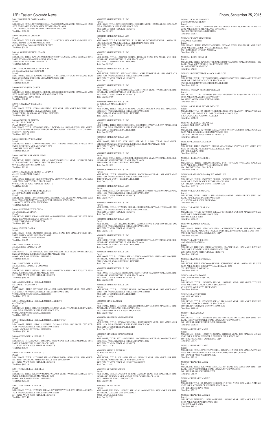M0017430 JUAREZ CORINA AVILA Parcel:<br>MBL HOME, TITLE: 12T233284 SERIAL: NME003829NMAB YEAR: 2008 MAKE: CMH SIZE: 27/56 PARK: VALLEY VIEW ESTATES SPACE: 0319 1201 THORNTON PKWY W #0319 THORNTON 000000000 Total Due: \$826.59 M0007345 JUAREZ OBDULIA Parcel:<br>MBL HOME, TITLE: 12R358018 SERIAL: C12824 YEAR: 1970 MAKE: AMB SIZE: 12/51<br>PARK: SHADY LANE MHP SPACE: 0038 6791 HIGHWAY 2 #0038 COMMERCE CITY Total Due: \$71.72 M0016199 JUARVEZ HOLLIE ANN Parcel:<br>MBL HOME, TITLE: 12W129320 SERIAL: P305884 YEAR: 2002 MAKE: SCH SIZE: 16/66<br>PARK: LYNN ANN MOBILE COURT SPACE: 0011<br>350 COLFAX AVE E #0011 BENNETT Total Due: \$250.88 M0011844 KACZMAREK STEVEN V JR c/o KACZMAREK KATHERINE M<br>Parcel: Parcel:<br>MBL HOME, TITLE: 12W050278 SERIAL: 4795122N5538 YEAR: 1995 MAKE: HUN<br>SIZE: 27/60 PARK: COUNTRY VISTA MHP SPACE: 0010 1599 VISTA LN #0010 Total Due: \$311.04 M0000742 KARSTEN GARY E Parcel:<br>MBL HOME, TITLE: 12W200124 SERIAL: GCMGBHMN8298 YEAR: 1973 MAKE: MAG<br>SIZE: 14/68 PARK: BERKELEY VILLAGE SPACE: 0096 5400 SHERIDAN BLVD #0096 Total Due: \$98.47 M0003310 KEELEY CECELIA M Parcel MBL HOME, TITLE: 12W043053 SERIAL: 1538 YEAR: 1976 MAKE: LON SIZE: 14/61<br>PARK: COUNTRYSIDE VILLAGE SPACE: 0016<br>9850 FEDERAL BLVD #0016 FEDERAL HEIGHTS Total Due: \$105.60 M0006874 KELLER MELVIN c/o KELLER ROBERTA Parcel: 0182517104021 MBL HOME, TITLE: 12T685300 SERIAL: DGENE458011890A&B YEAR: 1981 MAKE: MAG SIZE: 26/64 PARK: PRIVATE PROPERTY SPACE: 0000 LAND PARC 1825-17-1-04-021 2942 55TH AVE W #0000 Total Due: \$832.05 M0005508 KELLEY GERALD C Parcel MBL HOME, TITLE: 12W040439 SERIAL: 87H4174 YEAR: 1978 MAKE: B V SIZE: 14/68<br>PARK: BERKELEY VILLAGE SPACE: 0238<br>5400 SHERIDAN BLVD #0238 Total Due: \$120.04 M0002209 KELLY HEATHER ANNE Parcel:

c/o LIABILITY COMPANY Parcel:<br>MBL HOME, TITLE: 12T250605 SERIAL: DFL104AB24375CD13 YEAR: 2002 MAKE:<br>FLE SIZE: 24/40 PARK: KIMBERLY HILLS MHP SPACE: 0563<br>9400 ELM CT #0563 FEDERAL HEIGHTS

MBL HOME, TITLE: 12T247022 SERIAL: 05L26361 YEAR: 1996 MAKE: LIBERTY SIZE: IMBERLY HILLS MHP

MBL HOME, TITLE: 12R828011 SERIAL: WWX570143B113911 YEAR: 1975 MAKE: WES SIZE: 14/66 PARK: REDWOOD ESTATES SPACE: 0501 9595 PECOS ST #0501 THORNTON Total Due: \$95.80

M0001614 KENEFAKE FRANK L / LINDA A c/o C/O BANDEMIRE GAYLE Parcel MBL HOME, TITLE NO: 12E618609 SERIAL: LT50894 YEAR: 1971 MAKE: LAN SIZE:<br>14/68 PARK: MONTICELLO SPACE: 0407<br>9105 ROYAL ST #0407 FEDERAL HEIGHTS Total Due: \$94.21

M0011574 KENNEDY MICHAEL ROBERT c/o GOW KENNEDY DEBRA LYNN Parcel: MBL HOME, TITLE: 12W163381 SERIAL: 226354T8314AB YEAR: 1986 MAKE: TIT SIZE:<br>28/44 PARK: FRIENDLY VILLAGE OF THE ROCKIES SPACE: 0076<br>2100 100TH AVE W #0076 THORNTON Total Due: \$236.01

M0002422 KENNEDY VIRGINIA c/o MCCRELLIAS DIANA Parcel: MBL HOME, TITLE: 12P462836 SERIAL: 02590358I YEAR: 1975 MAKE: HIL SIZE: 24/44 PARK: REDWOOD ESTATES SPACE: 0310 9595 PECOS ST #0310 THORNTON Total Due: \$135.49

M0001571 KIER CARLA J

Parcel: MBL HOME, TITLE: 12W224663 SERIAL: K6344 YEAR: 1970 MAKE: P C SIZE: 14/61<br>PARK: GREEN ACRES MHP SPACE: 033E<br>1540 BILLINGS ST #033E AURORA Total Due: \$86.32

M0013023 KIMBERLY HILLS c/o A LIMITED LIABILITY CO Parcel: MBL HOME, TITLE: 12W063282 SERIAL: CW2002066TXAB YEAR: 1996 MAKE: CLA SIZE: 26/44 PARK: KIMBERLY HILLS MHP SPACE: 0512 9400 ELM CT #0512 FEDERAL HEIGHTS Total Due: \$300.60

M0015283 KIMBERLY HILLS c/o A LIMITED LIABILITY COMPANY Parcel: MBL HOME, TITLE: 12T261413 SERIAL: FS208048 YEAR: 1999 MAKE: FOU SIZE: 27/48 PARK: KIMBERLY HILLS MHP SPACE: 0353

2311 92ND AVE W #0353 FEDERAL HEIGHTS Total Due: \$385.75 M0016460 KIMBERLY HILLS A LIMITED

Total Due: \$352.68 M0013639 KIMBERLY HILLS A LIMITED LIABILITY

c/o COMPANY Parcel:

9400 ELM CT #0534 FEDERAL HEIGHTS Total Due: \$227.69

M0013521 KIMBERLY HILLS A LIMITED LIABILITY CO Parcel:<br>MBL HOME, TITLE: 12T695585 SERIAL: 04510495J YEAR: 1997 MAKE: CUT SIZE:<br>16/56 PARK: KIMBERLY HILLS MHP SPACE: 0515 9400 ELM CT #0515 FEDERAL HEIGHTS Total Due: \$205.81

M0004422 KIMBERLY HILLS LLC Parcel:<br>MBL HOME, TITLE: 12W201320 SERIAL: 5806U YEAR: 1975 MAKE: MED SIZE: 14/66<br>PARK: KIMBERLY HILLS MHP SPACE: 0079 2311 92ND AVE W #0079 FEDERAL HEIGHTS Total Due: \$90.79

Parcel:<br>MBL HOME, TITLE: 12T232228 SERIAL: H0C015F04408 YEAR: 1999 MAKE: OAK SIZE: 16/66 PARK: KIMBERLY HILLS MHP SPACE: 0629 9400 ELM CT #0629 FEDERAL HEIGHTS Total Due: \$224.56

Parcel: MBL HOME, TITLE: 12T227902 SERIAL: H0TX09907758 YEAR: 1999 MAKE: OAK<br>SIZE: 14/56 PARK: KIMBERLY HILLS MHP SPACE: 658D<br>9400 ELM CT #658D FEDERAL HEIGHTS<br>Total Due: \$195.39

Parcel:<br>MBL HOME, TITLE: 12T076367 SERIAL: HM7389A/B YEAR: 1998 MAKE: STO SIZE:<br>28/48 PARK: WOODLAND HILLS SPACE: 0344 1500 THORNTON PKWY W #0344 THORNTON

M0007716 KIMBERLY HILLS LLC Parcel MBL HOME, TITLE: 12T228143 SERIAL: KSDH05D421A14731A YEAR: 1981 MAKE:<br>DET SIZE: 14/62 PARK: KIMBERLY HILLS MHP SPACE: 0099<br>2311 92ND AVE W #0099 FEDERAL HEIGHTS Total Due: \$110.16

M0011733 KIMBERLY HILLS LLC Parcel: MBL HOME, TITLE: 12T250397 SERIAL: 05L24818 YEAR: 1995 MAKE: LIB SIZE: 16/76 PARK: KIMBERLY HILLS MHP SPACE: 0657 9400 ELM CT #0657 FEDERAL HEIGHTS Total Due: \$213.11

M0011776 KIMBERLY HILLS LLC Parcel: MBL HOME, TITLE: 12T250450 SERIAL: MY9513377V YEAR: 1995 MAKE: ASP SIZE: 16/76 PARK: KIMBERLY HILLS MHP SPACE: 0098 2311 92ND AVE W #0098 FEDERAL HEIGHTS Total Due: \$235.43

Parcel:<br>MBL HOME, TITLE NO: 12T950476 SERIAL: DT3264A/B YEAR: 1971 MAKE: VIN SIZE: 24/52 PARK: FRIENDLY VILLAGE OF AURORA SPACE: 0061 17026 COOLIDGE PL E #0061 AURORA Total Due: \$134.30

Parcel:<br>MBL HOME, TITLE: 12T020032 SERIAL: 14101448 YEAR: 1978 MAKE: WAL SIZE:<br>24/56 PARK: HILLCREST VILLAGES SPACE: 0276 1861 BOUNTY ST #0276 AURORA Total Due: \$138.75

Parcel:<br>MBL HOME, TITLE: 12W233199 SERIAL: GC059068 YEAR: 1973 MAKE: REV SIZE:<br>14/61 PARK: VALLEY VIEW ESTATES SPACE: 0211 1201 THORNTON PKWY W #0211 THORNTON

12B• Eastern Colorado News Friday, September 25, 2015 M0012097 KIMBERLY HILLS LLC Parcel:<br>MBL HOME, TITLE: 12T250391 SERIAL: 35511442H YEAR: 1995 MAKE: S B SIZE: 16/76 PARK: KIMBERLY HILLS MHP SPACE: 0638 9400 ELM CT #0638 FEDERAL HEIGHTS Total Due: \$218.31 M0012619 KIMBERLY HILLS LLC Parcel:<br>MBL HOME, TITLE: KIMBERLY HILLS LLC SERIAL: MY9514206V YEAR: 1996 MAKE: ENC SIZE: 16/76 PARK: KIMBERLY HILLS MHP SPACE: 0632 9400 ELM CT #0632 FEDERAL HEIGHTS Total Due: \$218.31 M0012765 KIMBERLY HILLS LLC Parcel:<br>MBL HOME, TITLE: 12T247020 SERIAL: 4P520638I YEAR: 1996 MAKE: WES SIZE:<br>16/66 PARK: KIMBERLY HILLS MHP SPACE: 658G 9400 ELM CT #658G FEDERAL HEIGHTS Total Due: \$222.49 M0013060 KIMBERLY HILLS LLC Parcel:<br>MBL HOME, TITLE NO: 12T174947 SERIAL: CRH1TX6065 YEAR: 1996 MAKE: C R<br>SIZE: 16/68 PARK: KIMBERLY HILLS MHP SPACE: 0568 9400 ELM CT #0568 FEDERAL HEIGHTS Total Due: \$227.69 M0013155 KIMBERLY HILLS LLC Parcel:<br>MBL HOME, TITLE: 12W067455 SERIAL: CRH1TX6116 YEAR: 1996 MAKE: CRE SIZE:<br>16/68 PARK: KIMBERLY HILLS MHP SPACE: 0557<br>9400 ELM CT #0557 FEDERAL HEIGHTS Total Due: \$227.69 M0013388 KIMBERLY HILLS LLC c/o KINGSLEY MANAGEMENT Parcel:<br>MBL HOME, TITLE: 12T228168 SERIAL: CW2002749TXAB YEAR: 1997 MAKE: RIO<br>SIZE: 26/44 PARK: KIMBERLY HILLS MHP SPACE: 0385 2311 92ND AVE W #0385 FEDERAL HEIGHTS Total Due: \$336.78 M0013799 KIMBERLY HILLS LLC Parcel: MBL HOME, TITLE: 12T232200 SERIAL: H0C015F02157AB YEAR: 1997 MAKE: OAK<br>SIZE: 27/48 PARK: KIMBERLY HILLS MHP SPACE: 603D<br>9400 ELM CT #603D FEDERAL HEIGHTS Total Due: \$327.67 M0013899 KIMBERLY HILLS LLC Parcel: MBL HOME, TITLE NO: 12W106633 SERIAL: 35510499J YEAR: 1997 MAKE: SPRINGBROOK SIZE: 14/66 PARK: KIMBERLY HILLS MHP SPACE: 0652 9400 ELM CT #0652 FEDERAL HEIGHTS Total Due: \$217.26 M0014167 KIMBERLY HILLS LLC Parcel: MBL HOME, TITLE: 12T261412 SERIAL: H0TX09904696 YEAR: 1998 MAKE: OAK SIZE: 16/64 PARK: KIMBERLY HILLS MHP SPACE: 0478 2311 92ND AVE W #0478 FEDERAL HEIGHTS Total Due: \$218.33 M0014179 KIMBERLY HILLS LLC Parcel:<br>MBL HOME, TITLE: 12W193296 SERIAL: H0C015F02082 YEAR: 1998 MAKE: OAK<br>SIZE: 14/66 PARK: KIMBERLY HILLS MHP SPACE: 0414<br>2311 92ND AVE W #0414 FEDERAL HEIGHTS<br>Total Due: \$211.51 M0014180 KIMBERLY HILLS LLC Parcel:<br>MBL HOME, TITLE NO: 12W106644 SERIAL: H0C015F02088 YEAR: 1998 MAKE: OAK<br>SIZE: 14/66 PARK: KIMBERLY HILLS MHP SPACE: 0509<br>9400 ELM CT #0509 FEDERAL HEIGHTS Total Due: \$196.44 M0014501 KIMBERLY HILLS LLC Parcel: MBL HOME, TITLE: 12T250454 SERIAL: CRH1TX8381A/B YEAR: 1998 MAKE: CRE<br>SIZE: 27/48 PARK: KIMBERLY HILLS MHP SPACE: 0677<br>9400 ELM CT #0677 FEDERAL HEIGHTS Total Due: \$336.01 M0014566 KIMBERLY HILLS LLC Parcel: MBL HOME, TITLE: 12T228502 SERIAL: 22996026437A/B YEAR: 1999 MAKE: SNO<br>SIZE: 27/40 PARK: KIMBERLY HILLS MHP SPACE: 0616<br>9400 ELM CT #0616 FEDERAL HEIGHTS Total Due: \$315.17 M0014631 KIMBERLY HILLS LLC Parcel: MBL HOME, TITLE: 12T254121 SERIAL: CRHITX8910 YEAR: 1999 MAKE: CRE SIZE:<br>16/68 PARK: KIMBERLY HILLS MHP SPACE: 0433<br>2311 92ND AVE W #0433 FEDERAL HEIGHTS Total Due: \$249.09 M0014736 KIMBERLY HILLS LLC Parcel: MBL HOME, TITLE: 12T228141 SERIAL: 229970306907 YEAR: 1999 MAKE: HOM SIZE: 14/52 PARK: KIMBERLY HILLS MHP SPACE: 0059 2311 92ND AVE W #0059 FEDERAL HEIGHTS Parcel: Parcel: Parcel: Parcel: Total Due: \$112.50 Total Due: \$155.28 Parcel: Parcel: Total Due: \$160.43 Parcel: Total Due: \$160.06 Parcel:

Total Due: \$201.26

M0015008 KIMBERLY HILLS LLC

M0015009 KIMBERLY HILLS LLC

M0013778 KING KAREN K

Total Due: \$402.27

M0014784 KINGSLEY MANAGEMENT

Parcel: MBL HOME, TITLE: 12W064789 SERIAL: H0TX08809039 YEAR: 1999 MAKE: OAK SIZE: 14/56 PARK: KIMBERLY HILLS MHP SPACE: 659C 9400 ELM CT #659C FEDERAL HEIGHTS Total Due: \$195.39

M0015287 KINGSLEY MANAGEMENT Parcel: MBL HOME, TITLE: 12T232637 SERIAL: H0C015F04865A/B YEAR: 2000 MAKE: OAK<br>SIZE: 28/44 PARK: KIMBERLY HILLS MHP SPACE: 0606<br>9400 ELM CT #0606 FEDERAL HEIGHTS Total Due: \$318.29

M0012800 KISSELL THERESA L c/o KISSELL PAUL R Parcel:<br>MBL HOME, TITLE: 12P283784 SERIAL: 5H510452I YEAR: 1996 MAKE: SPR SIZE:<br>16/76 PARK: KIMBERLY HILLS MHP SPACE: 0538<br>9400 ELM CT #0538 FEDERAL HEIGHTS 000000000 Total Due: \$283.15

M0000561 KLEMAN PATRICK Parcel:<br>MBL HOME, TITLE: 12w277840 SERIAL: GA080954 YEAR: 1971 MAKE: HOM SIZE:<br>14/66 PARK: FRIENDLY VILLAGE OF THE ROCKIES SPACE: 0233<br>2100 100TH AVE W #0233 THORNTON Total Due: \$95.80

M0008667 KLINE EVA M Parcel: MBL HOME, TITLE NO: 12P096255 SERIAL: 02590602M YEAR: 1979 MAKE: HIL SIZE: 24/56 PARK: GALAMB MHP SPACE: 0033 35500 COLFAX AVE E #0033 Total Due: \$122.03

M0006577 KNAPP DOROTHY c/o MCDONOUGH TERRY MBL HOME, TITLE: 12W041246 SERIAL: 1026A/B YEAR: 1970 MAKE: MOD SIZE:<br>23/52 PARK: EAST GATE VILLAGE SPACE: 0263<br>3060 BRIDGE ST E #0263 BRIGHTON Total Due: \$128.41

M0004747 KNOPP KENNETH G c/o KNOPP KATHRYN MBL HOME, TITLE: 12W701976 SERIAL: 80396AB YEAR: 1968 MAKE: MAR SIZE:<br>20/61 PARK: HILLCREST VILLAGES SPACE: 0407<br>1961 CIMARRON ST #0407 AURORA Total Due: \$74.23

M0005261 KOCH DIANE M MBL HOME, TITLE: 12W038857 SERIAL: S20151 YEAR: 1965 MAKE: CON SIZE: 12/52<br>PARK: PEAK VIEW MOBILE COURT SPACE: 023C<br>10550 BRIGHTON RD #023C Total Due: \$72.84

M0011285 KOCHIOVELOS NANCY HARRISON

MBL HOME, TITLE: 12W279005 SERIAL: 4794016N4709 YEAR: 1994 MAKE: WES SIZE: 16/68 PARK: DENVER CASCADE SPACE: 0242 9760 ELDERBERRY ST #0242 FEDERAL HEIGHTS

M0011173 KORKIA KENNETH WILLIAM Parcel:<br>MBL HOME, TITLE: 12W291686 SERIAL: 4P520595G YEAR: 1994 MAKE: W R SIZE:<br>16/66 PARK: CASA ESTATES SPACE: 0044 860 132ND AVE W #0044 WESTMINSTER Total Due: \$62.83

M0000250 KRL REAL ESTATE INV ADV

M0014036 KUEHNEL DELAINE A c/o KUEHNEL STEPHANIE M<br>Parcel:<br>MBL HOME, TITLE: 12T035814 SERIAL: 479810495519 YEAR: 1998 MAKE: W C SIZE:<br>16/76 PARK: KIMBERLY HILLS MHP SPACE: 0109 2305 92ND AVE W #0109 FEDERAL HEIGHTS Total Due: \$250.22

M0007939 KUNTZE ADAM REX Parcel:<br>MBL HOME, TITLE: 12W291571 SERIAL: GEAFHADM13710 YEAR: 1975 MAKE: CEN SIZE: 14/68 PARK: PIONEER VILLAGE SPACE: 031F 2901 63RD AVE W #031F Total Due: \$100.61

M0008421 KUPLEN ALBERT C

M0000764 LABRADOR MARQUEZ JORGE LUIS

M0008198 LAGUNA PAULINA

MBL HOME, TITLE: 12R838218 SERIAL: M605450 YEAR: 1979 MAKE: HOL SIZE: 14/67 PARK: PINE LAKES RANCH SPACE: 0308 4211 100TH AVE E #0308 THORNTON Total Due: \$96.23

M0014273 LAKERS CLARA M

M0014995 LAMMEY WANDA J MBL HOME, TITLE: 12T072074 SERIAL: CBH004726TX YEAR: 1998 MAKE: AMO SIZE: 16/46 PARK: ADVANCE TRAILER PARK SPACE: 0036 PRO RATE 7 MOS 1999 7700 HIGHWAY 2 #0036 COMMERCE CITY

M0004776 LAMOTHE KEITH c/o LAMOTHE PATRICIA MBL HOME, TITLE NO: 12T200367 SERIAL: 87A7374 YEAR: 1978 MAKE: B V SIZE: 26/56 PARK: KIMBERLY HILLS MHP SPACE: 0218 2305 92ND AVE W #0218 FEDERAL HEIGHTS Total Due: \$146.60

M0016654 LANDA GENOVEVA Parcel:<br>MBL HOME, TITLE: 12W266699 SERIAL: SCH01971517 YEAR: 1996 MAKE: SIL SIZE: 16/76 PARK: NORTH COUNTY VILLAGE SPACE: 0338 5395 RIVERDALE AVE #0338 Total Due: \$219.85

M0007410 LANDA TOMAS c/o CORARRUBIAS ANSELMO Parcel: MBL HOME, TITLE: 12W199776 SERIAL: 2238796835 YEAR: 1983 MAKE: TIT SIZE:<br>14/66 PARK: PINE LAKES RANCH SPACE: 0575<br>4210 100TH AVE E #0575 THORNTON Total Due: \$112.00 M0012470 LANE JUDITH I

c/o LANE ARTHUR H Parcel: MBL HOME, TITLE: 12T076222 SERIAL: HK5849A/B YEAR: 1996 MAKE: EDI SIZE: 28/52 PARK: WOODLAND HILLS SPACE: 0307 1500 THORNTON PKWY W #0307 THORNTON Total Due: \$389.85

M0009714 LARA CESAR Parcel: MBL HOME, TITLE: 12W283911 SERIAL: 4844 YEAR: 1991 MAKE: SHA SIZE: 10/44 PARK: HIGHVIEW MOBILE HOME COMMUNITY SPACE: 0046 8601 ZUNI ST #0046 WESTMINSTER 000000000 Total Due: \$105.83

M0000366 LEARNED MARK

MBL HOME, TITLE: 12T044893 SERIAL: 4S510602K YEAR: 1998 MAKE: SKY SIZE:<br>14/52 PARK: WIKIUP MHP SPACE: 0109<br>6500 88TH AVE E #0109

Parcel: MBL HOME, TITLE: 12R209193 SERIAL: FH218996 YEAR: 1968 MAKE: N M SIZE: 12/40 PARK: LINCOLN MOTEL & TRAILER PARK SPACE: 0071 6694 HIGHWAY 2 #0071 COMMERCE CITY Total Due: \$66.76

M0003355 LEARNED MARK Parcel:<br>MBL HOME, TITLE: 12W537427 SERIAL: 1724807415 YEAR: 1972 MAKE: WAY SIZE:<br>14/76 PARK: HIGHVIEW MOBILE HOME COMMUNITY SPACE: 0166 8601 ZUNI ST #0166 WESTMINSTER Total Due: \$96.10

M0009287 LEARNED MARK Parcel:<br>MBL HOME, TITLE: 12R379713 SERIAL: 271884 YEAR: 1972 MAKE: BON SIZE: 12/56<br>PARK: HIGHVIEW MOBILE HOME COMMUNITY SPACE: 0116<br>8601 ZUNI ST #0116 WESTMINSTER Total Due: \$81.40

M0000367 LEARNED MARK D Parcel:<br>MBL HOME, TITLE NO: 12W087318 SERIAL: FH219081 YEAR: 1968 MAKE: N M SIZE: 12/55 PARK: COMMERCE HEIGHTS SPACE: 0010 7701 BRIGHTON BLVD #0010 Total Due: \$76.17

M0003238 LEARNED MARK D Parcel: MBL HOME, TITLE NO: 12R281506 SERIAL: 14101160 YEAR: 1977 MAKE: KIR SIZE: 14/66 PARK: WIKIUP MHP SPACE: 0104 6500 88TH AVE E #0104 Total Due: \$95.33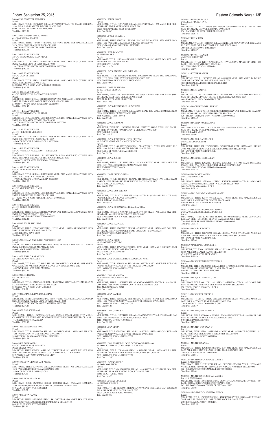M0006723 LEDBETTER JENNIFER Parcel:<br>MBL HOME, TITLE: 12P464906 SERIAL: P170977AB YEAR: 1981 MAKE: SCH SIZE:<br>28/44 PARK: LAMPLIGHTER DENVER SPACE: 0149 9100 TEJON ST #0149 FEDERAL HEIGHTS Total Due: \$193.30 M0012402 LEDESMA EMILIO JAMES c/o GONZALES ANITA EVA Parcel: MBL HOME, TITLE: 12R189148 SERIAL: HJ5498A/B YEAR: 1995 MAKE: EDI SIZE:<br>28/56 PARK: WOODLAND HILLS SPACE: 0189<br>1500 THORNTON PKWY W #0189 THORNTON<br>Total Due: \$393.58 M0017951 LEGACY HOMES c/o C/O THE GROVE AT ALTA RIDGE Parcel: MBL HOME, TITLE: SERIAL: LH13TX8021 YEAR: 2013 MAKE: LEGACY SIZE: 16/60 PARK: VALLEY VIEW ESTATES SPACE: 0008 1201 THORNTON PKWY W #0008 THORNTON 000000000 Total Due: \$463.06 M0018034 LEGACY HOMES c/o C/O CASA ESTATES Parcel: MBL HOME, TITLE: SERIAL: LH13TX8581 YEAR: 2013 MAKE: LEGACY SIZE: 16/76 PARK: CASA ESTATES SPACE: 0327 860 132ND AVE W #0327 WESTMINSTER 000000000 Total Due: \$463.75 M0018103 LEGACY HOMES c/o C/O FRIENDLY VILLAGE OF THE ROCKIES Parcel: MBL HOME, TITLE: SERIAL: LH14TX8990AB YEAR: 2014 MAKE: LEGACY SIZE: 31/44<br>PARK: FRIENDLY VILLAGE OF THE ROCKIES SPACE: 0494<br>2100 100TH AVE W #0494 THORNTON 000000000 Total Due: \$676.47 M0018111 LEGACY HOMES c/o C/O THE GROVE AT ALTA RIDGE Parcel: MBL HOME, TITLE: SERIAL: LH214TX4571 YEAR: 2014 MAKE: LEGACY SIZE: 16/76<br>PARK: VALLEY VIEW ESTATES SPACE: 0206<br>1201 THORNTON PKWY W #0206 THORNTON 000000000 Total Due: \$537.49 M0018210 LEGACY HOMES c/o C/O HILLCREST VILLAGES Parcel: MBL HOME, TITLE: SERIAL: LH141X9568 YEAR: 2014 MAKE: LEGACY SIZE: 16/72<br>PARK: HILLCREST VILLAGES SPACE: 0512<br>14701 COLFAX AVE E #0512 AURORA 000000000 Total Due: \$249.19 M0018252 LEGACY HOMES c/o C/O FRIENDLY VILLAGE OF THE ROCKIES Parcel: MBL HOME, TITLE: SERIAL: LH214TX4674 YEAR: 2014 MAKE: LEGACY SIZE: 16/68<br>PARK: FRIENDLY VILLAGE OF THE ROCKIES SPACE: 0030<br>2100 100TH AVE W #0030 THORNTON 000000000 Total Due: \$152.87 M0018285 LEGACY HOMES c/o C/O HILLCREST VILLAGES Parcel:<br>MBL HOME, TITLE: SERIAL: LH15TX9821 YEAR: 2015 MAKE: LEGACY SIZE: 16/76<br>PARK: HILLCREST VILLAGES SPACE: 0557<br>14701 COLFAX AVE E #0557 AURORA 000000000<br>Total Due: \$146.56 M0018293 LEGACY HOMES c/o C/O KIMBERLY HILLS MHP<br>Parcel:<br>MBL HOME, TITLE: SERIAL: LH214TX4861 YEAR: 2014 MAKE: LEGACY SIZE: 16/72 PARK: KIMBERLY HILLS MHP SPACE: 0381 2311 92ND AVE W #0381 FEDERAL HEIGHTS 000000000 Total Due: \$185.31 M0018323 LEGACY HOMES c/o C/O REDWOOD ESTATES Parcel: MBL HOME, TITLE: SERIAL: LH14TX9764AB YEAR: 2014 MAKE: LEGACY SIZE: 31/52 PARK: REDWOOD ESTATES SPACE: 0361 9595 PECOS ST #0361 THORNTON 000000000 Total Due: \$382.41 M0016583 LEGLER PHILLIP G Parcel:<br>MBL HOME, TITLE: 12W072368 SERIAL: HJ5519 YEAR: 1995 MAKE: BRO SIZE: 16/76<br>PARK: BERKELEY VILLAGE SPACE: 0065 5400 SHERIDAN BLVD #0065 Total Due: \$258.42

Parcel:<br>MBL HOME, TITLE: 12W064001 SERIAL: 87H4260 YEAR: 1978 MAKE: BLV SIZE: 14/76<br>PARK: KIMBERLY HILLS MHP SPACE: 0647<br>9400 ELM CT #0647 FEDERAL HEIGHTS Total Due: \$106.86

Parcel:<br>MBL HOME, TITLE: 12R792435 SERIAL: H0C015F00469 YEAR: 1996 MAKE: OAKWOOD SIZE: 14/66 PARK: VALLEY VIEW ESTATES SPACE: 0002 1201 THORNTON PKWY W #0002 THORNTON 000000000 Total Due: \$274.47

M0009629 LEHMAN AND WEBB PROPERTIES LLC

M0014387 LEIBERG KARA LYNN c/o LEIBERG WAYNE ALLEN Parcel:<br>MBL HOME, TITLE NO: 12T194945 SERIAL: H0C015F03178A/B YEAR: 1998 MAKE:<br>OAK SIZE: 27/48 PARK: FRIENDLY VILLAGE OF AURORA SPACE: 0313 1644 VAN BUREN WAY #0313 AURORA Total Due: \$357.41

M0005298 LEIGH GARY<br>c/o LEIGH KAYLA<br>Parcel:<br>Parcel:<br>MBL HOME, TITLE: 12T889603 SERIAL: GEAGFADM14039 YEAR: 1975 MAKE: CEN<br>SIZE: 14/73 PARK: CASA ESTATES SPACE: 0361<br>Total Due: \$90.73<br>Total Due: \$90.73

M0017320 LEMASTER DAVID COLEMAN

M0016807 LENG SOPHEANG Parcel:<br>MBL HOME, TITLE: 12W758166 SERIAL: 05975601366A/B YEAR: 1997 MAKE:<br>CHAMPION SIZE: 27/52 PARK: WOODSHIRE EAST MH COMMUNITY SPACE: 0139<br>1765 SALIDA ST #0139 AURORA Total Due: \$371.92 M0008102 LEWIS DANIEL PAUL Parcel: MBL HOME, TITLE: 12M940266 SERIAL: 226879T8170 YEAR: 1986 MAKE: TIT SIZE:<br>14/66 PARK: COUNTRYSIDE VILLAGE SPACE: 0037<br>9850 FEDERAL BLVD #0037 FEDERAL HEIGHTS Total Due: \$131.79 M0005942 LEWIS JOANN c/o C/O CHAVEZ BLAS S / MARY A Parcel: 0172128100067<br>MBL HOME, TITLE: 12M978550 SERIAL: 37H1085 YEAR: 1973 MAKE: BEL SIZE: 12/64<br>PARK: PRIVATE PROPERTY SPACE: 0000 LAND PARC 1721-28-1-00-067<br>8501 VALENTIA ST #0000 COMMERCE CITY Total Due: \$79.66 M0000557 LEYVA CHAVEZ LUIS ANGEL Parcel: MBL HOME, TITLE: 12T985357 SERIAL: GA080866 YEAR: 1971 MAKE: AME SIZE: 12/46 PARK: HILLCREST VILLAGES SPACE: 0558 14701 COLFAX AVE E #0558 AURORA Total Due: \$74.06 M0002520 LEYVA KRISTY M Parcel MBL HOME, TITLE: 12W252045 SERIAL: 03590402J YEAR: 1976 MAKE: HOM SIZE:<br>14/66 PARK: HIGHVIEW MOBILE HOME COMMUNITY SPACE: 0144<br>8601 ZUNI ST #0144 WESTMINSTER Total Due: \$97.23 M0004925 LEYVA NANCY Parcel: MBL HOME, TITLE: 12W203247 SERIAL: SK1794C YEAR: 1969 MAKE: SKY SIZE: 12/60 PARK: HIGHVIEW MOBILE HOME COMMUNITY SPACE: 0130 8601 ZUNI ST #0130 WESTMINSTER Total Due: \$85.91 Total Due: \$99.01 Total Due: \$89.33

Friday, September 25, 2015 Eastern Colorado News • 13B M0009488 LUELOFF PAUL E c/o LUELOFF DOROTHY A Parcel: MBL HOME, TITLE: 12T601615 SERIAL: GDL0C02960AB YEAR: 1981 MAKE: EMB<br>SIZE: 28/60 PARK: DENVER CASCADE SPACE: 0370<br>2961 CASCADE DR #0370 FEDERAL HEIGHTS Total Due: \$225.18 M0016672 LUNA JUAN J Parcel:<br>MBL HOME, TITLE NO: 12T163739 SERIAL: TXFL266AB0807CY13 YEAR: 2002 MAKE: FLE SIZE: 28/52 PARK: EAST GATE VILLAGE SPACE: 0045 3060 BRIDGE ST E #0045 BRIGHTON Total Due: \$450.07 M0000027 LYNCH FRANK R c/o LYNCH CHRISTINA Parcel: MBL HOME, TITLE: 12E671067 SERIAL: A1159 YEAR: 1973 MAKE: VIN SIZE: 12/66<br>PARK: HILLCREST VILLAGES SPACE: 0411<br>1921 CIMARRON ST #0411 AURORA Total Due: \$62.91 M0005543 LYONS HEATHER Parcel: MBL HOME, TITLE: 12W295065 SERIAL: 04590668L YEAR: 1978 MAKE: BUD SIZE: 24/48 PARK: COUNTRYSIDE VILLAGE SPACE: 0220 9850 FEDERAL BLVD #0220 FEDERAL HEIGHTS Total Due: \$147.74 M0000323 MACK WALTER Parcel: MBL HOME, TITLE: 12W233935 SERIAL: FFFFXCMN2870 YEAR: 1966 MAKE: MAG SIZE: 12/56 PARK: LINCOLN MOTEL & TRAILER PARK SPACE: 0074 6694 HIGHWAY 2 #0074 COMMERCE CITY Total Due: \$74.70 M0017639 MACRES KIMBERLEE KAY Parcel:<br>MBL HOME, TITLE: 12W216213 SERIAL: CBH021579TX YEAR: 2010 MAKE: CLAYTON<br>SIZE: 16/70 PARK: VALLEY VIEW ESTATES SPACE: 0119<br>1201 THORNTON PKWY W #0119 THORNTON 000000000<br>Total Due: \$266.69 M0005054 MADERA ROBLES JUAN Parcel:<br>MBL HOME, TITLE NO: 12W146174 SERIAL: 3434092506 YEAR: 1973 MAKE: CON<br>SIZE: 14/61 PARK: WIKIUP MHP SPACE: 0097<br>6500 88TH AVE E #0097 Total Due: \$79.04 M0000786 MADRIL RANDOLPH J c/o MADRIL DEBORAH M<br>Parcel:<br>MBL HOME, TITLE: 12P127621 SERIAL: GC191950L&R YEAR: 1973 MAKE: L H SIZE:<br>14/56 PARK: HIGHVIEW MOBILE HOME COMMUNITY SPACE: 0128 8601 ZUNI ST #0128 WESTMINSTER Total Due: \$140.22 M0017636 MAGUIRE CAROL JEAN Parcel:<br>MBL HOME, TITLE: 12W295531 SERIAL: CAVAZLP1118735XU YEAR: 2011 MAKE:<br>CAVCO SIZE: 27/44 PARK: HILLCREST VILLAGES SPACE: 0409 1941 CIMARRON ST #0409 AURORA 000000000 Total Due: \$127.28 M0008964 MAHANEY JOAN M c/o ELGES RHONDA M<br>Parcel: Parcel:<br>MBL HOME, TITLE: 12P569942 SERIAL: KSDH08A38813851A YEAR: 1979 MAKE:<br>AME SIZE: 14/72 PARK: HILLCREST VILLAGES SPACE: 0009<br>1600 SABLE BLVD #0009 AURORA<br>Total Due: \$105.28 M0008240 MALDONADO MARMOLEJO ABEL Parcel:<br>MBL HOME, TITLE: 12T791799 SERIAL: 214601793 YEAR: 1972 MAKE: ELK SIZE:<br>14/56 PARK: LAMPLIGHTER DENVER SPACE: 0028<br>9100 TEJON ST #0028 FEDERAL HEIGHTS Total Due: \$62.33 M0017382 MANCERA RODRIGUEZ ISMAEL c/o MANCERA RODRIGUEZ ELIZABETH A Parcel:<br>MBL HOME, TITLE: 12W552406 SERIAL: 00500PH011264A YEAR: 2010 MAKE:<br>REDMAN SIZE: 16/66 PARK: DENVER CASCADE SPACE: 0223<br>2700 WARBLER ST#0223 FEDERAL HEIGHTS 000000000 Total Due: \$397.13 M0008084 MAPLES KENNETH I Parcel:<br>MBL HOME, TITLE: 12R750734 SERIAL: GJ081344 YEAR: 1974 MAKE: AME SIZE:<br>12/61 PARK: HIGHVIEW MOBILE HOME COMMUNITY SPACE: 0022 8601 ZUNI ST #0022 WESTMINSTER Total Due: \$83.64 M0011139 MARCHAND EMOGENE R Parcel: MBL HOME, TITLE NO: 12W094985 SERIAL: 35511065G YEAR: 1994 MAKE: SPR SIZE:<br>16/76 PARK: PINE LAKES RANCH SPACE: 0580<br>4210 100TH AVE E #0580 THORNTON Total Due: \$196.40 M0014463 MARQUEZ MERAZESTEFANY A Parcel:<br>MBL HOME, TITLE: 12W287768 SERIAL: H0C015F03385A/B YEAR: 1999 MAKE: OAK SIZE: 27/48 PARK: KIMBERLY HILLS MHP SPACE: 0627 9400 ELM CT #0627 FEDERAL HEIGHTS Total Due: \$344.34 M0000047 MARQUEZ-PEREZ LUZ M Parcel: MBL HOME, TITLE NO: 12W122811 SERIAL: A5731S3028 YEAR: 1971 MAKE: WHI SIZE: 12/60 PARK: FRIENDLY VILLAGE OF AURORA SPACE: 0077 17017 COOLIDGE PL E #0077 AURORA Total Due: \$87.43 M0013198 MARQUEZ REFUGIO A Parcel: MBL HOME, TITLE: 12T141282 SERIAL: MP221847 YEAR: 1996 MAKE: MAS SIZE: 16/56 PARK: ADVANCE TRAILER PARK SPACE: 0044 7700 HIGHWAY 2 #0044 COMMERCE CITY Total Due: \$194.79 **3 MARROOUIN HERMIL** Parcel:<br>MBL HOME, TITLE: 12W606992 SERIAL: FLC0219510117I/II YEAR: 1995 MAKE: PRE<br>SIZE: 27/58 PARK: BERKELEY VILLAGE SPACE: 0246 5400 SHERIDAN BLVD #0246 Total Due: \$420.91

> Parcel:<br>MBL HOME, TITLE: 12W551287 SERIAL: 4794046N4819 YEAR: 1994 MAKE: WES SIZE:<br>28/48 PARK: FRIENDLY VILLAGE OF THE ROCKIES SPACE: 0048 2100 100TH AVE W #0048 THORNTON Total Due: \$193.55

M0000656 LIEBER JAYCE Parcel: MBL HOME, TITLE: 12W171997 SERIAL: GB057542 YEAR: 1973 MAKE: DET SIZE: 14/66 PARK: PINE LAKES RANCH SPACE: 0005 10201 RIVERDALE RD #0005 THORNTON Total Due: \$80.45 M0001471 LINGLE STEVEN L Parcel:<br>MBL HOME, TITLE: 12W251955 SERIAL: K14270FL710560 YEAR: 1971 MAKE: MAR<br>SIZE: 14/66 PARK: HOLIDAY HILLS VILLAGE SPACE: 0770<br>2001 92ND AVE W #0770 FEDERAL HEIGHTS<br>Total Due: \$90.79 M0013608 LIPPE TAMMY K c/o LIPPE MARK L<br>Parcel:<br>MBL HOME, TITLE: 12R210498 SERIAL: P278594 YEAR: 1997 MAKE: SCH SIZE: 16/76<br>PARK: WIKIUP MHP SPACE: 0205 6500 88TH AVE E #0205 Total Due: \$232.24 M0016050 LOPEZ ANDINO MIRLO ISRAEL Parcel:<br>MBL HOME, TITLE: 12W259346 SERIAL: H0C015F05402 YEAR: 2000 MAKE: OAK<br>SIZE: 27/52 PARK: VALLEY VIEW ESTATES SPACE: 0123 1201 THORNTON PKWY W #0123 THORNTON Total Due: \$409.71 M0010563 LOPEZ FILIBERTO c/o SATIERREZ BLANCA Parcel: MBL HOME, TITLE: 12R779667 SERIAL: 0500766362S YEAR: 1980 MAKE: CHA SIZE:<br>14/66 PARK: EAST GATE VILLAGE SPACE: 0028<br>3060 BRIDGE ST E #0028 BRIGHTON<br>Total Due: \$110.37 M0010023 LOPEZ-HERNANDEZ LUZ CELINA Parcel: MBL HOME, TITLE: 12W050572 SERIAL: 2090 YEAR: 1969 MAKE: CAM SIZE: 12/54 PARK: RANCH HOUSE MHP SPACE: 001B 5565 WASHINGTON ST #001B Total Due: \$76.69 M0010581 LOPEZ IGNACIO Parcel:<br>MBL HOME, TITLE NO: 12W092869 SERIAL: 2293355T1664A/B YEAR: 1993 MAKE:<br>RIV SIZE: 27/40 PARK: NORTH COUNTY VILLAGE SPACE: 0354<br>5167 96TH DR E #0354 Total Due: \$242.05 M0003778 LOPEZ JONATHAN LOPEZ CRYSTAL c/o C/O JOEL GONZALEZ NANCY QUINTANA Parcel:<br>MBL HOME, TITLE NO: 12T773730 SERIAL: 3B1027FS10191 YEAR: 1971 MAKE: FLE<br>SIZE: 14/60 PARK: LAMPLIGHTER DENVER SPACE: 0156 9100 TEJON ST #0156 FEDERAL HEIGHTS Total Due: \$97.64 M0004353 LOPEZ JOSE M Parcel:<br>MBL HOME, TITLE: 12W166640 SERIAL: 552CK10WK2252 YEAR: 1960 MAKE: DET<br>SIZE: 10/51 PARK: RANCH HOUSE MHP SPACE: 007B 5565 WASHINGTON ST #007B Total Due: \$66.27 M0014201 LOPEZ LUCERO LIDIA Parcel: MBL HOME, TITLE: 12W289404 SERIAL: PH171530A/B YEAR: 1996 MAKE: PALM<br>HARBOR SIZE: 28/50 PARK: BERKELEY VILLAGE SPACE: 0302<br>5400 SHERIDAN BLVD #0302 Total Due: \$389.17 M0005809 LOPEZ LUZ ELENNA Parcel: MBL HOME, TITLE: 12T716623 SERIAL: 9324 YEAR: 1972 MAKE: FAL SIZE: 14/66 PARK: BERKELEY VILLAGE SPACE: 0046 5400 SHERIDAN BLVD #0046 Total Due: \$97.21 M0010054 LOPEZ MORAN CLAUDIA ALEJANDRA Parcel: MBL HOME, TITLE: 12W205727 SERIAL: 01590180P YEAR: 1981 MAKE: SKY SIZE: 14/66 PARK: VALLEY VIEW ESTATES SPACE: 0087 1201 THORNTON PKWY W #0087 THORNTON Total Due: \$123.08 M0004594 LOPEZ RAFAELA Parcel:<br>MBL HOME, TITLE: 12W528257 SERIAL: 6714605695 YEAR: 1971 MAKE: COU SIZE:<br>14/56 PARK: HIGHVIEW MOBILE HOME COMMUNITY SPACE: 0238 8601 ZUNI ST #0238 WESTMINSTER Total Due: \$90.45 M0005808 LOPEZ ROSIE c/o ARAGONEZ CASTULO Parcel: MBL HOME, TITLE: 12W172002 SERIAL: 30528 YEAR: 1972 MAKE: AST SIZE: 12/61 PARK: BERKELEY VILLAGE SPACE: 0199 5400 SHERIDAN BLVD #0199 Total Due: \$89.59 M0006136 LOVE OUTREACH PENTECOSTAL CHURCH Parcel: MBL HOME, TITLE: 12W158564 SERIAL: 6011957 YEAR: 1971 MAKE: H P SIZE: 12/56 PARK: FRIENDLY VILLAGE OF THE ROCKIES SPACE: 0280 2100 100TH AVE W #0280 THORNTON Total Due: \$88.35 M0008845 LOYA ARMANDO c/o HERNANDEZ CHAVEZ SOFIA Parcel: MBL HOME, TITLE: 12W528300 SERIAL: CMC4C05353223A&B YEAR: 1984 MAKE: CON SIZE: 24/56 PARK: NORTH COUNTY VILLAGE SPACE: 0421 4829 RIVERDALE AVE #0421 Total Due: \$205.07 M0001466 LOYA CARLOS Parcel: MBL HOME, TITLE: 12W602702 SERIAL: K14270FK010851 YEAR: 1971 MAKE: MAR SIZE: 14/66 PARK: FRIENDLY VILLAGE OF THE ROCKIES SPACE: 0258 2100 100TH AVE W #0258 THORNTON Total Due: \$95.80 896 LOYA CARLOS H Parcel:<br>MBL HOME, TITLE: 12W244109 SERIAL: CCA8345427222 YEAR: 1983 MAKE: CAS<br>SIZE: 14/54 PARK: PINE LAKES RANCH SPACE: 0406 4211 100TH AVE E #0406 THORNTON M0010685 LOYA LINDA Parcel:<br>MBL HOME, TITLE: 12W570082 SERIAL: FS13018 YEAR: 1982 MAKE: CAM SIZE: 14/71<br>PARK: FRIENDLY VILLAGE OF THE ROCKIES SPACE: 0363<br>2100 100TH AVE W #0363 THORNTON Total Due: \$128.05 M0010292 LOYA PORTILLO LUCIO OCTAVIO CAMPUZANO c/o LOYA JOSEFINA LOYA MARISELA JOSEFINA Parcel:<br>MBL HOME, TITLE: 12W163384 SERIAL: AS15147HL YEAR: 1987 MAKE: P H SIZE:<br>16/68 PARK: FRIENDLY VILLAGE OF THE ROCKIES SPACE: 0143 2100 100TH AVE W #0143 THORNTON Total Due: \$173.97 M0006382 LOZANO ISIDRO c/o LOZANO LETICIA Parcel:<br>MBL HOME, TITLE NO: 12W119310 SERIAL: 14101908 YEAR: 1979 MAKE: N M SIZE: 14/66 PARK: PEAK VIEW MOBILE COURT SPACE: 018B 10550 BRIGHTON RD #018B M0001601 LUEDKE LUCILLE F c/o LUEDKE JUDITH L Parcel:<br>MBL HOME, TITLE: 12P036986 SERIAL: LK1089 YEAR: 1970 MAKE: LAN SIZE: 12/56 PARK: HILLCREST VILLAGES SPACE: 0502 14701 COLFAX AVE E #0502 AURORA Total Due: \$80.73 M0011494 MARTINEZ CASTANEDA JULIAN

M0004583 MARTIN DONOVAN D Parcel:<br>MBL HOME, TITLE: 12E941296 SERIAL: 67A5387 YEAR: 1976 MAKE: BON SIZE: 14/52<br>PARK: FRIENDLY VILLAGE OF THE ROCKIES SPACE: 0290<br>2100 100TH AVE W #0290 THORNTON<br>Total Due: \$93.32 M0005551 MARTINEZ ANNA

Parcel: MBL HOME, TITLE: 12W518502 SERIAL: GW10442 YEAR: 1978 MAKE: GLE SIZE: 14/66 PARK: FRIENDLY VILLAGE OF THE ROCKIES SPACE: 0174 2100 100TH AVE W #0174 THORNTON Total Due: \$115.66

M0017293 MARTINEZ CARDENAS MARIE E Parcel: 0172128106006 MBL HOME, TITLE: 12W252298 SERIAL: GC212RELRVY1108 YEAR: 1977 MAKE: VINTAGE SIZE: 12/60 PARK: STORAGE ON PRIVATE PROPERTY SPACE: 0000 8621 WILLOW ST #0000 COMMERCE CITY 800220000 Total Due: \$58.03

M0017301 MARTINEZ CARDENAS MARIE E Parcel: 0172128106006 MBL HOME, TITLE: 12W252296 SERIAL: SK2035E YEAR:1971 MAKE: SKY SIZE: 14/64 PARK: STORAGE PRIVATE PROPERTY SPACE: 0000 8621 WILLOW ST #0000 COMMERCE CITY 800220000 Total Due: \$58.03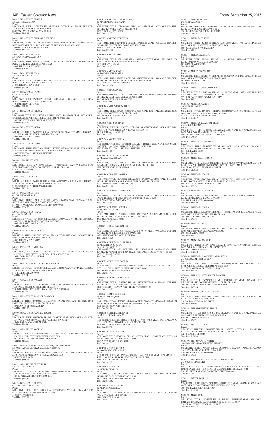14B• Eastern Colorado News Friday, September 25, 2015 M0005374 MARTINEZ CESAR F c/o MARTINEZ CORINA Parcel: MBL HOME, TITLE: 12T216209 SERIAL: FC1119A/B YEAR: 1978 MAKE: BEN SIZE: 26/56 PARK: CASA ESTATES SPACE: 0167 860 132ND AVE W #0167 WESTMINSTER Total Due: \$148.61 M0007554 MARTINEZ CHAPARRO SERGIO A Parcel: MBL HOME, TITLE: 12W639918 SERIAL: KSDH08A40B31791A YEAR: 1982 MAKE: AME SIZE: 14/63 PARK: FRIENDLY VILLAGE OF THE ROCKIES SPACE: 0089 2100 100TH AVE W #0089 THORNTON Total Due: \$119.38 M0002856 MARTINEZ DIANA c/o VEGA PANIAGUA JESUS A Parcel: MBL HOME, TITLE: 12W182383 SERIAL: 0714 YEAR: 1973 MAKE: TAR SIZE: 14/66 PARK: BERKELEY VILLAGE SPACE: 0025 5400 SHERIDAN BLVD #0025 Total Due: \$98.47 M0003879 MARTINEZ DIANA c/o VEGA ALFREDO Parcel: MBL HOME, TITLE: 12W188761 SERIAL: 32220 YEAR: 1973 MAKE: AST SIZE: 14/60 PARK: BERKELEY VILLAGE SPACE: 0014 5400 SHERIDAN BLVD #0014 Total Due: \$95.93 M0007404 MARTINEZ FATIMA c/o SOTO ZAIRA Parcel: MBL HOME, TITLE: 12W196061 SERIAL: 13642 YEAR: 1983 MAKE: C H SIZE: 14/56<br>PARK: COMMERCE HEIGHTS SPACE: 0007<br>7701 BRIGHTON BLVD #0007 Total Due: \$70.10 M0015622 MARTINEZ FELICIA Parcel: MBL HOME, TITLE NO: 12T200350 SERIAL: H0C015F04679AB YEAR: 2000 MAKE: OAK SIZE: 28/52 PARK: KIMBERLY HILLS MHP SPACE: 0120 2305 92ND AVE W #0120 FEDERAL HEIGHTS Total Due: \$733.26 M0004074 MARTINEZ ISELA Parcel: MBL HOME, TITLE: 12W177728 SERIAL: 3431476SL779 YEAR: 1973 MAKE: LSK SIZE: 14/72 PARK: BERKELEY VILLAGE SPACE: 0376 5400 SHERIDAN BLVD #0376 Total Due: \$104.81 M0015975 MARTINEZ JESSICA Parcel:<br>MBL HOME, TITLE: 12W272030 SERIAL: TXFLY12A37999C013 YEAR: 2001 MAKE: FLE SIZE: 16/66 PARK: LAMPLIGHTER DENVER SPACE: 0123 9100 TEJON ST #0123 FEDERAL HEIGHTS Total Due: \$266.16 M0004111 MARTINEZ JOSE Parcel: MBL HOME, TITLE: 12W182098 SERIAL: 4109240482A/B YEAR: 1974 MAKE: CON SIZE: 28/60 PARK: NORTH COUNTY VILLAGE SPACE: 0109 4841 97TH DR E #0109 Total Due: \$131.13 M0008868 MARTINEZ JOSE Parcel:<br>MBL HOME, TITLE: 12W182100 SERIAL: 2200165036AB YEAR: 1980 MAKE: TIT SIZE:<br>24/40 PARK: LAMPLIGHTER DENVER SPACE: 0174<br>9100 TEJON ST #0174 FEDERAL HEIGHTS Total Due: \$175.06 M0013607 MARTINEZ JOSE c/o TARANGO DEBRA J Parcel:<br>MBL HOME, TITLE: 12T105129 SERIAL: 47976558663AB YEAR: 1997 MAKE: OAK<br>SIZE: 26/56 PARK: IRONDALE MHP SPACE: 0036 8810 88TH AVE E #0036 COMMERCE CITY 000000000 Total Due: \$334.75 M0002714 MARTINEZ JUANA c/o GOMEZ JANELI Parcel: MBL HOME, TITLE: 12W185603 SERIAL: 0522336330 YEAR: 1971 MAKE: CHA SIZE: 24/40 PARK: HILLCREST VILLAGES SPACE: 0119 1600 SABLE BLVD #0119 AURORA Total Due: \$119.79 M0009641 MARTINEZ LAURA Parcel:<br>MBL HOME, TITLE: 12W233106 SERIAL: 97A9192 YEAR: 1979 MAKE: BCN SIZE: 14/76<br>PARK: BERKELEY VILLAGE SPACE: 0135<br>5400 SHERIDAN BLVD #0135 Total Due: \$120.04 M0003237 MARTINEZ MARIO A Parcel: MBL HOME, TITLE: 12W124377 SERIAL: 14101131 YEAR: 1977 MAKE: KIR SIZE: 14/52 PARK: FRIENDLY VILLAGE OF AURORA SPACE: 0118 1896 PAGOSA WAY #0118 AURORA Total Due: \$89.66 M0007836 MARTINEZ NICOLAS MARIA DELCAR Parcel MBL HOME, TITLE: 12W158284 SERIAL: WG5MS4540 YEAR: 1965 MAKE: FLE SIZE: 12/56 PARK: RUSTIC RANCH SPACE: 0070 5565 FEDERAL BLVD #0070

Parcel MBL HOME, TITLE: 12R418961 SERIAL: K285 YEAR: 1974 MAKE: PONDEROSA SIZE: 14/60 PARK: COMMERCE HEIGHTS SPACE: 0015 7701 BRIGHTON BLVD #0015 COMMERCE CITY 000000000 Total Due: \$87.67

Total Due: \$87.04

M0017776 MARTINEZ NORA M

M0005565 MARTINEZ RAMIREZ SANDRA E

Parcel:<br>MBL HOME, TITLE: 12W243128 SERIAL: 87A8314 YEAR: 1978 MAKE: BON SIZE: 14/62 PARK: HILLCREST VILLAGES SPACE: 0281 1929 BOUNTY ST #0281 AURORA Total Due: \$103.05 M0000530 MARTINEZ RAMIREZ TOMAS Parcel: MBL HOME, TITLE: 12W286789 SERIAL: GA080082 YEAR: 1971 MAKE: AMR SIZE: 12/61 PARK: FRIENDLY VILLAGE OF AURORA SPACE: 0210 1986 BUCKLEY WAY #0210 AURORA Total Due: \$94.13 M0011634 MARTINEZ ROGELIO Parcel:<br>MBL HOME, TITLE: 12R794038 SERIAL: MY9490543K YEAR: 1994 MAKE: COM SIZE: 16/76 PARK: VALLEY VIEW ESTATES SPACE: 0056 1201 THORNTON PKWY W #0056 THORNTON Total Due: \$110.60 M0008805 MARTINEZ SALVADOR VELAZQUEZ GONZALES c/o JOSE RAFAEL JAQUEZ SALAS MIA ANTONIA Parcel:<br>MBL HOME, TITLE: 12W154349 SERIAL: 476957N8718 YEAR: 1986 MAKE: CHA SIZE:<br>28/46 PARK: NORTH COUNTY VILLAGE SPACE: 0778 5467 97TH PL E #0778 Total Due: \$185.66 M0011730 MARTINEZ TIMOTHY JR c/o MARTINEZ KAYLA Parcel: MBL HOME, TITLE: 12W269856 SERIAL: MY9489643K YEAR: 1994 MAKE: FAI SIZE: 14/76 PARK: PINE LAKES RANCH SPACE: 0252 10201 RIVERDALE RD #0252 THORNTON Total Due: \$184.35 M0013494 MARTINEZ TRACEY c/o MARTINEZ CARMELITA Parcel: MBL HOME, TITLE: 12T219090 SERIAL: MY9615463ABV YEAR: 1996 MAKE: A C SIZE: 28/52 PARK: WIKIUP MHP SPACE: 0185 6500 88TH AVE E #0185 Parcel:<br>MBL HOME, TITLE: 12R772270 SERIAL: AT52451 YEAR: 1973 MAKE: ASH SIZE: 14/61 PARK: HIGHVIEW MOBILE HOME COMMUNITY SPACE: 0207 8601 ZUNI ST #0207 WESTMINSTER Total Due: \$87.04 M0014335 MCPHERSON LINA M c/o MCPHERSON SHAWN W Parcel: Parcel: Parcel: Parcel: Parcel:

Total Due: \$325.12

Parcel:<br>MBL HOME, TITLE: 12R486648 SERIAL: 36925015068 YEAR: 1969 MAKE: TIM SIZE:<br>12/46 PARK: SHADY LANE MHP SPACE: 0082 6791 HIGHWAY 2 #0082 COMMERCE CITY Total Due: \$69.73

Parcel:<br>MBL HOME, TITLE: 12W523254 SERIAL: FH103070 YEAR: 1999 MAKE: SEA SIZE: 16/76<br>PARK: LAMPLIGHTER DENVER SPACE: 0075 PRO RATE 2 MOS 1999 9100 TEJON ST #0075 FEDERAL HEIGHTS Total Due: \$275.28

Parcel:<br>MBL HOME, TITLE: 12W052600 SERIAL: SK890D YEAR: 1970 MAKE: SKY SIZE: 12/48 PARK: LINCOLN MOTEL & TRAILER PARK SPACE: 0066 6694 HIGHWAY 2 #0066 COMMERCE CITY Total Due: \$70.74

Parcel:<br>MBL HOME, TITLE NO: 12W166950 SERIAL: P162093 YEAR: 1978 MAKE: SCH SIZE:<br>14/66 PARK: BERKELEY VILLAGE SPACE: 0359 5400 SHERIDAN BLVD #0359 Total Due: \$120.04

c/o CORDOVA MADRID JOEL A<br>Parcel:<br>MBL HOME, TITLE: 12W202714 SERIAL: KHD0067 YEAR: 1973 MAKE: DAY SIZE: 14/61 PARK: KIMBERLY HILLS MHP SPACE: 0104 2311 92ND AVE W #0104 FEDERAL HEIGHTS Total Due: \$87.39

M0005004 MARTINEZ VERA RAFAEL c/o MARTINEZ URIBE MARIA Parcel: MBL HOME, TITLE: 12W164606 SERIAL: GJ223653 YEAR: 1970 MAKE: N M SIZE:<br>12/56 PARK: RUSTIC RANCH SPACE: 0034<br>5565 FEDERAL BLVD #0034 Total Due: \$92.12 M0002789 MARTINEZ VIRGILIO Parcel: MBL HOME, TITLE: 12W140842 SERIAL: 0572232855 YEAR: 1967 MAKE: CHA SIZE: 20/50 PARK: DENVER MEADOWS MHP SPACE: 0060 2075 POTOMAC ST #0060 AURORA Total Due: \$275.38 M0005824 MARTIN LEO A Parcel:<br>MBL HOME, TITLE: 12R785069 SERIAL: GBMCM0T10053 YEAR: 1972 MAKE: STA<br>SIZE: 12/46 PARK: WIKIUP MHP SPACE: 0167 6500 88TH AVE E #0167 Total Due: \$70.42 M0007456 MARTIN RONALD c/o TOWNER STEPHANIE R Parcel: MBL HOME, TITLE: 12W235220 SERIAL: 0548139988 YEAR: 1984 MAKE: CHA SIZE: 14/66 PARK: THORNTON MOBILE ESTATES SPACE: 0183 3600 88TH AVE E #0183 THORNTON Total Due: \$123.00 M0010307 MATA JUANA L Parcel:<br>MBL HOME, TITLE NO: 12W114182 SERIAL: C18760489 YEAR: 1976 MAKE: DEE SIZE:<br>14/76 PARK: EAST GATE VILLAGE SPACE: 0158<br>3060 BRIDGE ST E #0158 BRIGHTON<br>Total Due: \$100.83 M0004016 MATHEWES DAVID LEE Parcel: MBL HOME, TITLE: 12W206080 SERIAL: 3533 YEAR: 1972 MAKE: NOR SIZE: 12/60 PARK: EAST GATE VILLAGE SPACE: 0399 3060 BRIDGE ST E #0399 BRIGHTON Total Due: \$77.46 M0009530 MATTISON MARK Parcel:<br>MBL HOME, TITLE NO: 12W087611 SERIAL: M132711TX YEAR: 1984 MAKE: MDL<br>SIZE: 14/76 PARK: BERKELEY VILLAGE SPACE: 0103<br>5400 SHERIDAN BLVD #0103 Total Due: \$165.75 M0002964 MAZOTTI PAUL M Parcel: MBL HOME, TITLE NO: 12W101961 SERIAL: 3IH4512E2N23665 YEAR: 1969 MAKE:<br>HAC SIZE: 12/46 PARK: DENVER CASCADE SPACE: 0214<br>2790 WARBLER ST #0214 FEDERAL HEIGHTS Total Due: \$74.85 M0007812 MCADAM ROBERT M c/o MCADAM PATRICIA A Parcel: MBL HOME, TITLE: 12M822013 SERIAL: 48A13955 YEAR: 1984 MAKE: BEL SIZE: 16/66 PARK: FRIENDLY VILLAGE OF AURORA SPACE: 0339 1797 QUINTERO ST #0339 AURORA Total Due: \$88.56 M0010686 MCDANIEL ANGELA R Parcel: MBL HOME, TITLE: 12W057752 SERIAL: 05935276843 YEAR: 1993 MAKE: CHA SIZE:<br>14/52 PARK: FRIENDLY VILLAGE OF THE ROCKIES SPACE: 0456<br>2100 100TH AVE W #0456 THORNTON Total Due: \$191.33 M0001913 MCDANIEL KENNETH R Parcel: MBL HOME, TITLE: 12W577658 SERIAL: P152639 YEAR: 1977 MAKE: SCH SIZE: 14/66<br>PARK: HIGHVIEW MOBILE HOME COMMUNITY SPACE: 0245<br>8601 ZUNI ST #0245 WESTMINSTER Total Due: \$105.15 M0002525 MCDANIEL SCOTT A c/o MCDANIEL CANDICE S Parcel: MBL HOME, TITLE: 12T220665 SERIAL: 03590534L YEAR: 1978 MAKE: HOM SIZE:<br>24/56 PARK: NORTH COUNTY VILLAGE SPACE: 0428<br>4900 RIVERDALE AVE #0428 Total Due: \$125.59 M0010244 MCGEE KATHERINE E Parcel: MBL HOME, TITLE: 12W268560 SERIAL: 04510319F YEAR: 1993 MAKE: CUT SIZE: 16/76 PARK: PINE LAKES RANCH SPACE: 0023 10201 RIVERDALE RD #0023 THORNTON Total Due: \$198.26 M0007539 MCKEITHEN DARRELL L c/o MCKEITHEN JOYCE A Parcel: 0173335400007 MBL HOME, TITLE: 12W182002 SERIAL: FS13367A/B YEAR: 1982 MAKE: CAM SIZE: 26/48 PARK: PRIVATE PROPERTY SPACE: 0000 LAND PARCEL 1733-35-4-00-007 69351 72ND AVE E #0000 Total Due: \$131.32 M0004029 MCKENZIE ROGER D Parcel: MBL HOME, TITLE: 12W729109 SERIAL: 363TEFBR10101 YEAR: 1970 MAKE: VIN SIZE: 12/59 PARK: GREEN ACRES MHP SPACE: 041C 1540 BILLINGS ST #041C AURORA Total Due: \$87.43 M0012373 MCKERROW ALLISON Parcel: MBL HOME, TITLE: 12R877867 SERIAL: 4P520902H YEAR: 1995 MAKE: WES SIZE: 16/76 PARK: VALLEY VIEW ESTATES SPACE: 0221 1201 THORNTON PKWY W #0221 THORNTON 000000000 Total Due: \$253.37 M0000024 MCMANIS DANIEL

Parcel:<br>MBL HOME, TITLE: 12W140063 SERIAL: 914 YEAR: 1973 MAKE: CRA SIZE: 14/66<br>PARK: L&I FLANDERS SPACE: 0002 590 COLFAX AVE #0002 BENNETT Total Due: \$83.96 M0003849 MERRIMAN HOWARD R JR Parcel:<br>MBL HOME, TITLE: 12T076105 SERIAL: 3102120033 YEAR: 1973 MAKE: WES SIZE:<br>14/66 PARK: BERKELEY VILLAGE SPACE: 0356 5400 SHERIDAN BLVD #0356 Total Due: \$99.74 M0010523 METCALF TERRI Parcel: MBL HOME, TITLE NO: 12W118923 SERIAL: 2293383T1547 YEAR: 1993 MAKE: RIV<br>SIZE: 16/66 PARK: NORTH COUNTY VILLAGE SPACE: 0726<br>9621 GLENCOE CT #0726<br>Total Due: \$181.03 M0017692 METRO WASTE WATER c/o C/O M AND M MOBILE HOME SERVICE Parcel: MBL HOME, TITLE: 03P670304 SERIAL: 0519695986D YEAR: 1971 MAKE: CHAMPION SIZE: 12/61 PARK: WIKIUP MHP SPACE:0071 6500 88TH AVE E #0071 000000000 Total Due: \$97.23 M0017774 METRO WASTEWATER RECLAMATION DIST c/o C/O JOSE MARTINEZ Parcel: MBL HOME, TITLE: 03M971543 SERIAL: 3G4B6012F3N17201 YEAR: 1965 MAKE:<br>GREAT LAKES SIZE: 12/60 PARK: COMMERCE HEIGHTS SPACE: 0042<br>7701 BRIGHTON RD #0042 COMMERCE CITY 000000000 Total Due: \$73.31 M0015135 MEYERS CARL E

c/o MCMANIS RAQUEL

MBL HOME, TITLE NO: 12T165930 SERIAL: 47980159213 YEAR: 1998 MAKE: W W SIZE: 16/70 PARK: DENVER CASCADE SPACE: 0149 2873 BLUE JAY ST #0149 FEDERAL HEIGHTS Total Due: \$229.74 M0005132 MCQUADE JOSHUA MBL HOME, TITLE: 12W171788 SERIAL: 1CE5730 YEAR: 1973 MAKE: CEN SIZE: 12/61 PARK: REDWOOD ESTATES SPACE: 0383 9595 PECOS ST #0383 THORNTON Total Due: \$88.35 M0004528 MEDDEZ GLORIA c/o LOMBARDO JOSE ANGEL MBL HOME, TITLE NO: 12T934910 SERIAL: 641222711171 YEAR: 1968 MAKE: T C SIZE: 12/60 PARK: HILLCREST VILLAGES SPACE: 0389 1855 CLARK ST #0389 AURORA Total Due: \$82.98 M0000166 MEDINA JOHN c/o MEDINA PHYLLIS J MBL HOME, TITLE: 12W248612 SERIAL: CHCC015581 YEAR: 1977 MAKE: CEN SIZE:<br>14/66 PARK: CASA ESTATES SPACE: 0241<br>860 132ND AVE W #0241 WESTMINSTER Total Due: \$102.52 M0001133 MEDINA LOUISE c/o MEDINA ANGELICA MBL HOME, TITLE: 12R363202 SERIAL: HK1018E YEAR: 1971 MAKE: HIL SIZE: 12/56 PARK: FRANKLIN MHP SPACE: 0104 1616 78TH AVE E #0104 Total Due: \$77.74

M0005859 MEDINA ROGER D c/o MEDINA RENEE F Parcel: MBL HOME, TITLE: 12P164236 SERIAL: BK842C YEAR: 1969 MAKE: SKY SIZE: 12/56<br>PARK: DENVER CASCADE SPACE: 0173<br>9765 LARK ST #0173 FEDERAL HEIGHTS Total Due: \$81.69

M0001753 MEJIA SOTO JOSE Parcel:<br>MBL HOME TITLE: 12W273432 SERIAL: M502L0369 YEAR: 1970 MAKE: MAR SIZE: 14/63 PARK: HILLCREST VILLAGES SPACE: 0064 1600 SABLE BLVD #0064 AURORA Total Due: \$87.43

M0003475 MELENDEZ FELIPE Parcel:<br>MBL HOME, TITLE: 12P454898 SERIAL: 215110216 YEAR: 1965 MAKE: TIT SIZE: 10/51 PARK: COTTONWOOD MHP SPACE: 0011 10110 120TH AVE E #0011 Total Due: \$65.11

M0003549 MELENDEZ MARIA Parcel:<br>MBL HOME, TITLE: 12W151692 SERIAL: 22503S4627C YEAR: 1965 MAKE: CHI SIZE:<br>10/46 PARK: COTTONWOOD MHP SPACE: 0016 10110 120TH AVE E #0016 Total Due: \$50.04

M0004032 MENARD CHARLOTTE KAY

M0011931 MENDEZ MARIO A c/o MENDEZ ISABEL V Parcel:

MBL HOME, TITLE: 12W067684 SERIAL: 04511316H YEAR: 1995 MAKE: CUT SIZE:<br>16/66 PARK: PINE LAKES RANCH SPACE: 0706<br>4210 100TH AVE E #0706 THORNTON<br>Total Due: \$181.57

M0009043 MENDEZ ROJAS JOSE LEON c/o PEREZ CRISTINA<br>Parcel:<br>MBL HOME, TITLE: 12W286762 SERIAL: ACED7502 YEAR: 1974 MAKE: CEN SIZE:<br>14/67 PARK: WOODLAND HILLS SPACE: 0252 1500 THORNTON PKWY W #0252 THORNTON Total Due: \$95.80

M0003014 MENDOZA AGUSTIN JR Parcel:<br>MBL HOME, TITLE: 12R402973 SERIAL: K12260CD213X91038 YEAR: 1969 MAKE:<br>MAR SIZE: 12/56 PARK: FRANKLIN MHP SPACE: 0067 1616 78TH AVE E #0067 Total Due: \$36.40

M0015006 MENDOZA ANTONIO

M0002069 MENDOZA JORGE

M0017110 MENDOZA JORGE LOYA

Parcel: MBL HOME, TITLE: 12T210338 SERIAL: KA3656 YEAR: 2008 MAKE: CMH SIZE: 27/52<br>PARK: CHAPARRAL VILLAGE SPACE: 0074<br>3180 88TH AVE E #0074 000000000 Total Due: \$556.09

M0004073 MENDOZA JOSE A

Parcel: MBL HOME, TITLE: 12W204689 SERIAL: 3731476SL759 YEAR: 1973 MAKE: L P SIZE: 14/72 PARK: REDWOOD ESTATES SPACE: 0692 9595 PECOS ST #0692 THORNTON

Total Due: \$99.52 M0006806 MENDOZA LUIS

Parcel: MBL HOME, TITLE: 12W277279 SERIAL: 5H9T2S11440 YEAR: 1969 MAKE: FLE SIZE: 12/56 PARK: PIONEER VILLAGE SPACE: 0053 2901 63RD AVE W #0053

Total Due: \$87.75

M0001925 MENDOZA MARIBEL

M0009594 MENDOZA SANCHEZ MARGARITA A

M0009943 MERAZ SANTOS VICTOR MANUEL

Parcel: MBL HOME, TITLE: 12W295431 SERIAL: 2292843T0856A/B YEAR: 1992 MAKE: TIT SIZE: 27/44 PARK: COUNTRYSIDE VILLAGE SPACE: 0166 9850 FEDERAL BLVD #0166 FEDERAL HEIGHTS Total Due: \$300.34

M0006898 MERRICK JULIE KATHLEEN

Parcel:

MBL HOME, TITLE: 12T076179 SERIAL: 470047001913 YEAR: 2000 MAKE: OAK SIZE: 14/52 PARK: THORNTON MOBILE ESTATES SPACE: 0194 3600 88TH AVE E #0194 THORNTON Total Due: \$188.05

M0014907 MEZA DORA Parcel MBL HOME, TITLE: 12W157633 SERIAL: IDFLW04A72882BR13 YEAR: 1999 MAKE: BRI SIZE: 16/66 PARK: LAMPLIGHTER DENVER SPACE: 0027 9100 TEJON ST #0027 FEDERAL HEIGHTS Total Due: \$250.22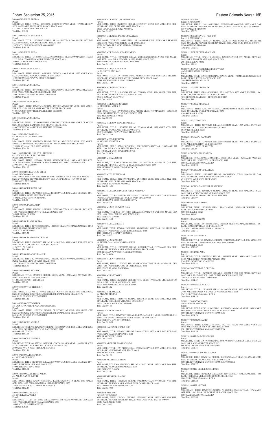Parcel:<br>MBL HOME, TITLE: 12T095472 SERIAL: 14102362 YEAR: 1980 MAKE: N M SIZE: 14/76<br>PARK: VALLEY VIEW ESTATES SPACE: 0351<br>1201 THORNTON PKWY W #0351 THORNTON Total Due: \$130.53

Parcel:<br>MBL HOME, TITLE NO: 12T757972 SERIAL: TX307631679 YEAR: 1977 MAKE: GRA<br>SIZE: 14/68 PARK: HIGHVIEW MOBILE HOME COMMUNITY SPACE: 0196 8601 ZUNI ST #0196 WESTMINSTER Total Due: \$107.42

Friday, September 25, 2015 Eastern Colorado News • 15B M0006473 MILLER REGINA Parcel:<br>MBL HOME, TITLE: 12W061145 SERIAL: SDH05E18907781A YEAR: 1979 MAKE: REV SIZE: 14/72 PARK: PINE LAKES RANCH SPACE: 0462 4211 100TH AVE E #0462 THORNTON Total Due: \$91.58 M0017049 MILLER SHELLEY R Parcel: MBL HOME, TITLE: 12W273442 SERIAL: 1R510225W YEAR: 2008 MAKE: SKYLINE SIZE: 16/76 PARK: WOODSHIRE EAST SPACE: 0204 17473 16TH DR E #0204 AURORA 000000000 Total Due: \$490.18 M0015070 MILLER SUE A Parcel:<br>MBL HOME, TITLE: 12T073887 SERIAL: NEB00B01937 YEAR: 2000 MAKE: M H SIZE:<br>27/52 PARK: THORNTON MOBILE ESTATES SPACE: 0028<br>3600 88TH AVE E #0028 THORNTON Total Due: \$330.58 M0002719 MIRANDA RAFAEL Parcel MBL HOME, TITLE: 12W185510 SERIAL: 0522637454A&B YEAR: 1972 MAKE: CHA<br>SIZE: 24/56 PARK: WOODLAND HILLS SPACE: 0361<br>1500 THORNTON PKWY W #0361 THORNTON Total Due: \$152.87 M0015656 MIRANDA SILVIA Parcel MBL HOME, TITLE: 12W193712 SERIAL: 62510241NA/B YEAR: 2001 MAKE: SKY SIZE:<br>27/40 PARK: WOODLAND HILLS SPACE: 0362<br>1500 THORNTON PKWY W #0362 THORNTON Total Due: \$422.10 M0016338 MIRANDA SILVIA Parcel: MBL HOME, TITLE: 12W159434 SERIAL: TXFLT12A26486FD13 YEAR: 1997 MAKE: FES SIZE: 17/76 PARK: LAMPLIGHTER DENVER SPACE: 0009 9100 TEJON ST #0009 FEDERAL HEIGHTS 000000000 Total Due: \$275.28 M0018061 MIRANDA SILVIA Parcel:<br>MBL HOME, TITLE: 12W249136 SERIAL: CLW009875TX YEAR: 1998 MAKE: CLAYTON SIZE: 16/60 PARK: LAMPLIGHTER DENVER SPACE: 0246 9100 TEJON ST #0246 FEDERAL HEIGHTS 000000000 Total Due: \$255.91 M0015576 MIRCI LORRIE A c/o ARANDAY LONGORIA LINO Parcel: MBL HOME, TITLE: 12W286329 SERIAL: TXFLY12A36752EG13 YEAR: 2000 MAKE: EAG SIZE: 16/56 PARK: WOODSHIRE EAST MH COMMUNITY SPACE: 0066<br>17598 BUCHANAN PL E #0066 AURORA<br>Total Due: \$244.74 M0011589 MITCHELL BILLY F / THERESA H<br>c/o MITCHELL-PADE ELIZABETH<br>Parcel: 0156700000278<br>MBL HOME, TITLE: 12P244061 SERIAL: 35510263H YEAR: 1995 MAKE: SPR SIZE: 16/76 PARK: PRIVATE PROPERTY SPACE: 0000 LAND PARC 1567-00-0-00-278 27905 160TH AVE E #0000 Total Due: \$201.17 M0005883 MITCHELL CARL STEVE Parcel: 0156700000329 MBL HOME, TITLE NO: 12W095696 SERIAL: 2280164281UX YEAR: 1978 MAKE: TIT SIZE: 24/36 PARK: PRIVATE PROPERTY: 0000 LAND PARCEL 1567-00-0-00-329 27500 160TH AVE E #0000 Total Due: \$111.78 M0005349 MOBILE HOME INC Parcel:<br>MBL HOME, TITLE: 12W751409 SERIAL: 1CE4563 YEAR: 1972 MAKE: CEN SIZE: 12/61<br>PARK: GREEN ACRES MHP SPACE: 013A 1540 BILLINGS ST #013A AURORA Total Due: \$82.98 M0005439 MOLINA MARTHA Parcel: MBL HOME, TITLE: 12W291558 SERIAL: 01590540L YEAR: 1978 MAKE: SKY SIZE: 14/66 PARK: NORTH COUNTY VILLAGE SPACE: 0764 9690 HUDSON CT #0764 Total Due: \$95.07 M0009664 MOLINARO JOHN A Parcel: MBL HOME, TITLE: 12T053151 SERIAL: 14104043 YEAR: 1985 MAKE: N M SIZE: 14/68 PARK: FRANKLIN MHP SPACE: 0009 1616 78TH AVE E #0009 Total Due: \$139.22 M0008849 MOLINARO PINNT KIM M Parcel: MBL HOME, TITLE: 12W219877 SERIAL: P238241 YEAR: 1988 MAKE: SCH SIZE: 16/75<br>PARK: NORTH COUNTY VILLAGE SPACE: 0316<br>5174 97TH PL E #0316

Total Due: \$151.46 M0009147 MONDRAGON DIANE E

M0005736 MONGE RICARDO Parcel: MBL HOME, TITLE: 12P429010 SERIAL: G28154 YEAR: 1971 MAKE: AST SIZE: 12/61 PARK: BRIGHTON MHP SPACE: 0014 671 MAIN ST S #0014 BRIGHTON Total Due: \$79.85

M0007853 MONTES BERTHA F

M0014423 MONTOYA BRIAN c/o MONTOYA JOLENE AKA BOWEN JOLENE

Parcel: MBL HOME, TITLE: 12T053702 SERIAL: CRH1TX8235AB YEAR: 1998 MAKE: CRE

SIZE: 27/48 PARK: HIGHVIEW MOBILE HOME COMMUNITY SPACE: 0047 8601 ZUNI ST #0047 WESTMINSTER Total Due: \$361.97 M0012396 MOORE ANGELA Parcel:<br>MBL HOME, TITLE NO: 12W092590 SERIAL: 4S510346I YEAR: 1995 MAKE: CUT SIZE:<br>16/76 PARK: NORTH COUNTY VILLAGE SPACE: 0741 9653 GRAPE CT #0741 Total Due: \$197.68 M0007431 MOORE JEANNE S Parcel:<br>MBL HOME, TITLE NO: 12T728356 SERIAL: CHCC019629&30 YEAR: 1983 MAKE: CEN SIZE: 24/48 PARK: HOLIDAY HILLS VILLAGE SPACE: 0337 2000 92ND AVE W #0337 FEDERAL HEIGHTS Total Due: \$205.81 M0005472 MORA HERENDIRA c/o RUEDAS GILBERTO<br>Parcel:<br>MBL HOME, TITLE: 12W284090 SERIAL: GW9733 YEAR: 1977 MAKE: GLE SIZE: 14/71 PARK: BERKELEY VILLAGE SPACE: 0027 5400 SHERIDAN BLVD #0027 Total Due: \$117.52 M0006328 MORALES FIDEL PARRA c/o PARRA NANCY IVETTE Parcel: MBL HOME, TITLE: 12W191782 SERIAL: KSDHO8A29919431A YEAR: 1980 MAKE: AME SIZE: 14/65 PARK: KIMBERLY HILLS MHP SPACE: 0277 2305 92ND AVE W #0277 FEDERAL HEIGHTS Total Due: \$112.45 M0002807 MORALES JOSE c/o BONILLA MANUELA Parcel: MBL HOME, TITLE: 12W163512 SERIAL: 0599661634 YEAR: 1969 MAKE: CHA SIZE: 12/51 PARK: HILLCREST VILLAGES SPACE: 0439 14460 16TH PL E #0439 AURORA Total Due: \$76.28

# M0009908 MORALES LUIS HUMBERTO

MBL HOME, TITLE: 12W193939 SERIAL: ZWK70144176 YEAR: 1978 MAKE: WIN SIZE:<br>14/66 PARK: CASA ESTATES SPACE: 0171<br>860 132ND AVE W #0171 WESTMINSTER Total Due: \$101.45

MBL HOME, TITLE: 12W661545 SERIAL: BUC004762AZAB YEAR: 2014 MAKE: CMH<br>SIZE: 27/68 PARK: WOODLAND HILLS SPACE: 0240<br>1500 THORNTON PKWY W #0240 THORNTON 000000000 Total Due: \$299.27

Parcel:<br>MBL HOME, TITLE: 12W255223 SERIAL: N14367FK615X60106 YEAR: 1976 MAKE: GEE SIZE: 14/63 PARK: HILLCREST VILLAGES SPACE: 0061 1600 SABLE BLVD #0061 AURORA Total Due: \$100.83

Parcel: MBL HOME, TITLE: 12W193555 SERIAL: 0C05871271 YEAR: 1987 MAKE: CED SIZE: 16/76 PARK: HILLCREST VILLAGES SPACE: 0523 14701 COLFAX AVE E #0523 AURORA Total Due: \$169.99 M0017404 MORALES RAMOS GUILLERMO Parcel:<br>MBL HOME, TITLE:12T230492 SERIAL: 1R510400WAB YEAR: 2008 MAKE: SKYLINE SIZE: 27/70 PARK: WOODSHIRE EAST SPACE: 0045 17576 BATAVIA PL E #0045 AURORA 000000000 Total Due: \$793.61 M0007843 MORENO GARCIA EDUARDO Parcel:<br>MBL HOME, TITLE: 12W286452 SERIAL: KSDH08A32B30781A YEAR: 1982 MAKE:<br>AGE SIZE: 14/66 PARK: KIMBERLY HILLS MHP SPACE: 0102<br>2311 92ND AVE W #0102 FEDERAL HEIGHTS Total Due: \$115.85 M0012678 MORGAN BILLIE D c/o BLISS TEILENE KAE<br>Parcel:<br>MBL HOME, TITLE: 12W160585 SERIAL: NEB59A24145 YEAR: 1995 MAKE: BEL SIZE:<br>16/67 PARK: WOODSHIRE EAST MH COMMUNITY SPACE: 0067 17589 BUCHANAN PL E #0067 AURORA Total Due: \$213.50 M0008806 MORGER DONNA M Parcel:<br>MBL HOME, TITLE: 12P473241 SERIAL: ZDI11194 YEAR: 1984 MAKE: DUK SIZE:<br>14/71 PARK: BERKELEY VILLAGE SPACE: 0137 5400 SHERIDAN BLVD #0137 Total Due: \$65.18 M0008498 MORRISON ROGER M c/o MORRISON MARK A Parcel: MBL HOME, TITLE: 12W076970 SERIAL: P218662 YEAR: 1987 MAKE: SCH SIZE: 16/64 PARK: NORTH COUNTY VILLAGE SPACE: 0321 5232 RIVERDALE LN #0321 Total Due: \$83.98 M0009072 MORROW REAL ESTATE LLC Parcel: MBL HOME, TITLE: 12W147280 SERIAL: FD1680A YEAR: 1979 MAKE: COM SIZE:<br>14/76 PARK: WOODLAND HILLS SPACE: 0443<br>1500 THORNTON PKWY W #0443 THORNTON Total Due: \$115.66 M0009457 MOSS JEFFREY B c/o MOSS ELIZABETH A Parcel:<br>MBL HOME, TITLE: 12R632812 SERIAL: 220170T9983A&B YEAR: 1990 MAKE: TIT<br>SIZE: 27/66 PARK: CASA ESTATES SPACE: 0182<br>860 132ND AVE W #0182 WESTMINSTER Total Due: \$356.56 M0000217 MOTA ARTURO Parcel:<br>MBL HOME, TITLE NO: 12W080143 SERIAL: 0C1082 YEAR: 1974 MAKE: OAK SIZE:<br>12/46 PARK: LINCOLN MOTEL & TRAILER PARK SPACE: 0063 6694 HIGHWAY 2 #0063 COMMERCE CITY Total Due: \$68.75 M0016472 MOTLEY THOMAS Parcel: MBL HOME, TITLE: 12T218987 SERIAL: 2N510428P YEAR: 2002 MAKE: SKY SIZE:<br>16/76 PARK: HILLCREST VILLAGES SPACE: 0188<br>1600 SABLE BLVD #0188 AURORA Total Due: \$316.13 M0004507 MUNIZ DOMINGUEZ JORGE ANTONIO Parcel: MBL HOME, TITLE: 12R450084 SERIAL: 6147714 YEAR: 1961 MAKE: GAR SIZE: 10/46<br>PARK: LINCOLN MOTEL & TRAILER PARK SPACE: 0080<br>6694 HIGHWAY 2 #0080 COMMERCE CITY Total Due: \$63.78 M0009644 MUNOS ESPARZA JUAN Parcel: MBL HOME, TITLE NO: 12W138298 SERIAL: 226879T8240 YEAR: 1986 MAKE: CHA SIZE: 14/66 PARK: WIKIUP MHP SPACE: 0309 6500 88TH AVE E #0309 Total Due: \$116.38 M0008444 MUNOZ CIRILO B Parcel:<br>MBL HOME, TITLE: 12W060176 SERIAL: KBIDSNAB213108 YEAR: 1982 MAKE: BAI SIZE: 28/44 PARK: PINE LAKES RANCH SPACE: 0744 4210 100TH AVE E #0744 THORNTON Total Due: \$36.13 M0010107 MUNOZ MARIA c/o FIGUEROA ALVARADO IRMA LIZET Parcel: MBL HOME, TITLE: 12W255523 SERIAL: 0150640K YEAR: 1977 MAKE: SKY SIZE: 14/66 PARK: FRIENDLY VILLAGE OF AURORA SPACE: 0205 1964 BUCKLEY WAY #0205 AURORA 000000000 Total Due: \$104.16 M0000960 MURPHY JIMMIE L Parcel: MBL HOME, TITLE: 12T012633 SERIAL: GKMCXM0T7367 YEAR: 1970 MAKE: GEN SIZE: 14/60 PARK: REDWOOD ESTATES SPACE: 0541 9595 PECOS ST #0541 THORNTON Total Due: \$108.21 M0005114 MURREY ORRY Parcel: MBL HOME, TITLE: 12W262535 SERIAL: 7841C YEAR: 1978 MAKE: CHE SIZE: 14/56 PARK: PINE LAKES RANCH SPACE: 0070 10201 RIVERDALE RD #0070 THORNTON Total Due: \$86.02 M0005832 MYLAM JACK c/o MYLAM ATARAH Parcel:<br>MBL HOME, TITLE: 12T897465 SERIAL: 01590487M YEAR: 1979 MAKE: SKY SIZE:<br>14/56 PARK: HILLCREST VILLAGES SPACE: 0567 14701 COLFAX AVE E #0567 AURORA Total Due: \$91.90 M0016674 MVREN DANIEL Parcel:<br>MBL HOME, TITLE: 12W277037 SERIAL: FL412A/B44960HP13 YEAR: 2005 MAKE: FLE<br>SIZE: 24/48 PARK: THORNTON MOBILE ESTATES SPACE: 0148<br>3600 88TH AVE E #0148 THORNTON Total Due: \$383.18 M0011680 NATIONAL HOMES INC Parcel:<br>MBL HOME, TITLE: 12P468475 SERIAL: M60932 YEAR: 1972 MAKE: HOL SIZE: 14/66<br>PARK: NEW IMAGE MHP SPACE: 0011<br>8431 BRIGHTON RD #0011 Total Due: \$80.00 M0010050 NEGRETE RIOS RICARDO Parcel: MBL HOME, TITLE: 12W174079 SERIAL: 0590265848S YEAR: 1979 MAKE: CHA SIZE:<br>14/52 PARK: NEW IMAGE MHP SPACE: 0025<br>8431 BRIGHTON RD #0025 Total Due: \$81.91 M0009756 NELSEN MATTHEW Parcel: MBL HOME, TITLE NO: 12W090424 SERIAL: 47A4371 YEAR: 1974 MAKE: BON SIZE: 14/60 PARK: FRANKLIN MHP SPACE: 0074 1616 78TH AVE E #0074 Total Due: \$82.94 M0011138 NEUMANN LANNY Parcel: MBL HOME, TITLE: 12T219265 SERIAL: 4P520559G YEAR: 1994 MAKE: WTR SIZE: 16/76 PARK: FRIENDLY VILLAGE OF THE ROCKIES SPACE: 0390 2100 100TH AVE W #0390 THORNTON Total Due: \$250.88 Parcel: Parcel: Parcel: Parcel: Parcel: Parcel: Parcel: Parcel: Parcel: Parcel: Parcel:

M0003348 NIES INC Parcel: 0172706300004<br>MBL HOME, TITLE: 12M762417 SERIAL: 1704641832 YEAR: 1970 MAKE: WAY SIZE:<br>14/64 PARK: PRIVATE PROPERTY SPACE: 0000 LAND PARC 1727-06-3-00-004 11940 WATKINS RD #0000 Total Due: \$70.03

M0006563 NIES INC Parcel: 0172706300004 MBL HOME, TITLE: 12M422936 SERIAL: 260DE2LAST3606 YEAR: 1972 MAKE: DAR SIZE: 12/60 PARK: PRIVATE PROPERTY SPACE: 0000 LAND PARC 1727-06-3-00-004 11940 WATKINS RD #0000 Total Due: \$76.79 M0006938 NIES STEVE G / NIES INC Parcel: 0173300000075<br>MBL HOME, TITLE: 12P407241 SERIAL: 2222631555A&B YEAR: 1972 MAKE: ATL<br>SIZE: 24/56 PARK: PRIVATE PROPERTY SPACE: 0000 LAND PARC 1733-00-0-00-075 11940 WATKINS RD #0000 Total Due: \$102.86 M0000512 NOREZ QUEZADA ISAEL Parcel: MBL HOME, TITLE: 12W151816 SERIAL: GA050894 YEAR: 1971 MAKE: DET SIZE: 14/66 PARK: PIONEER VILLAGE SPACE: 0030 2901 63RD AVE W #0030 Total Due: \$99.33 M0006796 NOYES JESSE JERIMIAH SNYDER c/o MEYERS SASHA NICHOLE<br>Parcel:<br>MBL HOME, TITLE: 12W231509 SERIAL: 08A9493 YEAR: 1980 MAKE: BON SIZE: 26/48<br>PARK: BERKELEY VILLAGE SPACE: 0175 5400 SHERIDAN BLVD #0175 Total Due: \$213.99 M0000113 NUNEZ LEOPOLDO Parcel:<br>MBL HOME, TITLE: 12R883670 SERIAL: BT52885 YEAR: 1973 MAKE: BRI SIZE: 14/61<br>PARK: COUNTRYSIDE VILLAGE SPACE: 0031 9850 FEDERAL BLVD #0031 FEDERAL HEIGHTS Total Due: \$94.21 M0003779 NUNEZ MIGUEL A Parcel:<br>MBL HOME, TITLE: 12W219975 SERIAL: 3B1342460660B YEAR: 1968 MAKE: E M<br>SIZE: 24/56 PARK: WIKIUP MHP SPACE: 0290 6500 88TH AVE E #0290 Total Due: \$105.86 M0013334 NUTT DALYNN MBL HOME, TITLE: 12T998645 SERIAL: 04510492J YEAR: 1997 MAKE: CUT SIZE:<br>14/52 PARK: COTTONWOOD MHP SPACE: 0001<br>10110 120TH AVE E#0001 Total Due: \$182.49 M0002585 OCAMPO RANULFO MBL HOME, TITLE: 12P454275 SERIAL: 045902811 YEAR: 1975 MAKE: BUD SIZE:<br>14/70 PARK: BRIGHTON MHP SPACE: 0009<br>671 MAIN ST S #0009 BRIGHTON Total Due: \$88.20 M0002107 OCHOA MARGARITA MBL HOME, TITLE: 12W266132 SERIAL: S10581A&B YEAR: 1965 MAKE: PAR SIZE: 20/50 PARK: HILLCREST VILLAGES SPACE: 0049 1600 SABLE BLVD #0049 AURORA Total Due: \$101.90 M0012919 OCHOA M GUILLERMO Parcel:<br>MBL HOME, TITLE: 12W133872 SERIAL: H0C015F00762 YEAR: 1996 MAKE: OAK<br>SIZE: 16/60 PARK: PINE LAKES RANCH SPACE: 0630<br>4210 100TH AVE E #0630 THORNTON<br>Total Due: \$191.76 M0012681 OCHOA SANDOVAL FRANCISCO Parcel:<br>MBL HOME, TITLE: 12W616248 SERIAL: 04510245I YEAR: 1996 MAKE: CUT SIZE:<br>16/66 PARK: COUNTRYSIDE VILLAGE SPACE: 0023 9850 FEDERAL BLVD #0023 FEDERAL HEIGHTS Total Due: \$239.97 M0014096 OLAGUE JORGE MBL HOME, TITLE: 12W230626 SERIAL: S814374 YEAR: 1978 MAKE: WHI SIZE: 14/56 PARK: WIKIUP MHP SPACE: 0321 6500 88TH AVE E #0321 Total Due: \$87.67 M0007045 OLIVAS JUAN MBL HOME, TITLE: 12W188315 SERIAL: 10236335 YEAR: 1982 MAKE: BRI SIZE: 14/61<br>PARK: KIMBERLY HILLS MHP SPACE: 0477<br>2311 92ND AVE W #0477 FEDERAL HEIGHTS Total Due: \$110.16 M0007568 OLIVAS SUSAN MBL HOME, TITLE NO: 12W108694 SERIAL: 2248527411A&B YEAR: 1984 MAKE: TIT<br>SIZE: 24/48 PARK: CHAPARRAL VILLAGE SPACE: 0099<br>3180 88TH AVE E #0099 Total Due: \$210.07 M0007814 ONDRIS PAUL MBL HOME, TITLE: 12W071542 SERIAL: 16550892S YEAR: 1983 MAKE: CAM SIZE: 14/66 PARK: GREEN ACRES MHP SPACE: 035C 1540 BILLINGS ST #035C AURORA Total Due: \$129.82 M0007467 ONTIVEROS Q CINTHIA MBL HOME, TITLE: 12W254897 SERIAL: 01590122R YEAR: 1982 MAKE: SKY SIZE: 14/60 PARK: FRIENDLY VILLAGE OF THE ROCKIES SPACE: 0287 2100 100TH AVE W #0287 THORNTON Total Due: \$114.42 M0002646 ORNELAS JULIO O Parcel: MBL HOME, TITLE: 12W262823 SERIAL: 04590727K YEAR: 1977 MAKE: BUD SIZE: 24/56 PARK: FRIENDLY VILLAGE OF AURORA SPACE: 0336 1747 QUINTERO ST #0336 AURORA Total Due: \$138.75 M0009137 OROZCO EDGAR c/o MARTINEZ MAYRA M Parcel: MBL HOME, TITLE: 12W255269 SERIAL: KSDH05D43A14862AB YEAR: 1981 MAKE: DET SIZE: 24/48 PARK: WOODLAND HILLS SPACE: 0039 1500 THORNTON PKWY W #0039 THORNTON Total Due: \$208.70

# M0007779 OROZCO MARIO Parcel:<br>MBL HOME, TITLE: 12W651224 SERIAL: 10237881 YEAR: 1985 MAKE: VEN SIZE:<br>16/66 PARK: VALLEY VIEW ESTATES SPACE: 0338 1201 THORNTON PKWY W #0338 THORNTON Total Due: \$161.56

M0005385 ORTEGA ROJAS MARIA

# M0018310 ORTEGA SOLIS CLAUDIA

## M0002300 ORTIZ CENICEROS ANDRES

MBL HOME, TITLE: 12W220526 SERIAL: 0C1025 YEAR: 1974 MAKE: OAK SIZE: 14/66 PARK: FRIENDLY VILLAGE OF AURORA SPACE: 0361 1800 QUINTERO ST #0361 AURORA Total Due: \$216.24

## M0001833 ORTIZ HECTOR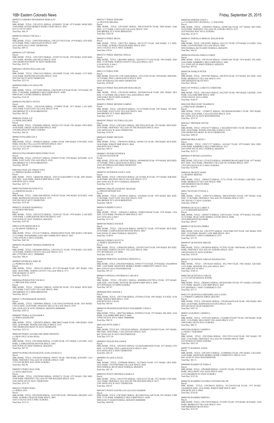M0002523 OSBORN HENDERSON REBA KAY Parcel: MBL HOME, TITLE: 12W192331 SERIAL: 035904951 YEAR: 1975 MAKE: HOM SIZE: 14/60 PARK: STITES MOBILE HOME COURT SPACE: 0032 6521 CLAY ST #0032 Total Due: \$94.19 M0008185 OSWALT NICOLE J Parcel:<br>MBL HOME, TITLE: 12W075020 SERIAL: CHCC017202 YEAR: 1979 MAKE: CEN SIZE: 16/74 PARK: PINE LAKES RANCH SPACE: 0497 4210 100TH AVE E #0497 THORNTON Total Due: \$89.72 M0009363 OTT DENNIS Parcel:<br>MBL HOME, TITLE: 12W152872 SERIAL: 22520771S YEAR: 1983 MAKE: HAM SIZE:<br>14/75 PARK: WOODLAND HILLS SPACE: 0259 1500 THORNTON PKWY W #0259 THORNTON Total Due: \$147.91 M0010263 OWENS WILLIAM A SR Parcel:<br>MBL HOME, TITLE: 12W611018 SERIAL: 04510200F YEAR: 1993 MAKE: CUT SIZE:<br>16/66 PARK: REDWOOD ESTATES SPACE: 0520 9595 PECOS ST #0520 THORNTON Total Due: \$231.05 M0005066 PABLO GUADALUPE Parcel:<br>MBL HOME, TITLE: 12T719495 SERIAL: CMC8C08711678AB YEAR: 1978 MAKE: HC<br>SIZE: 27/60 PARK: KIMBERLY HILLS MHP SPACE: 658H<br>9400 ELM CT #658H FEDERAL HEIGHTS Total Due: \$142.28 M0006303 PACHECO JOVITA Parcel MBL HOME, TITLE: 12W162186 SERIAL: LT50888 YEAR: 1971 MAKE: LAN SIZE:<br>14/62 PARK: EAST GATE VILLAGE SPACE: 0148<br>3060 BRIDGE ST E #0148 BRIGHTON Total Due: \$83.83 M0004291 PAINE A D c/o PAINE DOLORES Parcel: MBL HOME, TITLE: 12W046061 SERIAL: 502FXC1391 YEAR: 1961 MAKE: OWO SIZE: 10/46 PARK: GREEN ACRES MHP SPACE: 002F 1540 BILLINGS ST #002F AURORA Total Due: \$66.24 M0006158 PALMER LEE E Parcel: MBL HOME, TITLE: 12P408225 SERIAL: 104861 YEAR: 1969 MAKE: CON SIZE: 24/60<br>PARK: MAURA VILLA (LOTS OWNED) SPACE: 0013<br>9235 CLAY ST #0013 FEDERAL HEIGHTS Total Due: \$123.53 M0010310 PALOMARES HERNANDEZ JUAN Parcel: MBL HOME, TITLE: 12W281817 SERIAL: P248693 YEAR: 1993 MAKE: SCH SIZE: 16/76 PARK: EAST GATE VILLAGE SPACE: 0328 3060 BRIDGE ST E #0328 BRIGHTON Total Due: \$89.99 M0016663 PANCATL JORGE NAVA c/o JIMINEZ MARIA AURORA Parcel: MBL HOME, TITLE: 12R484786 SERIAL: TXFL412A86329HP13 YEAR: 2005 MAKE:<br>FLE SIZE: 16/66 PARK: WIKIUP MHP SPACE: 0100<br>6500 88TH AVE E #0100 Total Due: \$257.13 M0007368 PARSONS HARLEY R c/o PARSONS HAZEL J Parcel: MBL HOME, TITLE: 12M613869 SERIAL: P190391 YEAR: 1983 MAKE: SCH SIZE: 14/64<br>PARK: REDWOOD ESTATES SPACE: 0572<br>9595 PECOS ST #0572 THORNTON Total Due: \$135.49 M0005351 PAXSON MARSHALL c/o PAXSON MICHAEL Parcel: MBL HOME, TITLE: 12W193278 SERIAL: TX303107 YEAR: 1978 MAKE: CAM SIZE:<br>14/68 PARK: LAMPLIGHTER DENVER SPACE: 0187<br>9100 TEJON ST #0187 FEDERAL HEIGHTS Total Due: \$107.89 M0016142 PEARSON RICK D c/o PEARSON THERESA K Parcel: MBL HOME, TITLE: 12T114173 SERIAL: NEB20A29034 YEAR: 2002 MAKE: CHE SIZE: 27/52 PARK: WOODSHIRE EAST MH COMMUNITY SPACE: 0023 17504 16TH PL E #0023 AURORA Total Due: \$467.86 M0005283 PEARSON THOMAS EDMOND JR Parcel: MBL HOME, TITLE: 12R389689 SERIAL: CHCC016121 YEAR: 1978 MAKE: CEN SIZE:<br>14/70 PARK: NORTH COUNTY VILLAGE SPACE: 0111<br>4881 97TH DR E #0111 000000000 Total Due: \$96.01 M0008478 PEDROZA JOHN JR c/o PEDROZA BECKY Parcel: MBL HOME, TITLE: 12P031334 SERIAL: 0571703140A&B YEAR: 1987 MAKE: CHA<br>SIZE: 28/66 PARK: NORTH COUNTY VILLAGE SPACE: 0771<br>9780 HUDSON CT #0771 Total Due: \$226.32 M0002666 PENDLETON VELMA S c/o BRUNER WILLIAM B Parcel:<br>MBL HOME, TITLE: 12P464415 SERIAL: 0459615H YEAR: 1974 MAKE: BUD SIZE:<br>14/70 PARK: EAST GATE VILLAGE SPACE: 0040 3060 BRIDGE ST E #0040 BRIGHTON Total Due: \$62.61 M0018171 PENNEBAKER SHARON M0015677 PEREZ EDWARD c/o DUFOUR MELISSA Parcel: 3060 BRIDGE ST E #0305 BRIGHTON Total Due: \$264.30 M0004518 PEREZ HILDA Parcel: Total Due: \$70.61 M0010727 PEREZ JIMENEZ OFELIA Total Due: \$242.05 M0011123 PEREZ JOSE 16/76 PARK: PINE LAKES RANCH SPACE: 0029 10201 RIVERDALE RD #0029 THORNTON Total Due: \$196.40 M0016235 PEREZ MALDONADO ROSA HILDA 1600 SABLE BLVD #0050 AURORA Total Due: \$402.03 M0008515 PEREZ MENDEZ GABINO 3060 BRIDGE ST E #0441 BRIGHTON Total Due: \$150.71 M0002987 PEREZ VICTORIA LILLIAN 2100 100TH AVE W #0424 THORNTON Total Due: \$150.39 M0006443 PERRY MICHAEL Parcel: Total Due: \$99.16 M0006071 PETERS ESTHER B c/o REYES SANTOS JR Parcel: 10201 RIVERDALE RD #0060 THORNTON Total Due: \$89.72 M0000781 PETERSON NANCY ANN Total Due: \$121.54 M0009987 PHELPS ANTHONY GRAHAM c/o PHELPS BONNIE SUE 3060 BRIDGE ST E #0150 BRIGHTON Total Due: \$40.45 M0005470 PHIPPS LYNN E Parcel: Total Due: \$131.92 M0005586 PIERCE DAVID B Parcel: 24/56 PARK: LAMPLIGHTER DENVER SPACE: 0063 9100 TEJON ST #0063 FEDERAL HEIGHTS Total Due: \$140.91 M0010623 PIERCE SCOTT D c/o PIERCE SHANNON M Parcel: 16/66 PARK: NORTH COUNTY VILLAGE SPACE: 0946 5251 RIVERDALE LN #0946 Total Due: \$181.03 M0009009 PIMENTEL MARTINEZ ERNESTO A M0006419 PINEDA CONTRERAS CARLOS E M0009680 PINO NESTER L PARK: WIKIUP MHP SPACE: 0330

2001 92ND AVE W #0701 FEDERAL HEIGHTS 000000000 Total Due: \$455.21 M0006907 PEREA ALEXANDER P c/o PEREA MADELINE<br>Parcel: Parcel:<br>MBL HOME, TITLE: 12P024978 SERIAL: MHC800175A&B YEAR: 1980 MAKE: GEM<br>SIZE: 26/60 PARK: WOODLAND HILLS SPACE: 0152<br>1500 THORNTON PKWY W #0152 THORNTON Total Due: \$233.53 M0001609 PEREZ ALVAREZ RICARDO ERNESTO c/o RIOS CRUZ ALMA ROSA Parcel: MBL HOME, TITLE: 12W148966 SERIAL: LT3488 YEAR: 1972 MAKE: LAN SIZE: 14/62 PARK: LAMPLIGHTER DENVER SPACE: 0202 9100 TEJON ST #0202 FEDERAL HEIGHTS Total Due: \$87.39 M0007556 PEREZ BUSTAMANTE ALMA ANGELICA Parcel:<br>MBL HOME, TITLE: 12W294554 SERIAL: P84551 YEAR: 1968 MAKE: SCH SIZE: 12/61<br>PARK: FRIENDLY VILLAGE OF AURORA SPACE: 0389 1719 VAN BUREN WAY #0389 AURORA Total Due: \$82.98 M0002872 PEREZ DIAZ JOSE c/o RAYA GRICELDA<br>Parcel· Parcel:<br>MBL HOME, TITLE: 12W292949 SERIAL: 095902711 YEAR: 1975 MAKE: CRE SIZE:<br>24/60 PARK: FRIENDLY VILLAGE OF THE ROCKIES SPACE: 0181 2100 100TH AVE W #0181 THORNTON Total Due: \$155.35 M0010237 PEREZ DORA c/o PEREZ ANA Parcel: MBL HOME, TITLE: 12W250289 SERIAL: 14102198 YEAR: 1980 MAKE: KIR SIZE: 14/67 PARK: AURORA TRAILER PARK SPACE: 0001 16431 COLFAX AVE E #0001 AURORA Total Due: \$115.31

Parcel:<br>MBL HOME, TITLE: 12R894003 SERIAL: CAV130AZ1419959AB YEAR: 2014 MAKE:<br>CAVCO SIZE: 24/48 PARK: HOLIDAY HILLS VILLAGE SPACE: 0701

MBL HOME, TITLE: 12W069627 SERIAL: 04590116K YEAR: 1977 MAKE: SKY SIZE:<br>24/56 PARK: FRIENDLY VILLAGE OF AURORA SPACE: 0155<br>1629 PAGOSA WAY #0155 AURORA M0006181 PORTILLO BERNAL IDALHI RUBI

MBL HOME, TITLE: 12W292892 SERIAL: GN11213 YEAR: 1979 MAKE: GNSIZE: 14/66<br>PARK: COUNTRYSIDE VILLAGE SPACE: 0085<br>9850 FEDERAL BLVD #0085 FEDERAL HEIGHTS

MBL HOME, TITLE: 12W183169 SERIAL: 4769851566 YEAR: 1976 MAKE: ATL SIZE:<br>14/66 PARK: KIMBERLY HILLS MHP SPACE: 0402<br>2311 92ND AVE W #0402 FEDERAL HEIGHTS

Parcel:<br>MBL HOME, TITLE: 12W236377 SERIAL: CAVAZD010728XU YEAR: 2002 MAKE: CAV SIZE: 20/60 PARK: WOODLAND HILLS SPACE: 0158 1500 THORNTON PKWY W #0158 THORNTON Total Due: \$492.83

Parcel:<br>MBL HOME, TITLE: 12W571727 SERIAL: 14101667 YEAR: 1979 MAKE: WAL SIZE:<br>24/60 PARK: KIMBERLY HILLS MHP SPACE: 0217<br>2305 92ND AVE W #0217 FEDERAL HEIGHTS<br>Total Due: \$155.72

Parcel:<br>MBL HOME, TITLE NO: 12T192270 SERIAL: KSDH05E3861442A&B YEAR: 1977 MAKE:<br>REV SIZE: 24/42 PARK: FRIENDLY VILLAGE OF AURORA SPACE: 0055<br>17035 BUCHANAN PL E #0055 AURORA

Parcel:<br>MBL HOME, TITLE: 12R085275 SERIAL: 51721 YEAR: 1974 MAKE: LAM SIZE: 14/68<br>PARK: BERKELEY VILLAGE SPACE: 0068

Parcel:<br>MBL HOME, TITLE: 12W077674 SERIAL: H0C015F02035 YEAR: 1997 MAKE: OAK<br>SIZE: 27/48 PARK: FRIENDLY VILLAGE OF AURORA SPACE: 0241

Parcel:<br>MBL HOME, TITLE: 12W170529 SERIAL: P152891 YEAR: 1978 MAKE: SCH SIZE: 14/66<br>PARK: BERKELEY VILLAGE SPACE: 0161 5400 SHERIDAN BLVD #0161 Total Due: \$123.85

6500 88TH AVE E #0330 Total Due: \$65.64

# MBL HOME, TITLE: 12W192807 SERIAL: H0C015F04750 YEAR: 2000 MAKE: OAK SIZE: 16/72 PARK: EAST GATE VILLAGE SPACE: 0305 MBL HOME, TITLE: 12W277831 SERIAL: 641211973 YEAR: 1969 MAKE: T C SIZE:<br>12/61 PARK: AURORA TRAILER PARK SPACE: 0015<br>16431 COLFAX AVE E #0015 AURORA Parcel: MBL HOME, TITLE: 12R410093 SERIAL: 2293355T1771A/B YEAR: 1993 MAKE: SNO SIZE: 27/40 PARK: NORTH COUNTY VILLAGE SPACE: 0613 5120 96TH PL E #0613 Parcel:<br>MBL HOME, TITLE NO: 12W124686 SERIAL: 35511239G YEAR: 1994 MAKE: SPB SIZE: Parcel:<br>MBL HOME, TITLE: 12W185304 SERIAL: D6520461NA/B YEAR: 2001 MAKE: SKY<br>SIZE: 27/44 PARK: HILLCREST VILLAGES SPACE: 0050 Parcel:<br>MBL HOME, TITLE: 12W284358 SERIAL: 227127T8896 YEAR: 1987 MAKE: TIT SIZE:<br>16/66 PARK: EAST GATE VILLAGE SPACE: 0441 Parcel:<br>MBL HOME, TITLE: 12W224033 SERIAL: IMC5955A/B YEAR: 1973 MAKE: MON SIZE:<br>24/56 PARK: FRIENDLY VILLAGE OF THE ROCKIES SPACE: 0424 MBL HOME, TITLE: 12W056393 SERIAL: 04590131N YEAR: 1980 MAKE: BUD SIZE:<br>24/48 PARK: WIKIUP MHP SPACE: 0044<br>6500 88TH AVE E #0044 MBL HOME, TITLE NO: 12R767687 SERIAL: 04590402M YEAR: 1979 MAKE: BUD SIZE: 14/70 PARK: PINE LAKES RANCH SPACE: 0060 Parcel:<br>MBL HOME, TITLE: 12W634225 SERIAL: GC191802L/R YEAR: 1973 MAKE: KIR SIZE:<br>24/40 PARK: HOLIDAY HILLS VILLAGE SPACE: 0713<br>2001 92ND AVE W #0713 FEDERAL HEIGHTS Parcel: MBL HOME, TITLE: 12W209342 SERIAL: 29A20686 YEAR: 1992 MAKE: BEL SIZE: 27/48 PARK: EAST GATE VILLAGE SPACE: 0150 MBL HOME, TITLE: 12W044313 SERIAL: 0580035300AB YEAR: 1978 MAKE: CHA<br>SIZE: 24/56 PARK: FRANKLIN MHP SPACE: 0017<br>1616 78TH AVE E #0017 MBL HOME, TITLE: 12W126358 SERIAL: 04590273L YEAR: 1978 MAKE: BUD SIZE: MBL HOME, TITLE: 12W042595 SERIAL: 2293383T1642 YEAR: 1993 MAKE: RIV SIZE: Parcel:<br>MBL HOME, TITLE: 12W293639 SERIAL: 0590515771S YEAR: 1979 MAKE: CHAMPION SIZE: 14/60 PARK: HIGHVIEW MOBILE HOME COMMUNITY SPACE: 0216<br>8601 ZUNI ST #0216 WESTMINSTER<br>Total Due: \$97.23 Parcel: MBL HOME, TITLE: 12W169213 SERIAL: KSDH08A18917901A YEAR: 1979 MAKE: AME SIZE: 14/62 PARK: DENVER MEADOWS MHP SPACE: 0098 2075 POTOMAC ST #0098 AURORA Total Due: \$97.47 Parcel:<br>MBL HOME, TITLE: 12P175206 SERIAL: FF3058A YEAR: 1981 MAKE: N S SIZE: 14/56 M0002566 PORTER JANET L c/o C/O SKELTON J RANDALL / C ZOEANNE Parcel: Total Due: \$138.75 Parcel: Total Due: \$46.52 M0004244 POSADA EMILIA COBOS Parcel: Total Due: \$97.64 M0005296 POSKUS PETER Total Due: \$94.66 M0012107 POWELL LORETTA CHRISTINE PARK: GALAMB MHP SPACE: 0040 35500 COLFAX AVE E #0040 Total Due: \$166.87 M0012020 PRECOURT THADDEUS c/o PRECOURT SHERRY A Parcel: STO SIZE: 26/64 PARK: CASA ESTATES SPACE: 0270 860 132ND AVE W #0270 WESTMINSTER Total Due: \$353.35 M0016417 PRESSER GWYNE M0005400 PRICE IRENE J M0004910 P RIVERA AGUSTINA Total Due: \$120.90 M0004341 PROFFIT MARY c/o MURPHY BERTHA 5400 SHERIDAN BLVD #0068 Total Due: \$98.47 M0013760 PUGH YVONNE A 1967 PAYNE CT #0241 AURORA Total Due: \$348.49 M0008462 QUALLS LARRY D c/o C/O BEDARD KENNETH Parcel: 10550 BRIGHTON RD #004B Total Due: \$99.03 M0000310 QUEZADA DEBRA Total Due: \$75.70 M0009107 QUINONES ABIGAIL Parcel: Total Due: \$103.05 Parcel: Total Due: \$108.34 M0007204 QUINTANA CARLOS c/o C/O VAN SCHOIACK JENNIE Parcel: Total Due: \$73.71

M0006336 PINZENSCHAM PEGGY/GOLSBERRY LINDA L Parcel:<br>MBL HOME, TITLE: 12P477065 SERIAL: 0259991G YEAR: 1973 MAKE: HIL SIZE: 14/66<br>PARK: GALAMBS MHP SPACE: 0044 35500 COLFAX AVE E #0044 000000000 Total Due: \$80.39 M0013442 PITTS JOHN C Parcel:<br>MBL HOME, TITLE NO: 12W103543 SERIAL: GENE049715824I/II YEAR: 1997 MAKE:<br>PRE SIZE: 28/60 PARK: CASA ESTATES SPACE: 0235<br>860 132ND AVE W #0235 WESTMINSTER Total Due: \$371.56 M0008847 PIXLER WILLIAM H Parcel: MBL HOME, TITLE: 12P258541 SERIAL: GAAGDADM10620 YEAR: 1971 MAKE: CEN<br>SIZE: 14/70 PARK: PINE LAKES RANCH SPACE: 0503<br>4210 100TH AVE E #0503 THORNTON Total Due: \$83.24 M0000801 PLAZOLA FELIX Parcel: MBL HOME, TITLE: 12T996496 SERIAL: GC230430 YEAR: 1973 MAKE: GRA SIZE: 14/61 PARK: COUNTRYSIDE VILLAGE SPACE: 0036 9850 FEDERAL BLVD #0036 FEDERAL HEIGHTS Total Due: \$87.39 M0003943 PONCE MENDOZA MARIA S Parcel: MBL HOME, TITLE: 12W191595 SERIAL: 3424132332 YEAR: 1972 MAKE: CON SIZE: 14/61 PARK: FRIENDLY VILLAGE OF THE ROCKIES SPACE: 0475 2100 100TH AVE W #0475 THORNTON Total Due: \$92.07 M0018072 PONCE SANTILLAN LILLIANA MARSOL Parcel:<br>MBL HOME, TITLE: 12W749867 SERIAL: BUC004199AZ-AB YEAR: 2013 MAKE: CMH<br>SIZE: 27/56 PARK: KIMBERLY HILLS MHP SPACE: 662B 9400 ELM CT #662B FEDERAL HEIGHTS 000000000 Total Due: \$628.68

Parcel: MBL HOME, TITLE: 12P427807 SERIAL: 1MC5070 YEAR: 1972 MAKE: M C SIZE: 14/62 PARK: BERKELEY VILLAGE SPACE: 0351 5400 SHERIDAN BLVD #0351

Parcel:<br>MBL HOME, TITLE: 12W210255 SERIAL: 05L25287 YEAR: 1995 MAKE: LIB SIZE: 14/68

MBL HOME, TITLE: 12T080372 SERIAL: DFLS04AB18656SR13 YEAR: 1995 MAKE:

MBL HOME, TITLE: 12P028774 SERIAL: CHCC016811 YEAR: 1979 MAKE: YEL SIZE: 16/74 PARK: PEAK VIEW MOBILE COURT SPACE: 004B

Parcel:<br>MBL HOME, TITLE NO: 12W107972 SERIAL: FEAFXMC1055 YEAR: 1965 MAKE: PON<br>SIZE: 12/56 PARK: SHADY LANE MHP SPACE: 0015<br>6791 HIGHWAY 2 #0015 COMMERCE CITY

MBL HOME, TITLE: 12W288436 SERIAL: P170781 YEAR: 1980 MAKE: SCH SIZE: 14/56<br>PARK: FRIENDLY VILLAGE OF AURORA SPACE: 0234<br>1980 PAGOSA ST #0234 AURORA

# M0016512 QUINONES VARGAS MAGDALENO

MBL HOME, TITLE: 12W182245 SERIAL: 05L17969 YEAR: 1982 MAKE: LIB SIZE: 14/52 PARK: PIONEER VILLAGE SPACE: 0015 2901 63RD AVE W #0015

MBL HOME, TITLE: 12R060412 SERIAL: ID12030108C0 YEAR: 1971 MAKE: CON SIZE:<br>12/53 PARK: SHADY LANE MHP SPACE: 0047<br>6791 HIGHWAY 2 #0047 COMMERCE CITY

M0012797 QUINTANA GREGORIO ANA LAURA c/o TORRES CARREON JORGE ARTURO

Parcel:<br>MBL HOME, TITLE: 12W568382 SERIAL: CW2001664TXA/B YEAR: 1996 MAKE: RIO<br>SIZE: 26/48 PARK: REDWOOD ESTATES SPACE: 0328<br>9595 PECOS ST #0328 THORNTON

Total Due: \$367.51

M0003110 QUIROZ CARMEN L Parcel: MBL HOME, TITLE: 12T971032 SERIAL: 512260KF2T81497 YEAR: 1969 MAKE: MAR SIZE: 12/56 PARK: HILLCREST VILLAGES SPACE: 0123 1600 SABLE BLVD #0123 AURORA Total Due: \$80.73 M0010380 QUIROZ CARMEN L c/o ROJO C GERARDO Parcel: MBL HOME, TITLE: 12W192884 SERIAL: 2293170T113A/B YEAR: 1993 MAKE: TIT SIZE: 27/66 PARK: FRIENDLY VILLAGE OF AURORA SPACE: 0009 1622 PITKIN ST #0009 AURORA Total Due: \$423.24 M0007732 RAMCKE JASON Parcel: MBL HOME, TITLE: 12W220512 SERIAL: 2238806963 YEAR: 1983 MAKE: CHA SIZE: 14/66 PARK: HIGHVIEW MOBILE HOME COMMUNITY SPACE: 0163 8601 ZUNI ST #0163 WESTMINSTER Total Due: \$81.51 M0009003 RAMER VICTORIA F Parcel:<br>MBL HOME, TITLE: 12P628090 SERIAL: 14101951 YEAR: 1979 MAKE: RED SIZE: 24/60 PARK: HILLCREST VILLAGES SPACE: 0430 1678 CIMARRON ST #0430 AURORA Total Due: \$153.26 M0002702 RAMIREZ ALVAREZ ANTONIO OSCAR Parcel:<br>MBL HOME, TITLE: 12W280616 SERIAL: 0512565825AB YEAR: 1971 MAKE:<br>CHAMPION SIZE: 24/56 PARK: WIKIUP MHP SPACE: 0043<br>6500 88TH AVE E #0043 Total Due: \$124.05 M0001920 RAMIREZ BERTHA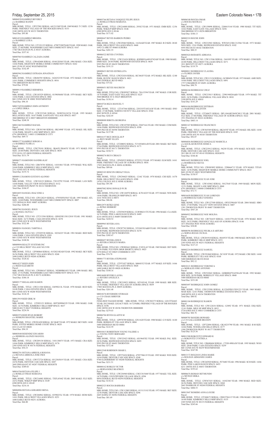M0013919 REID ERIK M Parcel

MBL HOME, TITLE: 12T093123 SERIAL: H0TX09904329 YEAR: 1998 MAKE: OAK<br>SIZE: 16/76 PARK: KIMBERLY HILLS MHP SPACE: 0637<br>9400 ELM CT #0637 FEDERAL HEIGHTS Total Due: \$2

M0001974 REID RYAN ROBERT c/o HOSKINS SHANTIEL MARIE<br>Parcel: Parcel:<br>MBL HOME, TITLE: 12W201420 SERIAL: SC1064F YEAR: 1972 MAKE: SKY SIZE: 14/60<br>PARK: STITES MOBILE HOME COURT SPACE: 0028<br>6521 CLAY ST #0028 Total Due: \$94.19

Friday, September 25, 2015 Eastern Colorado News • 17B M0004520 RAMIREZ BEVERLY c/o RAMIREZ RANDY Parcel: MBL HOME, TITLE: 12P237881 SERIAL: 641211548 YEAR: 1969 MAKE: T C SIZE: 12/56 PARK: FRIENDLY VILLAGE OF THE ROCKIES SPACE: 0153 2100 100TH AVE W #0153 THORNTON Total Due: \$95.80 M0014510 RAMIREZ BRIGIDA c/o RAMIREZ LUIS A Parcel: MBL HOME, TITLE NO: 12T191135 SERIAL: 47987538878AB YEAR: 1998 MAKE: OAK<br>SIZE: 27/48 PARK: WOODSHIRE EAST MH COMMUNITY SPACE: 0167<br>17467 BUCHANAN PL E #0167 AURORA Total Due: \$357.41 M0007865 RAMIREZ CALZADA JAIME Parcel:<br>MBL HOME, TITLE: 12W642608 SERIAL: 0544120369 YEAR: 1984 MAKE: CHA SIZE:<br>14/66 PARK: HIGHVIEW MOBILE HOME COMMUNITY SPACE: 0242<br>8601 ZUNI ST #0242 WESTMINSTER<br>Total Due: \$142.49 M0003962 RAMIREZ ESTRADA JONATHAN Parcel:<br>MBL HOME, TITLE: 12R484785 SERIAL: 3424252350 YEAR: 1972 MAKE: CON SIZE:<br>14/61 PARK: COMMERCE HEIGHTS SPACE: 0016 7701 BRIGHTON BLVD #0016 Total Due: \$79.04 M0009119 RAMIREZ HERMINIA Parcel:<br>MBL HOME, TITLE: 12W183529 SERIAL: 01590506M YEAR: 1979 MAKE: SKY SIZE:<br>14/66 PARK: CASA ESTATES SPACE: 0002<br>860 132ND AVE W #0002 WESTMINSTER<br>Total Due: \$96.10 M0017429 RAMIREZ JOHN ANTHONY c/o LOPEZ ERIKA Parcel: MBL HOME, TITLE: 12W222540 SERIAL: NEB59A24236 YEAR: 1995 MAKE: BELLAVISTA SIZE: 16/67 PARK: EASTGATE VILLAGE SPACE: 0037 3060 BRIDGE ST E #0037 BRIGHTON 000000000 Total Due: \$248.38 M0013465 RAMIREZ RAFAEL Parcel:<br>MBL HOME, TITLE NO: 12R301540 SERIAL: HK3490F YEAR: 1972 MAKE: HIL SIZE: 12/46 PARK: SHADY LANE MHP SPACE: 0031 6791 HIGHWAY 2 #0031 COMMERCE CITY Total Due: \$69.73 M0001277 RAMIREZ SERGIO A c/o RAMIREZ FLORA A Parcel: MBL HOME, TITLE: 12W270101 SERIAL: JK665U/JK665X YEAR: 1971 MAKE: FOU SIZE: 24/48 PARK: DENVER CASCADE SPACE: 0038 9725 GULL ST #0038 FEDERAL HEIGHTS Total Due: \$131.79 M0006271 RAMONDO SANDRA KAY Parcel:<br>MBL HOME, TITLE NO: 12R678701 SERIAL: 14101861 YEAR: 1979 MAKE: WAL SIZE: 24/60 PARK: KIMBERLY HILLS MHP SPACE: 0382 2311 92ND AVE W #0382 FEDERAL HEIGHTS Total Due: \$155.72 M0009112 RAMOS GUSTAVO ALONSO Parcel:<br>MBL HOME, TITLE: 12W510123 SERIAL: TX319792 YEAR: 1979 MAKE: LAN SIZE:<br>14/68 PARK: VALLEY VIEW ESTATES SPACE: 0132<br>1201 THORNTON PKWY W #0132 THORNTON<br>Total Due: \$106.97 M0016853 RANGEL DIAZ JOSE A Parcel MBL HOME, TITLE NO: 12W128219 SERIAL: 4795505N5565 YEAR: 1995 MAKE: ATL<br>SIZE: 14/68 PARK: WOODSHIRE EAST MH COMMUNITY SPACE: 0007<br>1523 SEDALIA WAY #0007 AURORA Total Due: \$206.80 M0007963 RANGEL JESUS c/o RANGEL OLIVIA J Parcel: MBL HOME, TITLE NO: 12T213394 SERIAL: GDGENE138112010 YEAR: 1981 MAKE:<br>MAG SIZE: 16/72 PARK: CASA ESTATES SPACE: 0278<br>860 132ND AVE W #0278 WESTMINSTER Total Due: \$322.40 M0008261 RANGEL TABITHA L Parcel: MBL HOME, TITLE NO: 12T205538 SERIAL: 10236225 YEAR: 1981 MAKE: RED SIZE:<br>14/66 PARK: CASA ESTATES SPACE: 0303<br>860 132ND AVE W #0303 WESTMINSTER Total Due: \$108.96 M0009894 REALTY SYSTEMS INC c/o C/O HILLCREST VILLAGE NO.5190 Parcel: MBL HOME, TITLE: 12P580864 SERIAL: 01520218EAB YEAR: 1992 MAKE: SKY SIZE:<br>26/56 PARK: HILLCREST VILLAGES SPACE: 0268<br>1600 SABLE BLVD #0268 AURORA Total Due: \$328.42 M0014237 REED JOHN c/o REED ELIZABETH Parcel: MBL HOME, TITLE NO: 12W084167 SERIAL: NEB89B01053 YEAR: 1998 MAKE: BEL<br>SIZE: 27/52 PARK: WOODSHIRE EAST MH COMMUNITY SPACE: 0172<br>17417 BUCHANAN PL E #0172 AURORA Total Due: \$384.18 M0005177 REGALADO RAMON Parcel: MBL HOME, TITLE: 12W211304 SERIAL: O4590213L YEAR: 1978 MAKE: BUD SIZE:<br>24/48 PARK: CASA ESTATES SPACE: 0288<br>860 132ND AVE W #0288 WESTMINSTER Total Due: \$126.10 M0003766 RETANA VASQUEZ FELIPE JESUS c/o ROSILLO FRIAS MARIANA Parcel: MBL HOME, TITLE: 12W216088 SERIAL: 29382 YEAR: 1971 MAKE: EMB SIZE: 12/56 PARK: WIKIUP MHP SPACE: 0146 6500 88TH AVE E #0146 Total Due: \$171.02 M0008447 REYES BARRON PEDRO Parcel:<br>MBL HOME, TITLE: 12W229465 SERIAL: 11636AB YEAR: 1987 MAKE: R O SIZE: 28/60 Parcel: Parcel: Parcel: Parcel: Parcel: Parcel:

M0003848 RESENDIZ EDUARDO c/o HERRERA ALONZO MANUEL Parcel: MBL HOME, TITLE: 12W289138 SERIAL: 3101130075 YEAR: 1973 MAKE: CRA SIZE: 14/66 PARK: KIMBERLY HILLS MHP SPACE: 0176 2305 92ND AVE W #0176 FEDERAL HEIGHTS Total Due: \$54.33

M0002701 RETANA ARREOLA ROSANA c/o RETANA ARREOLA JOSE INES Parcel:<br>MBL HOME, TITLE: 12W572724 SERIAL: 0512565819 YEAR: 1971 MAKE: CHA SIZE:<br>24/56 PARK: DENVER CASCADE SPACE: 0287<br>2605 PHEASANT ST #0287 FEDERAL HEIGHTS Total Due: \$389.83

M0016704 RETANA FELIPE J c/o ROSILLO FRIAS MARIANA Parcel: MBL HOME, TITLE: 12W216085 SERIAL: TXFL45442 YEAR: 2005 MAKE: FLE SIZE: 24/52 PARK: WIKIUP MHP SPACE: 0149 6500 88TH AVE E #0149 Total Due: \$216.16

M0004906 RETANA GERARDO MENA Parcel:<br>MBL HOME, TITLE: 12W284962 SERIAL: 03590253L YEAR: 1978 MAKE: HOM SIZE:<br>14/61 PARK: HILLCREST VILLAGES SPACE: 0251 1600 SABLE BLVD #0251 AURORA Total Due: \$66.80

M0016104 RODRIGUEZ ESTEBAN c/o MARTINEZ VALENTIN Parcel: MBL HOME, TITLE: 12T268675 SERIAL: DFL104AB23845CM13 YEAR: 2001 MAKE:<br>FLE SIZE: 27/48 PARK: FRIENDLY VILLAGE OF AURORA SPACE: 0222<br>1931 PAGOSA ST #0222 AURORA<br>Total Due: \$403.14

M0001167 RODRIGUEZ FRANCISCO Parcel:<br>MBL HOME, TITLE: 12W565549 SERIAL: HK3455F YEAR: 1972 MAKE: HIL SIZE: 14/60<br>PARK: FRIENDLY VILLAGE OF THE ROCKIES SPACE: 0185<br>2100 100TH AVE W #0185 THORNTON<br>Total Due: \$92.07

M0014422 RODRIGUEZ JOEL c/o RODRIGUEZ SILVIA Parcel: MBL HOME, TITLE NO: 12W083892 SERIAL: 2290664713 YEAR: 1979 MAKE: TITAN SIZE: 14/56 PARK: HIGHVIEW MOBILE HOME COMMUNITY SPACE: 0023<br>8601 ZUNI ST #0023 WESTMINSTER<br>Total Due: \$158.97

M0004286 RODRIGUEZ JUAN JOSE Parcel:<br>MBL HOME, TITLE: 12W143862 SERIAL: 50127645 YEAR: 1969 MAKE: MON SIZE:<br>12/51 PARK: SHADY LANE MHP SPACE: 0068<br>6791 HIGHWAY 2 #0068 COMMERCE CITY<br>Total Due: \$72.71

Parcel:<br>MBL HOME, TITLE: 12W291860 SERIAL: XC103F YEAR: 1972 MAKE: CRE SIZE: 14/60 PARK: BERKELEY VILLAGE SPACE: 0168 5400 SHERIDAN BLVD #0168 Total Due: \$92.12

Parcel: MBL HOME, TITLE NO: 12W122634 SERIAL: G3092 YEAR: 1971 MAKE: ESQ SIZE: 12/41 PARK: MILE HI MHP SPACE: 0015  $52\text{PD}$  ave E #0015 COMMERCE

PARK: HILLCREST VILLAGES SPACE: 0468 1692 CLARK ST #0468 AURORA Total Due: \$281.55 M0006522 REYES CYNTHIA Parcel:<br>MBL HOME, TITLE: 12W151624 SERIAL: KSDH05A44910742AB YEAR: 1980 MAKE:<br>DMH SIZE: 24/44 PARK: REDWOOD ESTATES SPACE: 0639 9595 PECOS ST #0639 THORNTON Total Due: \$191.33 M0009653 REYES ESTRELLITA Parcel:<br>MBL HOME, TITLE: 12W252434 SERIAL: HC3063F YEAR: 1972 MAKE: HIL SIZE: 12/40<br>PARK: RUSTIC RANCH SPACE: 0021 5565 FEDERAL BLVD #0021 Total Due: \$75.62 M0008451 REYES MAURICIO MBL HOME, TITLE NO: 12W095827 SERIAL: 78A15394 YEAR: 1987 MAKE: COR SIZE: 14/76 PARK: EAST GATE VILLAGE SPACE: 0225 3060 BRIDGE ST E #0225 BRIGHTON Total Due: \$158.14 M0010726 REZA MANUEL V Parcel:<br>MBL HOME, TITLE: 12T147564 SERIAL: 2293355T1852A/B YEAR: 1993 MAKE: SNO<br>SIZE: 27/40 PARK: NORTH COUNTY VILLAGE SPACE: 0544 4943 96TH PL E #0544 Total Due: \$242.05 M0008088 RIBOTA GEORGINA Parcel:<br>MBL HOME, TITLE NO: 12W107585 SERIAL: FH4716A YEAR: 1983 MAKE: COM SIZE:<br>14/66 PARK: REDWOOD ESTATES SPACE: 0598<br>9595 PECOS ST #0598 THORNTON Total Due: \$137.98 M0016157 RICE DOUGLAS P c/o RICE MARY ELLEN MBL HOME, TITLE: 12T208052 SERIAL: 7C510546NA/B YEAR: 2001 MAKE: SKY SIZE:<br>27/64 PARK: REDWOOD ESTATES SPACE: 0171<br>9595 PECOS ST #0171 THORNTON Total Due: \$538.73 M0000276 RICO CIRIACO MBL HOME, TITLE: 12P450525 SERIAL: ET52511 YEAR: 1973 MAKE: ELM SIZE: 14/61<br>PARK: FRIENDLY VILLAGE OF AURORA SPACE: 0036<br>17033 BATAVIA PL E #0036 AURORA Total Due: \$89.66 M0003103 RINCON ORDAZ VELIA MBL HOME, TITLE: 12W294425 SERIAL: 1216C YEAR: 1970 MAKE: CHI SIZE: 14/70 PARK: HILLCREST VILLAGES SPACE: 0588 14701 COLFAX AVE E #0588 AURORA Total Due: \$91.90 M0007082 RING DONALD W JR Parcel:<br>MBL HOME, TITLE NO: 12W126970 SERIAL: K7014225 YEAR: 1973 MAKE: WIN SIZE:<br>14/66 PARK: FRANKLIN MHP SPACE: 0073 1616 78TH AVE E #0073 Total Due: \$86.06 M0012975 RITKE GENE c/o RITKE HERBERT MBL HOME, TITLE: 12T039439 SERIAL: CLW006211TX YEAR: 1996 MAKE: CLA SIZE: 16/76 PARK: PINE LAKES RANCH SPACE: 0489 4210 100TH AVE E #0489 THORNTON Total Due: \$220.52 M0009965 RIVERA ANA Parcel:<br>MBL HOME, TITLE: 12W287765 SERIAL: 32510433EA&B YEAR: 1992 MAKE: O S SIZE: 26/40 PARK: REDWOOD ESTATES SPACE: 0278 9595 PECOS ST #0278 THORNTON Total Due: \$305.47 M0000457 RIVERA JESUS c/o RIVERA CHOLICO MARIA Parcel:<br>MBL HOME, TITLE NO: 12W083641 SERIAL: F1051L43 YEAR: 1969 MAKE: DET SIZE: 12/56 PARK: FULVIEW (MGR SHORTY) SPACE: 0025 6270 HOLLY ST #0025 COMMERCE CITY Total Due: \$74.70 M0001773 RIVERA STEPHANIE Parcel:<br>MBL HOME, TITLE: 12T971027 SERIAL: M604352 YEAR: 1977 MAKE: H P SIZE: 14/66 PARK: HILLCREST VILLAGES SPACE: 0028 1600 SABLE BLVD #0028 AURORA Total Due: \$104.16 M0014680 RIVERO LAURA c/o RIVERO ANGELICA MBL HOME, TITLE: 12W219823 SERIAL: 9Z510514L YEAR: 1999 MAKE: BIR SIZE: 16/76 PARK: FRIENDLY VILLAGE OF AURORA SPACE: 0039 17003 BATAVIA PL E #0039 AURORA Total Due: \$261.48 M0018276 RIVERSIDE STORAGE c/o C/O CRAIG SHRIVER Parcel: FEMA RED TAGGED HOME MBL HOME, TITLE: 12W282275 SERIAL: LH12TX6443 YEAR: 2012 MAKE: LEGACY SIZE: 16/72 PARK: FRIENDLY VILLAGE OF THE ROCKIES SPACE: 0196 2100 100TH AVE W #0196 THORNTON 000000000 Total Due: \$279.43 M0006706 RIVES GLADYS M Parcel:<br>MBL HOME, TITLE: 12P978709 SERIAL: GN11620 YEAR: 1980 MAKE: G N SIZE: 16/60 PARK: BERKELEY VILLAGE SPACE: 0084 5400 SHERIDAN BLVD #0084 Total Due: \$122.59

M0010415 ROBERTSON YOUNG VALERIE A c/o YOUNG TONY BERNARD Parcel: MBL HOME, TITLE: 12W525423 SERIAL: AS19645XU YEAR: 1993 MAKE: PAL SIZE:<br>28/56 PARK: REDWOOD ESTATES SPACE: 0693<br>9595 PECOS ST #0693 THORNTON Total Due: \$372.48

M0012548 ROBINSON SHARI L Parcel: MBL HOME, TITLE: 12P275438 SERIAL: 47957586119 YEAR: 1995 MAKE: WES SIZE: 16/64 PARK: DENVER CASCADE SPACE: 0240 9740 ELDERBERRY ST #0240 FEDERAL HEIGHTS Total Due: \$211.51

M0000162 ROBLES VICTOR c/o HERNANDEZ BEATRICE Parcel: MBL HOME, TITLE: 12W236940 SERIAL: CHCC015440 YEAR: 1977 MAKE: YEL SIZE:<br>14/70 PARK: COUNTRYSIDE VILLAGE SPACE: 0294<br>9850 FEDERAL BLVD #0294 FEDERAL HEIGHTS Total Due: \$110.16

M0002323 ROCHA BARBARA Parcel: MBL HOME, TITLE NO: 12W112005 SERIAL: 01311311G YEAR: 1973 MAKE: SKY SIZE: 12/56 PARK: DENVER CASCADE SPACE: 0296 2605 HAWK ST #0296 FEDERAL HEIGHTS Total Due: \$81.69

M0006548 ROCHA OMAR c/o ROCHA MAYRA G Parcel: MBL HOME, TITLE: 12W159098 SERIAL: 2200415144 YEAR: 1980 MAKE: TIT SIZE:<br>14/62 PARK: EAST GATE VILLAGE SPACE: 0256<br>3060 BRIDGE ST E #0256 BRIGHTON Total Due: \$106.13 M0002218 ROCHE JOHN

Parcel:<br>MBL HOME, TITLE: 12W232943 SERIAL: WW365123B1/212566 YEAR: 1973 MAKE:<br>WES SIZE: 12/61 PARK: REDWOOD ESTATES SPACE: 0102<br>9595 PECOS ST #0102 THORNTON<br>Total Due: \$88.35

M0003624 RODARTE ADRIANA Parcel:<br>MBL HOME, TITLE NO: 12W113546 SERIAL: 2441095 YEAR: 1970 MAKE: COM SIZE: 24/40 PARK: HILLCREST VILLAGES SPACE: 0271 1811 BOUNTY ST #0271 AURORA Total Due: \$119.79

M0000812 RODRIGUEZ CLAUDIA c/o FLORES JAVIER Parcel: MBL HOME, TITLE NO: 12W113124 SERIAL: GC080454 YEAR: 1973 MAKE: AME SIZE: 14/66 PARK: HILLCREST VILLAGES SPACE: 0491 1757 CIMARRON ST #0491 AURORA Total Due: \$90.79

M0006244 RODRIGUEZ CRUZ Parcel: MBL HOME, TITLE: 12W233815 SERIAL: 2290194828A&B YEAR: 1979 MAKE: TIT SIZE: 24/56 PARK: CHAPARRAL VILLAGE SPACE: 0010 3180 88TH AVE E #0010 Total Due: \$141.29

M0004856 RODRIGUEZ GONZALEZ MARICELA c/o AGUILAR BUSTOS JESSICA Parcel: MBL HOME, TITLE: 12W225912 SERIAL: 96250 YEAR: 1970 MAKE: SCH SIZE: 14/64 PARK: DENVER CASCADE SPACE: 0143 2813 BLUE JAY ST #0143 FEDERAL HEIGHTS Total Due: \$104.46

M0016650 RODRIGUEZ JUAN LORENZO c/o RODRIGUEZ SARA VANESSA Parcel: MBL HOME, TITLE NO: 12W127509 SERIAL: OP352590AB YEAR: 2004 MAKE: HBO SIZE: 27/60 PARK: VALLEY VIEW ESTATES SPACE: 0407 1201 THORNTON PKWY W #0407 THORNTON Total Due: \$567.28

M0004922 RODRIGUEZ NOE MOLINA Parcel: MBL HOME, TITLE NO: 12R736419 SERIAL: 14101379A/B YEAR: 1978 MAKE: RED SIZE: 24/52 PARK: FRIENDLY VILLAGE OF AURORA SPACE: 0146 1671 PAGOSA WAY #0146 AURORA Total Due: \$38.08 M0008596 RODRIGUEZ PEUBLA II ARTURO c/o SERNA ROJAS CECILIA

Parcel: MBL HOME, TITLE: 12W201918 SERIAL: 08A9535 YEAR: 1980 MAKE: BON SIZE: 16/76 PARK: KIMBERLY HILLS MHP SPACE: 0251 2305 92ND AVE W #0251 FEDERAL HEIGHTS Total Due: \$127.23

M0002234 RODRIGUEZ SAMUEL

M0010121 RODRIGUEZ VERONICA c/o MORALES JOSE ANTONIO Parcel: MBL HOME, TITLE: 12W522043 SERIAL: GDB0ID47916558A/B YEAR: 1992 MAKE: SER SIZE: 26/50 PARK: BERKELEY VILLAGE SPACE: 0040 5400 SHERIDAN BLVD #0040 Total Due: \$351.08 M0003697 RODRIQUEZ JOHN GOMEZ

Parcel:<br>MBL HOME, TITLE: 12W125588 SERIAL: K12265FB313X91233 YEAR: 1969 MAKE:<br>MAR SIZE: 12/61 PARK: THORNTON MOBILE ESTATES SPACE: 0154<br>3600 88TH AVE E #0154 THORNTON<br>Total Due: \$80.92

M0001104 RODRIQUEZ RAMON

Total Due: \$66.76

M0009705 ROGERS HOWARD c/o C/O GALLAGHER BRANDY Parcel: MBL HOME, TITLE: 12P722894 SERIAL: GK10235790 YEAR: 1981 MAKE: B M SIZE: 14/66 PARK: WOODLAND HILLS SPACE: 0177 1500 THORNTON PKWY W #0177 THORNTON Total Due: \$125.56

M0011500 ROKOVITZ EDWARD R c/o ROKOVITZ CYNTHIA A Parcel: MBL HOME, TITLE NO: 12R680604 SERIAL: 17520149HA/B YEAR: 1995 MAKE: WOO SIZE: 28/66 PARK: CASA ESTATES SPACE: 0259 860 132ND AVE W #0259 WESTMINSTER Total Due: \$347.98

M0013172 ROLDAN LINDA MARIE c/o ROLDAN ARMANDO JAMES<br>Parcel:<br>MBL HOME, TITLE: 12W242920 SERIAL: P274483 YEAR: 1996 MAKE: SCH SIZE: 14/66 PARK: PINE LAKES RANCH SPACE: 0453 4211 100TH AVE E #0453 THORNTON Total Due: \$193.62

M0006676 ROMAN REYMUNDO c/o MUNOZ ERIKA Parcel: MBL HOME, TITLE: 12W567435 SERIAL: 14102360 YEAR: 1980 MAKE: RED SIZE: 26/56 PARK: DENVER CASCADE SPACE: 0260 2665 WARBLER ST #0260 FEDERAL HEIGHTS Total Due: \$404.53

M0013047 ROMERO ANNA LOUISE Parcel:<br>MBL HOME, TITLE: 12T268672 SERIAL: CRH1TX6115 YEAR: 1996 MAKE: CRE SIZE: 16/68 PARK: KIMBERLY HILLS MHP SPACE: 0135 2305 92ND AVE W #0135 FEDERAL HEIGHTS Total Due: \$245.66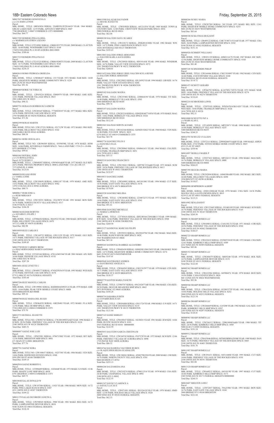M0017827 ROMERO GENOVEVA G c/o C/O JOHN LITWIN Parcel: MBL HOME, TITLE: 10R563034 SERIAL: 2G4B55S12F2N16619 YEAR: 1964 MAKE: GREAT LAKES SIZE: 12/55 PARK: ADVANCE MHP SPACE: 0047 7700 HIGHWAY 2 #0047 COMMERCE CITY 000000000 Total Due: \$64.77 M0017285 ROMERO PINA ELODIA c/o MARMOLEJO EFREN LOZANO Parcel: MBL HOME, TITLE:12T218981 SERIAL: CBH019537TX YEAR: 2009 MAKE: CLAYTON<br>SIZE: 16/60 PARK: WOODSHIRE EAST SPACE: 0149<br>17429 COOLIDGE PL E #0149 AURORA 800110000 Total Due: \$388.66 M0017219 ROMERO PINA PAULO Parcel: MBL HOME, TITLE:12T215325 SERIAL: CBH019280TX YEAR: 2008 MAKE: CLAYTON SIZE: 16/72 PARK: WOODSHIRE EAST SPACE: 0145 17469 COOLIDGE PL E #0145 AURORA 800110000 Total Due: \$236.15 M0003610 ROMO PEDROZA GRISELDA Parcel: MBL HOME, TITLE: 12W606437 SERIAL: 233 YEAR: 1973 MAKE: SAB SIZE: 14/68 PARK: HIGHVIEW MOBILE HOME COMMUNITY SPACE: 0229 8601 ZUNI ST #0229 WESTMINSTER Total Due: \$91.56 M0000469 RORIE VICTORIA M Parcel:<br>MBL HOME, TITLE: 12P419234 SERIAL: FI080979 YEAR: 1969 MAKE: AME SIZE:<br>12/61 PARK: PIONEER VILLAGE SPACE: 0023 2901 63RD AVE W #0023 Total Due: \$90.32 M0007781 ROSALES RODRIGUEZ LIZBETH Parcel:<br>MBL HOME, TITLE: 12W285447 SERIAL: 77760S30107 YEAR: 1977 MAKE: MEL SIZE:<br>14/56 PARK: DENVER CASCADE SPACE: 0258<br>2705 WARBLER ST #0258 FEDERAL HEIGHTS Total Due: \$71.56 M0002399 ROSAS MARTIN Parcel:<br>MBL HOME, TITLE NO: 12W127251 SERIAL: 021712W YEAR: 1972 MAKE: FRO SIZE:<br>14/66 PARK: HILLCREST VILLAGES SPACE: 0162<br>1600 SABLE BLVD #0162 AURORA<br>Total Due: \$88.54 M0005361 ROSE DOUGLAS L Parcel: MBL HOME, TITLE NO: 12R596849 SERIAL: 03590598L YEAR: 1978 MAKE: HOM<br>SIZE: 14/66 PARK: RIVERDALE FARMS SPACE: 744A LAND PARC 1719-25-1-10-006<br>8553 MONROE CT #744A Total Due: \$99.01 M0001063 ROYBAL JOHN c/o C/O RONALD SELL Parcel: 0172128300115 MBL HOME, TITLE: 12W048507 SERIAL: GW9454A&B YEAR: 1977 MAKE: GLE SIZE: 24/52 PARK: PRIVATE PROPERTY SPACE: 0000 LAND PARC 1721-28-3-00-115 7373 82ND PL E #0000 Total Due: \$125.01 M0000930 RUANO RYBY c/o VARELA JOSE Parcel: MBL HOME, TITLE: 12W199630 SERIAL: GJ081187 YEAR: 1970 MAKE: AME SIZE: 14/52 PARK: HILLCREST VILLAGES SPACE: 0582 14701 COLFAX AVE E #0582 AURORA Total Due: \$80.73 M0009617 RUBI JOSE A c/o RUBI MIRIAM P Parcel: MBL HOME, TITLE: 12W158351 SERIAL: 19A19079 YEAR: 1991 MAKE: BON SIZE: 16/76 PARK: NORTH COUNTY VILLAGE SPACE: 0317 5196 97TH PL E #0317 Total Due: \$186.58 M0006544 RUDER ROBYNN c/o ALVAREZ L FELIPE J Parcel: MBL HOME, TITLE: 12T986656 SERIAL: 08A9522 YEAR: 1980 MAKE: BON SIZE: 14/62 PARK: HILLCREST VILLAGES SPACE: 0470 1672 CLARK ST #0470 AURORA Total Due: \$82.98 M0010959 RUIZ CARLOS E Parcel:<br>MBL HOME, TITLE: 12W168722 SERIAL: GW11159 YEAR: 1979 MAKE: GLE SIZE:<br>14/71 PARK: FRIENDLY VILLAGE OF THE ROCKIES SPACE: 0117<br>2100 100TH AVE W #0117 THORNTON Total Due: \$109.45 M0015789 RUIZ CARMEN IRENE c/o DIAZ HERNANDEZ MARCO ANTONIO<br>Parcel:<br>MBL HOME, TITLE: 12T545166 SERIAL: 4701A2403346 YEAR: 2001 MAKE: ATL SIZE: 16/66 PARK: PIONEER VILLAGE SPACE: 031E 2901 63RD AVE W #031E Total Due: \$287.20 M0010601 RUIZ LYNETTE C Parcel:<br>MBL HOME, TITLE: 12W609177 SERIAL: 4793025N3619 YEAR: 1993 MAKE: WES SIZE:<br>27/54 PARK: DENVER CASCADE SPACE: 0176 9735 LARK ST #0176 FEDERAL HEIGHTS Total Due: \$185.60 M0007206 RUIZ MANUEL CARLOS Parcel: MBL HOME, TITLE: 12W199981 SERIAL: KSDH08A0389251A YEAR: 1978 MAKE: AME SIZE: 14/64 PARK: PEAK VIEW MOBILE COURT SPACE: 008B 10550 BRIGHTON RD #008B Total Due: \$95.16 M0000708 RUIZ MARIA DEL RUGIO

MBL HOME, TITLE: 12W064239 SERIAL: GB228483 YEAR: 1972 MAKE: FLA SIZE:

12/56 PARK: MILE HI MHP SPACE: 0004 5720 63RD AVE E #0004 COMMERCE CITY

Parcel

Total Due: \$75.70

M0012753 RUSSELL JEANETTE Parcel: MBL HOME, TITLE NO: 12W092743 SERIAL: CW2001890TXAB YEAR: 1996 MAKE: C H SIZE: 28/56 PARK: FRIENDLY VILLAGE OF THE ROCKIES SPACE: 0124 2100 100TH AVE W #0124 THORNTON Total Due: \$403.51

M0006007 SAENZ JOSE LUIS Parcel: MBL HOME, TITLE: 12P423981 SERIAL: 0706715802 YEAR: 1972 MAKE: RIT SIZE: 12/56 PARK: BRIGHTON MHP SPACE: 0001 671 MAIN ST S #0001 BRIGHTON Total Due: \$77.76

M0007701 SAENZ NORA Parcel:<br>MBL HOME, TITLE NO: 12W108657 SERIAL: 10237585 YEAR: 1984 MAKE: VEN SIZE: 14/66 PARK: REDWOOD ESTATES SPACE: 0308 9595 PECOS ST #0308 THORNTON Total Due: \$149.15

M0002954 SAENZ ROBERTO L Parcel:<br>MBL HOME, TITLE: 12T096689 SERIAL: 1GN4448 YEAR: 1972 MAKE: GN SIZE: 12/46<br>PARK: SHADY LANE MHP SPACE: 0058 6791 HIGHWAY 2 #0058 COMMERCE CITY Total Due: \$69.73

M0010048 SALAS DONALD W Parcel:<br>MBL HOME, TITLE: 12W197506 SERIAL: 11925 YEAR: 1980 MAKE: MON SIZE: 16/72<br>PARK: PINE LAKES RANCH SPACE: 0387<br>4211 100TH AVE E #0387 THORNTON Total Due: \$109.22

M0011370 SALAS ESCOBEDO JANETH A Parcel: MBL HOME, TITLE: 12W598545 SERIAL: 3988 YEAR: 1981 MAKE: REG SIZE: 16/72<br>PARK: LAMPLIGHTER DENVER SPACE: 0010<br>9100 TEJON ST #0010 FEDERAL HEIGHTS Total Due: \$126.10

Due: \$121.84

M0000188 SCHLOTHAUER KATHY Parcel:<br>MBL HOME, TITLE: 12R489122 SERIAL: CMC7C08711533AB YEAR: 1977 MAKE: CRA

MBL HOME, TITLE: 12P266792 SERIAL: K14270FL710576 YEAR: 1971 MAKE: MAR<br>SIZE: 14/66 PARK: FRIENDLY VILLAGE OF THE ROCKIES SPACE: 0274<br>2100 100TH AVE W #0274 THORNTON Total Due: \$110.69

MBL HOME, TITLE: 12T072115 SERIAL: 229950206975A&B YEAR: 1999 MAKE: ASPEN<br>PARK SIZE: 27/65 PARK: STITES MOBILE HOME COURT SPACE: 0025<br>6521 CLAY ST #0025 Total Due: \$559.96

Parcel:<br>MBL HOME, TITLE NO: 12W122445 SERIAL: NV405189 YEAR: 1999 MAKE: SCH SIZE:<br>16/76 PARK: FRIENDLY VILLAGE OF THE ROCKIES SPACE: 0145<br>2100 100TH AVE W #0145 THORNTON Total Due: \$269.50

Parcel:<br>MBL HOME, TITLE: 12W266669 SERIAL: GA5200 YEAR: 1982 MAKE: GAL SIZE: 16/67 PARK: KIMBERLY HILLS MHP SPACE: 0207 2305 92ND AVE W #0207 FEDERAL HEIGHTS

Parcel:<br>MBL HOME, TITLE: 12W256512 SERIAL: 2200194945A&B YEAR: 1980 MAKE: TIT<br>SIZE: 24/56 PARK: KIMBERLY HILLS MHP SPACE: 0585 9400 ELM CT #0585 FEDERAL HEIGHTS Total Due: \$191.24

M0010607 SHELTON LOIS C Parcel: MBL HOME, TITLE: 12T072037 SERIAL: 39A21906 YEAR: 1993 MAKE: BON SIZE: 16/76 PARK: EAST GATE VILLAGE SPACE: 0168 3060 BRIDGE ST E #0168 BRIGHTON Total Due: \$221.84

M0007143 SASSE SHIRLEY Parcel: MBL HOME, TITLE: 12W658547 SERIAL: 10236031 YEAR: 1981 MAKE: B M SIZE: 14/66 PARK: RUSTIC RANCH SPACE: 0101 5565 FEDERAL BLVD #0101 000000000 Total Due: \$122.59

Parcel:<br>MBL HOME, TITLE: 12W056888 SERIAL: GN11724 YEAR: 1980 MAKE: G N SIZE: 14/71<br>PARK: VALLEY VIEW ESTATES SPACE: 0135<br>1201 THORNTON PKWY W #0135 THORNTON

M0013590 SALAZAR SALVADOR c/o HOUSE JEANETTE Parcel: MBL HOME, TITLE: 12W018920 SERIAL: 641211554 YEAR: 1969 MAKE: TOWN &<br>COUNTRY SIZE: 12/60 PARK: CRESTVIEW TRAILER PARK SPACE: 0016<br>5880 FEDERAL BLVD #0016 Total Due: \$62.04 M0008190 SALCEDO SAYLI SUARES Parcel: MBL HOME, TITLE: 12W218172 SERIAL: ZWK801410082 YEAR: 1982 MAKE: WIN SIZE: 14/72 PARK: PINE LAKES RANCH SPACE: 0123 10201 RIVERDALE RD #0123 THORNTON Total Due: \$103.65 M0013803 SALCIDO JORGE ARMANDO c/o SALCIDO KARLA ALEXANDRA Parcel: MBL HOME, TITLE: 12W258928 SERIAL: 8D510141K YEAR: 1998 MAKE: WINDSOR<br>SIZE: 16/76 PARK: VALLEY VIEW ESTATES SPACE: 0272<br>1201 THORNTON PKWY W #0272 THORNTON Total Due: \$260.81 M0011452 SALCIDO JORGE URIEL SALCIDO KYLA RENEE c/o SALCIDO JORGE ARMANDO Parcel: MBL HOME, TITLE: 12W258923 SERIAL: 05L24592 YEAR: 1994 MAKE: LIB SIZE: 16/76<br>PARK: VALLEY VIEW ESTATES SPACE: 0286<br>1201 THORNTON PKWY W #0286 THORNTON Total Due: \$219.87 M0005102 SALGADO MAYRA Parcel: MBL HOME, TITLE: 12W255402 SERIAL: 2280664194 YEAR: 1978 MAKE: TIT SIZE: 14/48 PARK: BERKELEY VILLAGE SPACE: 0305 5400 SHERIDAN BLVD #0305 Total Due: \$99.74 M0005107 SALGADO MAYRA Parcel:<br>MBL HOME, TITLE: 12W283210 SERIAL: GDGENE487710554 YEAR: 1978 MAKE: MAG SIZE: 14/62 PARK: BERKELEY VILLAGE SPACE: 0324 5400 SHERIDAN BLVD #0324 Total Due: \$112.43 M0001041 SALINAS SERVIN ALVARO Parcel:<br>MBL HOME, TITLE: 12W162184 SERIAL: GS50D152022 YEAR: 1960 MAKE: VEN SIZE:<br>10/48 PARK: FULVIEW SPACE: 0019 6270 HOLLY ST #0019 COMMERCE CITY Total Due: \$63.78 M0002776 SANCHEZ FELIX E c/o SANCHEZ JULIA Parcel: MBL HOME, TITLE: 12W289865 SERIAL: 0560661631 YEAR: 1966 MAKE: CHA SIZE: 12/54 PARK: FRANKLIN MHP SPACE: 0051 1616 78TH AVE E #0051 Total Due: \$55.13 M0003210 SANCHEZ FRANCISCO Parcel: MBL HOME, TITLE: 12W150413 SERIAL: 140970C153A&B YEAR: 1973 MAKE: SUM SIZE: 24/56 PARK: FRIENDLY VILLAGE OF THE ROCKIES SPACE: 0413 2100 100TH AVE W #0413 THORNTON Total Due: \$152.87 M0010833 SANCHEZ JAIME Parcel: MBL HOME, TITLE: 12W249882 SERIAL: 04510130G YEAR: 1994 MAKE: CUT SIZE:<br>14/56 PARK: EAST GATE VILLAGE SPACE: 0176<br>3060 BRIDGE ST E #0176 BRIGHTON Total Due: \$170.89 M0003528 SANCHEZ MELISSA Parcel: MBL HOME, TITLE: 12W260482 SERIAL: 2230072272 YEAR: 1973 MAKE: SEQ SIZE: 14/66 PARK: EAST GATE VILLAGE SPACE: 0341 3060 BRIDGE ST E #0341 BRIGHTON Total Due: \$91.61 M0014846 SANCHEZ MICHELLE c/o MAREZ LAWRENCE Parcel: MBL HOME, TITLE: 12T705418 SERIAL: IDFLWO4A72881BR13 YEAR: 1999 MAKE: B/W SIZE: 16/66 PARK: FRIENDLY VILLAGE OF THE ROCKIES SPACE: 0508 2100 100TH AVE W #0508 THORNTON Total Due: \$269.50 M0012127 SANDOVAL MARCIAS FELIPE Parcel: MBL HOME, TITLE: 12P470932 SERIAL: SN25010794 YEAR: 1962 MAKE: MAG SIZE: 10/46 PARK: RANCH HOUSE MHP SPACE: 002C 5565 WASHINGTON ST #002C Total Due: \$63.14 M0009243 SANDOVAL RAMIREZ ALEJANDRO Parcel: MBLHOME, TITLE: 12W603438 SERIAL: GDGENE138413055 YEAR: 1984 MAKE: WOO<br>SIZE: 14/72 PARK: HIGHVIEW MOBILE HOME COMMUNITY SPACE: 0274<br>8601 ZUNI ST #0274 WESTMINSTER Total Due: \$147.01 M0005840 SANTIBANEZ ANDRES c/o SANTIBANEZ ANGELICA Parcel: MBL HOME, TITLE: 12W064565 SERIAL: CHCC015977 YEAR: 1978 MAKE: CEN SIZE:<br>16/71 PARK: EAST GATE VILLAGE SPACE: 0359<br>3060 BRIDGE ST E #0359 BRIGHTON Total Due: \$110.37 M0002779 SANTOS MARIA YANETH Parcel:<br>MBL HOME, TITLE: 12T985787 SERIAL: 0562102077AB YEAR: 1966 MAKE: CHA SIZE: 20/50 PARK: DENVER MEADOWS MHP SPACE: 0043 2075 POTOMAC ST #0043 AURORA Total Due: \$105.28 M0008754 SARABIA JUDITH c/o COVARRUBAS JUAN M0004926 SCHMIDT WILLIAM J Parcel: Parcel: Parcel: Parcel: Total Due: \$122.68 Parcel:

M0003053 SAUCEDO GARCIA CRISTINA M Parcel: MBL HOME, TITLE: 12W244742 SERIAL: P107278 YEAR: 1972 MAKE: SCH SIZE: 12/66 PARK: FRIENDLY VILLAGE OF AURORA SPACE: 0098 1735 PAYNE WAY #0098 AURORA Total Due: \$86.32

M0016764 SAUSAMEDA VALVERDE RUBEN c/o OLAQUE RIOS HILDA GUADALUPE Parcel: MBL HOME, TITLE: 12W196941 SERIAL: 450027901954 YEAR: 2000 MAKE: CHI SIZE: 16/76 PARK: NORTH COUNTY VILLAGE SPACE: 0761 9660 HUDSON CT #0761 Total Due: \$253.13

M0006246 SAUZAMEDA ANA Parcel: MBL HOME, TITLE: 12W219274 SERIAL: 4790113516 YEAR: 1979 MAKE: CHA SIZE: 24/40 PARK: CHAPARRAL VILLAGE SPACE: 0092 3180 88TH AVE E #0092 Total Due: \$122.55

M0001247 SAVOLT CLARENCE A c/o SAVOLT LUCAS S Parcel: MBL HOME, TITLE: 12W071891 SERIAL: ID152615COLO YEAR: 1970 MAKE: HMD SIZE: 12/56 PARK: HOLIDAY HILLS VILLAGE SPACE: 0528 2000 92ND AVE W #0528 FEDERAL HEIGHTS Total Due: \$62.33

M0000266 SCHEU MARIA Parcel: MBL HOME, TITLE: 12W207205 SERIAL: 265 YEAR: 1971 MAKE: BEL SIZE: 12/61 PARK: HIGHVIEW MOBILE HOME COMMUNITY SPACE: 0253 8601 ZUNI ST #0253 WESTMINSTER Total Due: \$83.64

SIZE: 26/60 PARK: LAMPLIGHTER DENVER SPACE: 0182 9100 TEJON ST #0182 FEDERAL HEIGHTS Total Due: \$151.16

Parcel:<br>MBL HOME, TITLE: 12W051139 SERIAL: 60M211417S YEAR: 1967 MAKE: HIC SIZE: 12/56 PARK: HIGHVIEW MOBILE HOME COMMUNITY SPACE: 0183<br>8601 ZUNI ST #0183 WESTMINSTER<br>Total Due: \$81.40

M0007245 SCHNEIDERS PHILIP Parcel:<br>MBL HOME, TITLE: 12W164466 SERIAL: CHCC018897 YEAR: 1982 MAKE: CEN SIZE:<br>16/60 PARK: COUNTRYSIDE VILLAGE SPACE: 0100<br>9850 FEDERAL BLVD #0100 FEDERAL HEIGHTS Total Due: \$114.72

M0001473 SCHOTT GERARD

M0002210 SCHROEDER LEWIS Parcel: MBL HOME, TITLE: 12T075103 SERIAL: WWX670143B114287 YEAR: 1976 MAKE:<br>WES SIZE: 14/66 PARK: FRANKLIN MHP SPACE: 0126<br>1616 78TH AVE E #0126 Total Due: \$92.31

M0014000 SCHUETTE PAT A c/o WABS ALAN L Parcel: MBL HOME, TITLE: 12T142039 SERIAL: MP223871 YEAR: 1998 MAKE: MAS SIZE:<br>16/68 PARK: BERKELEY VILLAGE SPACE: 0255<br>5400 SHERIDAN BLVD #0255 Total Due: \$248.25

M0014785 SCHULTZ CULLEEN

M0014097 SEDILLO MARIE P Parcel: MBL HOME, TITLE: 12T037422 SERIAL: MP224215 YEAR: 1998 MAKE: MAS SIZE: 16/76 PARK: BERKELEY VILLAGE SPACE: 0088 5400 SHERIDAN BLVD #0088

Total Due: \$266.03 M0007395 SEGURA MARIA

MBL HOME, TITLE: 12W292896 SERIAL: 16960388ABS YEAR: 1983 MAKE: SKY SIZE: 24/48 PARK: HILLCREST VILLAGES SPACE: 0290 1930 BOUNTY ST #0290 AURORA

Total Due: \$118.67

M0004988 SEMPREBON ALBERT

Parcel:<br>MBL HOME, SERIAL: 4380112006AB YEAR: 1978 MAKE: CHA SIZE: 24/36 PARK:<br>MAURA VILLA (LOTS OWNED) SPACE: 0015<br>9239 CLAY ST #0015 FEDERAL HEIGHTS<br>Total Due: \$115.21

M0014902 SENA DANNY

M0000136 SHARP HOMES LLC Parcel:<br>MBL HOME, TITLE: 12W650832 SERIAL: CAS118U/X YEAR: 1971 MAKE: COR SIZE:<br>24/54 PARK: FRIENDLY VILLAGE OF THE ROCKIES SPACE: 0502<br>2100 100TH AVE W #0502 THORNTON Total Due: \$146.67

M0002725 SHARP HOMES LLC Parcel: MBL HOME, TITLE: 12W632632 SERIAL: 0529697281D YEAR: 1972 MAKE: CHA SIZE:<br>12/61 PARK: KIMBERLY HILLS MHP SPACE: 0389<br>2311 92ND AVE W #0389 FEDERAL HEIGHTS Total Due: \$83.96

M0005352 SHARP HOMES LLC MBL HOME, TITLE: 12W266679 SERIAL: M605240 YEAR: 1978 MAKE: HOL SIZE: 14/76 PARK: LAMPLIGHTER DENVER SPACE: 0131 9100 TEJON ST #0131 FEDERAL HEIGHTS

M0005362 SHARP HOMES LLC MBL HOME, TITLE: 12W632586 SERIAL: 04590687L YEAR: 1978 MAKE: BUD SIZE: 14/56 PARK: CASA ESTATES SPACE: 0026 860 132ND AVE W #0026 WESTMINSTER Total Due: \$93.96

M0006944 SHARP HOMES LLC Parcel:<br>MBL HOME, TITLE: 12W632636 SERIAL: 02590337TP YEAR: 1981 MAKE: HIL SIZE:<br>14/66 PARK: HOLIDAY HILLS VILLAGE SPACE: 0252 2000 92ND AVE W #0252 FEDERAL HEIGHTS Total Due: \$121.54

M0008266 SHARP HOMES LLC

Total Due: \$120.41

M0008965 SHARP HOMES LLC

M0009512 SHARP HOMES LLC Parcel: MBL HOME, TITLE: 12W653846 SERIAL: MT80S3BDDA2954B YEAR: 1989 MAKE: DAN SIZE: 16/76 PARK: FRIENDLY VILLAGE OF THE ROCKIES SPACE: 0403 2100 100TH AVE W #0403 THORNTON Total Due: \$101.76

M0011987 SHARP HOMES LLC Parcel: MBL HOME, TITLE: 12W291631 SERIAL: 04511440H YEAR: 1995 MAKE: CUT SIZE: 14/66 PARK: FRIENDLY VILLAGE OF THE ROCKIES SPACE: 0191 2100 100TH AVE W #0191 THORNTON Total Due: \$81.04

M0013124 SHARP HOMES LLC Parcel:<br>MBL HOME, TITLE: 12W649232 SERIAL: 04510158J YEAR: 1997 MAKE: CUT SIZE:<br>16/66 PARK: KIMBERLY HILLS MHP SPACE: 0173 2305 92ND AVE W #0173 FEDERAL HEIGHTS 000000000 Total Due: \$244.53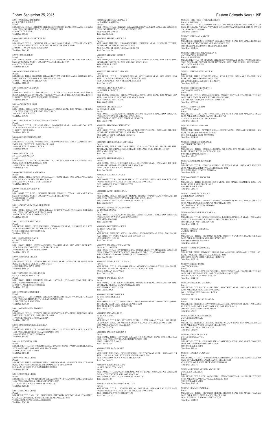# Friday, September 25, 2015 Eastern Colorado News • 19B

M0011008 SHEPARD FRED M c/o SHEPARD SHEILA B Parcel: MBL HOME, TITLE: 12T136906 SERIAL: 2293383T1888 YEAR: 1993 MAKE: R B SIZE: 16/66 PARK: NORTH COUNTY VILLAGE SPACE: 0401 4893 96TH DR E #0401 Total Due: \$59.16 M0005964 SHERBA JANET KAREN Parcel: MBL HOME, TITLE: 12W158548 SERIAL: GN9304A&B YEAR: 1977 MAKE: G N SIZE:<br>24/52 PARK: FRIENDLY VILLAGE OF THE ROCKIES SPACE: 0060<br>2100 100TH AVE W #0060 THORNTON Total Due: \$145.42 M0008544 SHIEH LIN Parcel: MBL HOME, TITLE: 12W162915 SERIAL: 243867S5756AB YEAR: 1983 MAKE: CHA SIZE: 28/40 PARK: NORTH COUNTY VILLAGE SPACE: 0107 4802 97TH DR E #0107 Total Due: \$170.87 M0010792 SHORT JOSEPH B Parcel: MBL HOME, TITLE: 12W245286 SERIAL: P259137 YEAR: 1993 MAKE: SCH SIZE: 16/66 PARK: THORNTON MOBILE ESTATES SPACE: 0196 3600 88TH AVE E #0196 THORNTON Total Due: \$186.13 M0018280 SHRIVER CRAIG Parcel:<br>FEMA RED TAGGED MBL HOME, TITLE: SERIAL: 37A2341 YEAR: 1973 MAKE:<br>BONNAVILLA SIZE: 14/50 PARK: FRIENDLY VILLAGE OF THE ROCKIES SPACE: 0353 2100 100TH AVE W #0353 THORNTON 000000000 Total Due: \$85.87 M0016678 SIDENER LORI Parcel:<br>MBL HOME, TITLE: 12W294235 SERIAL: F1221799 YEAR: 1969 MAKE: N M SIZE:<br>12/56 PARK: PIONEER VILLAGE SPACE: 0073 2901 63RD AVE W #0073 Total Due: \$87.75 M0012253 SIERRA CORPORATE MANAGEMENT Parcel:<br>MBL HOME, TITLE: 12W142287 SERIAL: 0C05892768 YEAR: 1989 MAKE: GOL SIZE:<br>16/76 PARK: CHAPARRAL VILLAGE SPACE: 0024 3180 88TH AVE E #0024 Total Due: \$174.66 M0000431 SIFUENTES MARIA J Parcel: MBL HOME, TITLE: 12T978932 SERIAL: FS2609 YEAR: 1970 MAKE: CAM SIZE: 14/61 PARK: HILLCREST VILLAGES SPACE: 0303 1905 CARSON ST #0303 AURORA Total Due: \$86.32 M0001837 SILVA LUIS c/o LOERA H CARMEN Parcel: MBL HOME, TITLE: 12W189729 SERIAL: N2219 YEAR: 1958 MAKE: AME SIZE: 10/41<br>PARK: RUSTIC RANCH SPACE: 0051<br>5565 FEDERAL BLVD #0051 Total Due: \$71.81 M0006759 SIMMONS KATHRYN A Parcel: MBL HOME, TITLE: 12W283647 SERIAL: 14102391 YEAR: 1980 MAKE: WAL SIZE: 24/56 PARK: CASA ESTATES SPACE: 0173 860 132ND AVE W #0173 WESTMINSTER Total Due: \$195.78 M0009153 SINGER GERRY C Parcel: MBL HOME, TITLE NO: 12W079989 SERIAL: 0584893531 YEAR: 1988 MAKE: CHA<br>SIZE: 14/66 PARK: NORTH COUNTY VILLAGE SPACE: 0720<br>9630 FOREST CT #0720 Total Due: \$135.75 M0013674 SKYVIEW TRAILER RANCH Parcel: MBL HOME, TITLE: 12W152186 SERIAL: 43F2844C YEAR: 1963 MAKE: CHI SIZE: 10/41 PARK: SKYVIEW MHP SPACE: 0058 16051 COLFAX AVE E #0058 AURORA Total Due: \$64.00 M0013102 SMITH BRITTNEY L Parcel:<br>MBL HOME, TITLE: 12W221504 SERIAL: CLW006803TX YEAR: 1997 MAKE: CLA SIZE:<br>16/76 PARK: REDWOOD ESTATES SPACE: 0203 9595 PECOS ST #0203 THORNTON Total Due: \$290.60 M0011430 SMITH SUSAN K c/o SMITH PATRICK W Parcel: MBL HOME, TITLE: 12P278344 SERIAL: 58A14179 YEAR: 1985 MAKE: BON SIZE: 16/76 PARK: EAST GATE VILLAGE SPACE: 0144 3060 BRIDGE ST E #0144 BRIGHTON Total Due: \$156.02 M0004268 SOBOL ELLIS J Parcel:<br>MBL HOME, TITLE: 12T018546 SERIAL: 5D1601 YEAR: 1973 MAKE: HEA SIZE: 24/60<br>PARK: BERKELEY VILLAGE SPACE: 0371<br>5400 SHERIDAN BLVD #0371<br>Total Due: \$186.06 M0017807 SOLIS SOLIS RUFUGIO c/o SOLIS SOLIS JOSE JUAN Parcel: MBL HOME, TITLE: 10B045829 SERIAL: 116 YEAR: 1971 MAKE: STAR SIZE: 14/56 PARK: WIKIUP MHP SPACE: 0132 6500 88TH AVE E #0132 000000000 Total Due: \$82.87 M0012997 SOLTERO JODI R Parcel:<br>MBL HOME, TITLE: 12T551187 SERIAL: CRH1TX6048 YEAR: 1996 MAKE: C R SIZE: 16/76 PARK: NORTH COUNTY VILLAGE SPACE: 0904 5276 RIVERDALE WAY #0904 Total Due: \$219.85

M0011905 SORENSEN FLOYD D

Parcel:<br>MBL HOME, TITLE: 12P634578 SERIAL: HI4761 YEAR: 1994 MAKE: DAR SIZE: 14/48<br>PARK: HILLCREST VILLAGES SPACE: 0539 14701 COLFAX AVE E #0539 AURORA Total Due: \$165.52 M0003427 SOTO GARCIA CARMELA Parcel:<br>MBL HOME, TITLE: 12W126333 SERIAL: 2FR14723217 YEAR: 1973 MAKE: LAN SIZE: 14/68 PARK: HILLCREST VILLAGES SPACE: 0373 1848 CRYSTAL ST #0373 AURORA Total Due: \$91.90 M0014315 STANTON JOEL Parcel MBL HOME, TITLE NO: 10R762558 SERIAL: 29A20881 YEAR: 1992 MAKE: BELLAVISTA SIZE: 16/76 PARK: GALAMB MHP SPACE: 0008 35500 COLFAX AVE E #0008 Total Due: \$171.25 M0007971 STARK CHRIS Parcel: MBL HOME, TITLE: 12W284610 SERIAL: 14100936 YEAR: 1976 MAKE: N M SIZE: 14/66<br>PARK: HIGHVIEW MOBILE HOME COMMUNITY SPACE: 0040<br>8601 ZUNI ST #0040 WESTMINSTER 000000000 Total Due: \$97.23 M0012205 STARK CHRIS Parcel: MBL HOME, TITLE NO: 12W117960 SERIAL: 04511491H YEAR: 1995 MAKE: CUT SIZE: 14/66 PARK: KIMBERLY HILLS MHP SPACE: 0029 2311 92ND AVE W #0029 FEDERAL HEIGHTS Total Due: \$201.26 M0014632 STARK CHRIS Parcel:<br>MBL HOME, TITLE NO: 12W117959 SERIAL: DFLT04AB19625CW13 YEAR: 1996 MAKE:<br>CHA SIZE: 26/56 PARK: KIMBERLY HILLS MHP SPACE: 0579 9400 ELM CT #0579 FEDERAL HEIGHTS Total Due: \$345.39 Total Due: \$357.71 M0014329 TAPIA MARCOS c/o TAPIA MARIA Parcel:<br>MBL HOME, TITLE NO: 12T917738 SERIAL: 2T520104KAB YEAR: 1998 MAKE:<br>LEXINGTON SIZE: 27/48 PARK: FRIENDLY VILLAGE OF AURORA SPACE: 0151 1649 PAGOSA WAY #0151 AURORA Total Due: \$367.94 M0002176 TASCH VIKTORIA R Parcel: MBL HOME, TITLE: 12W076247 SERIAL: T5010FKC850254 YEAR: 1961 MAKE: TAY<br>SIZE: 10/46 PARK: COTTONWOOD MHP SPACE: 0012<br>10110 120TH AVE E #0012 Total Due: \$63.10 M0014442 TERRAZAS CRUZ Parcel: MBL HOME, TITLE NO: 12W111157 SERIAL: CRH2TX1706AB YEAR: 1999 MAKE: C R<br>SIZE: 27/48 PARK: VALLEY VIEW ESTATES SPACE: 0315<br>1201 THORNTON PKWY W #0315 THORNTON Total Due: \$403.51 M0001849 TERRAZAS FELIPE c/o MOLINAR LOYA JAIME Parcel: MBL HOME, TITLE: 12W235688 SERIAL: PK01881 YEAR: 1973 MAKE: PEE SIZE: 12/56<br>PARK: COUNTRYSIDE VILLAGE SPACE: 0021<br>9850 FEDERAL BLVD #0021 FEDERAL HEIGHTS Total Due: \$81.69 M0008724 TERRAZAS URIAS CARLOS A Parcel: MBL HOME, TITLE: 12W182754 SERIAL: 7002 YEAR: 1978 MAKE: CLI SIZE: 14/72<br>PARK: FRIENDLY VILLAGE OF THE ROCKIES SPACE: 0492<br>2100 100TH AVE W #0492 THORNTON Total Due: \$114.42

M0013651 THE FRED H KRUGER TRUST Parcel: 0181500000315 MBL HOME, TITLE: 12P498455 SERIAL: 2290194579UX YEAR: 1979 MAKE: TITAN<br>SIZE: 24/56 PARK: PRIVATE PROPERTY SPACE: 0000 LAND PARCEL 1815-00-0-00-315<br>5795 HIGHWAY 79 #0000 Total Due: \$115.98 M0004778 THOMAS MARCEE Parcel: MBL HOME, TITLE NO: 12T792997 SERIAL: 87A7501 YEAR: 1978 MAKE: BON SIZE:<br>14/64 PARK: COUNTRYSIDE VILLAGE SPACE: 0015<br>9850 FEDERAL BLVD #0015 FEDERAL HEIGHTS Total Due: \$104.46 M0011828 THOMPSON KATHLEEN K c/o THOMPSON ROBERT D Parcel: 0181110300003 MBL HOME, TITLE NO: 12P250203 SERIAL: MY9536686ABF YEAR: 1995 MAKE: HAM<br>SIZE: 26/67 PARK: PRIVATE PROPERTY SPACE: 0000 LAND PARCEL: 181110200001<br>66751 56TH AVE E #0000 Total Due: \$322.81 M0003315 THOMPSON SANDRA L Parcel: MBL HOME, TITLE: 12T051225 SERIAL: 1556L/R YEAR: 1976 MAKE: STA SIZE: 24/56<br>PARK: MC DONALD MHP SPACE: 0015<br>220 WASHINGTON AVE #0015 BENNETT Total Due: \$122.95 M0010839 THORNE KENNETH L c/o THORNE SANDRA G Parcel: MBL HOME, TITLE: 12P214083 SERIAL: 229446T1996 YEAR: 1994 MAKE: TIT SIZE:<br>16/76 PARK: VALLEY VIEW ESTATES SPACE: 0380<br>1201 THORNTON PKWY W #0380 THORNTON Total Due: \$250.88 M0012372 TIDWELL TIM c/o TITTER SARAH Parcel: MBL HOME, TITLE: 12W541978 SERIAL: 04510352I YEAR: 1996 MAKE: CUT SIZE: 16/76 PARK: PINE LAKES RANCH SPACE: 0762 4210 100TH AVE E #0762 THORNTON Total Due: \$220.52 M0017936 TODD LEONARD Parcel MBL HOME, TITLE: 12W224987 SERIAL: P152907 YEAR: 1978 MAKE: SCH SIZE: 14/56<br>PARK: FRANKLIN MHP SPACE: 0060<br>1616 78TH AVE E #0060 000000000 Total Due: \$104.83 M0003883 TOLBERT ROXANNE c/o TOLBERT DONALD A Parcel: MBL HOME, TITLE: 12P246456 SERIAL: 328 YEAR: 1975 MAKE: BAY SIZE: 14/66<br>PARK: BERKELEY VILLAGE SPACE: 0111<br>5400 SHERIDAN BLVD #0111 Total Due: \$98.47 M0013722 TOPHAM BONNIE D Parcel: MBL HOME, TITLE: 12W072629 SERIAL: HL7025AB YEAR: 1997 MAKE: EDI SIZE:<br>28/56 PARK: HILLCREST VILLAGES SPACE: 0332<br>1818 CIMARRON ST #0332 AURORA Total Due: \$179.22 M0016660 TORRES RODOLFO Parcel: MBL HOME, TITLE: 10-0604001/WYO YEAR: 2000 MAKE: CHAMPION SIZE: 16/76 PARK: WIKIUP MHP SPACE: 0312 6500 88TH AVE E #0312 Total Due: \$250.43 M0016272 TORREZ LILLIAN E c/o HERRERA SENAIDA Parcel: MBL HOME, TITLE: 12T161413 SERIAL: AP309126 YEAR: 2002 MAKE: ASH SIZE: 16/76 PARK: DENVER MEADOWS MHP SPACE: 0096 2075 POTOMAC ST #0096 AURORA Total Due: \$316.13 M0006860 TOURVILLE RICHARD A Parcel:<br>MBL HOME, TITLE: 12W063351 SERIAL: KSDH08A44A25861A YEAR: 1981 MAKE:<br>AME SIZE: 14/66 PARK: REDWOOD ESTATES SPACE: 0546<br>9595 PECOS ST #0546 THORNTON<br>Total Due: \$144.18 M0006214 TOVAR EZEQUIEL c/o DIAZ MARIA Parcel: MBL HOME, TITLE: 12W145529 SERIAL: 14100777 YEAR: 1976 MAKE: KIR SIZE: 14/66 PARK: BERKELEY VILLAGE SPACE: 0019 5400 SHERIDAN BLVD #0019 Total Due: \$108.62 M0005748 TOZER GEORGIA A Parcel: MBL HOME, TITLE: 12W141823 SERIAL: M605449 YEAR: 1979 MAKE: H P SIZE: 14/71 PARK: HOLIDAY HILLS VILLAGE SPACE: 0441 2000 92ND AVE W #0441 FEDERAL HEIGHTS Total Due: \$103.33 M0007970 TREJO JAIME c/o CONDE ERIKA Parcel: MBL HOME, TITLE: 12W188173 SERIAL: 226131T8266 YEAR: 1986 MAKE: TIT SIZE: 16/74 PARK: FRIENDLY VILLAGE OF AURORA SPACE: 0202 1946 BUCKLEY WAY #0202 AURORA Total Due: \$144.33 M0002204 TRUJILLO MELISSA Parcel: MBL HOME, TITLE: 12W254845 SERIAL: WL6XS5377 YEAR: 1967 MAKE: FLE SIZE: 12/56 PARK: SKYVIEW MHP SPACE: 0033 16051 COLFAX AVE E #0033 AURORA Total Due: \$80.73 M0008257 TRUJILLO SILBANIO D Parcel:<br>MBL HOME, TITLE NO: 12W094955 SERIAL: TXFL1AD45897386 YEAR: 1984 MAKE:<br>FLE SIZE: 14/76 PARK: EAST GATE VILLAGE SPACE: 0435

# M0015902 STECKEL GERALD S c/o BALDWIN ALICE A Parcel: MBL HOME, TITLE: 12T220281 SERIAL: 05L28819 YEAR: 2000 MAKE: LIB SIZE: 16/68 PARK: NORTH COUNTY VILLAGE SPACE: 0365 5001 96TH DR E #0365 Total Due: \$226.32 M0003563 STEGER ARNOLD E Parcel: MBL HOME, TITLE NO: 12W080471 SERIAL: 2255752903 YEAR: 1975 MAKE: TIT SIZE: 14/56 PARK: MONTICELLO SPACE: 0603 2009 TULANE ST #0603 FEDERAL HEIGHTS Total Due: \$101.04 M0009207 STENSON RICKY A Parcel: MBL HOME, TITLE NO: 12W091143 SERIAL: 14103085 YEAR: 1982 MAKE: RED SIZE:<br>14/80 PARK: NORTH COUNTY VILLAGE SPACE: 0303<br>4974 97TH PL E #0303 Total Due: \$111.72 M0000057 STEPHENS CAROLYN Parcel: MBL HOME, TITLE: 12W035962 SERIAL: A872270S5611 YEAR: 1972 MAKE: DOR SIZE: 12/70 PARK: DENVER CASCADE SPACE: 0019 9675 CARDINAL ST #0019 FEDERAL HEIGHTS Total Due: \$86.25 M0006601 STEPHENS JOHN G c/o HOSIER ROBERT E II Parcel: MBL HOME, TITLE NO: 12T783399 SERIAL: 0500516251S YEAR: 1980 MAKE: CHA<br>SIZE: 14/60 PARK: ELM RIDGE MHP SPACE: 004B<br>5601 FEDERAL BLVD #004B Total Due: \$122.16 M0003439 STEVENS SEAN c/o STEVENS ERIN Parcel: MBL HOME, TITLE: 12W154883 SERIAL: 2018A/B YEAR: 1978 MAKE: LON SIZE: 24/40<br>PARK: COUNTRYSIDE VILLAGE SPACE: 0305<br>9850 FEDERAL BLVD #0305 FEDERAL HEIGHTS Total Due: \$79.56 M0012081 STIVERSON JEFFREY C Parcel:<br>MBL HOME, TITLE: 12P259794 SERIAL: NEB59A23590 YEAR: 1995 MAKE: BEL SIZE: 16/76 PARK: KIMBERLY HILLS MHP SPACE: 0648 9400 ELM CT #0648 FEDERAL HEIGHTS Total Due: \$218.31 M0007154 STONEHOCKER VICTORIA Parcel: MBL HOME, TITLE: 12R573929 SERIAL: 4710114863 YEAR: 1981 MAKE: ATL SIZE: 24/40 PARK: RIVERDALE FARMS SPACE: 0127 LAND PARC 1719-25-1-01-029 8585 MADISON CT #0127 Total Due: \$165.07 M0008229 STUBBS FABIOLA Parcel:<br>MBL HOME, TITLE: 12W220457 SERIAL: 2255732996 YEAR: 1975 MAKE: TIT SIZE:<br>14/66 PARK: AURORA TRAILER PARK SPACE: 0012 16431 COLFAX AVE E #0012 AURORA Total Due: \$89.66 M0003720 SULLIVAN LAURA Parcel:<br>MBL HOME, TITLE: 12W018489 SERIAL: 271263 YEAR: 1972 MAKE: BON SIZE: 12/56<br>PARK: FRIENDLY VILLAGE OF THE ROCKIES SPACE: 0337 2100 100TH AVE W #0337 THORNTON Total Due: \$85.87 M0010114 SWAIN FLORENCE M Parcel:<br>MBL HOME, TITLE: 12W022187 SERIAL: 2292862T1072AB YEAR: 1992 MAKE: TIT<br>SIZE: 27/66 PARK: COUNTRYSIDE VILLAGE SPACE: 0262 9850 FEDERAL BLVD #0262 FEDERAL HEIGHTS Total Due: \$228.47 M0004707 SWANSON CASSANDRA c/o TURNER SUSAN Parcel: MBL HOME, TITLE: 12W264105 SERIAL: 77A6469 YEAR: 1977 MAKE: BON SIZE: 14/62 PARK: COUNTRY VISTA MHP SPACE: 0008 1589 VISTA LN #0008 Total Due: \$89.66 M0016436 SWIONTEK ALICE J c/o TRIM JENNIFER<br>Parcel:<br>MBL HOME, TITLE NO: 12T793276 SERIAL: KHNM1201234AB YEAR: 2002 MAKE:<br>KAR SIZE: 27/44 PARK: WIKIUP MHP SPACE: 0138 6500 88TH AVE E #0138 Total Due: \$62.40 M0002557 TALAMANTES MARTIN Parcel: 0172129402008<br>MBL HOME, TITLE: 12W027416 SERIAL: 036262F YEAR: 1974 MAKE: FRO SIZE: 14/66<br>PARK: PRIVATE PROPERTY SPACE: 0000 LAND PARC 1721--29-4-02-008<br>8131 PONTIAC ST #0000 COMMERCE CITY 000000000 Total Due: \$83.64 M0011267 TAMBURELLI LILLIAN J Parcel:<br>MBL HOME, TITLE: 12P484444 SERIAL: GDBPID47937534A/B YEAR: 1994 MAKE:<br>AME SIZE: 27/56 PARK: BERKELEY VILLAGE SPACE: 0235 5400 SHERIDAN BLVD #0235 Total Due: \$387.89 M0012945 TAMBURO TONY Parcel: MBL HOME, TITLE: 12P291263 SERIAL: 005965270119 YEAR: 1996 MAKE: KIN SIZE:<br>14/52 PARK: MOBILE GARDENS SPACE: 0059<br>6250 FEDERAL BLVD #0059 Total Due: \$220.28 M0013152 TANSEY BRUCE E c/o WHITE CIMBERLY A Parcel:

MBL HOME, TITLE: 12T219242 SERIAL: FH4610090X96 YEAR: 1996 MAKE: FUQ SIZE:<br>28/56 PARK: EAST GATE VILLAGE SPACE: 0295<br>3060 BRIDGE ST E #0295 BRIGHTON

3060 BRIDGE ST E #0435 BRIGHTON Total Due: \$90.73 M0011208 TUCKER CHARLES R c/o TUCKER LAURA K Parcel: MBL HOME, TITLE NO: 12T930182 SERIAL: 05L24240 YEAR: 1994 MAKE: LIB SIZE: 16/76 PARK: REDWOOD ESTATES SPACE: 0291 9595 PECOS ST #0291 THORNTON Total Due: \$262.05 M0001034 TUCKER JACK B<br>e/o TUCKER GLADYS L<br>Parcel:<br>MBL HOME, TITLE: 12E518459 SERIAL: GSKBS170 YEAR: 1962 MAKE: VAG SIZE:<br>10/41 PARK: WIKIUP MHP SPACE: 0140 6500 88TH AVE E #0140 Total Due: \$59.89 M0017846 TUSKA CARLYE M Parcel:<br>MBL HOME, TITLE: 12T274420 SERIAL: CBH023844TXP YEAR: 2012 MAKE: CLAYTON<br>SIZE: 16/76 PARK PINE LAKES RANCH SPACE: 0622 4210 100TH AVE E #0622 THORNTON 000000000 Total Due: \$409.76 M0008369 UCHIDA KRISTIN MICHELLE c/o COLIER MIKELL A Parcel: MBL HOME, TITLE: 12W150873 SERIAL: 227814T8686 YEAR: 1987 MAKE: TIT SIZE: 14/66 PARK: CHAPARRAL VILLAGE SPACE: 0106 3180 88TH AVE E #0106 Total Due: \$142.34

M0007475 UMMEL PAMELA J Parcel:<br>MBL HOME, TITLE: 12W032075 SERIAL: 14103388 YEAR: 1983 MAKE: FLA SIZE:<br>14/66 PARK: PINE LAKES RANCH SPACE: 0038 10201 RIVERDALE RD #0038 THORNTON Total Due: \$112.00